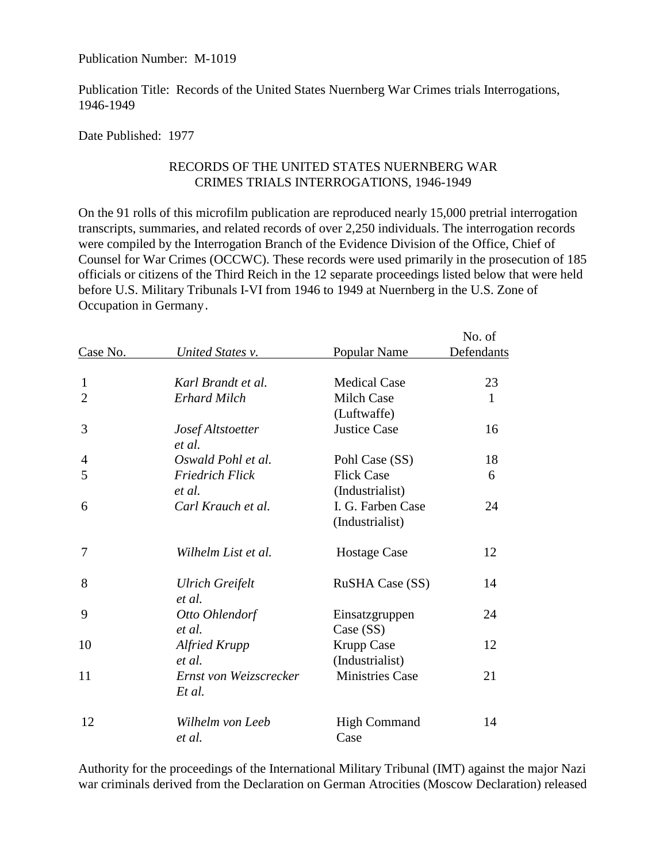Publication Number: M-1019

Publication Title: Records of the United States Nuernberg War Crimes trials Interrogations, 1946-1949

Date Published: 1977

## RECORDS OF THE UNITED STATES NUERNBERG WAR CRIMES TRIALS INTERROGATIONS, 1946-1949

On the 91 rolls of this microfilm publication are reproduced nearly 15,000 pretrial interrogation transcripts, summaries, and related records of over 2,250 individuals. The interrogation records were compiled by the Interrogation Branch of the Evidence Division of the Office, Chief of Counsel for War Crimes (OCCWC). These records were used primarily in the prosecution of 185 officials or citizens of the Third Reich in the 12 separate proceedings listed below that were held before U.S. Military Tribunals I-VI from 1946 to 1949 at Nuernberg in the U.S. Zone of Occupation in Germany.

|                |                                  |                                      | No. of            |
|----------------|----------------------------------|--------------------------------------|-------------------|
| Case No.       | United States v.                 | Popular Name                         | <b>Defendants</b> |
| $\mathbf{1}$   | Karl Brandt et al.               | <b>Medical Case</b>                  | 23                |
| $\overline{2}$ | <b>Erhard Milch</b>              | <b>Milch Case</b><br>(Luftwaffe)     | $\mathbf{1}$      |
| 3              | Josef Altstoetter<br>et al.      | <b>Justice Case</b>                  | 16                |
| 4              | Oswald Pohl et al.               | Pohl Case (SS)                       | 18                |
| 5              | <b>Friedrich Flick</b><br>et al. | <b>Flick Case</b><br>(Industrialist) | 6                 |
| 6              | Carl Krauch et al.               | I. G. Farben Case<br>(Industrialist) | 24                |
| 7              | Wilhelm List et al.              | <b>Hostage Case</b>                  | 12                |
| 8              | <b>Ulrich Greifelt</b><br>et al. | <b>RuSHA Case (SS)</b>               | 14                |
| 9              | Otto Ohlendorf<br>et al.         | Einsatzgruppen<br>Case (SS)          | 24                |
| 10             | <b>Alfried Krupp</b><br>et al.   | <b>Krupp Case</b><br>(Industrialist) | 12                |
| 11             | Ernst von Weizscrecker<br>Et al. | <b>Ministries Case</b>               | 21                |
| 12             | Wilhelm von Leeb<br>et al.       | <b>High Command</b><br>Case          | 14                |

Authority for the proceedings of the International Military Tribunal (IMT) against the major Nazi war criminals derived from the Declaration on German Atrocities (Moscow Declaration) released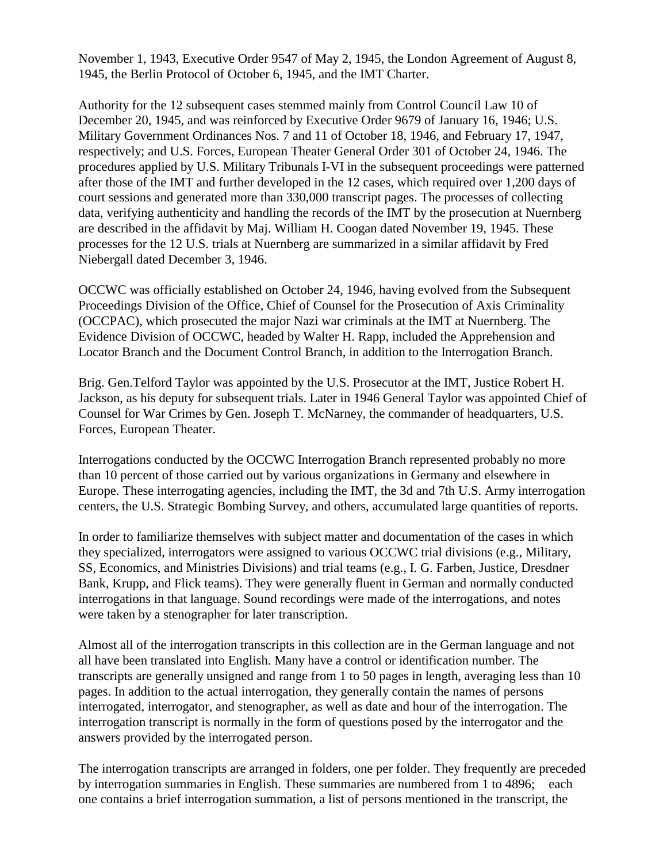November 1, 1943, Executive Order 9547 of May 2, 1945, the London Agreement of August 8, 1945, the Berlin Protocol of October 6, 1945, and the IMT Charter.

Authority for the 12 subsequent cases stemmed mainly from Control Council Law 10 of December 20, 1945, and was reinforced by Executive Order 9679 of January 16, 1946; U.S. Military Government Ordinances Nos. 7 and 11 of October 18, 1946, and February 17, 1947, respectively; and U.S. Forces, European Theater General Order 301 of October 24, 1946. The procedures applied by U.S. Military Tribunals I-VI in the subsequent proceedings were patterned after those of the IMT and further developed in the 12 cases, which required over 1,200 days of court sessions and generated more than 330,000 transcript pages. The processes of collecting data, verifying authenticity and handling the records of the IMT by the prosecution at Nuernberg are described in the affidavit by Maj. William H. Coogan dated November 19, 1945. These processes for the 12 U.S. trials at Nuernberg are summarized in a similar affidavit by Fred Niebergall dated December 3, 1946.

OCCWC was officially established on October 24, 1946, having evolved from the Subsequent Proceedings Division of the Office, Chief of Counsel for the Prosecution of Axis Criminality (OCCPAC), which prosecuted the major Nazi war criminals at the IMT at Nuernberg. The Evidence Division of OCCWC, headed by Walter H. Rapp, included the Apprehension and Locator Branch and the Document Control Branch, in addition to the Interrogation Branch.

Brig. Gen.Telford Taylor was appointed by the U.S. Prosecutor at the IMT, Justice Robert H. Jackson, as his deputy for subsequent trials. Later in 1946 General Taylor was appointed Chief of Counsel for War Crimes by Gen. Joseph T. McNarney, the commander of headquarters, U.S. Forces, European Theater.

Interrogations conducted by the OCCWC Interrogation Branch represented probably no more than 10 percent of those carried out by various organizations in Germany and elsewhere in Europe. These interrogating agencies, including the IMT, the 3d and 7th U.S. Army interrogation centers, the U.S. Strategic Bombing Survey, and others, accumulated large quantities of reports.

In order to familiarize themselves with subject matter and documentation of the cases in which they specialized, interrogators were assigned to various OCCWC trial divisions (e.g., Military, SS, Economics, and Ministries Divisions) and trial teams (e.g., I. G. Farben, Justice, Dresdner Bank, Krupp, and Flick teams). They were generally fluent in German and normally conducted interrogations in that language. Sound recordings were made of the interrogations, and notes were taken by a stenographer for later transcription.

Almost all of the interrogation transcripts in this collection are in the German language and not all have been translated into English. Many have a control or identification number. The transcripts are generally unsigned and range from 1 to 50 pages in length, averaging less than 10 pages. In addition to the actual interrogation, they generally contain the names of persons interrogated, interrogator, and stenographer, as well as date and hour of the interrogation. The interrogation transcript is normally in the form of questions posed by the interrogator and the answers provided by the interrogated person.

The interrogation transcripts are arranged in folders, one per folder. They frequently are preceded by interrogation summaries in English. These summaries are numbered from 1 to 4896; each one contains a brief interrogation summation, a list of persons mentioned in the transcript, the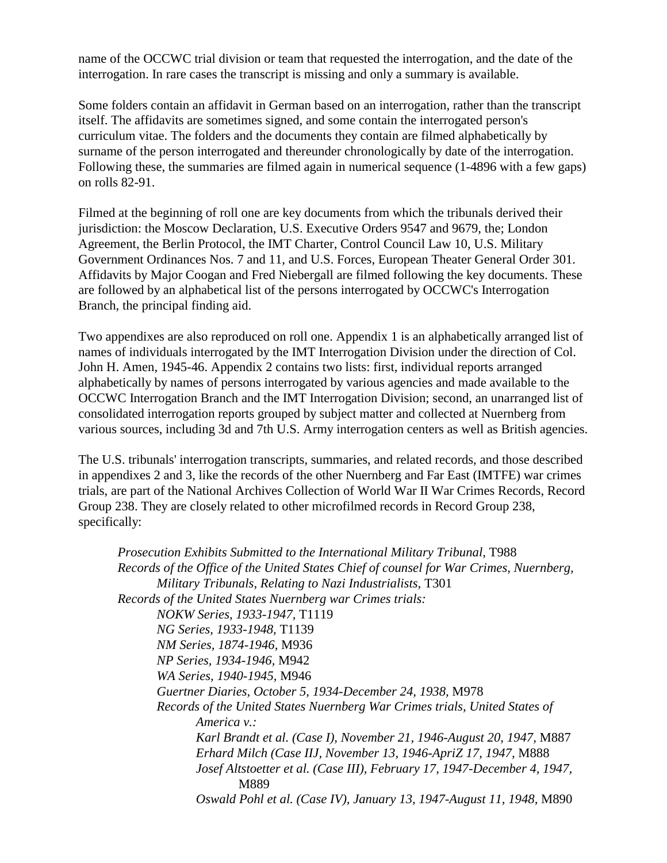name of the OCCWC trial division or team that requested the interrogation, and the date of the interrogation. In rare cases the transcript is missing and only a summary is available.

Some folders contain an affidavit in German based on an interrogation, rather than the transcript itself. The affidavits are sometimes signed, and some contain the interrogated person's curriculum vitae. The folders and the documents they contain are filmed alphabetically by surname of the person interrogated and thereunder chronologically by date of the interrogation. Following these, the summaries are filmed again in numerical sequence (1-4896 with a few gaps) on rolls 82-91.

Filmed at the beginning of roll one are key documents from which the tribunals derived their jurisdiction: the Moscow Declaration, U.S. Executive Orders 9547 and 9679, the; London Agreement, the Berlin Protocol, the IMT Charter, Control Council Law 10, U.S. Military Government Ordinances Nos. 7 and 11, and U.S. Forces, European Theater General Order 301. Affidavits by Major Coogan and Fred Niebergall are filmed following the key documents. These are followed by an alphabetical list of the persons interrogated by OCCWC's Interrogation Branch, the principal finding aid.

Two appendixes are also reproduced on roll one. Appendix 1 is an alphabetically arranged list of names of individuals interrogated by the IMT Interrogation Division under the direction of Col. John H. Amen, 1945-46. Appendix 2 contains two lists: first, individual reports arranged alphabetically by names of persons interrogated by various agencies and made available to the OCCWC Interrogation Branch and the IMT Interrogation Division; second, an unarranged list of consolidated interrogation reports grouped by subject matter and collected at Nuernberg from various sources, including 3d and 7th U.S. Army interrogation centers as well as British agencies.

The U.S. tribunals' interrogation transcripts, summaries, and related records, and those described in appendixes 2 and 3, like the records of the other Nuernberg and Far East (IMTFE) war crimes trials, are part of the National Archives Collection of World War II War Crimes Records, Record Group 238. They are closely related to other microfilmed records in Record Group 238, specifically:

*Prosecution Exhibits Submitted to the International Military Tribunal,* T988  *Records of the Office of the United States Chief of counsel for War Crimes, Nuernberg, Military Tribunals, Relating to Nazi Industrialists,* T301  *Records of the United States Nuernberg war Crimes trials: NOKW Series, 1933-1947,* T1119 *NG Series, 1933-1948,* T1139 *NM Series, 1874-1946,* M936 *NP Series, 1934-1946,* M942 *WA Series, 1940-1945,* M946 *Guertner Diaries, October 5, 1934-December 24, 1938,* M978 *Records of the United States Nuernberg War Crimes trials, United States of America v.: Karl Brandt et al. (Case I), November 21, 1946-August 20, 1947,* M887 *Erhard Milch (Case IIJ, November 13, 1946-ApriZ 17, 1947,* M888 *Josef Altstoetter et al. (Case III), February 17, 1947-December 4, 1947,* M889 *Oswald Pohl et al. (Case IV), January 13, 1947-August 11, 1948,* M890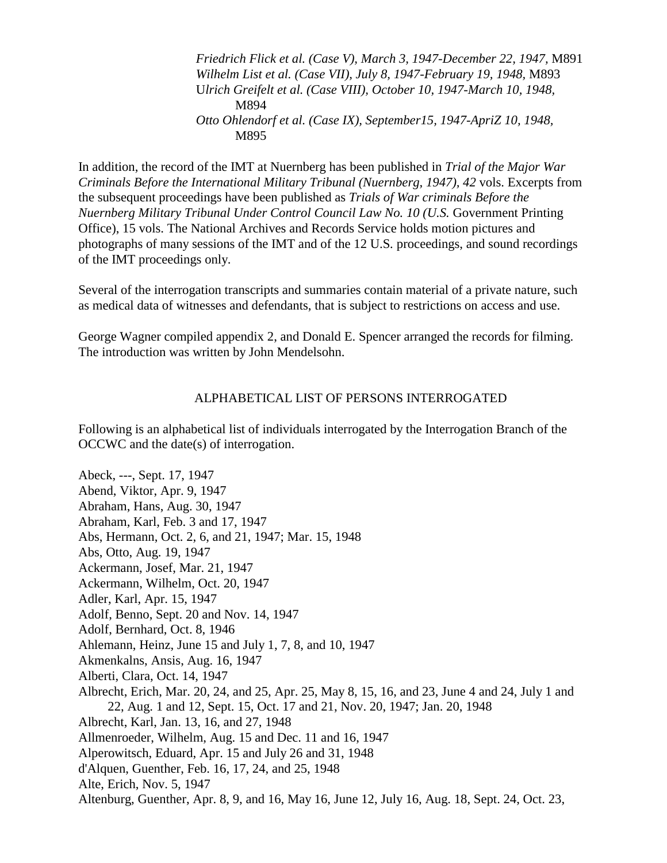*Friedrich Flick et al. (Case V), March 3, 1947-December 22, 1947,* M891 *Wilhelm List et al. (Case VII), July 8, 1947-February 19, 1948,* M893 U*lrich Greifelt et al. (Case VIII), October 10, 1947-March 10, 1948,* M894 *Otto Ohlendorf et al. (Case IX), September15, 1947-ApriZ 10, 1948,* M895

In addition, the record of the IMT at Nuernberg has been published in *Trial of the Major War Criminals Before the International Military Tribunal (Nuernberg, 1947), 42* vols. Excerpts from the subsequent proceedings have been published as *Trials of War criminals Before the Nuernberg Military Tribunal Under Control Council Law No. 10 (U.S.* Government Printing Office), 15 vols. The National Archives and Records Service holds motion pictures and photographs of many sessions of the IMT and of the 12 U.S*.* proceedings, and sound recordings of the IMT proceedings only.

Several of the interrogation transcripts and summaries contain material of a private nature, such as medical data of witnesses and defendants, that is subject to restrictions on access and use.

George Wagner compiled appendix 2, and Donald E. Spencer arranged the records for filming. The introduction was written by John Mendelsohn.

## ALPHABETICAL LIST OF PERSONS INTERROGATED

Following is an alphabetical list of individuals interrogated by the Interrogation Branch of the OCCWC and the date(s) of interrogation.

Abeck, ---, Sept. 17, 1947 Abend, Viktor, Apr. 9, 1947 Abraham, Hans, Aug. 30, 1947 Abraham, Karl, Feb. 3 and 17, 1947 Abs, Hermann, Oct. 2, 6, and 21, 1947; Mar. 15, 1948 Abs, Otto, Aug. 19, 1947 Ackermann, Josef, Mar. 21, 1947 Ackermann, Wilhelm, Oct. 20, 1947 Adler, Karl, Apr. 15, 1947 Adolf, Benno, Sept. 20 and Nov. 14, 1947 Adolf, Bernhard, Oct. 8, 1946 Ahlemann, Heinz, June 15 and July 1, 7, 8, and 10, 1947 Akmenkalns, Ansis, Aug. 16, 1947 Alberti, Clara, Oct. 14, 1947 Albrecht, Erich, Mar. 20, 24, and 25, Apr. 25, May 8, 15, 16, and 23, June 4 and 24, July 1 and 22, Aug. 1 and 12, Sept. 15, Oct. 17 and 21, Nov. 20, 1947; Jan. 20, 1948 Albrecht, Karl, Jan. 13, 16, and 27, 1948 Allmenroeder, Wilhelm, Aug. 15 and Dec. 11 and 16, 1947 Alperowitsch, Eduard, Apr. 15 and July 26 and 31, 1948 d'Alquen, Guenther, Feb. 16, 17, 24, and 25, 1948 Alte, Erich, Nov. 5, 1947 Altenburg, Guenther, Apr. 8, 9, and 16, May 16, June 12, July 16, Aug. 18, Sept. 24, Oct. 23,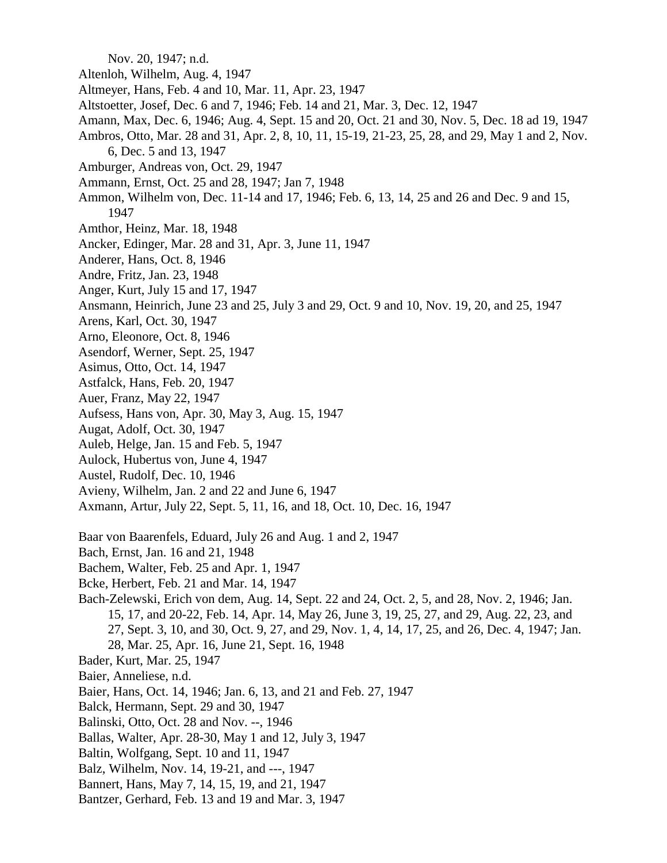Nov. 20, 1947; n.d.

- Altenloh, Wilhelm, Aug. 4, 1947
- Altmeyer, Hans, Feb. 4 and 10, Mar. 11, Apr. 23, 1947
- Altstoetter, Josef, Dec. 6 and 7, 1946; Feb. 14 and 21, Mar. 3, Dec. 12, 1947
- Amann, Max, Dec. 6, 1946; Aug. 4, Sept. 15 and 20, Oct. 21 and 30, Nov. 5, Dec. 18 ad 19, 1947 Ambros, Otto, Mar. 28 and 31, Apr. 2, 8, 10, 11, 15-19, 21-23, 25, 28, and 29, May 1 and 2, Nov.
- 6, Dec. 5 and 13, 1947
- Amburger, Andreas von, Oct. 29, 1947
- Ammann, Ernst, Oct. 25 and 28, 1947; Jan 7, 1948
- Ammon, Wilhelm von, Dec. 11-14 and 17, 1946; Feb. 6, 13, 14, 25 and 26 and Dec. 9 and 15, 1947
- Amthor, Heinz, Mar. 18, 1948
- Ancker, Edinger, Mar. 28 and 31, Apr. 3, June 11, 1947
- Anderer, Hans, Oct. 8, 1946
- Andre, Fritz, Jan. 23, 1948
- Anger, Kurt, July 15 and 17, 1947
- Ansmann, Heinrich, June 23 and 25, July 3 and 29, Oct. 9 and 10, Nov. 19, 20, and 25, 1947
- Arens, Karl, Oct. 30, 1947
- Arno, Eleonore, Oct. 8, 1946
- Asendorf, Werner, Sept. 25, 1947
- Asimus, Otto, Oct. 14, 1947
- Astfalck, Hans, Feb. 20, 1947
- Auer, Franz, May 22, 1947
- Aufsess, Hans von, Apr. 30, May 3, Aug. 15, 1947
- Augat, Adolf, Oct. 30, 1947
- Auleb, Helge, Jan. 15 and Feb. 5, 1947
- Aulock, Hubertus von, June 4, 1947
- Austel, Rudolf, Dec. 10, 1946
- Avieny, Wilhelm, Jan. 2 and 22 and June 6, 1947
- Axmann, Artur, July 22, Sept. 5, 11, 16, and 18, Oct. 10, Dec. 16, 1947
- Baar von Baarenfels, Eduard, July 26 and Aug. 1 and 2, 1947
- Bach, Ernst, Jan. 16 and 21, 1948
- Bachem, Walter, Feb. 25 and Apr. 1, 1947
- Bcke, Herbert, Feb. 21 and Mar. 14, 1947
- Bach-Zelewski, Erich von dem, Aug. 14, Sept. 22 and 24, Oct. 2, 5, and 28, Nov. 2, 1946; Jan. 15, 17, and 20-22, Feb. 14, Apr. 14, May 26, June 3, 19, 25, 27, and 29, Aug. 22, 23, and 27, Sept. 3, 10, and 30, Oct. 9, 27, and 29, Nov. 1, 4, 14, 17, 25, and 26, Dec. 4, 1947; Jan. 28, Mar. 25, Apr. 16, June 21, Sept. 16, 1948
- Bader, Kurt, Mar. 25, 1947
- Baier, Anneliese, n.d.
- Baier, Hans, Oct. 14, 1946; Jan. 6, 13, and 21 and Feb. 27, 1947
- Balck, Hermann, Sept. 29 and 30, 1947
- Balinski, Otto, Oct. 28 and Nov. --, 1946
- Ballas, Walter, Apr. 28-30, May 1 and 12, July 3, 1947
- Baltin, Wolfgang, Sept. 10 and 11, 1947
- Balz, Wilhelm, Nov. 14, 19-21, and ---, 1947
- Bannert, Hans, May 7, 14, 15, 19, and 21, 1947
- Bantzer, Gerhard, Feb. 13 and 19 and Mar. 3, 1947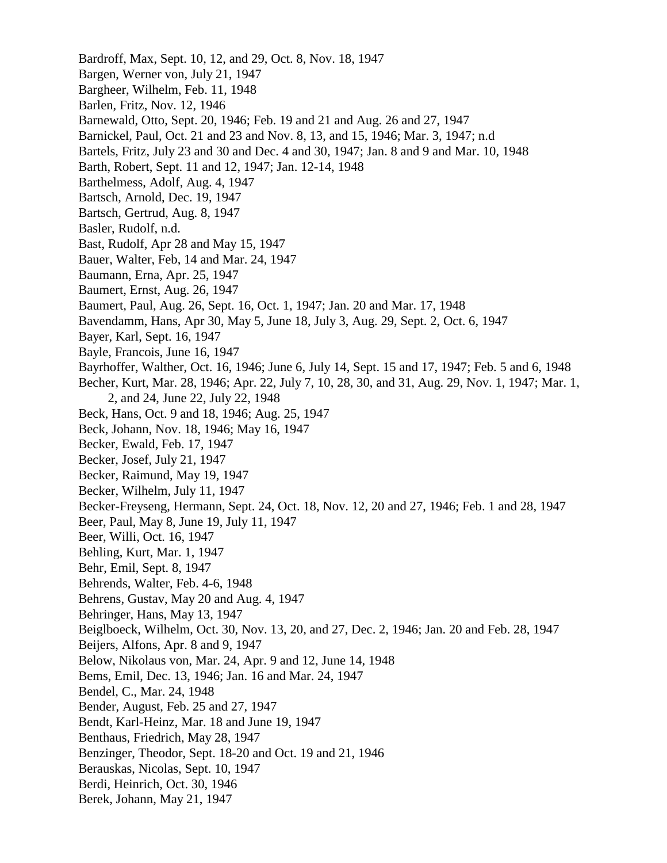Bardroff, Max, Sept. 10, 12, and 29, Oct. 8, Nov. 18, 1947 Bargen, Werner von, July 21, 1947 Bargheer, Wilhelm, Feb. 11, 1948 Barlen, Fritz, Nov. 12, 1946 Barnewald, Otto, Sept. 20, 1946; Feb. 19 and 21 and Aug. 26 and 27, 1947 Barnickel, Paul, Oct. 21 and 23 and Nov. 8, 13, and 15, 1946; Mar. 3, 1947; n.d Bartels, Fritz, July 23 and 30 and Dec. 4 and 30, 1947; Jan. 8 and 9 and Mar. 10, 1948 Barth, Robert, Sept. 11 and 12, 1947; Jan. 12-14, 1948 Barthelmess, Adolf, Aug. 4, 1947 Bartsch, Arnold, Dec. 19, 1947 Bartsch, Gertrud, Aug. 8, 1947 Basler, Rudolf, n.d. Bast, Rudolf, Apr 28 and May 15, 1947 Bauer, Walter, Feb, 14 and Mar. 24, 1947 Baumann, Erna, Apr. 25, 1947 Baumert, Ernst, Aug. 26, 1947 Baumert, Paul, Aug. 26, Sept. 16, Oct. 1, 1947; Jan. 20 and Mar. 17, 1948 Bavendamm, Hans, Apr 30, May 5, June 18, July 3, Aug. 29, Sept. 2, Oct. 6, 1947 Bayer, Karl, Sept. 16, 1947 Bayle, Francois, June 16, 1947 Bayrhoffer, Walther, Oct. 16, 1946; June 6, July 14, Sept. 15 and 17, 1947; Feb. 5 and 6, 1948 Becher, Kurt, Mar. 28, 1946; Apr. 22, July 7, 10, 28, 30, and 31, Aug. 29, Nov. 1, 1947; Mar. 1, 2, and 24, June 22, July 22, 1948 Beck, Hans, Oct. 9 and 18, 1946; Aug. 25, 1947 Beck, Johann, Nov. 18, 1946; May 16, 1947 Becker, Ewald, Feb. 17, 1947 Becker, Josef, July 21, 1947 Becker, Raimund, May 19, 1947 Becker, Wilhelm, July 11, 1947 Becker-Freyseng, Hermann, Sept. 24, Oct. 18, Nov. 12, 20 and 27, 1946; Feb. 1 and 28, 1947 Beer, Paul, May 8, June 19, July 11, 1947 Beer, Willi, Oct. 16, 1947 Behling, Kurt, Mar. 1, 1947 Behr, Emil, Sept. 8, 1947 Behrends, Walter, Feb. 4-6, 1948 Behrens, Gustav, May 20 and Aug. 4, 1947 Behringer, Hans, May 13, 1947 Beiglboeck, Wilhelm, Oct. 30, Nov. 13, 20, and 27, Dec. 2, 1946; Jan. 20 and Feb. 28, 1947 Beijers, Alfons, Apr. 8 and 9, 1947 Below, Nikolaus von, Mar. 24, Apr. 9 and 12, June 14, 1948 Bems, Emil, Dec. 13, 1946; Jan. 16 and Mar. 24, 1947 Bendel, C., Mar. 24, 1948 Bender, August, Feb. 25 and 27, 1947 Bendt, Karl-Heinz, Mar. 18 and June 19, 1947 Benthaus, Friedrich, May 28, 1947 Benzinger, Theodor, Sept. 18-20 and Oct. 19 and 21, 1946 Berauskas, Nicolas, Sept. 10, 1947 Berdi, Heinrich, Oct. 30, 1946 Berek, Johann, May 21, 1947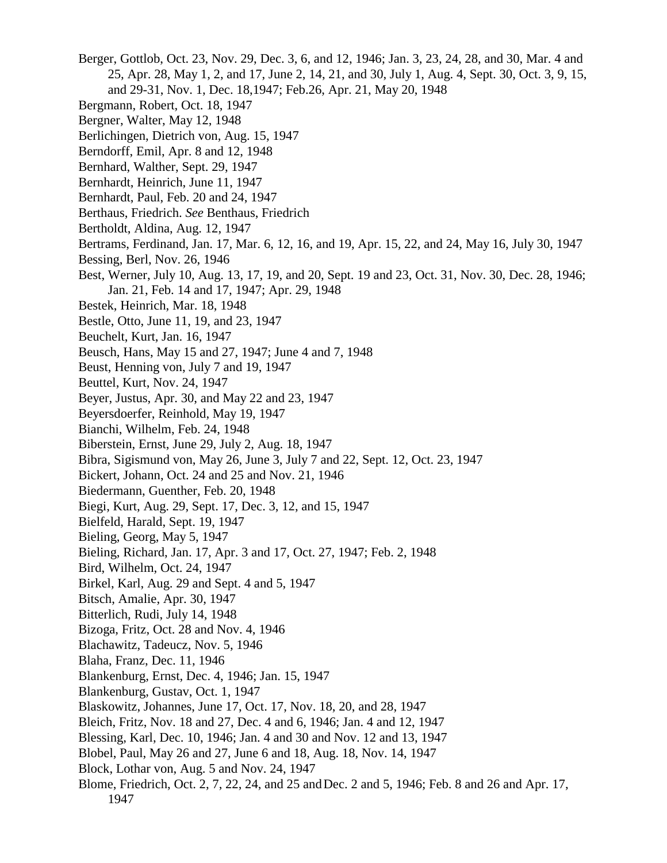- Berger, Gottlob, Oct. 23, Nov. 29, Dec. 3, 6, and 12, 1946; Jan. 3, 23, 24, 28, and 30, Mar. 4 and 25, Apr. 28, May 1, 2, and 17, June 2, 14, 21, and 30, July 1, Aug. 4, Sept. 30, Oct. 3, 9, 15, and 29-31, Nov. 1, Dec. 18,1947; Feb.26, Apr. 21, May 20, 1948
- Bergmann, Robert, Oct. 18, 1947
- Bergner, Walter, May 12, 1948
- Berlichingen, Dietrich von, Aug. 15, 1947
- Berndorff, Emil, Apr. 8 and 12, 1948
- Bernhard, Walther, Sept. 29, 1947
- Bernhardt, Heinrich, June 11, 1947
- Bernhardt, Paul, Feb. 20 and 24, 1947
- Berthaus, Friedrich. *See* Benthaus, Friedrich
- Bertholdt, Aldina, Aug. 12, 1947
- Bertrams, Ferdinand, Jan. 17, Mar. 6, 12, 16, and 19, Apr. 15, 22, and 24, May 16, July 30, 1947
- Bessing, Berl, Nov. 26, 1946
- Best, Werner, July 10, Aug. 13, 17, 19, and 20, Sept. 19 and 23, Oct. 31, Nov. 30, Dec. 28, 1946; Jan. 21, Feb. 14 and 17, 1947; Apr. 29, 1948
- Bestek, Heinrich, Mar. 18, 1948
- Bestle, Otto, June 11, 19, and 23, 1947
- Beuchelt, Kurt, Jan. 16, 1947
- Beusch, Hans, May 15 and 27, 1947; June 4 and 7, 1948
- Beust, Henning von, July 7 and 19, 1947
- Beuttel, Kurt, Nov. 24, 1947
- Beyer, Justus, Apr. 30, and May 22 and 23, 1947
- Beyersdoerfer, Reinhold, May 19, 1947
- Bianchi, Wilhelm, Feb. 24, 1948
- Biberstein, Ernst, June 29, July 2, Aug. 18, 1947
- Bibra, Sigismund von, May 26, June 3, July 7 and 22, Sept. 12, Oct. 23, 1947
- Bickert, Johann, Oct. 24 and 25 and Nov. 21, 1946
- Biedermann, Guenther, Feb. 20, 1948
- Biegi, Kurt, Aug. 29, Sept. 17, Dec. 3, 12, and 15, 1947
- Bielfeld, Harald, Sept. 19, 1947
- Bieling, Georg, May 5, 1947
- Bieling, Richard, Jan. 17, Apr. 3 and 17, Oct. 27, 1947; Feb. 2, 1948
- Bird, Wilhelm, Oct. 24, 1947
- Birkel, Karl, Aug. 29 and Sept. 4 and 5, 1947
- Bitsch, Amalie, Apr. 30, 1947
- Bitterlich, Rudi, July 14, 1948
- Bizoga, Fritz, Oct. 28 and Nov. 4, 1946
- Blachawitz, Tadeucz, Nov. 5, 1946
- Blaha, Franz, Dec. 11, 1946
- Blankenburg, Ernst, Dec. 4, 1946; Jan. 15, 1947
- Blankenburg, Gustav, Oct. 1, 1947
- Blaskowitz, Johannes, June 17, Oct. 17, Nov. 18, 20, and 28, 1947
- Bleich, Fritz, Nov. 18 and 27, Dec. 4 and 6, 1946; Jan. 4 and 12, 1947
- Blessing, Karl, Dec. 10, 1946; Jan. 4 and 30 and Nov. 12 and 13, 1947
- Blobel, Paul, May 26 and 27, June 6 and 18, Aug. 18, Nov. 14, 1947
- Block, Lothar von, Aug. 5 and Nov. 24, 1947
- Blome, Friedrich, Oct. 2, 7, 22, 24, and 25 and Dec. 2 and 5, 1946; Feb. 8 and 26 and Apr. 17, 1947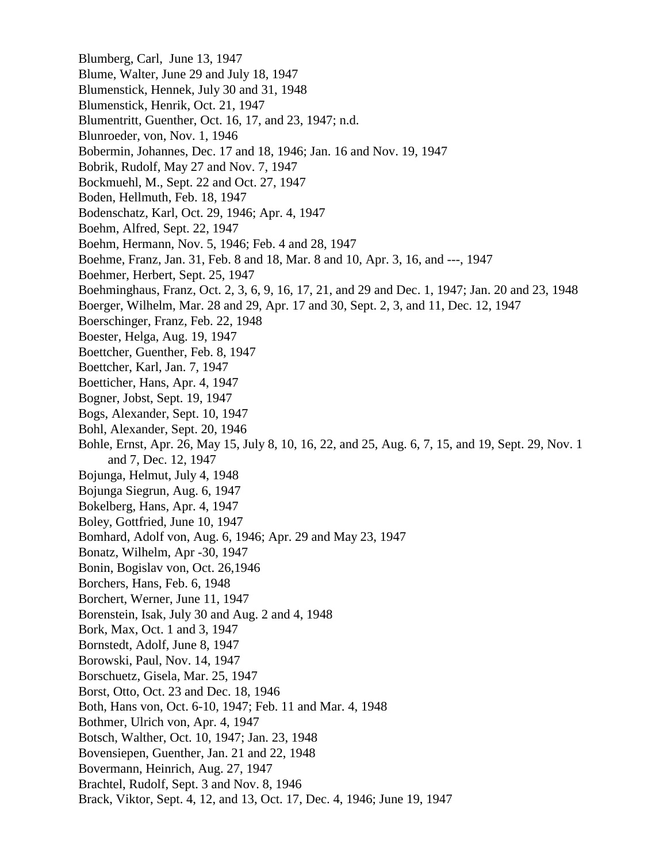Blumberg, Carl, June 13, 1947 Blume, Walter, June 29 and July 18, 1947 Blumenstick, Hennek, July 30 and 31, 1948 Blumenstick, Henrik, Oct. 21, 1947 Blumentritt, Guenther, Oct. 16, 17, and 23, 1947; n.d. Blunroeder, von, Nov. 1, 1946 Bobermin, Johannes, Dec. 17 and 18, 1946; Jan. 16 and Nov. 19, 1947 Bobrik, Rudolf, May 27 and Nov. 7, 1947 Bockmuehl, M., Sept. 22 and Oct. 27, 1947 Boden, Hellmuth, Feb. 18, 1947 Bodenschatz, Karl, Oct. 29, 1946; Apr. 4, 1947 Boehm, Alfred, Sept. 22, 1947 Boehm, Hermann, Nov. 5, 1946; Feb. 4 and 28, 1947 Boehme, Franz, Jan. 31, Feb. 8 and 18, Mar. 8 and 10, Apr. 3, 16, and ---, 1947 Boehmer, Herbert, Sept. 25, 1947 Boehminghaus, Franz, Oct. 2, 3, 6, 9, 16, 17, 21, and 29 and Dec. 1, 1947; Jan. 20 and 23, 1948 Boerger, Wilhelm, Mar. 28 and 29, Apr. 17 and 30, Sept. 2, 3, and 11, Dec. 12, 1947 Boerschinger, Franz, Feb. 22, 1948 Boester, Helga, Aug. 19, 1947 Boettcher, Guenther, Feb. 8, 1947 Boettcher, Karl, Jan. 7, 1947 Boetticher, Hans, Apr. 4, 1947 Bogner, Jobst, Sept. 19, 1947 Bogs, Alexander, Sept. 10, 1947 Bohl, Alexander, Sept. 20, 1946 Bohle, Ernst, Apr. 26, May 15, July 8, 10, 16, 22, and 25, Aug. 6, 7, 15, and 19, Sept. 29, Nov. 1 and 7, Dec. 12, 1947 Bojunga, Helmut, July 4, 1948 Bojunga Siegrun, Aug. 6, 1947 Bokelberg, Hans, Apr. 4, 1947 Boley, Gottfried, June 10, 1947 Bomhard, Adolf von, Aug. 6, 1946; Apr. 29 and May 23, 1947 Bonatz, Wilhelm, Apr -30, 1947 Bonin, Bogislav von, Oct. 26,1946 Borchers, Hans, Feb. 6, 1948 Borchert, Werner, June 11, 1947 Borenstein, Isak, July 30 and Aug. 2 and 4, 1948 Bork, Max, Oct. 1 and 3, 1947 Bornstedt, Adolf, June 8, 1947 Borowski, Paul, Nov. 14, 1947 Borschuetz, Gisela, Mar. 25, 1947 Borst, Otto, Oct. 23 and Dec. 18, 1946 Both, Hans von, Oct. 6-10, 1947; Feb. 11 and Mar. 4, 1948 Bothmer, Ulrich von, Apr. 4, 1947 Botsch, Walther, Oct. 10, 1947; Jan. 23, 1948 Bovensiepen, Guenther, Jan. 21 and 22, 1948 Bovermann, Heinrich, Aug. 27, 1947 Brachtel, Rudolf, Sept. 3 and Nov. 8, 1946 Brack, Viktor, Sept. 4, 12, and 13, Oct. 17, Dec. 4, 1946; June 19, 1947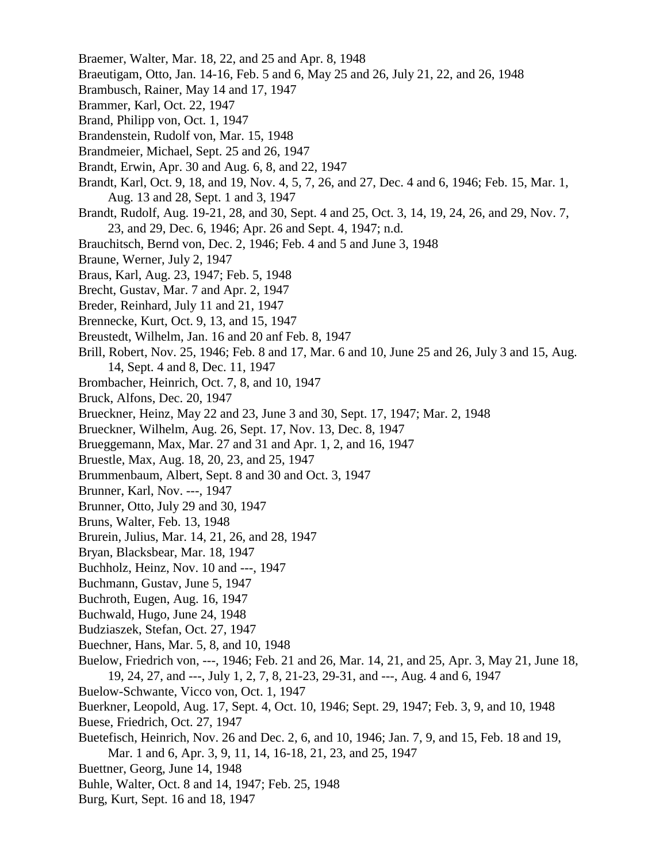- Braemer, Walter, Mar. 18, 22, and 25 and Apr. 8, 1948
- Braeutigam, Otto, Jan. 14-16, Feb. 5 and 6, May 25 and 26, July 21, 22, and 26, 1948
- Brambusch, Rainer, May 14 and 17, 1947
- Brammer, Karl, Oct. 22, 1947
- Brand, Philipp von, Oct. 1, 1947
- Brandenstein, Rudolf von, Mar. 15, 1948
- Brandmeier, Michael, Sept. 25 and 26, 1947
- Brandt, Erwin, Apr. 30 and Aug. 6, 8, and 22, 1947
- Brandt, Karl, Oct. 9, 18, and 19, Nov. 4, 5, 7, 26, and 27, Dec. 4 and 6, 1946; Feb. 15, Mar. 1, Aug. 13 and 28, Sept. 1 and 3, 1947
- Brandt, Rudolf, Aug. 19-21, 28, and 30, Sept. 4 and 25, Oct. 3, 14, 19, 24, 26, and 29, Nov. 7, 23, and 29, Dec. 6, 1946; Apr. 26 and Sept. 4, 1947; n.d.
- Brauchitsch, Bernd von, Dec. 2, 1946; Feb. 4 and 5 and June 3, 1948
- Braune, Werner, July 2, 1947
- Braus, Karl, Aug. 23, 1947; Feb. 5, 1948
- Brecht, Gustav, Mar. 7 and Apr. 2, 1947
- Breder, Reinhard, July 11 and 21, 1947
- Brennecke, Kurt, Oct. 9, 13, and 15, 1947
- Breustedt, Wilhelm, Jan. 16 and 20 anf Feb. 8, 1947
- Brill, Robert, Nov. 25, 1946; Feb. 8 and 17, Mar. 6 and 10, June 25 and 26, July 3 and 15, Aug. 14, Sept. 4 and 8, Dec. 11, 1947
- Brombacher, Heinrich, Oct. 7, 8, and 10, 1947
- Bruck, Alfons, Dec. 20, 1947
- Brueckner, Heinz, May 22 and 23, June 3 and 30, Sept. 17, 1947; Mar. 2, 1948
- Brueckner, Wilhelm, Aug. 26, Sept. 17, Nov. 13, Dec. 8, 1947
- Brueggemann, Max, Mar. 27 and 31 and Apr. 1, 2, and 16, 1947
- Bruestle, Max, Aug. 18, 20, 23, and 25, 1947
- Brummenbaum, Albert, Sept. 8 and 30 and Oct. 3, 1947
- Brunner, Karl, Nov. ---, 1947
- Brunner, Otto, July 29 and 30, 1947
- Bruns, Walter, Feb. 13, 1948
- Brurein, Julius, Mar. 14, 21, 26, and 28, 1947
- Bryan, Blacksbear, Mar. 18, 1947
- Buchholz, Heinz, Nov. 10 and ---, 1947
- Buchmann, Gustav, June 5, 1947
- Buchroth, Eugen, Aug. 16, 1947
- Buchwald, Hugo, June 24, 1948
- Budziaszek, Stefan, Oct. 27, 1947
- Buechner, Hans, Mar. 5, 8, and 10, 1948
- Buelow, Friedrich von, ---, 1946; Feb. 21 and 26, Mar. 14, 21, and 25, Apr. 3, May 21, June 18, 19, 24, 27, and ---, July 1, 2, 7, 8, 21-23, 29-31, and ---, Aug. 4 and 6, 1947
- Buelow-Schwante, Vicco von, Oct. 1, 1947
- Buerkner, Leopold, Aug. 17, Sept. 4, Oct. 10, 1946; Sept. 29, 1947; Feb. 3, 9, and 10, 1948
- Buese, Friedrich, Oct. 27, 1947
- Buetefisch, Heinrich, Nov. 26 and Dec. 2, 6, and 10, 1946; Jan. 7, 9, and 15, Feb. 18 and 19, Mar. 1 and 6, Apr. 3, 9, 11, 14, 16-18, 21, 23, and 25, 1947
- Buettner, Georg, June 14, 1948
- Buhle, Walter, Oct. 8 and 14, 1947; Feb. 25, 1948
- Burg, Kurt, Sept. 16 and 18, 1947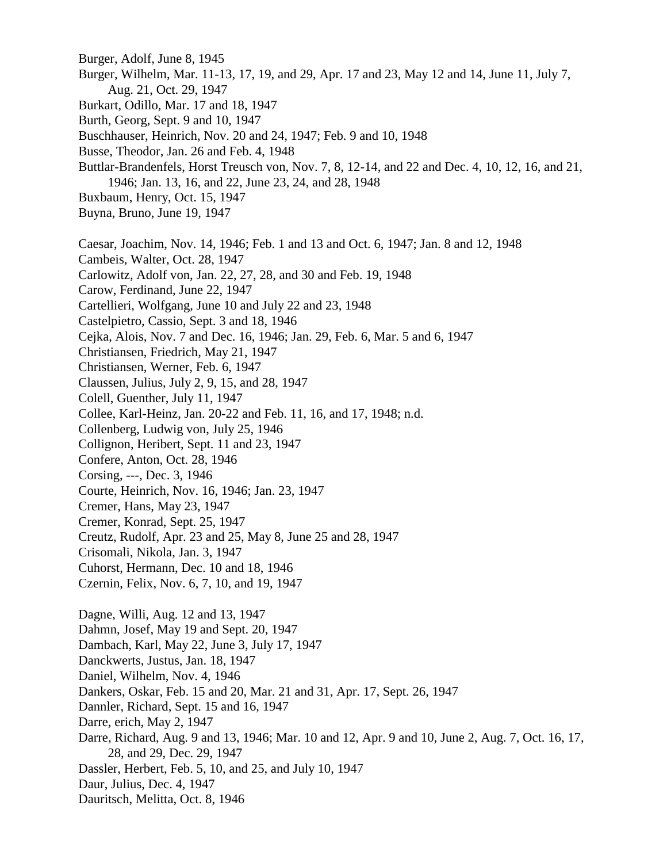- Burger, Adolf, June 8, 1945
- Burger, Wilhelm, Mar. 11-13, 17, 19, and 29, Apr. 17 and 23, May 12 and 14, June 11, July 7, Aug. 21, Oct. 29, 1947
- Burkart, Odillo, Mar. 17 and 18, 1947
- Burth, Georg, Sept. 9 and 10, 1947
- Buschhauser, Heinrich, Nov. 20 and 24, 1947; Feb. 9 and 10, 1948
- Busse, Theodor, Jan. 26 and Feb. 4, 1948
- Buttlar-Brandenfels, Horst Treusch von, Nov. 7, 8, 12-14, and 22 and Dec. 4, 10, 12, 16, and 21, 1946; Jan. 13, 16, and 22, June 23, 24, and 28, 1948
- Buxbaum, Henry, Oct. 15, 1947
- Buyna, Bruno, June 19, 1947
- Caesar, Joachim, Nov. 14, 1946; Feb. 1 and 13 and Oct. 6, 1947; Jan. 8 and 12, 1948
- Cambeis, Walter, Oct. 28, 1947
- Carlowitz, Adolf von, Jan. 22, 27, 28, and 30 and Feb. 19, 1948
- Carow, Ferdinand, June 22, 1947
- Cartellieri, Wolfgang, June 10 and July 22 and 23, 1948
- Castelpietro, Cassio, Sept. 3 and 18, 1946
- Cejka, Alois, Nov. 7 and Dec. 16, 1946; Jan. 29, Feb. 6, Mar. 5 and 6, 1947
- Christiansen, Friedrich, May 21, 1947
- Christiansen, Werner, Feb. 6, 1947
- Claussen, Julius, July 2, 9, 15, and 28, 1947
- Colell, Guenther, July 11, 1947
- Collee, Karl-Heinz, Jan. 20-22 and Feb. 11, 16, and 17, 1948; n.d.
- Collenberg, Ludwig von, July 25, 1946
- Collignon, Heribert, Sept. 11 and 23, 1947
- Confere, Anton, Oct. 28, 1946
- Corsing, ---, Dec. 3, 1946
- Courte, Heinrich, Nov. 16, 1946; Jan. 23, 1947
- Cremer, Hans, May 23, 1947
- Cremer, Konrad, Sept. 25, 1947
- Creutz, Rudolf, Apr. 23 and 25, May 8, June 25 and 28, 1947
- Crisomali, Nikola, Jan. 3, 1947
- Cuhorst, Hermann, Dec. 10 and 18, 1946
- Czernin, Felix, Nov. 6, 7, 10, and 19, 1947
- Dagne, Willi, Aug. 12 and 13, 1947 Dahmn, Josef, May 19 and Sept. 20, 1947 Dambach, Karl, May 22, June 3, July 17, 1947 Danckwerts, Justus, Jan. 18, 1947 Daniel, Wilhelm, Nov. 4, 1946 Dankers, Oskar, Feb. 15 and 20, Mar. 21 and 31, Apr. 17, Sept. 26, 1947 Dannler, Richard, Sept. 15 and 16, 1947 Darre, erich, May 2, 1947 Darre, Richard, Aug. 9 and 13, 1946; Mar. 10 and 12, Apr. 9 and 10, June 2, Aug. 7, Oct. 16, 17, 28, and 29, Dec. 29, 1947 Dassler, Herbert, Feb. 5, 10, and 25, and July 10, 1947 Daur, Julius, Dec. 4, 1947
- Dauritsch, Melitta, Oct. 8, 1946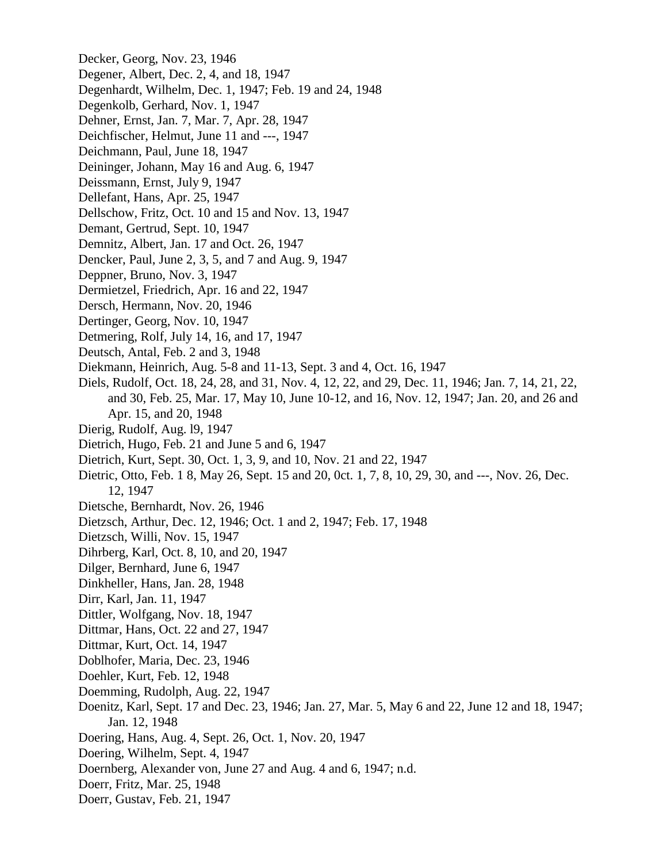Decker, Georg, Nov. 23, 1946 Degener, Albert, Dec. 2, 4, and 18, 1947 Degenhardt, Wilhelm, Dec. 1, 1947; Feb. 19 and 24, 1948 Degenkolb, Gerhard, Nov. 1, 1947 Dehner, Ernst, Jan. 7, Mar. 7, Apr. 28, 1947 Deichfischer, Helmut, June 11 and ---, 1947 Deichmann, Paul, June 18, 1947 Deininger, Johann, May 16 and Aug. 6, 1947 Deissmann, Ernst, July 9, 1947 Dellefant, Hans, Apr. 25, 1947 Dellschow, Fritz, Oct. 10 and 15 and Nov. 13, 1947 Demant, Gertrud, Sept. 10, 1947 Demnitz, Albert, Jan. 17 and Oct. 26, 1947 Dencker, Paul, June 2, 3, 5, and 7 and Aug. 9, 1947 Deppner, Bruno, Nov. 3, 1947 Dermietzel, Friedrich, Apr. 16 and 22, 1947 Dersch, Hermann, Nov. 20, 1946 Dertinger, Georg, Nov. 10, 1947 Detmering, Rolf, July 14, 16, and 17, 1947 Deutsch, Antal, Feb. 2 and 3, 1948 Diekmann, Heinrich, Aug. 5-8 and 11-13, Sept. 3 and 4, Oct. 16, 1947 Diels, Rudolf, Oct. 18, 24, 28, and 31, Nov. 4, 12, 22, and 29, Dec. 11, 1946; Jan. 7, 14, 21, 22, and 30, Feb. 25, Mar. 17, May 10, June 10-12, and 16, Nov. 12, 1947; Jan. 20, and 26 and Apr. 15, and 20, 1948 Dierig, Rudolf, Aug. l9, 1947 Dietrich, Hugo, Feb. 21 and June 5 and 6, 1947 Dietrich, Kurt, Sept. 30, Oct. 1, 3, 9, and 10, Nov. 21 and 22, 1947 Dietric, Otto, Feb. 1 8, May 26, Sept. 15 and 20, 0ct. 1, 7, 8, 10, 29, 30, and ---, Nov. 26, Dec. 12, 1947 Dietsche, Bernhardt, Nov. 26, 1946 Dietzsch, Arthur, Dec. 12, 1946; Oct. 1 and 2, 1947; Feb. 17, 1948 Dietzsch, Willi, Nov. 15, 1947 Dihrberg, Karl, Oct. 8, 10, and 20, 1947 Dilger, Bernhard, June 6, 1947 Dinkheller, Hans, Jan. 28, 1948 Dirr, Karl, Jan. 11, 1947 Dittler, Wolfgang, Nov. 18, 1947 Dittmar, Hans, Oct. 22 and 27, 1947 Dittmar, Kurt, Oct. 14, 1947 Doblhofer, Maria, Dec. 23, 1946 Doehler, Kurt, Feb. 12, 1948 Doemming, Rudolph, Aug. 22, 1947 Doenitz, Karl, Sept. 17 and Dec. 23, 1946; Jan. 27, Mar. 5, May 6 and 22, June 12 and 18, 1947; Jan. 12, 1948 Doering, Hans, Aug. 4, Sept. 26, Oct. 1, Nov. 20, 1947 Doering, Wilhelm, Sept. 4, 1947 Doernberg, Alexander von, June 27 and Aug. 4 and 6, 1947; n.d. Doerr, Fritz, Mar. 25, 1948 Doerr, Gustav, Feb. 21, 1947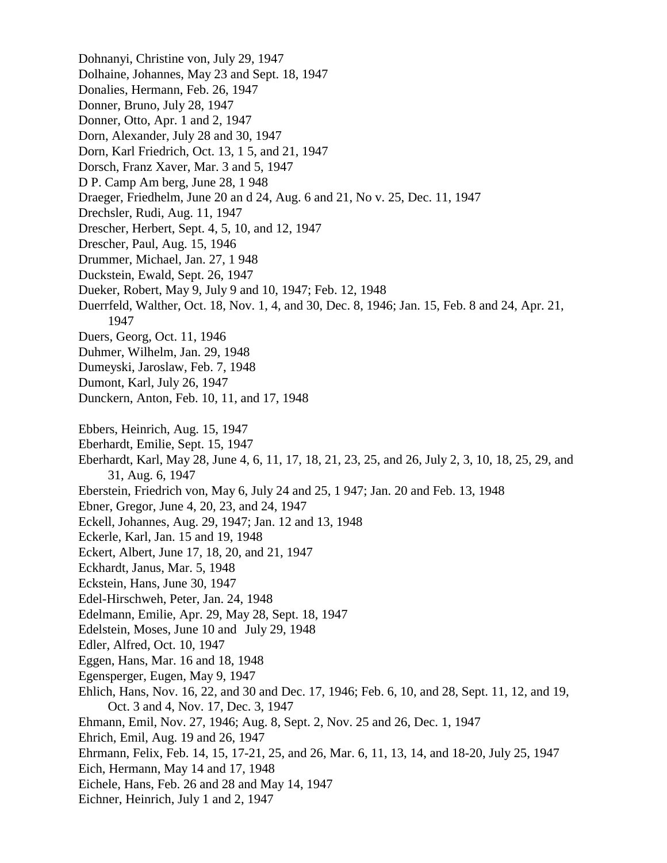Dohnanyi, Christine von, July 29, 1947 Dolhaine, Johannes, May 23 and Sept. 18, 1947 Donalies, Hermann, Feb. 26, 1947 Donner, Bruno, July 28, 1947 Donner, Otto, Apr. 1 and 2, 1947 Dorn, Alexander, July 28 and 30, 1947 Dorn, Karl Friedrich, Oct. 13, 1 5, and 21, 1947 Dorsch, Franz Xaver, Mar. 3 and 5, 1947 D P. Camp Am berg, June 28, 1 948 Draeger, Friedhelm, June 20 an d 24, Aug. 6 and 21, No v. 25, Dec. 11, 1947 Drechsler, Rudi, Aug. 11, 1947 Drescher, Herbert, Sept. 4, 5, 10, and 12, 1947 Drescher, Paul, Aug. 15, 1946 Drummer, Michael, Jan. 27, 1 948 Duckstein, Ewald, Sept. 26, 1947 Dueker, Robert, May 9, July 9 and 10, 1947; Feb. 12, 1948 Duerrfeld, Walther, Oct. 18, Nov. 1, 4, and 30, Dec. 8, 1946; Jan. 15, Feb. 8 and 24, Apr. 21, 1947 Duers, Georg, Oct. 11, 1946 Duhmer, Wilhelm, Jan. 29, 1948 Dumeyski, Jaroslaw, Feb. 7, 1948 Dumont, Karl, July 26, 1947 Dunckern, Anton, Feb. 10, 11, and 17, 1948 Ebbers, Heinrich, Aug. 15, 1947 Eberhardt, Emilie, Sept. 15, 1947 Eberhardt, Karl, May 28, June 4, 6, 11, 17, 18, 21, 23, 25, and 26, July 2, 3, 10, 18, 25, 29, and 31, Aug. 6, 1947 Eberstein, Friedrich von, May 6, July 24 and 25, 1 947; Jan. 20 and Feb. 13, 1948 Ebner, Gregor, June 4, 20, 23, and 24, 1947 Eckell, Johannes, Aug. 29, 1947; Jan. 12 and 13, 1948 Eckerle, Karl, Jan. 15 and 19, 1948 Eckert, Albert, June 17, 18, 20, and 21, 1947 Eckhardt, Janus, Mar. 5, 1948 Eckstein, Hans, June 30, 1947 Edel-Hirschweh, Peter, Jan. 24, 1948 Edelmann, Emilie, Apr. 29, May 28, Sept. 18, 1947 Edelstein, Moses, June 10 and July 29, 1948 Edler, Alfred, Oct. 10, 1947 Eggen, Hans, Mar. 16 and 18, 1948 Egensperger, Eugen, May 9, 1947 Ehlich, Hans, Nov. 16, 22, and 30 and Dec. 17, 1946; Feb. 6, 10, and 28, Sept. 11, 12, and 19, Oct. 3 and 4, Nov. 17, Dec. 3, 1947 Ehmann, Emil, Nov. 27, 1946; Aug. 8, Sept. 2, Nov. 25 and 26, Dec. 1, 1947 Ehrich, Emil, Aug. 19 and 26, 1947 Ehrmann, Felix, Feb. 14, 15, 17-21, 25, and 26, Mar. 6, 11, 13, 14, and 18-20, July 25, 1947 Eich, Hermann, May 14 and 17, 1948 Eichele, Hans, Feb. 26 and 28 and May 14, 1947 Eichner, Heinrich, July 1 and 2, 1947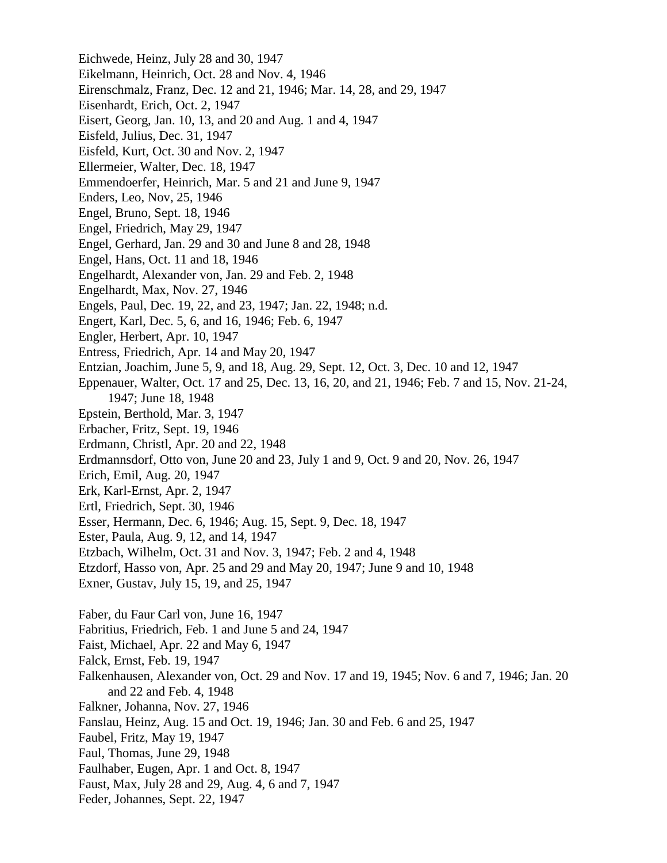Eichwede, Heinz, July 28 and 30, 1947 Eikelmann, Heinrich, Oct. 28 and Nov. 4, 1946 Eirenschmalz, Franz, Dec. 12 and 21, 1946; Mar. 14, 28, and 29, 1947 Eisenhardt, Erich, Oct. 2, 1947 Eisert, Georg, Jan. 10, 13, and 20 and Aug. 1 and 4, 1947 Eisfeld, Julius, Dec. 31, 1947 Eisfeld, Kurt, Oct. 30 and Nov. 2, 1947 Ellermeier, Walter, Dec. 18, 1947 Emmendoerfer, Heinrich, Mar. 5 and 21 and June 9, 1947 Enders, Leo, Nov, 25, 1946 Engel, Bruno, Sept. 18, 1946 Engel, Friedrich, May 29, 1947 Engel, Gerhard, Jan. 29 and 30 and June 8 and 28, 1948 Engel, Hans, Oct. 11 and 18, 1946 Engelhardt, Alexander von, Jan. 29 and Feb. 2, 1948 Engelhardt, Max, Nov. 27, 1946 Engels, Paul, Dec. 19, 22, and 23, 1947; Jan. 22, 1948; n.d. Engert, Karl, Dec. 5, 6, and 16, 1946; Feb. 6, 1947 Engler, Herbert, Apr. 10, 1947 Entress, Friedrich, Apr. 14 and May 20, 1947 Entzian, Joachim, June 5, 9, and 18, Aug. 29, Sept. 12, Oct. 3, Dec. 10 and 12, 1947 Eppenauer, Walter, Oct. 17 and 25, Dec. 13, 16, 20, and 21, 1946; Feb. 7 and 15, Nov. 21-24, 1947; June 18, 1948 Epstein, Berthold, Mar. 3, 1947 Erbacher, Fritz, Sept. 19, 1946 Erdmann, Christl, Apr. 20 and 22, 1948 Erdmannsdorf, Otto von, June 20 and 23, July 1 and 9, Oct. 9 and 20, Nov. 26, 1947 Erich, Emil, Aug. 20, 1947 Erk, Karl-Ernst, Apr. 2, 1947 Ertl, Friedrich, Sept. 30, 1946 Esser, Hermann, Dec. 6, 1946; Aug. 15, Sept. 9, Dec. 18, 1947 Ester, Paula, Aug. 9, 12, and 14, 1947 Etzbach, Wilhelm, Oct. 31 and Nov. 3, 1947; Feb. 2 and 4, 1948 Etzdorf, Hasso von, Apr. 25 and 29 and May 20, 1947; June 9 and 10, 1948 Exner, Gustav, July 15, 19, and 25, 1947 Faber, du Faur Carl von, June 16, 1947 Fabritius, Friedrich, Feb. 1 and June 5 and 24, 1947 Faist, Michael, Apr. 22 and May 6, 1947 Falck, Ernst, Feb. 19, 1947 Falkenhausen, Alexander von, Oct. 29 and Nov. 17 and 19, 1945; Nov. 6 and 7, 1946; Jan. 20 and 22 and Feb. 4, 1948 Falkner, Johanna, Nov. 27, 1946 Fanslau, Heinz, Aug. 15 and Oct. 19, 1946; Jan. 30 and Feb. 6 and 25, 1947 Faubel, Fritz, May 19, 1947 Faul, Thomas, June 29, 1948 Faulhaber, Eugen, Apr. 1 and Oct. 8, 1947 Faust, Max, July 28 and 29, Aug. 4, 6 and 7, 1947 Feder, Johannes, Sept. 22, 1947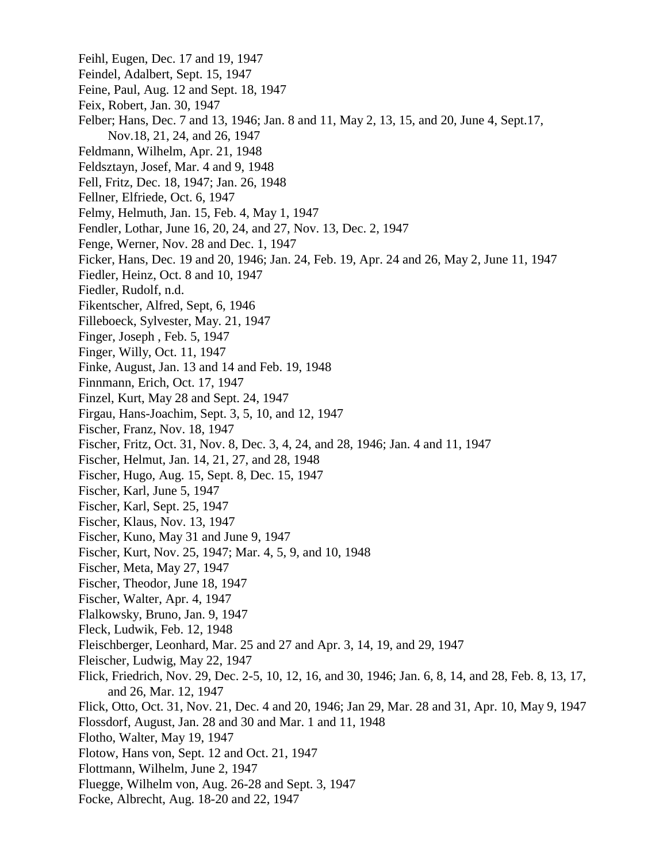Feihl, Eugen, Dec. 17 and 19, 1947 Feindel, Adalbert, Sept. 15, 1947 Feine, Paul, Aug. 12 and Sept. 18, 1947 Feix, Robert, Jan. 30, 1947 Felber; Hans, Dec. 7 and 13, 1946; Jan. 8 and 11, May 2, 13, 15, and 20, June 4, Sept.17, Nov.18, 21, 24, and 26, 1947 Feldmann, Wilhelm, Apr. 21, 1948 Feldsztayn, Josef, Mar. 4 and 9, 1948 Fell, Fritz, Dec. 18, 1947; Jan. 26, 1948 Fellner, Elfriede, Oct. 6, 1947 Felmy, Helmuth, Jan. 15, Feb. 4, May 1, 1947 Fendler, Lothar, June 16, 20, 24, and 27, Nov. 13, Dec. 2, 1947 Fenge, Werner, Nov. 28 and Dec. 1, 1947 Ficker, Hans, Dec. 19 and 20, 1946; Jan. 24, Feb. 19, Apr. 24 and 26, May 2, June 11, 1947 Fiedler, Heinz, Oct. 8 and 10, 1947 Fiedler, Rudolf, n.d. Fikentscher, Alfred, Sept, 6, 1946 Filleboeck, Sylvester, May. 21, 1947 Finger, Joseph , Feb. 5, 1947 Finger, Willy, Oct. 11, 1947 Finke, August, Jan. 13 and 14 and Feb. 19, 1948 Finnmann, Erich, Oct. 17, 1947 Finzel, Kurt, May 28 and Sept. 24, 1947 Firgau, Hans-Joachim, Sept. 3, 5, 10, and 12, 1947 Fischer, Franz, Nov. 18, 1947 Fischer, Fritz, Oct. 31, Nov. 8, Dec. 3, 4, 24, and 28, 1946; Jan. 4 and 11, 1947 Fischer, Helmut, Jan. 14, 21, 27, and 28, 1948 Fischer, Hugo, Aug. 15, Sept. 8, Dec. 15, 1947 Fischer, Karl, June 5, 1947 Fischer, Karl, Sept. 25, 1947 Fischer, Klaus, Nov. 13, 1947 Fischer, Kuno, May 31 and June 9, 1947 Fischer, Kurt, Nov. 25, 1947; Mar. 4, 5, 9, and 10, 1948 Fischer, Meta, May 27, 1947 Fischer, Theodor, June 18, 1947 Fischer, Walter, Apr. 4, 1947 Flalkowsky, Bruno, Jan. 9, 1947 Fleck, Ludwik, Feb. 12, 1948 Fleischberger, Leonhard, Mar. 25 and 27 and Apr. 3, 14, 19, and 29, 1947 Fleischer, Ludwig, May 22, 1947 Flick, Friedrich, Nov. 29, Dec. 2-5, 10, 12, 16, and 30, 1946; Jan. 6, 8, 14, and 28, Feb. 8, 13, 17, and 26, Mar. 12, 1947 Flick, Otto, Oct. 31, Nov. 21, Dec. 4 and 20, 1946; Jan 29, Mar. 28 and 31, Apr. 10, May 9, 1947 Flossdorf, August, Jan. 28 and 30 and Mar. 1 and 11, 1948 Flotho, Walter, May 19, 1947 Flotow, Hans von, Sept. 12 and Oct. 21, 1947 Flottmann, Wilhelm, June 2, 1947 Fluegge, Wilhelm von, Aug. 26-28 and Sept. 3, 1947 Focke, Albrecht, Aug. 18-20 and 22, 1947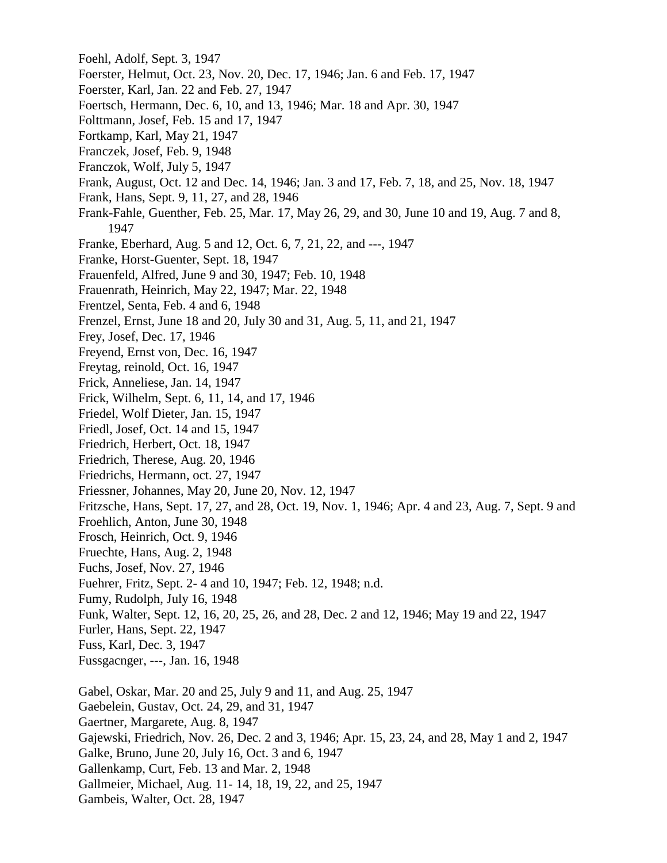Foehl, Adolf, Sept. 3, 1947 Foerster, Helmut, Oct. 23, Nov. 20, Dec. 17, 1946; Jan. 6 and Feb. 17, 1947 Foerster, Karl, Jan. 22 and Feb. 27, 1947 Foertsch, Hermann, Dec. 6, 10, and 13, 1946; Mar. 18 and Apr. 30, 1947 Folttmann, Josef, Feb. 15 and 17, 1947 Fortkamp, Karl, May 21, 1947 Franczek, Josef, Feb. 9, 1948 Franczok, Wolf, July 5, 1947 Frank, August, Oct. 12 and Dec. 14, 1946; Jan. 3 and 17, Feb. 7, 18, and 25, Nov. 18, 1947 Frank, Hans, Sept. 9, 11, 27, and 28, 1946 Frank-Fahle, Guenther, Feb. 25, Mar. 17, May 26, 29, and 30, June 10 and 19, Aug. 7 and 8, 1947 Franke, Eberhard, Aug. 5 and 12, Oct. 6, 7, 21, 22, and ---, 1947 Franke, Horst-Guenter, Sept. 18, 1947 Frauenfeld, Alfred, June 9 and 30, 1947; Feb. 10, 1948 Frauenrath, Heinrich, May 22, 1947; Mar. 22, 1948 Frentzel, Senta, Feb. 4 and 6, 1948 Frenzel, Ernst, June 18 and 20, July 30 and 31, Aug. 5, 11, and 21, 1947 Frey, Josef, Dec. 17, 1946 Freyend, Ernst von, Dec. 16, 1947 Freytag, reinold, Oct. 16, 1947 Frick, Anneliese, Jan. 14, 1947 Frick, Wilhelm, Sept. 6, 11, 14, and 17, 1946 Friedel, Wolf Dieter, Jan. 15, 1947 Friedl, Josef, Oct. 14 and 15, 1947 Friedrich, Herbert, Oct. 18, 1947 Friedrich, Therese, Aug. 20, 1946 Friedrichs, Hermann, oct. 27, 1947 Friessner, Johannes, May 20, June 20, Nov. 12, 1947 Fritzsche, Hans, Sept. 17, 27, and 28, Oct. 19, Nov. 1, 1946; Apr. 4 and 23, Aug. 7, Sept. 9 and Froehlich, Anton, June 30, 1948 Frosch, Heinrich, Oct. 9, 1946 Fruechte, Hans, Aug. 2, 1948 Fuchs, Josef, Nov. 27, 1946 Fuehrer, Fritz, Sept. 2- 4 and 10, 1947; Feb. 12, 1948; n.d. Fumy, Rudolph, July 16, 1948 Funk, Walter, Sept. 12, 16, 20, 25, 26, and 28, Dec. 2 and 12, 1946; May 19 and 22, 1947 Furler, Hans, Sept. 22, 1947 Fuss, Karl, Dec. 3, 1947 Fussgacnger, ---, Jan. 16, 1948 Gabel, Oskar, Mar. 20 and 25, July 9 and 11, and Aug. 25, 1947 Gaebelein, Gustav, Oct. 24, 29, and 31, 1947 Gaertner, Margarete, Aug. 8, 1947 Gajewski, Friedrich, Nov. 26, Dec. 2 and 3, 1946; Apr. 15, 23, 24, and 28, May 1 and 2, 1947 Galke, Bruno, June 20, July 16, Oct. 3 and 6, 1947 Gallenkamp, Curt, Feb. 13 and Mar. 2, 1948 Gallmeier, Michael, Aug. 11- 14, 18, 19, 22, and 25, 1947 Gambeis, Walter, Oct. 28, 1947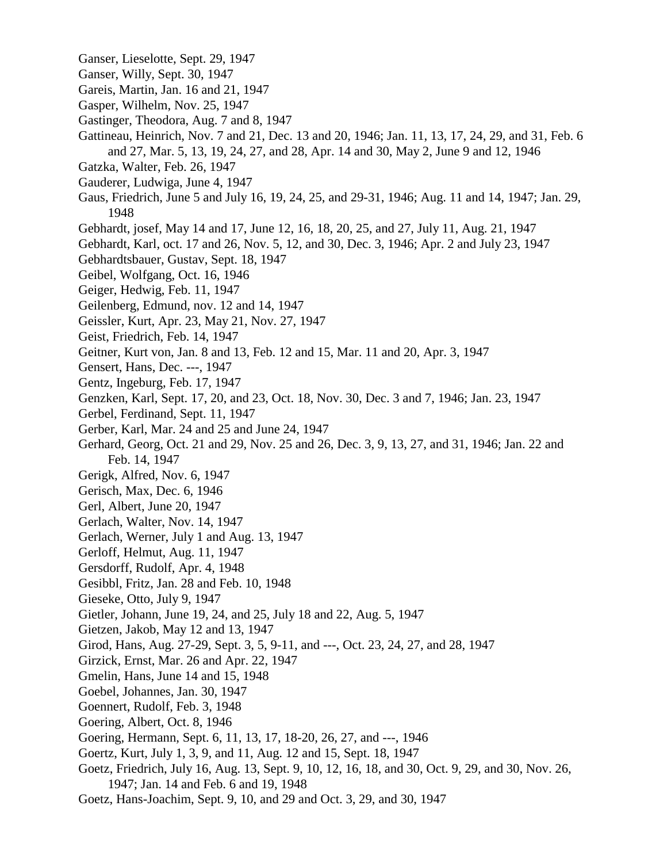- Ganser, Lieselotte, Sept. 29, 1947
- Ganser, Willy, Sept. 30, 1947
- Gareis, Martin, Jan. 16 and 21, 1947
- Gasper, Wilhelm, Nov. 25, 1947
- Gastinger, Theodora, Aug. 7 and 8, 1947
- Gattineau, Heinrich, Nov. 7 and 21, Dec. 13 and 20, 1946; Jan. 11, 13, 17, 24, 29, and 31, Feb. 6 and 27, Mar. 5, 13, 19, 24, 27, and 28, Apr. 14 and 30, May 2, June 9 and 12, 1946
- Gatzka, Walter, Feb. 26, 1947
- Gauderer, Ludwiga, June 4, 1947
- Gaus, Friedrich, June 5 and July 16, 19, 24, 25, and 29-31, 1946; Aug. 11 and 14, 1947; Jan. 29, 1948
- Gebhardt, josef, May 14 and 17, June 12, 16, 18, 20, 25, and 27, July 11, Aug. 21, 1947
- Gebhardt, Karl, oct. 17 and 26, Nov. 5, 12, and 30, Dec. 3, 1946; Apr. 2 and July 23, 1947
- Gebhardtsbauer, Gustav, Sept. 18, 1947
- Geibel, Wolfgang, Oct. 16, 1946
- Geiger, Hedwig, Feb. 11, 1947
- Geilenberg, Edmund, nov. 12 and 14, 1947
- Geissler, Kurt, Apr. 23, May 21, Nov. 27, 1947
- Geist, Friedrich, Feb. 14, 1947
- Geitner, Kurt von, Jan. 8 and 13, Feb. 12 and 15, Mar. 11 and 20, Apr. 3, 1947
- Gensert, Hans, Dec. ---, 1947
- Gentz, Ingeburg, Feb. 17, 1947
- Genzken, Karl, Sept. 17, 20, and 23, Oct. 18, Nov. 30, Dec. 3 and 7, 1946; Jan. 23, 1947
- Gerbel, Ferdinand, Sept. 11, 1947
- Gerber, Karl, Mar. 24 and 25 and June 24, 1947
- Gerhard, Georg, Oct. 21 and 29, Nov. 25 and 26, Dec. 3, 9, 13, 27, and 31, 1946; Jan. 22 and Feb. 14, 1947
- Gerigk, Alfred, Nov. 6, 1947
- Gerisch, Max, Dec. 6, 1946
- Gerl, Albert, June 20, 1947
- Gerlach, Walter, Nov. 14, 1947
- Gerlach, Werner, July 1 and Aug. 13, 1947
- Gerloff, Helmut, Aug. 11, 1947
- Gersdorff, Rudolf, Apr. 4, 1948
- Gesibbl, Fritz, Jan. 28 and Feb. 10, 1948
- Gieseke, Otto, July 9, 1947
- Gietler, Johann, June 19, 24, and 25, July 18 and 22, Aug. 5, 1947
- Gietzen, Jakob, May 12 and 13, 1947
- Girod, Hans, Aug. 27-29, Sept. 3, 5, 9-11, and ---, Oct. 23, 24, 27, and 28, 1947
- Girzick, Ernst, Mar. 26 and Apr. 22, 1947
- Gmelin, Hans, June 14 and 15, 1948
- Goebel, Johannes, Jan. 30, 1947
- Goennert, Rudolf, Feb. 3, 1948
- Goering, Albert, Oct. 8, 1946
- Goering, Hermann, Sept. 6, 11, 13, 17, 18-20, 26, 27, and ---, 1946
- Goertz, Kurt, July 1, 3, 9, and 11, Aug. 12 and 15, Sept. 18, 1947
- Goetz, Friedrich, July 16, Aug. 13, Sept. 9, 10, 12, 16, 18, and 30, Oct. 9, 29, and 30, Nov. 26, 1947; Jan. 14 and Feb. 6 and 19, 1948
- Goetz, Hans-Joachim, Sept. 9, 10, and 29 and Oct. 3, 29, and 30, 1947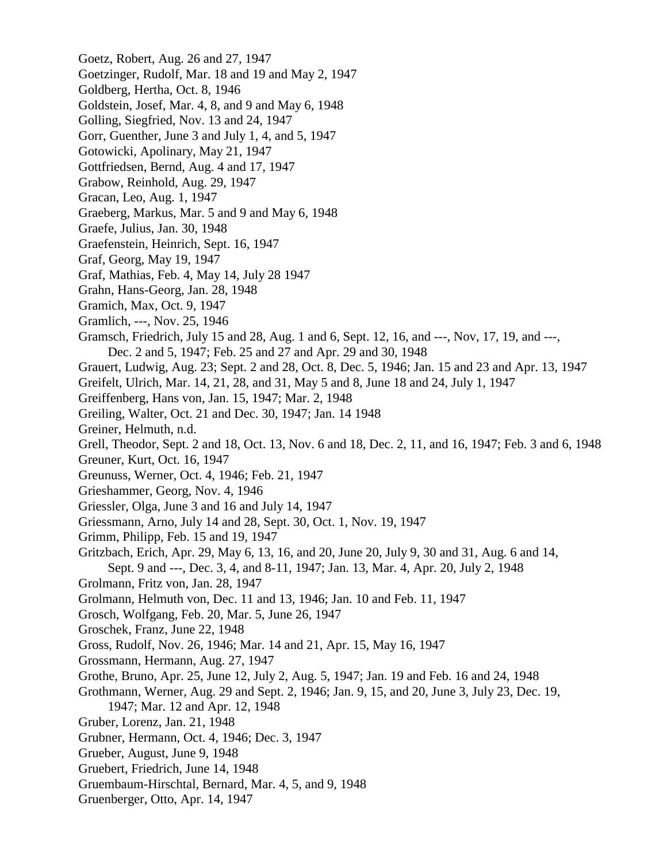- Goetz, Robert, Aug. 26 and 27, 1947
- Goetzinger, Rudolf, Mar. 18 and 19 and May 2, 1947
- Goldberg, Hertha, Oct. 8, 1946
- Goldstein, Josef, Mar. 4, 8, and 9 and May 6, 1948
- Golling, Siegfried, Nov. 13 and 24, 1947
- Gorr, Guenther, June 3 and July 1, 4, and 5, 1947
- Gotowicki, Apolinary, May 21, 1947
- Gottfriedsen, Bernd, Aug. 4 and 17, 1947
- Grabow, Reinhold, Aug. 29, 1947
- Gracan, Leo, Aug. 1, 1947
- Graeberg, Markus, Mar. 5 and 9 and May 6, 1948
- Graefe, Julius, Jan. 30, 1948
- Graefenstein, Heinrich, Sept. 16, 1947
- Graf, Georg, May 19, 1947
- Graf, Mathias, Feb. 4, May 14, July 28 1947
- Grahn, Hans-Georg, Jan. 28, 1948
- Gramich, Max, Oct. 9, 1947
- Gramlich, ---, Nov. 25, 1946
- Gramsch, Friedrich, July 15 and 28, Aug. 1 and 6, Sept. 12, 16, and ---, Nov, 17, 19, and ---, Dec. 2 and 5, 1947; Feb. 25 and 27 and Apr. 29 and 30, 1948
- Grauert, Ludwig, Aug. 23; Sept. 2 and 28, Oct. 8, Dec. 5, 1946; Jan. 15 and 23 and Apr. 13, 1947
- Greifelt, Ulrich, Mar. 14, 21, 28, and 31, May 5 and 8, June 18 and 24, July 1, 1947
- Greiffenberg, Hans von, Jan. 15, 1947; Mar. 2, 1948
- Greiling, Walter, Oct. 21 and Dec. 30, 1947; Jan. 14 1948
- Greiner, Helmuth, n.d.
- Grell, Theodor, Sept. 2 and 18, Oct. 13, Nov. 6 and 18, Dec. 2, 11, and 16, 1947; Feb. 3 and 6, 1948
- Greuner, Kurt, Oct. 16, 1947
- Greunuss, Werner, Oct. 4, 1946; Feb. 21, 1947
- Grieshammer, Georg, Nov. 4, 1946
- Griessler, Olga, June 3 and 16 and July 14, 1947
- Griessmann, Arno, July 14 and 28, Sept. 30, Oct. 1, Nov. 19, 1947
- Grimm, Philipp, Feb. 15 and 19, 1947
- Gritzbach, Erich, Apr. 29, May 6, 13, 16, and 20, June 20, July 9, 30 and 31, Aug. 6 and 14, Sept. 9 and ---, Dec. 3, 4, and 8-11, 1947; Jan. 13, Mar. 4, Apr. 20, July 2, 1948
- Grolmann, Fritz von, Jan. 28, 1947
- Grolmann, Helmuth von, Dec. 11 and 13, 1946; Jan. 10 and Feb. 11, 1947
- Grosch, Wolfgang, Feb. 20, Mar. 5, June 26, 1947
- Groschek, Franz, June 22, 1948
- Gross, Rudolf, Nov. 26, 1946; Mar. 14 and 21, Apr. 15, May 16, 1947
- Grossmann, Hermann, Aug. 27, 1947
- Grothe, Bruno, Apr. 25, June 12, July 2, Aug. 5, 1947; Jan. 19 and Feb. 16 and 24, 1948
- Grothmann, Werner, Aug. 29 and Sept. 2, 1946; Jan. 9, 15, and 20, June 3, July 23, Dec. 19, 1947; Mar. 12 and Apr. 12, 1948
- Gruber, Lorenz, Jan. 21, 1948
- Grubner, Hermann, Oct. 4, 1946; Dec. 3, 1947
- Grueber, August, June 9, 1948
- Gruebert, Friedrich, June 14, 1948
- Gruembaum-Hirschtal, Bernard, Mar. 4, 5, and 9, 1948
- Gruenberger, Otto, Apr. 14, 1947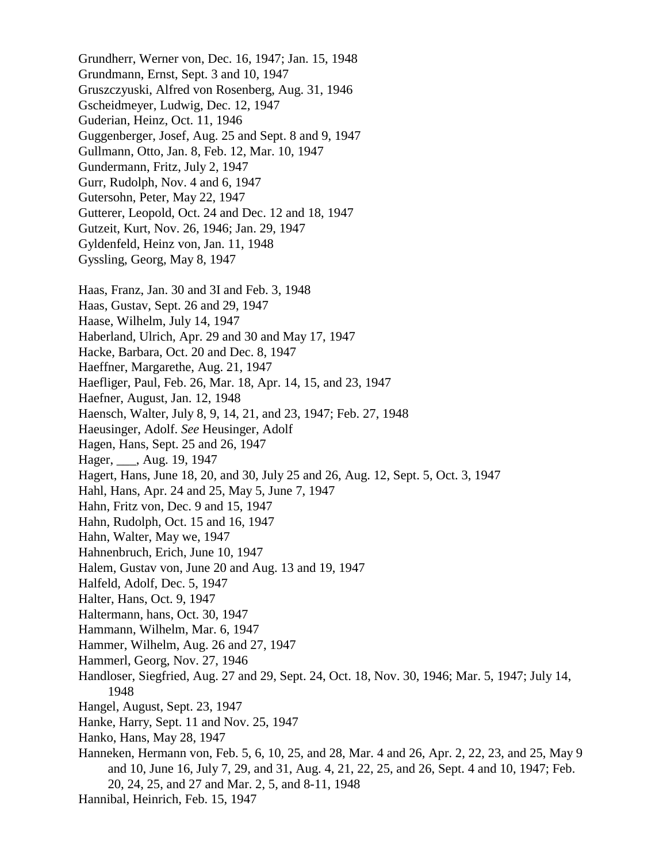Grundherr, Werner von, Dec. 16, 1947; Jan. 15, 1948 Grundmann, Ernst, Sept. 3 and 10, 1947 Gruszczyuski, Alfred von Rosenberg, Aug. 31, 1946 Gscheidmeyer, Ludwig, Dec. 12, 1947 Guderian, Heinz, Oct. 11, 1946 Guggenberger, Josef, Aug. 25 and Sept. 8 and 9, 1947 Gullmann, Otto, Jan. 8, Feb. 12, Mar. 10, 1947 Gundermann, Fritz, July 2, 1947 Gurr, Rudolph, Nov. 4 and 6, 1947 Gutersohn, Peter, May 22, 1947 Gutterer, Leopold, Oct. 24 and Dec. 12 and 18, 1947 Gutzeit, Kurt, Nov. 26, 1946; Jan. 29, 1947 Gyldenfeld, Heinz von, Jan. 11, 1948 Gyssling, Georg, May 8, 1947 Haas, Franz, Jan. 30 and 3I and Feb. 3, 1948 Haas, Gustav, Sept. 26 and 29, 1947 Haase, Wilhelm, July 14, 1947 Haberland, Ulrich, Apr. 29 and 30 and May 17, 1947 Hacke, Barbara, Oct. 20 and Dec. 8, 1947 Haeffner, Margarethe, Aug. 21, 1947 Haefliger, Paul, Feb. 26, Mar. 18, Apr. 14, 15, and 23, 1947 Haefner, August, Jan. 12, 1948 Haensch, Walter, July 8, 9, 14, 21, and 23, 1947; Feb. 27, 1948 Haeusinger, Adolf. *See* Heusinger, Adolf Hagen, Hans, Sept. 25 and 26, 1947 Hager, \_\_\_, Aug. 19, 1947 Hagert, Hans, June 18, 20, and 30, July 25 and 26, Aug. 12, Sept. 5, Oct. 3, 1947 Hahl, Hans, Apr. 24 and 25, May 5, June 7, 1947 Hahn, Fritz von, Dec. 9 and 15, 1947 Hahn, Rudolph, Oct. 15 and 16, 1947 Hahn, Walter, May we, 1947 Hahnenbruch, Erich, June 10, 1947 Halem, Gustav von, June 20 and Aug. 13 and 19, 1947 Halfeld, Adolf, Dec. 5, 1947 Halter, Hans, Oct. 9, 1947 Haltermann, hans, Oct. 30, 1947 Hammann, Wilhelm, Mar. 6, 1947 Hammer, Wilhelm, Aug. 26 and 27, 1947 Hammerl, Georg, Nov. 27, 1946 Handloser, Siegfried, Aug. 27 and 29, Sept. 24, Oct. 18, Nov. 30, 1946; Mar. 5, 1947; July 14, 1948 Hangel, August, Sept. 23, 1947 Hanke, Harry, Sept. 11 and Nov. 25, 1947 Hanko, Hans, May 28, 1947 Hanneken, Hermann von, Feb. 5, 6, 10, 25, and 28, Mar. 4 and 26, Apr. 2, 22, 23, and 25, May 9 and 10, June 16, July 7, 29, and 31, Aug. 4, 21, 22, 25, and 26, Sept. 4 and 10, 1947; Feb. 20, 24, 25, and 27 and Mar. 2, 5, and 8-11, 1948 Hannibal, Heinrich, Feb. 15, 1947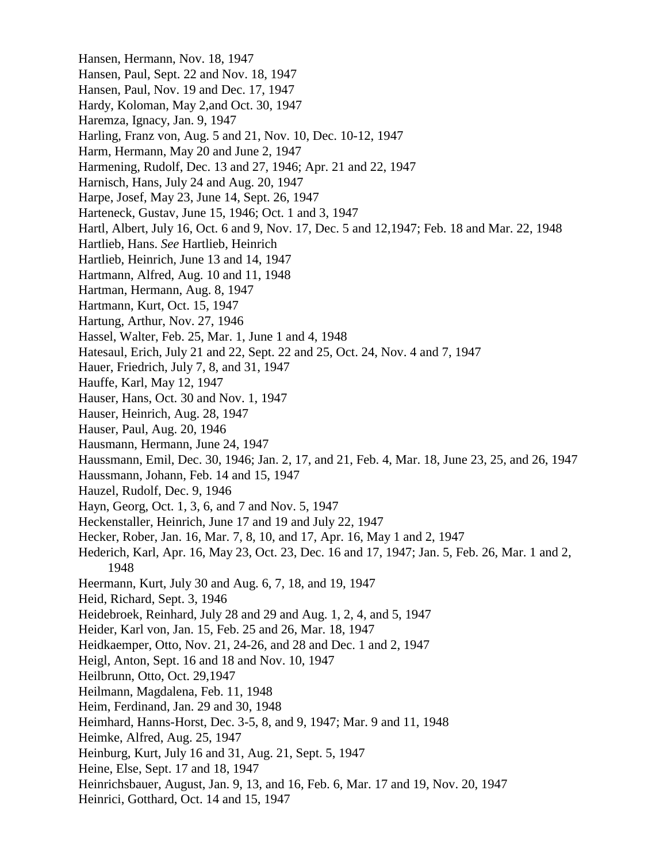Hansen, Hermann, Nov. 18, 1947 Hansen, Paul, Sept. 22 and Nov. 18, 1947 Hansen, Paul, Nov. 19 and Dec. 17, 1947 Hardy, Koloman, May 2,and Oct. 30, 1947 Haremza, Ignacy, Jan. 9, 1947 Harling, Franz von, Aug. 5 and 21, Nov. 10, Dec. 10-12, 1947 Harm, Hermann, May 20 and June 2, 1947 Harmening, Rudolf, Dec. 13 and 27, 1946; Apr. 21 and 22, 1947 Harnisch, Hans, July 24 and Aug. 20, 1947 Harpe, Josef, May 23, June 14, Sept. 26, 1947 Harteneck, Gustav, June 15, 1946; Oct. 1 and 3, 1947 Hartl, Albert, July 16, Oct. 6 and 9, Nov. 17, Dec. 5 and 12,1947; Feb. 18 and Mar. 22, 1948 Hartlieb, Hans. *See* Hartlieb, Heinrich Hartlieb, Heinrich, June 13 and 14, 1947 Hartmann, Alfred, Aug. 10 and 11, 1948 Hartman, Hermann, Aug. 8, 1947 Hartmann, Kurt, Oct. 15, 1947 Hartung, Arthur, Nov. 27, 1946 Hassel, Walter, Feb. 25, Mar. 1, June 1 and 4, 1948 Hatesaul, Erich, July 21 and 22, Sept. 22 and 25, Oct. 24, Nov. 4 and 7, 1947 Hauer, Friedrich, July 7, 8, and 31, 1947 Hauffe, Karl, May 12, 1947 Hauser, Hans, Oct. 30 and Nov. 1, 1947 Hauser, Heinrich, Aug. 28, 1947 Hauser, Paul, Aug. 20, 1946 Hausmann, Hermann, June 24, 1947 Haussmann, Emil, Dec. 30, 1946; Jan. 2, 17, and 21, Feb. 4, Mar. 18, June 23, 25, and 26, 1947 Haussmann, Johann, Feb. 14 and 15, 1947 Hauzel, Rudolf, Dec. 9, 1946 Hayn, Georg, Oct. 1, 3, 6, and 7 and Nov. 5, 1947 Heckenstaller, Heinrich, June 17 and 19 and July 22, 1947 Hecker, Rober, Jan. 16, Mar. 7, 8, 10, and 17, Apr. 16, May 1 and 2, 1947 Hederich, Karl, Apr. 16, May 23, Oct. 23, Dec. 16 and 17, 1947; Jan. 5, Feb. 26, Mar. 1 and 2, 1948 Heermann, Kurt, July 30 and Aug. 6, 7, 18, and 19, 1947 Heid, Richard, Sept. 3, 1946 Heidebroek, Reinhard, July 28 and 29 and Aug. 1, 2, 4, and 5, 1947 Heider, Karl von, Jan. 15, Feb. 25 and 26, Mar. 18, 1947 Heidkaemper, Otto, Nov. 21, 24-26, and 28 and Dec. 1 and 2, 1947 Heigl, Anton, Sept. 16 and 18 and Nov. 10, 1947 Heilbrunn, Otto, Oct. 29,1947 Heilmann, Magdalena, Feb. 11, 1948 Heim, Ferdinand, Jan. 29 and 30, 1948 Heimhard, Hanns-Horst, Dec. 3-5, 8, and 9, 1947; Mar. 9 and 11, 1948 Heimke, Alfred, Aug. 25, 1947 Heinburg, Kurt, July 16 and 31, Aug. 21, Sept. 5, 1947 Heine, Else, Sept. 17 and 18, 1947 Heinrichsbauer, August, Jan. 9, 13, and 16, Feb. 6, Mar. 17 and 19, Nov. 20, 1947 Heinrici, Gotthard, Oct. 14 and 15, 1947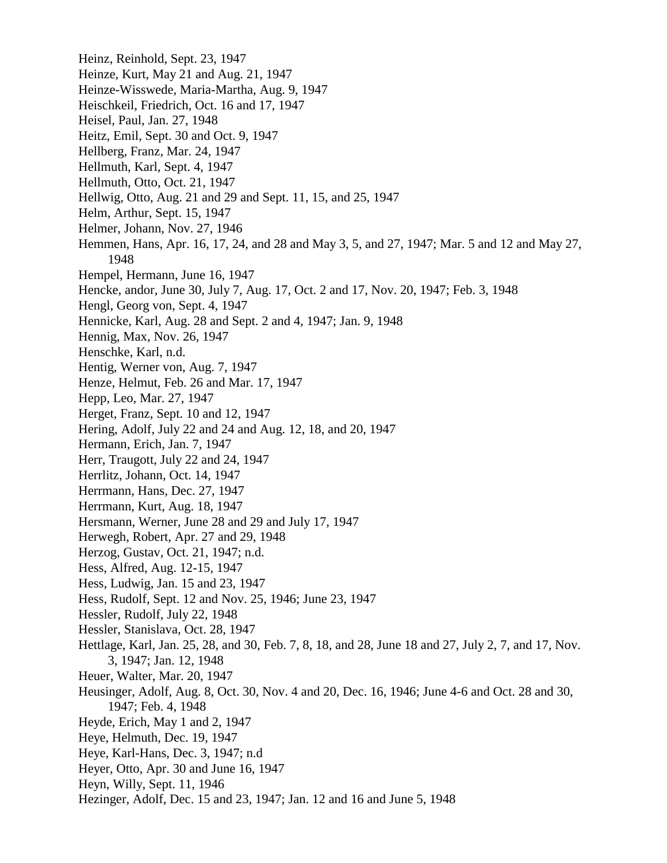Heinz, Reinhold, Sept. 23, 1947 Heinze, Kurt, May 21 and Aug. 21, 1947 Heinze-Wisswede, Maria-Martha, Aug. 9, 1947 Heischkeil, Friedrich, Oct. 16 and 17, 1947 Heisel, Paul, Jan. 27, 1948 Heitz, Emil, Sept. 30 and Oct. 9, 1947 Hellberg, Franz, Mar. 24, 1947 Hellmuth, Karl, Sept. 4, 1947 Hellmuth, Otto, Oct. 21, 1947 Hellwig, Otto, Aug. 21 and 29 and Sept. 11, 15, and 25, 1947 Helm, Arthur, Sept. 15, 1947 Helmer, Johann, Nov. 27, 1946 Hemmen, Hans, Apr. 16, 17, 24, and 28 and May 3, 5, and 27, 1947; Mar. 5 and 12 and May 27, 1948 Hempel, Hermann, June 16, 1947 Hencke, andor, June 30, July 7, Aug. 17, Oct. 2 and 17, Nov. 20, 1947; Feb. 3, 1948 Hengl, Georg von, Sept. 4, 1947 Hennicke, Karl, Aug. 28 and Sept. 2 and 4, 1947; Jan. 9, 1948 Hennig, Max, Nov. 26, 1947 Henschke, Karl, n.d. Hentig, Werner von, Aug. 7, 1947 Henze, Helmut, Feb. 26 and Mar. 17, 1947 Hepp, Leo, Mar. 27, 1947 Herget, Franz, Sept. 10 and 12, 1947 Hering, Adolf, July 22 and 24 and Aug. 12, 18, and 20, 1947 Hermann, Erich, Jan. 7, 1947 Herr, Traugott, July 22 and 24, 1947 Herrlitz, Johann, Oct. 14, 1947 Herrmann, Hans, Dec. 27, 1947 Herrmann, Kurt, Aug. 18, 1947 Hersmann, Werner, June 28 and 29 and July 17, 1947 Herwegh, Robert, Apr. 27 and 29, 1948 Herzog, Gustav, Oct. 21, 1947; n.d. Hess, Alfred, Aug. 12-15, 1947 Hess, Ludwig, Jan. 15 and 23, 1947 Hess, Rudolf, Sept. 12 and Nov. 25, 1946; June 23, 1947 Hessler, Rudolf, July 22, 1948 Hessler, Stanislava, Oct. 28, 1947 Hettlage, Karl, Jan. 25, 28, and 30, Feb. 7, 8, 18, and 28, June 18 and 27, July 2, 7, and 17, Nov. 3, 1947; Jan. 12, 1948 Heuer, Walter, Mar. 20, 1947 Heusinger, Adolf, Aug. 8, Oct. 30, Nov. 4 and 20, Dec. 16, 1946; June 4-6 and Oct. 28 and 30, 1947; Feb. 4, 1948 Heyde, Erich, May 1 and 2, 1947 Heye, Helmuth, Dec. 19, 1947 Heye, Karl-Hans, Dec. 3, 1947; n.d Heyer, Otto, Apr. 30 and June 16, 1947 Heyn, Willy, Sept. 11, 1946 Hezinger, Adolf, Dec. 15 and 23, 1947; Jan. 12 and 16 and June 5, 1948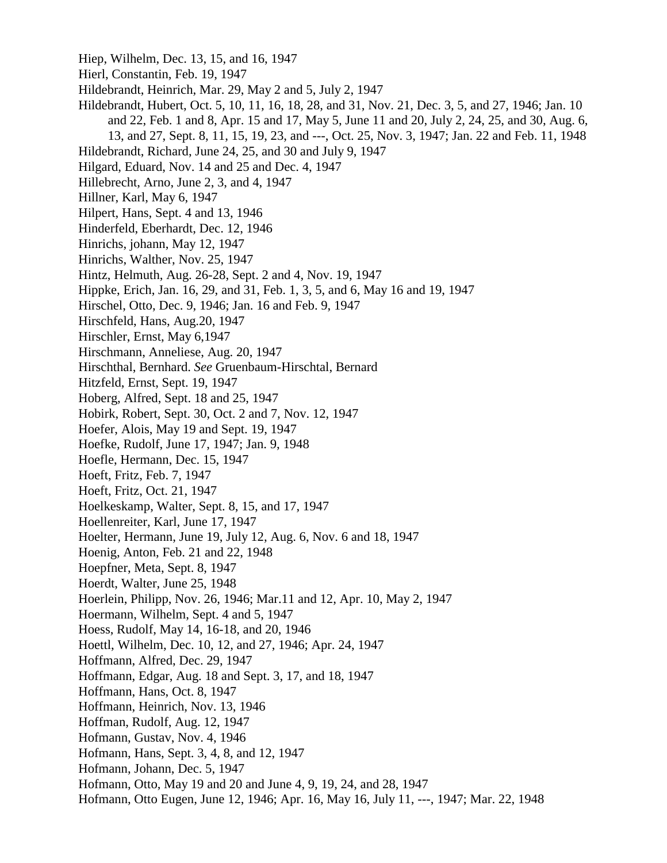Hiep, Wilhelm, Dec. 13, 15, and 16, 1947 Hierl, Constantin, Feb. 19, 1947 Hildebrandt, Heinrich, Mar. 29, May 2 and 5, July 2, 1947 Hildebrandt, Hubert, Oct. 5, 10, 11, 16, 18, 28, and 31, Nov. 21, Dec. 3, 5, and 27, 1946; Jan. 10 and 22, Feb. 1 and 8, Apr. 15 and 17, May 5, June 11 and 20, July 2, 24, 25, and 30, Aug. 6, 13, and 27, Sept. 8, 11, 15, 19, 23, and ---, Oct. 25, Nov. 3, 1947; Jan. 22 and Feb. 11, 1948 Hildebrandt, Richard, June 24, 25, and 30 and July 9, 1947 Hilgard, Eduard, Nov. 14 and 25 and Dec. 4, 1947 Hillebrecht, Arno, June 2, 3, and 4, 1947 Hillner, Karl, May 6, 1947 Hilpert, Hans, Sept. 4 and 13, 1946 Hinderfeld, Eberhardt, Dec. 12, 1946 Hinrichs, johann, May 12, 1947 Hinrichs, Walther, Nov. 25, 1947 Hintz, Helmuth, Aug. 26-28, Sept. 2 and 4, Nov. 19, 1947 Hippke, Erich, Jan. 16, 29, and 31, Feb. 1, 3, 5, and 6, May 16 and 19, 1947 Hirschel, Otto, Dec. 9, 1946; Jan. 16 and Feb. 9, 1947 Hirschfeld, Hans, Aug.20, 1947 Hirschler, Ernst, May 6,1947 Hirschmann, Anneliese, Aug. 20, 1947 Hirschthal, Bernhard. *See* Gruenbaum-Hirschtal, Bernard Hitzfeld, Ernst, Sept. 19, 1947 Hoberg, Alfred, Sept. 18 and 25, 1947 Hobirk, Robert, Sept. 30, Oct. 2 and 7, Nov. 12, 1947 Hoefer, Alois, May 19 and Sept. 19, 1947 Hoefke, Rudolf, June 17, 1947; Jan. 9, 1948 Hoefle, Hermann, Dec. 15, 1947 Hoeft, Fritz, Feb. 7, 1947 Hoeft, Fritz, Oct. 21, 1947 Hoelkeskamp, Walter, Sept. 8, 15, and 17, 1947 Hoellenreiter, Karl, June 17, 1947 Hoelter, Hermann, June 19, July 12, Aug. 6, Nov. 6 and 18, 1947 Hoenig, Anton, Feb. 21 and 22, 1948 Hoepfner, Meta, Sept. 8, 1947 Hoerdt, Walter, June 25, 1948 Hoerlein, Philipp, Nov. 26, 1946; Mar.11 and 12, Apr. 10, May 2, 1947 Hoermann, Wilhelm, Sept. 4 and 5, 1947 Hoess, Rudolf, May 14, 16-18, and 20, 1946 Hoettl, Wilhelm, Dec. 10, 12, and 27, 1946; Apr. 24, 1947 Hoffmann, Alfred, Dec. 29, 1947 Hoffmann, Edgar, Aug. 18 and Sept. 3, 17, and 18, 1947 Hoffmann, Hans, Oct. 8, 1947 Hoffmann, Heinrich, Nov. 13, 1946 Hoffman, Rudolf, Aug. 12, 1947 Hofmann, Gustav, Nov. 4, 1946 Hofmann, Hans, Sept. 3, 4, 8, and 12, 1947 Hofmann, Johann, Dec. 5, 1947 Hofmann, Otto, May 19 and 20 and June 4, 9, 19, 24, and 28, 1947 Hofmann, Otto Eugen, June 12, 1946; Apr. 16, May 16, July 11, ---, 1947; Mar. 22, 1948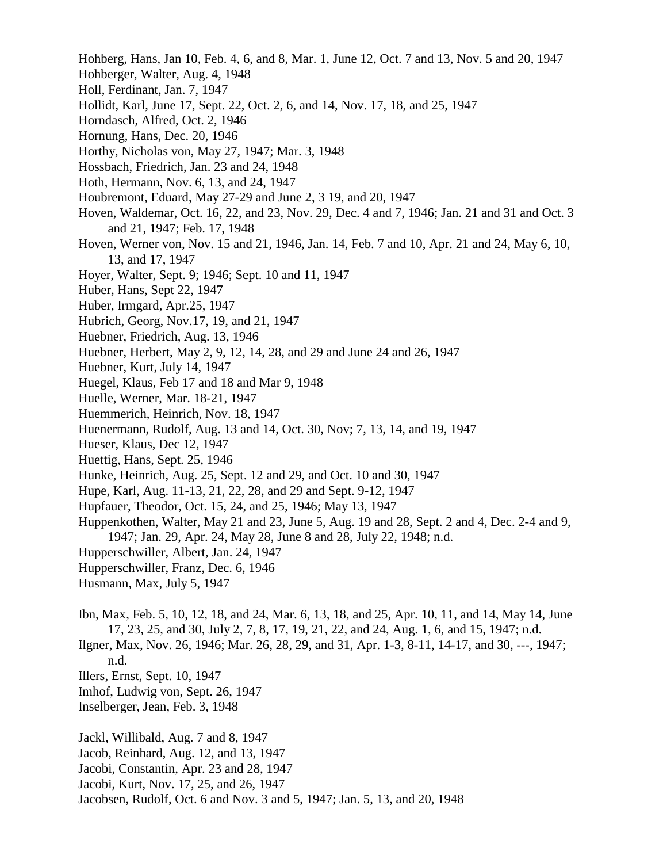- Hohberg, Hans, Jan 10, Feb. 4, 6, and 8, Mar. 1, June 12, Oct. 7 and 13, Nov. 5 and 20, 1947
- Hohberger, Walter, Aug. 4, 1948
- Holl, Ferdinant, Jan. 7, 1947
- Hollidt, Karl, June 17, Sept. 22, Oct. 2, 6, and 14, Nov. 17, 18, and 25, 1947
- Horndasch, Alfred, Oct. 2, 1946
- Hornung, Hans, Dec. 20, 1946
- Horthy, Nicholas von, May 27, 1947; Mar. 3, 1948
- Hossbach, Friedrich, Jan. 23 and 24, 1948
- Hoth, Hermann, Nov. 6, 13, and 24, 1947
- Houbremont, Eduard, May 27-29 and June 2, 3 19, and 20, 1947
- Hoven, Waldemar, Oct. 16, 22, and 23, Nov. 29, Dec. 4 and 7, 1946; Jan. 21 and 31 and Oct. 3 and 21, 1947; Feb. 17, 1948
- Hoven, Werner von, Nov. 15 and 21, 1946, Jan. 14, Feb. 7 and 10, Apr. 21 and 24, May 6, 10, 13, and 17, 1947
- Hoyer, Walter, Sept. 9; 1946; Sept. 10 and 11, 1947
- Huber, Hans, Sept 22, 1947
- Huber, Irmgard, Apr.25, 1947
- Hubrich, Georg, Nov.17, 19, and 21, 1947
- Huebner, Friedrich, Aug. 13, 1946
- Huebner, Herbert, May 2, 9, 12, 14, 28, and 29 and June 24 and 26, 1947
- Huebner, Kurt, July 14, 1947
- Huegel, Klaus, Feb 17 and 18 and Mar 9, 1948
- Huelle, Werner, Mar. 18-21, 1947
- Huemmerich, Heinrich, Nov. 18, 1947
- Huenermann, Rudolf, Aug. 13 and 14, Oct. 30, Nov; 7, 13, 14, and 19, 1947
- Hueser, Klaus, Dec 12, 1947
- Huettig, Hans, Sept. 25, 1946
- Hunke, Heinrich, Aug. 25, Sept. 12 and 29, and Oct. 10 and 30, 1947
- Hupe, Karl, Aug. 11-13, 21, 22, 28, and 29 and Sept. 9-12, 1947
- Hupfauer, Theodor, Oct. 15, 24, and 25, 1946; May 13, 1947
- Huppenkothen, Walter, May 21 and 23, June 5, Aug. 19 and 28, Sept. 2 and 4, Dec. 2-4 and 9, 1947; Jan. 29, Apr. 24, May 28, June 8 and 28, July 22, 1948; n.d.
- Hupperschwiller, Albert, Jan. 24, 1947
- Hupperschwiller, Franz, Dec. 6, 1946
- Husmann, Max, July 5, 1947
- Ibn, Max, Feb. 5, 10, 12, 18, and 24, Mar. 6, 13, 18, and 25, Apr. 10, 11, and 14, May 14, June 17, 23, 25, and 30, July 2, 7, 8, 17, 19, 21, 22, and 24, Aug. 1, 6, and 15, 1947; n.d.
- Ilgner, Max, Nov. 26, 1946; Mar. 26, 28, 29, and 31, Apr. 1-3, 8-11, 14-17, and 30, ---, 1947; n.d.
- Illers, Ernst, Sept. 10, 1947
- Imhof, Ludwig von, Sept. 26, 1947
- Inselberger, Jean, Feb. 3, 1948
- Jackl, Willibald, Aug. 7 and 8, 1947
- Jacob, Reinhard, Aug. 12, and 13, 1947
- Jacobi, Constantin, Apr. 23 and 28, 1947
- Jacobi, Kurt, Nov. 17, 25, and 26, 1947
- Jacobsen, Rudolf, Oct. 6 and Nov. 3 and 5, 1947; Jan. 5, 13, and 20, 1948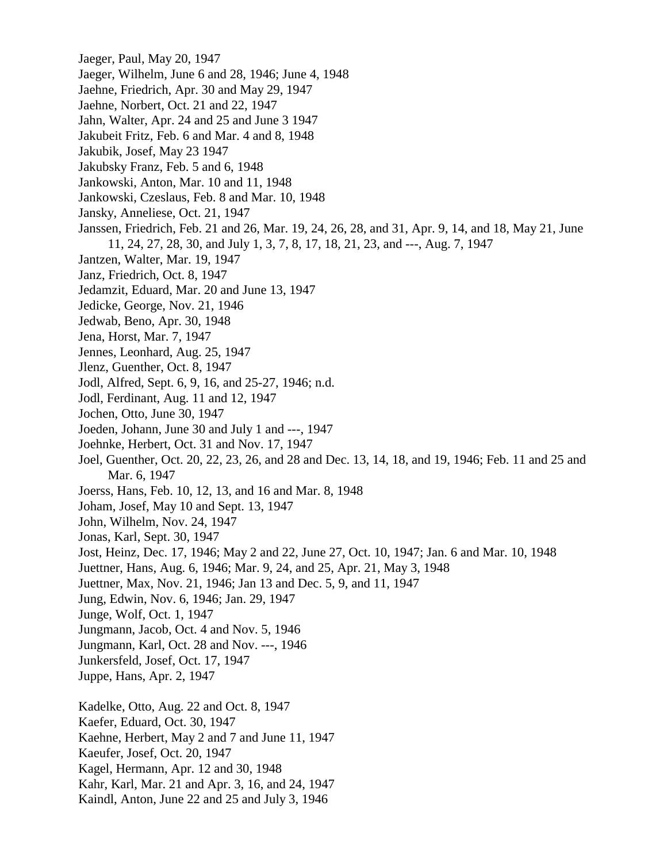- Jaeger, Paul, May 20, 1947
- Jaeger, Wilhelm, June 6 and 28, 1946; June 4, 1948
- Jaehne, Friedrich, Apr. 30 and May 29, 1947
- Jaehne, Norbert, Oct. 21 and 22, 1947
- Jahn, Walter, Apr. 24 and 25 and June 3 1947
- Jakubeit Fritz, Feb. 6 and Mar. 4 and 8, 1948
- Jakubik, Josef, May 23 1947
- Jakubsky Franz, Feb. 5 and 6, 1948
- Jankowski, Anton, Mar. 10 and 11, 1948
- Jankowski, Czeslaus, Feb. 8 and Mar. 10, 1948
- Jansky, Anneliese, Oct. 21, 1947
- Janssen, Friedrich, Feb. 21 and 26, Mar. 19, 24, 26, 28, and 31, Apr. 9, 14, and 18, May 21, June 11, 24, 27, 28, 30, and July 1, 3, 7, 8, 17, 18, 21, 23, and ---, Aug. 7, 1947
- Jantzen, Walter, Mar. 19, 1947
- Janz, Friedrich, Oct. 8, 1947
- Jedamzit, Eduard, Mar. 20 and June 13, 1947
- Jedicke, George, Nov. 21, 1946
- Jedwab, Beno, Apr. 30, 1948
- Jena, Horst, Mar. 7, 1947
- Jennes, Leonhard, Aug. 25, 1947
- Jlenz, Guenther, Oct. 8, 1947
- Jodl, Alfred, Sept. 6, 9, 16, and 25-27, 1946; n.d.
- Jodl, Ferdinant, Aug. 11 and 12, 1947
- Jochen, Otto, June 30, 1947
- Joeden, Johann, June 30 and July 1 and ---, 1947
- Joehnke, Herbert, Oct. 31 and Nov. 17, 1947
- Joel, Guenther, Oct. 20, 22, 23, 26, and 28 and Dec. 13, 14, 18, and 19, 1946; Feb. 11 and 25 and Mar. 6, 1947
- Joerss, Hans, Feb. 10, 12, 13, and 16 and Mar. 8, 1948
- Joham, Josef, May 10 and Sept. 13, 1947
- John, Wilhelm, Nov. 24, 1947
- Jonas, Karl, Sept. 30, 1947
- Jost, Heinz, Dec. 17, 1946; May 2 and 22, June 27, Oct. 10, 1947; Jan. 6 and Mar. 10, 1948
- Juettner, Hans, Aug. 6, 1946; Mar. 9, 24, and 25, Apr. 21, May 3, 1948
- Juettner, Max, Nov. 21, 1946; Jan 13 and Dec. 5, 9, and 11, 1947
- Jung, Edwin, Nov. 6, 1946; Jan. 29, 1947
- Junge, Wolf, Oct. 1, 1947
- Jungmann, Jacob, Oct. 4 and Nov. 5, 1946
- Jungmann, Karl, Oct. 28 and Nov. ---, 1946
- Junkersfeld, Josef, Oct. 17, 1947
- Juppe, Hans, Apr. 2, 1947
- Kadelke, Otto, Aug. 22 and Oct. 8, 1947
- Kaefer, Eduard, Oct. 30, 1947
- Kaehne, Herbert, May 2 and 7 and June 11, 1947
- Kaeufer, Josef, Oct. 20, 1947
- Kagel, Hermann, Apr. 12 and 30, 1948
- Kahr, Karl, Mar. 21 and Apr. 3, 16, and 24, 1947
- Kaindl, Anton, June 22 and 25 and July 3, 1946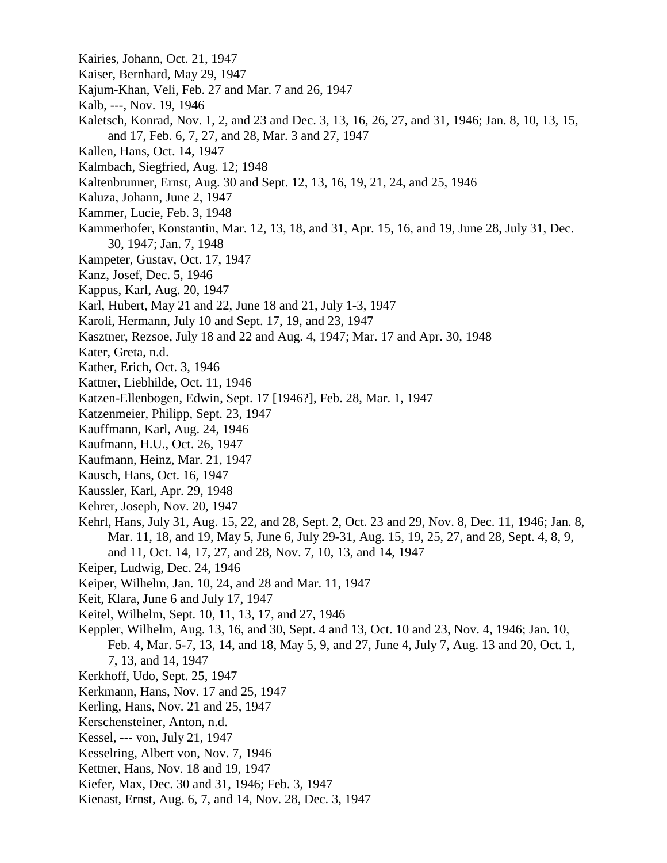- Kairies, Johann, Oct. 21, 1947
- Kaiser, Bernhard, May 29, 1947
- Kajum-Khan, Veli, Feb. 27 and Mar. 7 and 26, 1947
- Kalb, ---, Nov. 19, 1946
- Kaletsch, Konrad, Nov. 1, 2, and 23 and Dec. 3, 13, 16, 26, 27, and 31, 1946; Jan. 8, 10, 13, 15, and 17, Feb. 6, 7, 27, and 28, Mar. 3 and 27, 1947
- Kallen, Hans, Oct. 14, 1947
- Kalmbach, Siegfried, Aug. 12; 1948
- Kaltenbrunner, Ernst, Aug. 30 and Sept. 12, 13, 16, 19, 21, 24, and 25, 1946
- Kaluza, Johann, June 2, 1947
- Kammer, Lucie, Feb. 3, 1948
- Kammerhofer, Konstantin, Mar. 12, 13, 18, and 31, Apr. 15, 16, and 19, June 28, July 31, Dec. 30, 1947; Jan. 7, 1948
- Kampeter, Gustav, Oct. 17, 1947
- Kanz, Josef, Dec. 5, 1946
- Kappus, Karl, Aug. 20, 1947
- Karl, Hubert, May 21 and 22, June 18 and 21, July 1-3, 1947
- Karoli, Hermann, July 10 and Sept. 17, 19, and 23, 1947
- Kasztner, Rezsoe, July 18 and 22 and Aug. 4, 1947; Mar. 17 and Apr. 30, 1948
- Kater, Greta, n.d.
- Kather, Erich, Oct. 3, 1946
- Kattner, Liebhilde, Oct. 11, 1946
- Katzen-Ellenbogen, Edwin, Sept. 17 [1946?], Feb. 28, Mar. 1, 1947
- Katzenmeier, Philipp, Sept. 23, 1947
- Kauffmann, Karl, Aug. 24, 1946
- Kaufmann, H.U., Oct. 26, 1947
- Kaufmann, Heinz, Mar. 21, 1947
- Kausch, Hans, Oct. 16, 1947
- Kaussler, Karl, Apr. 29, 1948
- Kehrer, Joseph, Nov. 20, 1947
- Kehrl, Hans, July 31, Aug. 15, 22, and 28, Sept. 2, Oct. 23 and 29, Nov. 8, Dec. 11, 1946; Jan. 8, Mar. 11, 18, and 19, May 5, June 6, July 29-31, Aug. 15, 19, 25, 27, and 28, Sept. 4, 8, 9, and 11, Oct. 14, 17, 27, and 28, Nov. 7, 10, 13, and 14, 1947
- Keiper, Ludwig, Dec. 24, 1946
- Keiper, Wilhelm, Jan. 10, 24, and 28 and Mar. 11, 1947
- Keit, Klara, June 6 and July 17, 1947
- Keitel, Wilhelm, Sept. 10, 11, 13, 17, and 27, 1946
- Keppler, Wilhelm, Aug. 13, 16, and 30, Sept. 4 and 13, Oct. 10 and 23, Nov. 4, 1946; Jan. 10, Feb. 4, Mar. 5-7, 13, 14, and 18, May 5, 9, and 27, June 4, July 7, Aug. 13 and 20, Oct. 1, 7, 13, and 14, 1947
- Kerkhoff, Udo, Sept. 25, 1947
- Kerkmann, Hans, Nov. 17 and 25, 1947
- Kerling, Hans, Nov. 21 and 25, 1947
- Kerschensteiner, Anton, n.d.
- Kessel, --- von, July 21, 1947
- Kesselring, Albert von, Nov. 7, 1946
- Kettner, Hans, Nov. 18 and 19, 1947
- Kiefer, Max, Dec. 30 and 31, 1946; Feb. 3, 1947
- Kienast, Ernst, Aug. 6, 7, and 14, Nov. 28, Dec. 3, 1947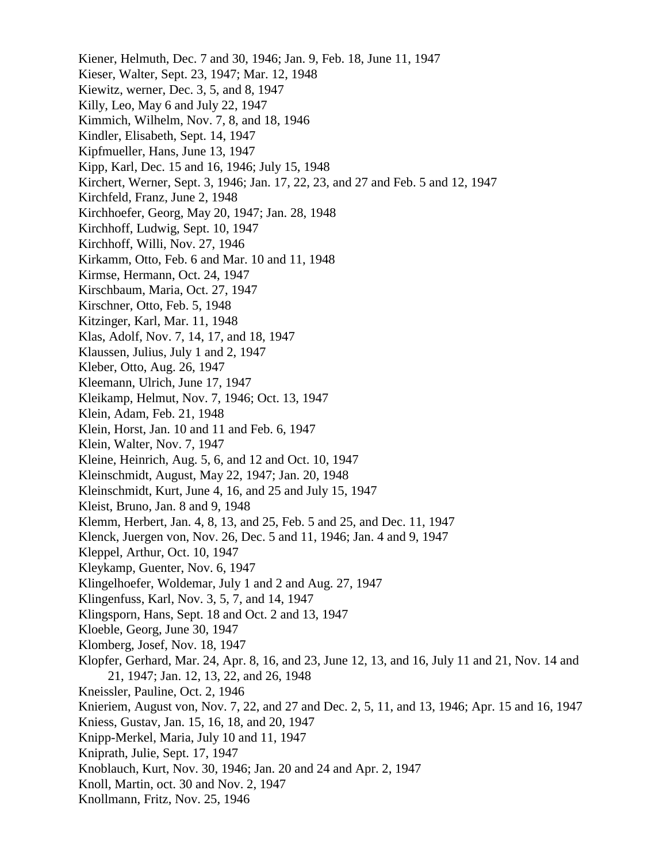Kiener, Helmuth, Dec. 7 and 30, 1946; Jan. 9, Feb. 18, June 11, 1947 Kieser, Walter, Sept. 23, 1947; Mar. 12, 1948 Kiewitz, werner, Dec. 3, 5, and 8, 1947 Killy, Leo, May 6 and July 22, 1947 Kimmich, Wilhelm, Nov. 7, 8, and 18, 1946 Kindler, Elisabeth, Sept. 14, 1947 Kipfmueller, Hans, June 13, 1947 Kipp, Karl, Dec. 15 and 16, 1946; July 15, 1948 Kirchert, Werner, Sept. 3, 1946; Jan. 17, 22, 23, and 27 and Feb. 5 and 12, 1947 Kirchfeld, Franz, June 2, 1948 Kirchhoefer, Georg, May 20, 1947; Jan. 28, 1948 Kirchhoff, Ludwig, Sept. 10, 1947 Kirchhoff, Willi, Nov. 27, 1946 Kirkamm, Otto, Feb. 6 and Mar. 10 and 11, 1948 Kirmse, Hermann, Oct. 24, 1947 Kirschbaum, Maria, Oct. 27, 1947 Kirschner, Otto, Feb. 5, 1948 Kitzinger, Karl, Mar. 11, 1948 Klas, Adolf, Nov. 7, 14, 17, and 18, 1947 Klaussen, Julius, July 1 and 2, 1947 Kleber, Otto, Aug. 26, 1947 Kleemann, Ulrich, June 17, 1947 Kleikamp, Helmut, Nov. 7, 1946; Oct. 13, 1947 Klein, Adam, Feb. 21, 1948 Klein, Horst, Jan. 10 and 11 and Feb. 6, 1947 Klein, Walter, Nov. 7, 1947 Kleine, Heinrich, Aug. 5, 6, and 12 and Oct. 10, 1947 Kleinschmidt, August, May 22, 1947; Jan. 20, 1948 Kleinschmidt, Kurt, June 4, 16, and 25 and July 15, 1947 Kleist, Bruno, Jan. 8 and 9, 1948 Klemm, Herbert, Jan. 4, 8, 13, and 25, Feb. 5 and 25, and Dec. 11, 1947 Klenck, Juergen von, Nov. 26, Dec. 5 and 11, 1946; Jan. 4 and 9, 1947 Kleppel, Arthur, Oct. 10, 1947 Kleykamp, Guenter, Nov. 6, 1947 Klingelhoefer, Woldemar, July 1 and 2 and Aug. 27, 1947 Klingenfuss, Karl, Nov. 3, 5, 7, and 14, 1947 Klingsporn, Hans, Sept. 18 and Oct. 2 and 13, 1947 Kloeble, Georg, June 30, 1947 Klomberg, Josef, Nov. 18, 1947 Klopfer, Gerhard, Mar. 24, Apr. 8, 16, and 23, June 12, 13, and 16, July 11 and 21, Nov. 14 and 21, 1947; Jan. 12, 13, 22, and 26, 1948 Kneissler, Pauline, Oct. 2, 1946 Knieriem, August von, Nov. 7, 22, and 27 and Dec. 2, 5, 11, and 13, 1946; Apr. 15 and 16, 1947 Kniess, Gustav, Jan. 15, 16, 18, and 20, 1947 Knipp-Merkel, Maria, July 10 and 11, 1947 Kniprath, Julie, Sept. 17, 1947 Knoblauch, Kurt, Nov. 30, 1946; Jan. 20 and 24 and Apr. 2, 1947 Knoll, Martin, oct. 30 and Nov. 2, 1947 Knollmann, Fritz, Nov. 25, 1946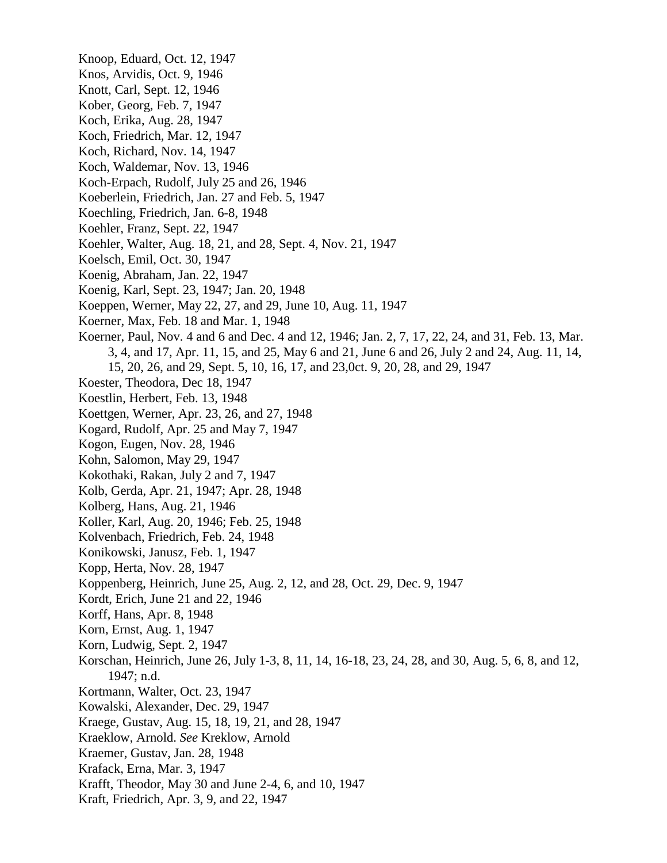Knoop, Eduard, Oct. 12, 1947 Knos, Arvidis, Oct. 9, 1946 Knott, Carl, Sept. 12, 1946 Kober, Georg, Feb. 7, 1947 Koch, Erika, Aug. 28, 1947 Koch, Friedrich, Mar. 12, 1947 Koch, Richard, Nov. 14, 1947 Koch, Waldemar, Nov. 13, 1946 Koch-Erpach, Rudolf, July 25 and 26, 1946 Koeberlein, Friedrich, Jan. 27 and Feb. 5, 1947 Koechling, Friedrich, Jan. 6-8, 1948 Koehler, Franz, Sept. 22, 1947 Koehler, Walter, Aug. 18, 21, and 28, Sept. 4, Nov. 21, 1947 Koelsch, Emil, Oct. 30, 1947 Koenig, Abraham, Jan. 22, 1947 Koenig, Karl, Sept. 23, 1947; Jan. 20, 1948 Koeppen, Werner, May 22, 27, and 29, June 10, Aug. 11, 1947 Koerner, Max, Feb. 18 and Mar. 1, 1948 Koerner, Paul, Nov. 4 and 6 and Dec. 4 and 12, 1946; Jan. 2, 7, 17, 22, 24, and 31, Feb. 13, Mar. 3, 4, and 17, Apr. 11, 15, and 25, May 6 and 21, June 6 and 26, July 2 and 24, Aug. 11, 14, 15, 20, 26, and 29, Sept. 5, 10, 16, 17, and 23,0ct. 9, 20, 28, and 29, 1947 Koester, Theodora, Dec 18, 1947 Koestlin, Herbert, Feb. 13, 1948 Koettgen, Werner, Apr. 23, 26, and 27, 1948 Kogard, Rudolf, Apr. 25 and May 7, 1947 Kogon, Eugen, Nov. 28, 1946 Kohn, Salomon, May 29, 1947 Kokothaki, Rakan, July 2 and 7, 1947 Kolb, Gerda, Apr. 21, 1947; Apr. 28, 1948 Kolberg, Hans, Aug. 21, 1946 Koller, Karl, Aug. 20, 1946; Feb. 25, 1948 Kolvenbach, Friedrich, Feb. 24, 1948 Konikowski, Janusz, Feb. 1, 1947 Kopp, Herta, Nov. 28, 1947 Koppenberg, Heinrich, June 25, Aug. 2, 12, and 28, Oct. 29, Dec. 9, 1947 Kordt, Erich, June 21 and 22, 1946 Korff, Hans, Apr. 8, 1948 Korn, Ernst, Aug. 1, 1947 Korn, Ludwig, Sept. 2, 1947 Korschan, Heinrich, June 26, July 1-3, 8, 11, 14, 16-18, 23, 24, 28, and 30, Aug. 5, 6, 8, and 12, 1947; n.d. Kortmann, Walter, Oct. 23, 1947 Kowalski, Alexander, Dec. 29, 1947 Kraege, Gustav, Aug. 15, 18, 19, 21, and 28, 1947 Kraeklow, Arnold. *See* Kreklow, Arnold Kraemer, Gustav, Jan. 28, 1948 Krafack, Erna, Mar. 3, 1947 Krafft, Theodor, May 30 and June 2-4, 6, and 10, 1947 Kraft, Friedrich, Apr. 3, 9, and 22, 1947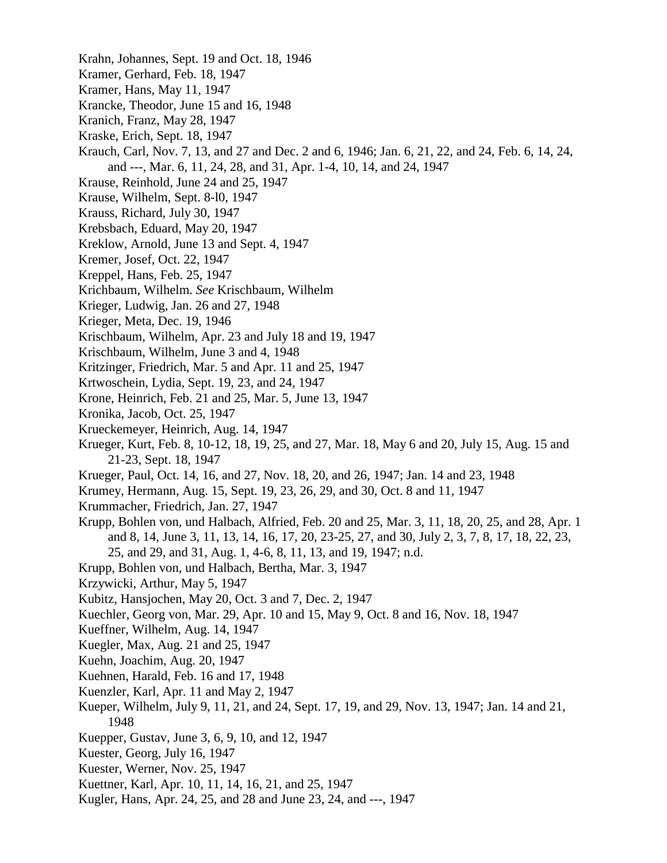- Krahn, Johannes, Sept. 19 and Oct. 18, 1946
- Kramer, Gerhard, Feb. 18, 1947
- Kramer, Hans, May 11, 1947
- Krancke, Theodor, June 15 and 16, 1948
- Kranich, Franz, May 28, 1947
- Kraske, Erich, Sept. 18, 1947
- Krauch, Carl, Nov. 7, 13, and 27 and Dec. 2 and 6, 1946; Jan. 6, 21, 22, and 24, Feb. 6, 14, 24, and ---, Mar. 6, 11, 24, 28, and 31, Apr. 1-4, 10, 14, and 24, 1947
- Krause, Reinhold, June 24 and 25, 1947
- Krause, Wilhelm, Sept. 8-l0, 1947
- Krauss, Richard, July 30, 1947
- Krebsbach, Eduard, May 20, 1947
- Kreklow, Arnold, June 13 and Sept. 4, 1947
- Kremer, Josef, Oct. 22, 1947
- Kreppel, Hans, Feb. 25, 1947
- Krichbaum, Wilhelm. *See* Krischbaum, Wilhelm
- Krieger, Ludwig, Jan. 26 and 27, 1948
- Krieger, Meta, Dec. 19, 1946
- Krischbaum, Wilhelm, Apr. 23 and July 18 and 19, 1947
- Krischbaum, Wilhelm, June 3 and 4, 1948
- Kritzinger, Friedrich, Mar. 5 and Apr. 11 and 25, 1947
- Krtwoschein, Lydia, Sept. 19, 23, and 24, 1947
- Krone, Heinrich, Feb. 21 and 25, Mar. 5, June 13, 1947
- Kronika, Jacob, Oct. 25, 1947
- Krueckemeyer, Heinrich, Aug. 14, 1947
- Krueger, Kurt, Feb. 8, 10-12, 18, 19, 25, and 27, Mar. 18, May 6 and 20, July 15, Aug. 15 and 21-23, Sept. 18, 1947
- Krueger, Paul, Oct. 14, 16, and 27, Nov. 18, 20, and 26, 1947; Jan. 14 and 23, 1948
- Krumey, Hermann, Aug. 15, Sept. 19, 23, 26, 29, and 30, Oct. 8 and 11, 1947
- Krummacher, Friedrich, Jan. 27, 1947
- Krupp, Bohlen von, und Halbach, Alfried, Feb. 20 and 25, Mar. 3, 11, 18, 20, 25, and 28, Apr. 1 and 8, 14, June 3, 11, 13, 14, 16, 17, 20, 23-25, 27, and 30, July 2, 3, 7, 8, 17, 18, 22, 23, 25, and 29, and 31, Aug. 1, 4-6, 8, 11, 13, and 19, 1947; n.d.
- Krupp, Bohlen von, und Halbach, Bertha, Mar. 3, 1947
- Krzywicki, Arthur, May 5, 1947
- Kubitz, Hansjochen, May 20, Oct. 3 and 7, Dec. 2, 1947
- Kuechler, Georg von, Mar. 29, Apr. 10 and 15, May 9, Oct. 8 and 16, Nov. 18, 1947
- Kueffner, Wilhelm, Aug. 14, 1947
- Kuegler, Max, Aug. 21 and 25, 1947
- Kuehn, Joachim, Aug. 20, 1947
- Kuehnen, Harald, Feb. 16 and 17, 1948
- Kuenzler, Karl, Apr. 11 and May 2, 1947
- Kueper, Wilhelm, July 9, 11, 21, and 24, Sept. 17, 19, and 29, Nov. 13, 1947; Jan. 14 and 21, 1948
- Kuepper, Gustav, June 3, 6, 9, 10, and 12, 1947
- Kuester, Georg, July 16, 1947
- Kuester, Werner, Nov. 25, 1947
- Kuettner, Karl, Apr. 10, 11, 14, 16, 21, and 25, 1947
- Kugler, Hans, Apr. 24, 25, and 28 and June 23, 24, and ---, 1947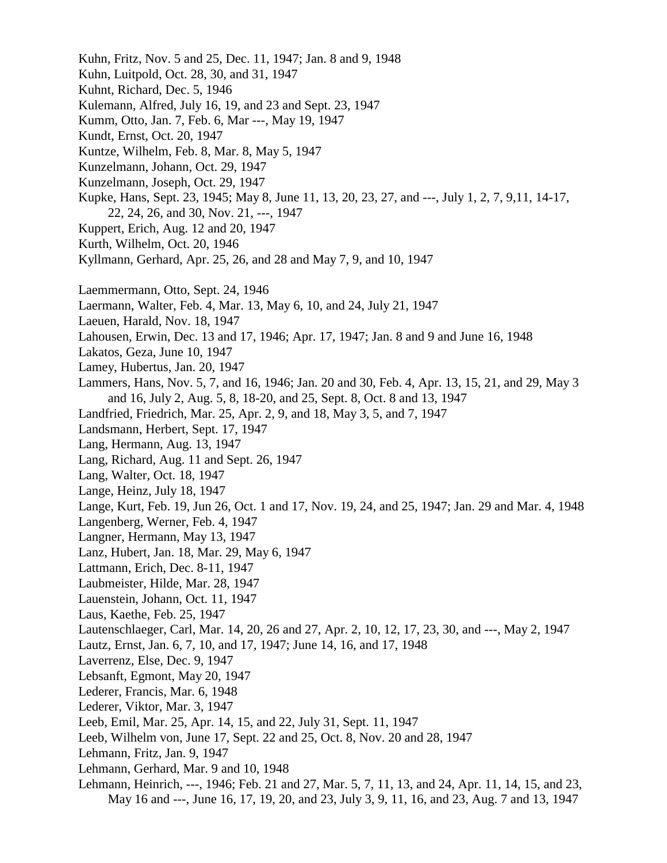Kuhn, Fritz, Nov. 5 and 25, Dec. 11, 1947; Jan. 8 and 9, 1948 Kuhn, Luitpold, Oct. 28, 30, and 31, 1947 Kuhnt, Richard, Dec. 5, 1946 Kulemann, Alfred, July 16, 19, and 23 and Sept. 23, 1947 Kumm, Otto, Jan. 7, Feb. 6, Mar ---, May 19, 1947 Kundt, Ernst, Oct. 20, 1947 Kuntze, Wilhelm, Feb. 8, Mar. 8, May 5, 1947 Kunzelmann, Johann, Oct. 29, 1947 Kunzelmann, Joseph, Oct. 29, 1947 Kupke, Hans, Sept. 23, 1945; May 8, June 11, 13, 20, 23, 27, and ---, July 1, 2, 7, 9,11, 14-17, 22, 24, 26, and 30, Nov. 21, ---, 1947 Kuppert, Erich, Aug. 12 and 20, 1947 Kurth, Wilhelm, Oct. 20, 1946 Kyllmann, Gerhard, Apr. 25, 26, and 28 and May 7, 9, and 10, 1947 Laemmermann, Otto, Sept. 24, 1946 Laermann, Walter, Feb. 4, Mar. 13, May 6, 10, and 24, July 21, 1947 Laeuen, Harald, Nov. 18, 1947 Lahousen, Erwin, Dec. 13 and 17, 1946; Apr. 17, 1947; Jan. 8 and 9 and June 16, 1948 Lakatos, Geza, June 10, 1947 Lamey, Hubertus, Jan. 20, 1947 Lammers, Hans, Nov. 5, 7, and 16, 1946; Jan. 20 and 30, Feb. 4, Apr. 13, 15, 21, and 29, May 3 and 16, July 2, Aug. 5, 8, 18-20, and 25, Sept. 8, Oct. 8 and 13, 1947 Landfried, Friedrich, Mar. 25, Apr. 2, 9, and 18, May 3, 5, and 7, 1947 Landsmann, Herbert, Sept. 17, 1947 Lang, Hermann, Aug. 13, 1947 Lang, Richard, Aug. 11 and Sept. 26, 1947 Lang, Walter, Oct. 18, 1947 Lange, Heinz, July 18, 1947 Lange, Kurt, Feb. 19, Jun 26, Oct. 1 and 17, Nov. 19, 24, and 25, 1947; Jan. 29 and Mar. 4, 1948 Langenberg, Werner, Feb. 4, 1947 Langner, Hermann, May 13, 1947 Lanz, Hubert, Jan. 18, Mar. 29, May 6, 1947 Lattmann, Erich, Dec. 8-11, 1947 Laubmeister, Hilde, Mar. 28, 1947 Lauenstein, Johann, Oct. 11, 1947 Laus, Kaethe, Feb. 25, 1947 Lautenschlaeger, Carl, Mar. 14, 20, 26 and 27, Apr. 2, 10, 12, 17, 23, 30, and ---, May 2, 1947 Lautz, Ernst, Jan. 6, 7, 10, and 17, 1947; June 14, 16, and 17, 1948 Laverrenz, Else, Dec. 9, 1947 Lebsanft, Egmont, May 20, 1947 Lederer, Francis, Mar. 6, 1948 Lederer, Viktor, Mar. 3, 1947 Leeb, Emil, Mar. 25, Apr. 14, 15, and 22, July 31, Sept. 11, 1947 Leeb, Wilhelm von, June 17, Sept. 22 and 25, Oct. 8, Nov. 20 and 28, 1947 Lehmann, Fritz, Jan. 9, 1947 Lehmann, Gerhard, Mar. 9 and 10, 1948 Lehmann, Heinrich, ---, 1946; Feb. 21 and 27, Mar. 5, 7, 11, 13, and 24, Apr. 11, 14, 15, and 23, May 16 and ---, June 16, 17, 19, 20, and 23, July 3, 9, 11, 16, and 23, Aug. 7 and 13, 1947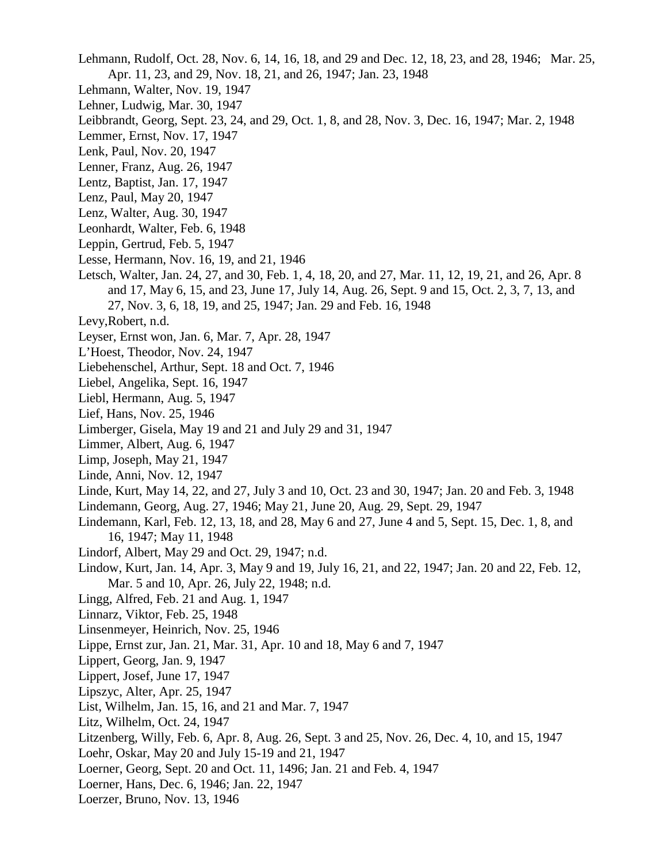Lehmann, Rudolf, Oct. 28, Nov. 6, 14, 16, 18, and 29 and Dec. 12, 18, 23, and 28, 1946; Mar. 25, Apr. 11, 23, and 29, Nov. 18, 21, and 26, 1947; Jan. 23, 1948

- Lehmann, Walter, Nov. 19, 1947
- Lehner, Ludwig, Mar. 30, 1947
- Leibbrandt, Georg, Sept. 23, 24, and 29, Oct. 1, 8, and 28, Nov. 3, Dec. 16, 1947; Mar. 2, 1948
- Lemmer, Ernst, Nov. 17, 1947
- Lenk, Paul, Nov. 20, 1947
- Lenner, Franz, Aug. 26, 1947
- Lentz, Baptist, Jan. 17, 1947
- Lenz, Paul, May 20, 1947
- Lenz, Walter, Aug. 30, 1947
- Leonhardt, Walter, Feb. 6, 1948
- Leppin, Gertrud, Feb. 5, 1947
- Lesse, Hermann, Nov. 16, 19, and 21, 1946
- Letsch, Walter, Jan. 24, 27, and 30, Feb. 1, 4, 18, 20, and 27, Mar. 11, 12, 19, 21, and 26, Apr. 8 and 17, May 6, 15, and 23, June 17, July 14, Aug. 26, Sept. 9 and 15, Oct. 2, 3, 7, 13, and 27, Nov. 3, 6, 18, 19, and 25, 1947; Jan. 29 and Feb. 16, 1948
- Levy,Robert, n.d.
- Leyser, Ernst won, Jan. 6, Mar. 7, Apr. 28, 1947
- L'Hoest, Theodor, Nov. 24, 1947
- Liebehenschel, Arthur, Sept. 18 and Oct. 7, 1946
- Liebel, Angelika, Sept. 16, 1947
- Liebl, Hermann, Aug. 5, 1947
- Lief, Hans, Nov. 25, 1946
- Limberger, Gisela, May 19 and 21 and July 29 and 31, 1947
- Limmer, Albert, Aug. 6, 1947
- Limp, Joseph, May 21, 1947
- Linde, Anni, Nov. 12, 1947
- Linde, Kurt, May 14, 22, and 27, July 3 and 10, Oct. 23 and 30, 1947; Jan. 20 and Feb. 3, 1948
- Lindemann, Georg, Aug. 27, 1946; May 21, June 20, Aug. 29, Sept. 29, 1947
- Lindemann, Karl, Feb. 12, 13, 18, and 28, May 6 and 27, June 4 and 5, Sept. 15, Dec. 1, 8, and 16, 1947; May 11, 1948
- Lindorf, Albert, May 29 and Oct. 29, 1947; n.d.
- Lindow, Kurt, Jan. 14, Apr. 3, May 9 and 19, July 16, 21, and 22, 1947; Jan. 20 and 22, Feb. 12, Mar. 5 and 10, Apr. 26, July 22, 1948; n.d.
- Lingg, Alfred, Feb. 21 and Aug. 1, 1947
- Linnarz, Viktor, Feb. 25, 1948
- Linsenmeyer, Heinrich, Nov. 25, 1946
- Lippe, Ernst zur, Jan. 21, Mar. 31, Apr. 10 and 18, May 6 and 7, 1947
- Lippert, Georg, Jan. 9, 1947
- Lippert, Josef, June 17, 1947
- Lipszyc, Alter, Apr. 25, 1947
- List, Wilhelm, Jan. 15, 16, and 21 and Mar. 7, 1947
- Litz, Wilhelm, Oct. 24, 1947
- Litzenberg, Willy, Feb. 6, Apr. 8, Aug. 26, Sept. 3 and 25, Nov. 26, Dec. 4, 10, and 15, 1947
- Loehr, Oskar, May 20 and July 15-19 and 21, 1947
- Loerner, Georg, Sept. 20 and Oct. 11, 1496; Jan. 21 and Feb. 4, 1947
- Loerner, Hans, Dec. 6, 1946; Jan. 22, 1947
- Loerzer, Bruno, Nov. 13, 1946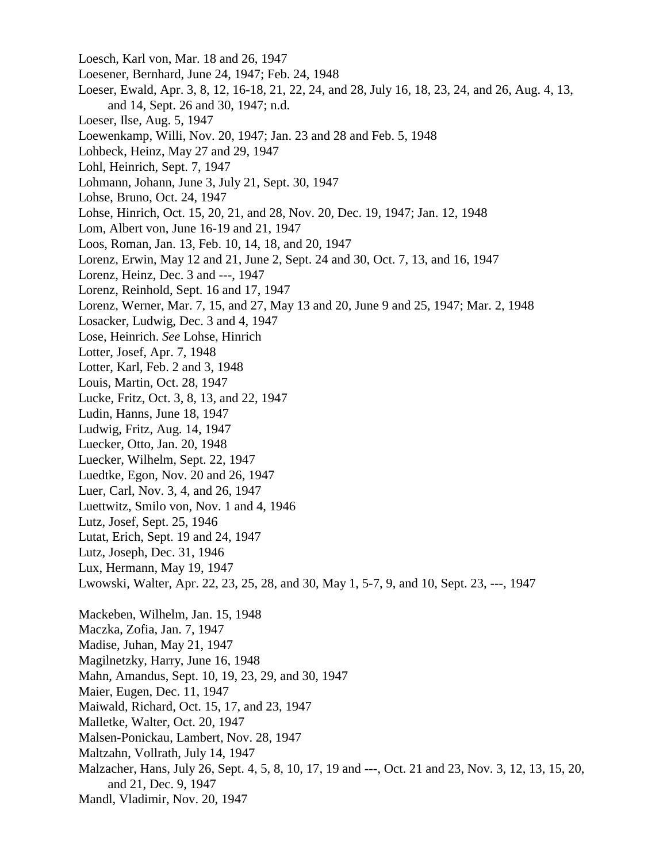Loesch, Karl von, Mar. 18 and 26, 1947 Loesener, Bernhard, June 24, 1947; Feb. 24, 1948 Loeser, Ewald, Apr. 3, 8, 12, 16-18, 21, 22, 24, and 28, July 16, 18, 23, 24, and 26, Aug. 4, 13, and 14, Sept. 26 and 30, 1947; n.d. Loeser, Ilse, Aug. 5, 1947 Loewenkamp, Willi, Nov. 20, 1947; Jan. 23 and 28 and Feb. 5, 1948 Lohbeck, Heinz, May 27 and 29, 1947 Lohl, Heinrich, Sept. 7, 1947 Lohmann, Johann, June 3, July 21, Sept. 30, 1947 Lohse, Bruno, Oct. 24, 1947 Lohse, Hinrich, Oct. 15, 20, 21, and 28, Nov. 20, Dec. 19, 1947; Jan. 12, 1948 Lom, Albert von, June 16-19 and 21, 1947 Loos, Roman, Jan. 13, Feb. 10, 14, 18, and 20, 1947 Lorenz, Erwin, May 12 and 21, June 2, Sept. 24 and 30, Oct. 7, 13, and 16, 1947 Lorenz, Heinz, Dec. 3 and ---, 1947 Lorenz, Reinhold, Sept. 16 and 17, 1947 Lorenz, Werner, Mar. 7, 15, and 27, May 13 and 20, June 9 and 25, 1947; Mar. 2, 1948 Losacker, Ludwig, Dec. 3 and 4, 1947 Lose, Heinrich. *See* Lohse, Hinrich Lotter, Josef, Apr. 7, 1948 Lotter, Karl, Feb. 2 and 3, 1948 Louis, Martin, Oct. 28, 1947 Lucke, Fritz, Oct. 3, 8, 13, and 22, 1947 Ludin, Hanns, June 18, 1947 Ludwig, Fritz, Aug. 14, 1947 Luecker, Otto, Jan. 20, 1948 Luecker, Wilhelm, Sept. 22, 1947 Luedtke, Egon, Nov. 20 and 26, 1947 Luer, Carl, Nov. 3, 4, and 26, 1947 Luettwitz, Smilo von, Nov. 1 and 4, 1946 Lutz, Josef, Sept. 25, 1946 Lutat, Erich, Sept. 19 and 24, 1947 Lutz, Joseph, Dec. 31, 1946 Lux, Hermann, May 19, 1947 Lwowski, Walter, Apr. 22, 23, 25, 28, and 30, May 1, 5-7, 9, and 10, Sept. 23, ---, 1947 Mackeben, Wilhelm, Jan. 15, 1948 Maczka, Zofia, Jan. 7, 1947 Madise, Juhan, May 21, 1947 Magilnetzky, Harry, June 16, 1948 Mahn, Amandus, Sept. 10, 19, 23, 29, and 30, 1947 Maier, Eugen, Dec. 11, 1947 Maiwald, Richard, Oct. 15, 17, and 23, 1947 Malletke, Walter, Oct. 20, 1947 Malsen-Ponickau, Lambert, Nov. 28, 1947 Maltzahn, Vollrath, July 14, 1947 Malzacher, Hans, July 26, Sept. 4, 5, 8, 10, 17, 19 and ---, Oct. 21 and 23, Nov. 3, 12, 13, 15, 20, and 21, Dec. 9, 1947 Mandl, Vladimir, Nov. 20, 1947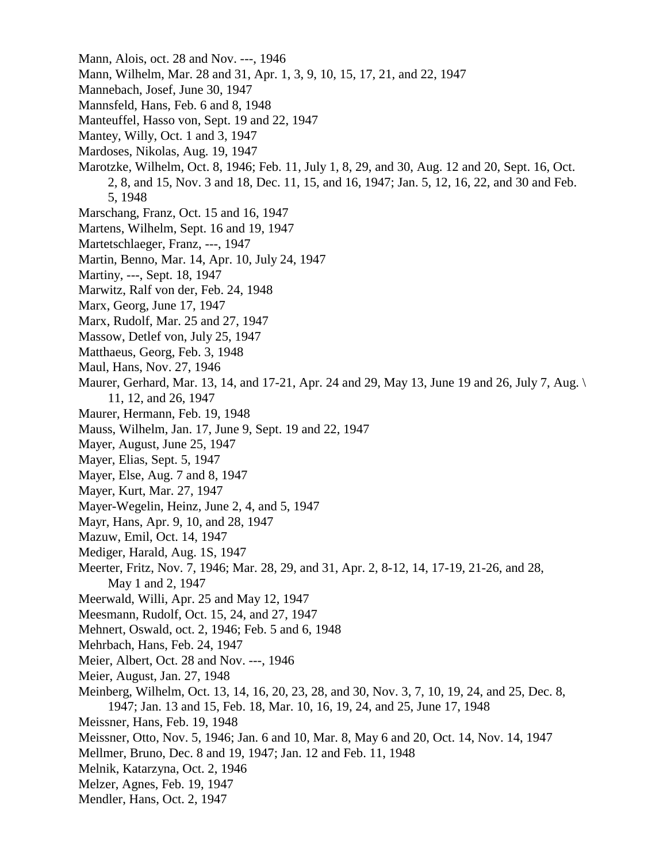- Mann, Alois, oct. 28 and Nov. ---, 1946
- Mann, Wilhelm, Mar. 28 and 31, Apr. 1, 3, 9, 10, 15, 17, 21, and 22, 1947
- Mannebach, Josef, June 30, 1947
- Mannsfeld, Hans, Feb. 6 and 8, 1948
- Manteuffel, Hasso von, Sept. 19 and 22, 1947
- Mantey, Willy, Oct. 1 and 3, 1947
- Mardoses, Nikolas, Aug. 19, 1947
- Marotzke, Wilhelm, Oct. 8, 1946; Feb. 11, July 1, 8, 29, and 30, Aug. 12 and 20, Sept. 16, Oct. 2, 8, and 15, Nov. 3 and 18, Dec. 11, 15, and 16, 1947; Jan. 5, 12, 16, 22, and 30 and Feb. 5, 1948
- Marschang, Franz, Oct. 15 and 16, 1947
- Martens, Wilhelm, Sept. 16 and 19, 1947
- Martetschlaeger, Franz, ---, 1947
- Martin, Benno, Mar. 14, Apr. 10, July 24, 1947
- Martiny, ---, Sept. 18, 1947
- Marwitz, Ralf von der, Feb. 24, 1948
- Marx, Georg, June 17, 1947
- Marx, Rudolf, Mar. 25 and 27, 1947
- Massow, Detlef von, July 25, 1947
- Matthaeus, Georg, Feb. 3, 1948
- Maul, Hans, Nov. 27, 1946
- Maurer, Gerhard, Mar. 13, 14, and 17-21, Apr. 24 and 29, May 13, June 19 and 26, July 7, Aug. \ 11, 12, and 26, 1947
- Maurer, Hermann, Feb. 19, 1948
- Mauss, Wilhelm, Jan. 17, June 9, Sept. 19 and 22, 1947
- Mayer, August, June 25, 1947
- Mayer, Elias, Sept. 5, 1947
- Mayer, Else, Aug. 7 and 8, 1947
- Mayer, Kurt, Mar. 27, 1947
- Mayer-Wegelin, Heinz, June 2, 4, and 5, 1947
- Mayr, Hans, Apr. 9, 10, and 28, 1947
- Mazuw, Emil, Oct. 14, 1947
- Mediger, Harald, Aug. 1S, 1947
- Meerter, Fritz, Nov. 7, 1946; Mar. 28, 29, and 31, Apr. 2, 8-12, 14, 17-19, 21-26, and 28, May 1 and 2, 1947
- Meerwald, Willi, Apr. 25 and May 12, 1947
- Meesmann, Rudolf, Oct. 15, 24, and 27, 1947
- Mehnert, Oswald, oct. 2, 1946; Feb. 5 and 6, 1948
- Mehrbach, Hans, Feb. 24, 1947
- Meier, Albert, Oct. 28 and Nov. ---, 1946
- Meier, August, Jan. 27, 1948
- Meinberg, Wilhelm, Oct. 13, 14, 16, 20, 23, 28, and 30, Nov. 3, 7, 10, 19, 24, and 25, Dec. 8, 1947; Jan. 13 and 15, Feb. 18, Mar. 10, 16, 19, 24, and 25, June 17, 1948
- Meissner, Hans, Feb. 19, 1948
- Meissner, Otto, Nov. 5, 1946; Jan. 6 and 10, Mar. 8, May 6 and 20, Oct. 14, Nov. 14, 1947
- Mellmer, Bruno, Dec. 8 and 19, 1947; Jan. 12 and Feb. 11, 1948
- Melnik, Katarzyna, Oct. 2, 1946
- Melzer, Agnes, Feb. 19, 1947
- Mendler, Hans, Oct. 2, 1947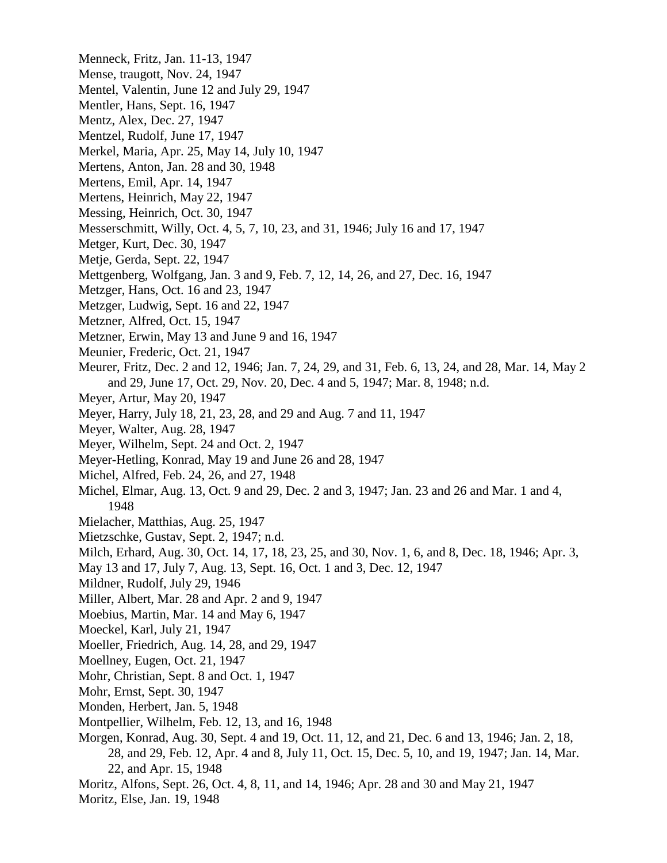Menneck, Fritz, Jan. 11-13, 1947 Mense, traugott, Nov. 24, 1947 Mentel, Valentin, June 12 and July 29, 1947 Mentler, Hans, Sept. 16, 1947 Mentz, Alex, Dec. 27, 1947 Mentzel, Rudolf, June 17, 1947 Merkel, Maria, Apr. 25, May 14, July 10, 1947 Mertens, Anton, Jan. 28 and 30, 1948 Mertens, Emil, Apr. 14, 1947 Mertens, Heinrich, May 22, 1947 Messing, Heinrich, Oct. 30, 1947 Messerschmitt, Willy, Oct. 4, 5, 7, 10, 23, and 31, 1946; July 16 and 17, 1947 Metger, Kurt, Dec. 30, 1947 Metje, Gerda, Sept. 22, 1947 Mettgenberg, Wolfgang, Jan. 3 and 9, Feb. 7, 12, 14, 26, and 27, Dec. 16, 1947 Metzger, Hans, Oct. 16 and 23, 1947 Metzger, Ludwig, Sept. 16 and 22, 1947 Metzner, Alfred, Oct. 15, 1947 Metzner, Erwin, May 13 and June 9 and 16, 1947 Meunier, Frederic, Oct. 21, 1947 Meurer, Fritz, Dec. 2 and 12, 1946; Jan. 7, 24, 29, and 31, Feb. 6, 13, 24, and 28, Mar. 14, May 2 and 29, June 17, Oct. 29, Nov. 20, Dec. 4 and 5, 1947; Mar. 8, 1948; n.d. Meyer, Artur, May 20, 1947 Meyer, Harry, July 18, 21, 23, 28, and 29 and Aug. 7 and 11, 1947 Meyer, Walter, Aug. 28, 1947 Meyer, Wilhelm, Sept. 24 and Oct. 2, 1947 Meyer-Hetling, Konrad, May 19 and June 26 and 28, 1947 Michel, Alfred, Feb. 24, 26, and 27, 1948 Michel, Elmar, Aug. 13, Oct. 9 and 29, Dec. 2 and 3, 1947; Jan. 23 and 26 and Mar. 1 and 4, 1948 Mielacher, Matthias, Aug. 25, 1947 Mietzschke, Gustav, Sept. 2, 1947; n.d. Milch, Erhard, Aug. 30, Oct. 14, 17, 18, 23, 25, and 30, Nov. 1, 6, and 8, Dec. 18, 1946; Apr. 3, May 13 and 17, July 7, Aug. 13, Sept. 16, Oct. 1 and 3, Dec. 12, 1947 Mildner, Rudolf, July 29, 1946 Miller, Albert, Mar. 28 and Apr. 2 and 9, 1947 Moebius, Martin, Mar. 14 and May 6, 1947 Moeckel, Karl, July 21, 1947 Moeller, Friedrich, Aug. 14, 28, and 29, 1947 Moellney, Eugen, Oct. 21, 1947 Mohr, Christian, Sept. 8 and Oct. 1, 1947 Mohr, Ernst, Sept. 30, 1947 Monden, Herbert, Jan. 5, 1948 Montpellier, Wilhelm, Feb. 12, 13, and 16, 1948 Morgen, Konrad, Aug. 30, Sept. 4 and 19, Oct. 11, 12, and 21, Dec. 6 and 13, 1946; Jan. 2, 18, 28, and 29, Feb. 12, Apr. 4 and 8, July 11, Oct. 15, Dec. 5, 10, and 19, 1947; Jan. 14, Mar. 22, and Apr. 15, 1948 Moritz, Alfons, Sept. 26, Oct. 4, 8, 11, and 14, 1946; Apr. 28 and 30 and May 21, 1947

Moritz, Else, Jan. 19, 1948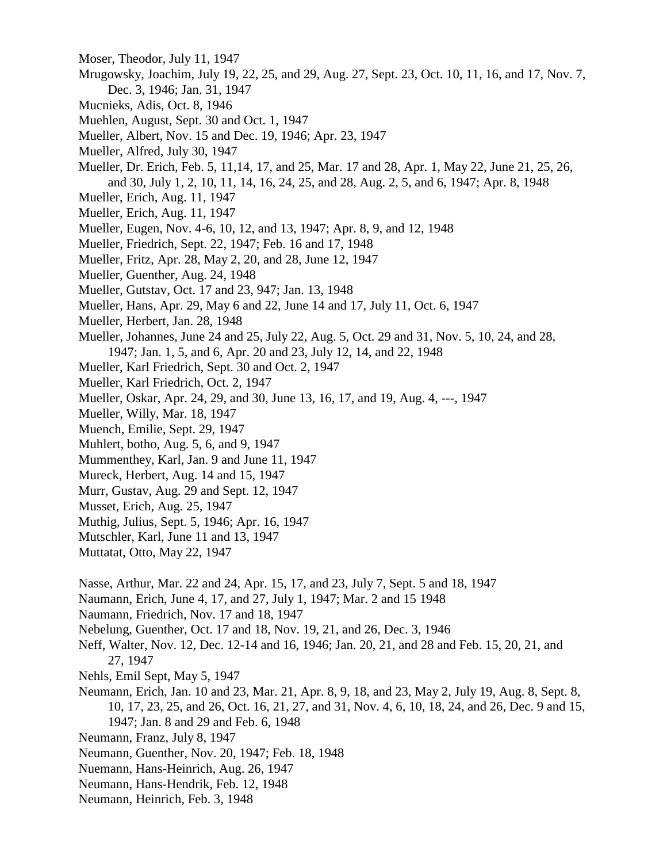- Moser, Theodor, July 11, 1947
- Mrugowsky, Joachim, July 19, 22, 25, and 29, Aug. 27, Sept. 23, Oct. 10, 11, 16, and 17, Nov. 7, Dec. 3, 1946; Jan. 31, 1947
- Mucnieks, Adis, Oct. 8, 1946
- Muehlen, August, Sept. 30 and Oct. 1, 1947
- Mueller, Albert, Nov. 15 and Dec. 19, 1946; Apr. 23, 1947
- Mueller, Alfred, July 30, 1947
- Mueller, Dr. Erich, Feb. 5, 11,14, 17, and 25, Mar. 17 and 28, Apr. 1, May 22, June 21, 25, 26, and 30, July 1, 2, 10, 11, 14, 16, 24, 25, and 28, Aug. 2, 5, and 6, 1947; Apr. 8, 1948
- Mueller, Erich, Aug. 11, 1947
- Mueller, Erich, Aug. 11, 1947
- Mueller, Eugen, Nov. 4-6, 10, 12, and 13, 1947; Apr. 8, 9, and 12, 1948
- Mueller, Friedrich, Sept. 22, 1947; Feb. 16 and 17, 1948
- Mueller, Fritz, Apr. 28, May 2, 20, and 28, June 12, 1947
- Mueller, Guenther, Aug. 24, 1948
- Mueller, Gutstav, Oct. 17 and 23, 947; Jan. 13, 1948
- Mueller, Hans, Apr. 29, May 6 and 22, June 14 and 17, July 11, Oct. 6, 1947
- Mueller, Herbert, Jan. 28, 1948
- Mueller, Johannes, June 24 and 25, July 22, Aug. 5, Oct. 29 and 31, Nov. 5, 10, 24, and 28, 1947; Jan. 1, 5, and 6, Apr. 20 and 23, July 12, 14, and 22, 1948
- Mueller, Karl Friedrich, Sept. 30 and Oct. 2, 1947
- Mueller, Karl Friedrich, Oct. 2, 1947
- Mueller, Oskar, Apr. 24, 29, and 30, June 13, 16, 17, and 19, Aug. 4, ---, 1947
- Mueller, Willy, Mar. 18, 1947
- Muench, Emilie, Sept. 29, 1947
- Muhlert, botho, Aug. 5, 6, and 9, 1947
- Mummenthey, Karl, Jan. 9 and June 11, 1947
- Mureck, Herbert, Aug. 14 and 15, 1947
- Murr, Gustav, Aug. 29 and Sept. 12, 1947
- Musset, Erich, Aug. 25, 1947
- Muthig, Julius, Sept. 5, 1946; Apr. 16, 1947
- Mutschler, Karl, June 11 and 13, 1947
- Muttatat, Otto, May 22, 1947
- Nasse, Arthur, Mar. 22 and 24, Apr. 15, 17, and 23, July 7, Sept. 5 and 18, 1947
- Naumann, Erich, June 4, 17, and 27, July 1, 1947; Mar. 2 and 15 1948
- Naumann, Friedrich, Nov. 17 and 18, 1947
- Nebelung, Guenther, Oct. 17 and 18, Nov. 19, 21, and 26, Dec. 3, 1946
- Neff, Walter, Nov. 12, Dec. 12-14 and 16, 1946; Jan. 20, 21, and 28 and Feb. 15, 20, 21, and 27, 1947
- Nehls, Emil Sept, May 5, 1947
- Neumann, Erich, Jan. 10 and 23, Mar. 21, Apr. 8, 9, 18, and 23, May 2, July 19, Aug. 8, Sept. 8, 10, 17, 23, 25, and 26, Oct. 16, 21, 27, and 31, Nov. 4, 6, 10, 18, 24, and 26, Dec. 9 and 15, 1947; Jan. 8 and 29 and Feb. 6, 1948
- Neumann, Franz, July 8, 1947
- Neumann, Guenther, Nov. 20, 1947; Feb. 18, 1948
- Nuemann, Hans-Heinrich, Aug. 26, 1947
- Neumann, Hans-Hendrik, Feb. 12, 1948
- Neumann, Heinrich, Feb. 3, 1948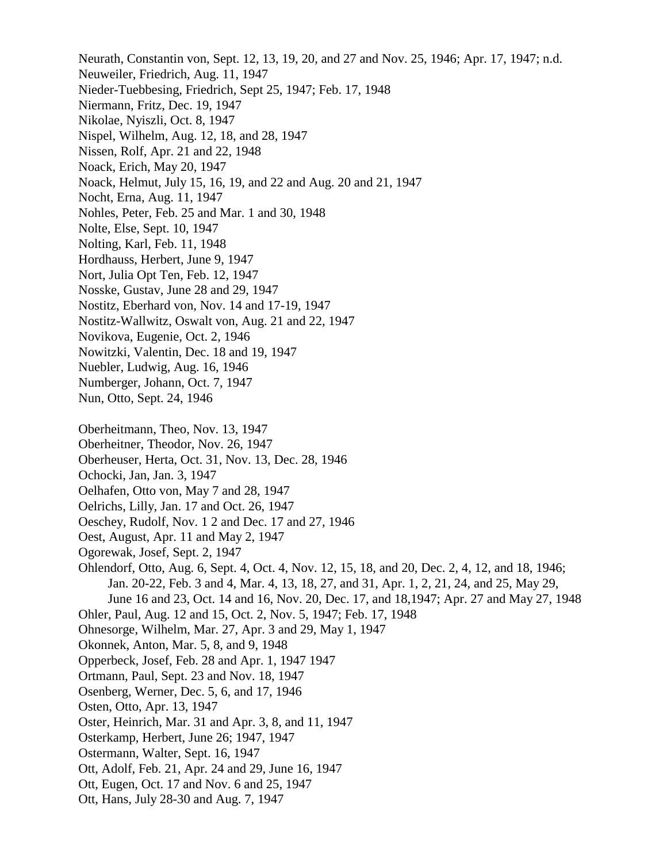Neurath, Constantin von, Sept. 12, 13, 19, 20, and 27 and Nov. 25, 1946; Apr. 17, 1947; n.d. Neuweiler, Friedrich, Aug. 11, 1947 Nieder-Tuebbesing, Friedrich, Sept 25, 1947; Feb. 17, 1948 Niermann, Fritz, Dec. 19, 1947 Nikolae, Nyiszli, Oct. 8, 1947 Nispel, Wilhelm, Aug. 12, 18, and 28, 1947 Nissen, Rolf, Apr. 21 and 22, 1948 Noack, Erich, May 20, 1947 Noack, Helmut, July 15, 16, 19, and 22 and Aug. 20 and 21, 1947 Nocht, Erna, Aug. 11, 1947 Nohles, Peter, Feb. 25 and Mar. 1 and 30, 1948 Nolte, Else, Sept. 10, 1947 Nolting, Karl, Feb. 11, 1948 Hordhauss, Herbert, June 9, 1947 Nort, Julia Opt Ten, Feb. 12, 1947 Nosske, Gustav, June 28 and 29, 1947 Nostitz, Eberhard von, Nov. 14 and 17-19, 1947 Nostitz-Wallwitz, Oswalt von, Aug. 21 and 22, 1947 Novikova, Eugenie, Oct. 2, 1946 Nowitzki, Valentin, Dec. 18 and 19, 1947 Nuebler, Ludwig, Aug. 16, 1946 Numberger, Johann, Oct. 7, 1947 Nun, Otto, Sept. 24, 1946 Oberheitmann, Theo, Nov. 13, 1947 Oberheitner, Theodor, Nov. 26, 1947 Oberheuser, Herta, Oct. 31, Nov. 13, Dec. 28, 1946 Ochocki, Jan, Jan. 3, 1947 Oelhafen, Otto von, May 7 and 28, 1947 Oelrichs, Lilly, Jan. 17 and Oct. 26, 1947 Oeschey, Rudolf, Nov. 1 2 and Dec. 17 and 27, 1946 Oest, August, Apr. 11 and May 2, 1947 Ogorewak, Josef, Sept. 2, 1947 Ohlendorf, Otto, Aug. 6, Sept. 4, Oct. 4, Nov. 12, 15, 18, and 20, Dec. 2, 4, 12, and 18, 1946; Jan. 20-22, Feb. 3 and 4, Mar. 4, 13, 18, 27, and 31, Apr. 1, 2, 21, 24, and 25, May 29, June 16 and 23, Oct. 14 and 16, Nov. 20, Dec. 17, and 18,1947; Apr. 27 and May 27, 1948 Ohler, Paul, Aug. 12 and 15, Oct. 2, Nov. 5, 1947; Feb. 17, 1948 Ohnesorge, Wilhelm, Mar. 27, Apr. 3 and 29, May 1, 1947 Okonnek, Anton, Mar. 5, 8, and 9, 1948 Opperbeck, Josef, Feb. 28 and Apr. 1, 1947 1947 Ortmann, Paul, Sept. 23 and Nov. 18, 1947 Osenberg, Werner, Dec. 5, 6, and 17, 1946 Osten, Otto, Apr. 13, 1947 Oster, Heinrich, Mar. 31 and Apr. 3, 8, and 11, 1947 Osterkamp, Herbert, June 26; 1947, 1947 Ostermann, Walter, Sept. 16, 1947 Ott, Adolf, Feb. 21, Apr. 24 and 29, June 16, 1947 Ott, Eugen, Oct. 17 and Nov. 6 and 25, 1947 Ott, Hans, July 28-30 and Aug. 7, 1947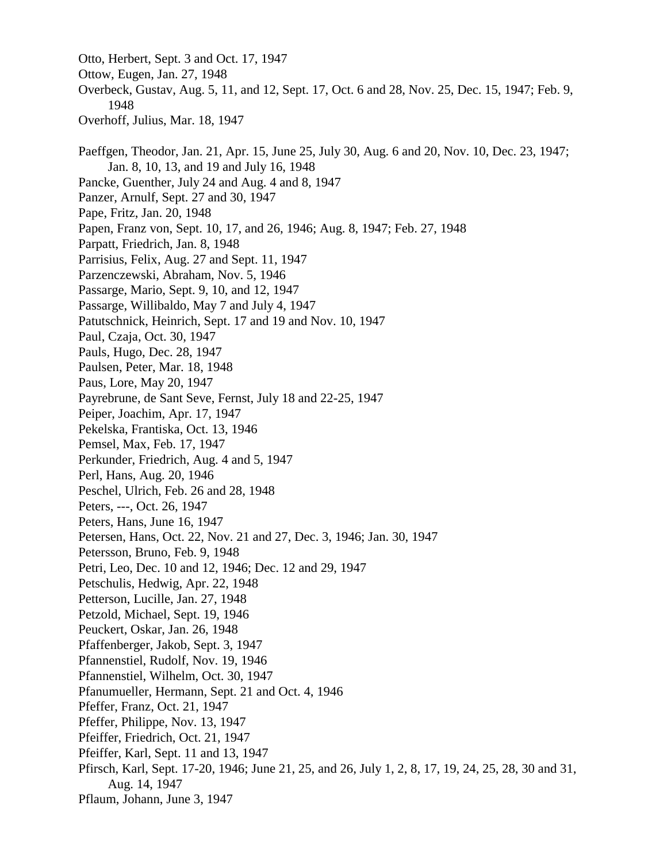Otto, Herbert, Sept. 3 and Oct. 17, 1947 Ottow, Eugen, Jan. 27, 1948 Overbeck, Gustav, Aug. 5, 11, and 12, Sept. 17, Oct. 6 and 28, Nov. 25, Dec. 15, 1947; Feb. 9, 1948 Overhoff, Julius, Mar. 18, 1947 Paeffgen, Theodor, Jan. 21, Apr. 15, June 25, July 30, Aug. 6 and 20, Nov. 10, Dec. 23, 1947; Jan. 8, 10, 13, and 19 and July 16, 1948 Pancke, Guenther, July 24 and Aug. 4 and 8, 1947 Panzer, Arnulf, Sept. 27 and 30, 1947 Pape, Fritz, Jan. 20, 1948 Papen, Franz von, Sept. 10, 17, and 26, 1946; Aug. 8, 1947; Feb. 27, 1948 Parpatt, Friedrich, Jan. 8, 1948 Parrisius, Felix, Aug. 27 and Sept. 11, 1947 Parzenczewski, Abraham, Nov. 5, 1946 Passarge, Mario, Sept. 9, 10, and 12, 1947 Passarge, Willibaldo, May 7 and July 4, 1947 Patutschnick, Heinrich, Sept. 17 and 19 and Nov. 10, 1947 Paul, Czaja, Oct. 30, 1947 Pauls, Hugo, Dec. 28, 1947 Paulsen, Peter, Mar. 18, 1948 Paus, Lore, May 20, 1947 Payrebrune, de Sant Seve, Fernst, July 18 and 22-25, 1947 Peiper, Joachim, Apr. 17, 1947 Pekelska, Frantiska, Oct. 13, 1946 Pemsel, Max, Feb. 17, 1947 Perkunder, Friedrich, Aug. 4 and 5, 1947 Perl, Hans, Aug. 20, 1946 Peschel, Ulrich, Feb. 26 and 28, 1948 Peters, ---, Oct. 26, 1947 Peters, Hans, June 16, 1947 Petersen, Hans, Oct. 22, Nov. 21 and 27, Dec. 3, 1946; Jan. 30, 1947 Petersson, Bruno, Feb. 9, 1948 Petri, Leo, Dec. 10 and 12, 1946; Dec. 12 and 29, 1947 Petschulis, Hedwig, Apr. 22, 1948 Petterson, Lucille, Jan. 27, 1948 Petzold, Michael, Sept. 19, 1946 Peuckert, Oskar, Jan. 26, 1948 Pfaffenberger, Jakob, Sept. 3, 1947 Pfannenstiel, Rudolf, Nov. 19, 1946 Pfannenstiel, Wilhelm, Oct. 30, 1947 Pfanumueller, Hermann, Sept. 21 and Oct. 4, 1946 Pfeffer, Franz, Oct. 21, 1947 Pfeffer, Philippe, Nov. 13, 1947 Pfeiffer, Friedrich, Oct. 21, 1947 Pfeiffer, Karl, Sept. 11 and 13, 1947 Pfirsch, Karl, Sept. 17-20, 1946; June 21, 25, and 26, July 1, 2, 8, 17, 19, 24, 25, 28, 30 and 31, Aug. 14, 1947 Pflaum, Johann, June 3, 1947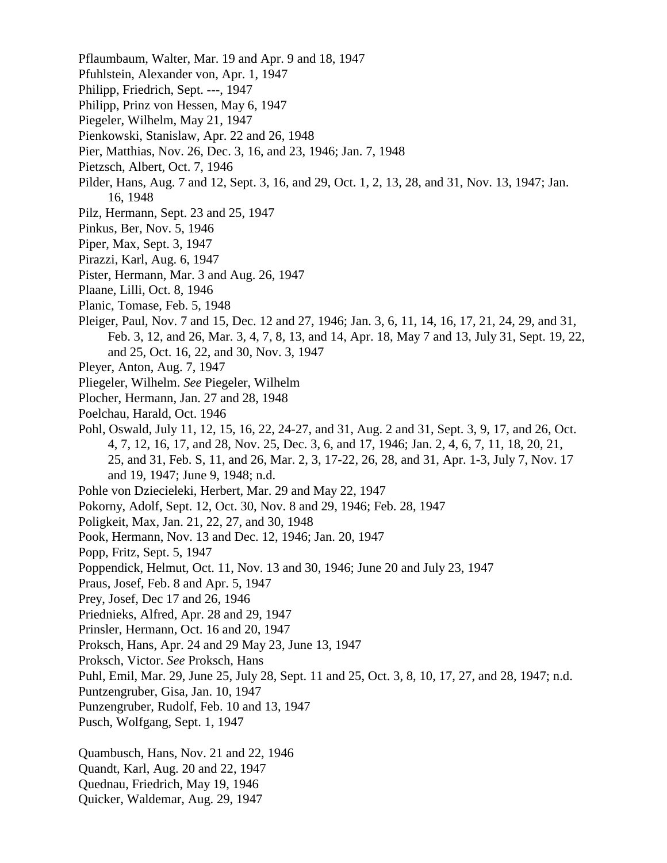- Pflaumbaum, Walter, Mar. 19 and Apr. 9 and 18, 1947
- Pfuhlstein, Alexander von, Apr. 1, 1947
- Philipp, Friedrich, Sept. ---, 1947
- Philipp, Prinz von Hessen, May 6, 1947
- Piegeler, Wilhelm, May 21, 1947
- Pienkowski, Stanislaw, Apr. 22 and 26, 1948
- Pier, Matthias, Nov. 26, Dec. 3, 16, and 23, 1946; Jan. 7, 1948
- Pietzsch, Albert, Oct. 7, 1946
- Pilder, Hans, Aug. 7 and 12, Sept. 3, 16, and 29, Oct. 1, 2, 13, 28, and 31, Nov. 13, 1947; Jan. 16, 1948
- Pilz, Hermann, Sept. 23 and 25, 1947
- Pinkus, Ber, Nov. 5, 1946
- Piper, Max, Sept. 3, 1947
- Pirazzi, Karl, Aug. 6, 1947
- Pister, Hermann, Mar. 3 and Aug. 26, 1947
- Plaane, Lilli, Oct. 8, 1946
- Planic, Tomase, Feb. 5, 1948
- Pleiger, Paul, Nov. 7 and 15, Dec. 12 and 27, 1946; Jan. 3, 6, 11, 14, 16, 17, 21, 24, 29, and 31, Feb. 3, 12, and 26, Mar. 3, 4, 7, 8, 13, and 14, Apr. 18, May 7 and 13, July 31, Sept. 19, 22, and 25, Oct. 16, 22, and 30, Nov. 3, 1947
- Pleyer, Anton, Aug. 7, 1947
- Pliegeler, Wilhelm. *See* Piegeler, Wilhelm
- Plocher, Hermann, Jan. 27 and 28, 1948
- Poelchau, Harald, Oct. 1946
- Pohl, Oswald, July 11, 12, 15, 16, 22, 24-27, and 31, Aug. 2 and 31, Sept. 3, 9, 17, and 26, Oct. 4, 7, 12, 16, 17, and 28, Nov. 25, Dec. 3, 6, and 17, 1946; Jan. 2, 4, 6, 7, 11, 18, 20, 21, 25, and 31, Feb. S, 11, and 26, Mar. 2, 3, 17-22, 26, 28, and 31, Apr. 1-3, July 7, Nov. 17 and 19, 1947; June 9, 1948; n.d.
- Pohle von Dziecieleki, Herbert, Mar. 29 and May 22, 1947
- Pokorny, Adolf, Sept. 12, Oct. 30, Nov. 8 and 29, 1946; Feb. 28, 1947
- Poligkeit, Max, Jan. 21, 22, 27, and 30, 1948
- Pook, Hermann, Nov. 13 and Dec. 12, 1946; Jan. 20, 1947
- Popp, Fritz, Sept. 5, 1947
- Poppendick, Helmut, Oct. 11, Nov. 13 and 30, 1946; June 20 and July 23, 1947
- Praus, Josef, Feb. 8 and Apr. 5, 1947
- Prey, Josef, Dec 17 and 26, 1946
- Priednieks, Alfred, Apr. 28 and 29, 1947
- Prinsler, Hermann, Oct. 16 and 20, 1947
- Proksch, Hans, Apr. 24 and 29 May 23, June 13, 1947
- Proksch, Victor. *See* Proksch, Hans
- Puhl, Emil, Mar. 29, June 25, July 28, Sept. 11 and 25, Oct. 3, 8, 10, 17, 27, and 28, 1947; n.d.
- Puntzengruber, Gisa, Jan. 10, 1947
- Punzengruber, Rudolf, Feb. 10 and 13, 1947
- Pusch, Wolfgang, Sept. 1, 1947

Quambusch, Hans, Nov. 21 and 22, 1946

- Quandt, Karl, Aug. 20 and 22, 1947
- Quednau, Friedrich, May 19, 1946
- Quicker, Waldemar, Aug. 29, 1947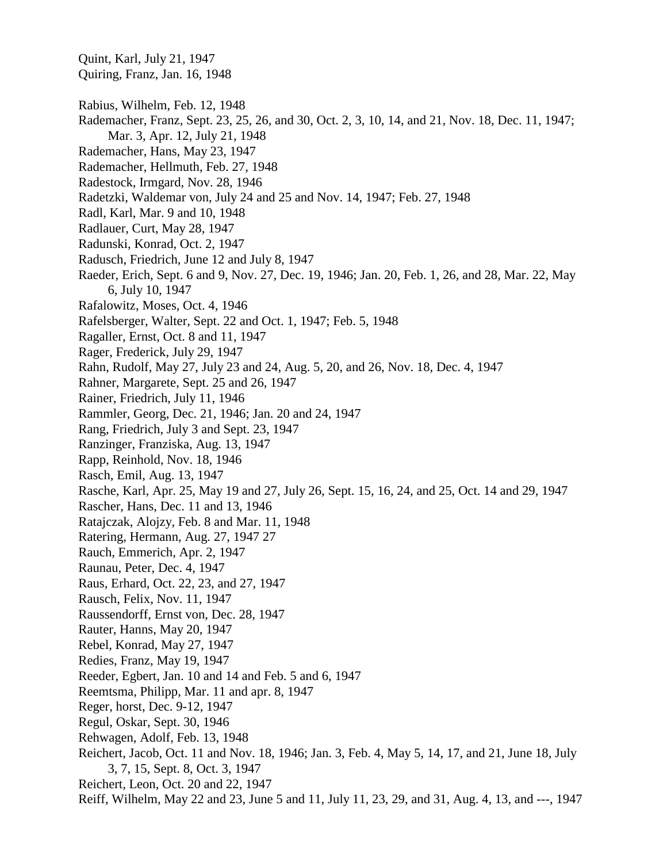Quint, Karl, July 21, 1947 Quiring, Franz, Jan. 16, 1948 Rabius, Wilhelm, Feb. 12, 1948 Rademacher, Franz, Sept. 23, 25, 26, and 30, Oct. 2, 3, 10, 14, and 21, Nov. 18, Dec. 11, 1947; Mar. 3, Apr. 12, July 21, 1948 Rademacher, Hans, May 23, 1947 Rademacher, Hellmuth, Feb. 27, 1948 Radestock, Irmgard, Nov. 28, 1946 Radetzki, Waldemar von, July 24 and 25 and Nov. 14, 1947; Feb. 27, 1948 Radl, Karl, Mar. 9 and 10, 1948 Radlauer, Curt, May 28, 1947 Radunski, Konrad, Oct. 2, 1947 Radusch, Friedrich, June 12 and July 8, 1947 Raeder, Erich, Sept. 6 and 9, Nov. 27, Dec. 19, 1946; Jan. 20, Feb. 1, 26, and 28, Mar. 22, May 6, July 10, 1947 Rafalowitz, Moses, Oct. 4, 1946 Rafelsberger, Walter, Sept. 22 and Oct. 1, 1947; Feb. 5, 1948 Ragaller, Ernst, Oct. 8 and 11, 1947 Rager, Frederick, July 29, 1947 Rahn, Rudolf, May 27, July 23 and 24, Aug. 5, 20, and 26, Nov. 18, Dec. 4, 1947 Rahner, Margarete, Sept. 25 and 26, 1947 Rainer, Friedrich, July 11, 1946 Rammler, Georg, Dec. 21, 1946; Jan. 20 and 24, 1947 Rang, Friedrich, July 3 and Sept. 23, 1947 Ranzinger, Franziska, Aug. 13, 1947 Rapp, Reinhold, Nov. 18, 1946 Rasch, Emil, Aug. 13, 1947 Rasche, Karl, Apr. 25, May 19 and 27, July 26, Sept. 15, 16, 24, and 25, Oct. 14 and 29, 1947 Rascher, Hans, Dec. 11 and 13, 1946 Ratajczak, Alojzy, Feb. 8 and Mar. 11, 1948 Ratering, Hermann, Aug. 27, 1947 27 Rauch, Emmerich, Apr. 2, 1947 Raunau, Peter, Dec. 4, 1947 Raus, Erhard, Oct. 22, 23, and 27, 1947 Rausch, Felix, Nov. 11, 1947 Raussendorff, Ernst von, Dec. 28, 1947 Rauter, Hanns, May 20, 1947 Rebel, Konrad, May 27, 1947 Redies, Franz, May 19, 1947 Reeder, Egbert, Jan. 10 and 14 and Feb. 5 and 6, 1947 Reemtsma, Philipp, Mar. 11 and apr. 8, 1947 Reger, horst, Dec. 9-12, 1947 Regul, Oskar, Sept. 30, 1946 Rehwagen, Adolf, Feb. 13, 1948 Reichert, Jacob, Oct. 11 and Nov. 18, 1946; Jan. 3, Feb. 4, May 5, 14, 17, and 21, June 18, July 3, 7, 15, Sept. 8, Oct. 3, 1947 Reichert, Leon, Oct. 20 and 22, 1947 Reiff, Wilhelm, May 22 and 23, June 5 and 11, July 11, 23, 29, and 31, Aug. 4, 13, and ---, 1947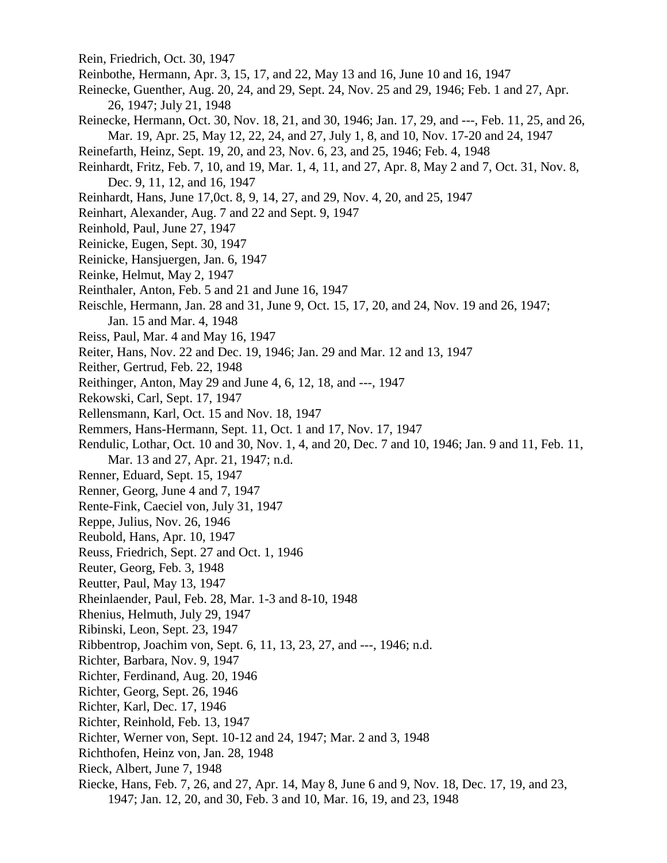- Rein, Friedrich, Oct. 30, 1947
- Reinbothe, Hermann, Apr. 3, 15, 17, and 22, May 13 and 16, June 10 and 16, 1947
- Reinecke, Guenther, Aug. 20, 24, and 29, Sept. 24, Nov. 25 and 29, 1946; Feb. 1 and 27, Apr. 26, 1947; July 21, 1948
- Reinecke, Hermann, Oct. 30, Nov. 18, 21, and 30, 1946; Jan. 17, 29, and ---, Feb. 11, 25, and 26, Mar. 19, Apr. 25, May 12, 22, 24, and 27, July 1, 8, and 10, Nov. 17-20 and 24, 1947
- Reinefarth, Heinz, Sept. 19, 20, and 23, Nov. 6, 23, and 25, 1946; Feb. 4, 1948
- Reinhardt, Fritz, Feb. 7, 10, and 19, Mar. 1, 4, 11, and 27, Apr. 8, May 2 and 7, Oct. 31, Nov. 8, Dec. 9, 11, 12, and 16, 1947
- Reinhardt, Hans, June 17,0ct. 8, 9, 14, 27, and 29, Nov. 4, 20, and 25, 1947
- Reinhart, Alexander, Aug. 7 and 22 and Sept. 9, 1947
- Reinhold, Paul, June 27, 1947
- Reinicke, Eugen, Sept. 30, 1947
- Reinicke, Hansjuergen, Jan. 6, 1947
- Reinke, Helmut, May 2, 1947
- Reinthaler, Anton, Feb. 5 and 21 and June 16, 1947
- Reischle, Hermann, Jan. 28 and 31, June 9, Oct. 15, 17, 20, and 24, Nov. 19 and 26, 1947; Jan. 15 and Mar. 4, 1948
- Reiss, Paul, Mar. 4 and May 16, 1947
- Reiter, Hans, Nov. 22 and Dec. 19, 1946; Jan. 29 and Mar. 12 and 13, 1947
- Reither, Gertrud, Feb. 22, 1948
- Reithinger, Anton, May 29 and June 4, 6, 12, 18, and ---, 1947
- Rekowski, Carl, Sept. 17, 1947
- Rellensmann, Karl, Oct. 15 and Nov. 18, 1947
- Remmers, Hans-Hermann, Sept. 11, Oct. 1 and 17, Nov. 17, 1947
- Rendulic, Lothar, Oct. 10 and 30, Nov. 1, 4, and 20, Dec. 7 and 10, 1946; Jan. 9 and 11, Feb. 11, Mar. 13 and 27, Apr. 21, 1947; n.d.
- Renner, Eduard, Sept. 15, 1947
- Renner, Georg, June 4 and 7, 1947
- Rente-Fink, Caeciel von, July 31, 1947
- Reppe, Julius, Nov. 26, 1946
- Reubold, Hans, Apr. 10, 1947
- Reuss, Friedrich, Sept. 27 and Oct. 1, 1946
- Reuter, Georg, Feb. 3, 1948
- Reutter, Paul, May 13, 1947
- Rheinlaender, Paul, Feb. 28, Mar. 1-3 and 8-10, 1948
- Rhenius, Helmuth, July 29, 1947
- Ribinski, Leon, Sept. 23, 1947
- Ribbentrop, Joachim von, Sept. 6, 11, 13, 23, 27, and ---, 1946; n.d.
- Richter, Barbara, Nov. 9, 1947
- Richter, Ferdinand, Aug. 20, 1946
- Richter, Georg, Sept. 26, 1946
- Richter, Karl, Dec. 17, 1946
- Richter, Reinhold, Feb. 13, 1947
- Richter, Werner von, Sept. 10-12 and 24, 1947; Mar. 2 and 3, 1948
- Richthofen, Heinz von, Jan. 28, 1948
- Rieck, Albert, June 7, 1948
- Riecke, Hans, Feb. 7, 26, and 27, Apr. 14, May 8, June 6 and 9, Nov. 18, Dec. 17, 19, and 23, 1947; Jan. 12, 20, and 30, Feb. 3 and 10, Mar. 16, 19, and 23, 1948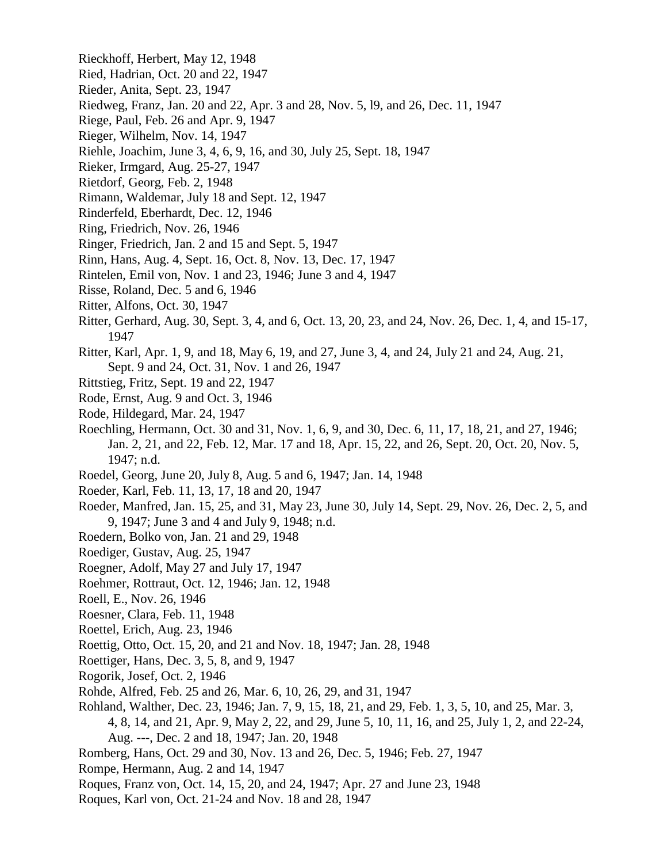- Rieckhoff, Herbert, May 12, 1948
- Ried, Hadrian, Oct. 20 and 22, 1947
- Rieder, Anita, Sept. 23, 1947
- Riedweg, Franz, Jan. 20 and 22, Apr. 3 and 28, Nov. 5, l9, and 26, Dec. 11, 1947
- Riege, Paul, Feb. 26 and Apr. 9, 1947
- Rieger, Wilhelm, Nov. 14, 1947
- Riehle, Joachim, June 3, 4, 6, 9, 16, and 30, July 25, Sept. 18, 1947
- Rieker, Irmgard, Aug. 25-27, 1947
- Rietdorf, Georg, Feb. 2, 1948
- Rimann, Waldemar, July 18 and Sept. 12, 1947
- Rinderfeld, Eberhardt, Dec. 12, 1946
- Ring, Friedrich, Nov. 26, 1946
- Ringer, Friedrich, Jan. 2 and 15 and Sept. 5, 1947
- Rinn, Hans, Aug. 4, Sept. 16, Oct. 8, Nov. 13, Dec. 17, 1947
- Rintelen, Emil von, Nov. 1 and 23, 1946; June 3 and 4, 1947
- Risse, Roland, Dec. 5 and 6, 1946
- Ritter, Alfons, Oct. 30, 1947
- Ritter, Gerhard, Aug. 30, Sept. 3, 4, and 6, Oct. 13, 20, 23, and 24, Nov. 26, Dec. 1, 4, and 15-17, 1947
- Ritter, Karl, Apr. 1, 9, and 18, May 6, 19, and 27, June 3, 4, and 24, July 21 and 24, Aug. 21, Sept. 9 and 24, Oct. 31, Nov. 1 and 26, 1947
- Rittstieg, Fritz, Sept. 19 and 22, 1947
- Rode, Ernst, Aug. 9 and Oct. 3, 1946
- Rode, Hildegard, Mar. 24, 1947
- Roechling, Hermann, Oct. 30 and 31, Nov. 1, 6, 9, and 30, Dec. 6, 11, 17, 18, 21, and 27, 1946; Jan. 2, 21, and 22, Feb. 12, Mar. 17 and 18, Apr. 15, 22, and 26, Sept. 20, Oct. 20, Nov. 5, 1947; n.d.
- Roedel, Georg, June 20, July 8, Aug. 5 and 6, 1947; Jan. 14, 1948
- Roeder, Karl, Feb. 11, 13, 17, 18 and 20, 1947
- Roeder, Manfred, Jan. 15, 25, and 31, May 23, June 30, July 14, Sept. 29, Nov. 26, Dec. 2, 5, and 9, 1947; June 3 and 4 and July 9, 1948; n.d.
- Roedern, Bolko von, Jan. 21 and 29, 1948
- Roediger, Gustav, Aug. 25, 1947
- Roegner, Adolf, May 27 and July 17, 1947
- Roehmer, Rottraut, Oct. 12, 1946; Jan. 12, 1948
- Roell, E., Nov. 26, 1946
- Roesner, Clara, Feb. 11, 1948
- Roettel, Erich, Aug. 23, 1946
- Roettig, Otto, Oct. 15, 20, and 21 and Nov. 18, 1947; Jan. 28, 1948
- Roettiger, Hans, Dec. 3, 5, 8, and 9, 1947
- Rogorik, Josef, Oct. 2, 1946
- Rohde, Alfred, Feb. 25 and 26, Mar. 6, 10, 26, 29, and 31, 1947
- Rohland, Walther, Dec. 23, 1946; Jan. 7, 9, 15, 18, 21, and 29, Feb. 1, 3, 5, 10, and 25, Mar. 3, 4, 8, 14, and 21, Apr. 9, May 2, 22, and 29, June 5, 10, 11, 16, and 25, July 1, 2, and 22-24, Aug. ---, Dec. 2 and 18, 1947; Jan. 20, 1948
- Romberg, Hans, Oct. 29 and 30, Nov. 13 and 26, Dec. 5, 1946; Feb. 27, 1947
- Rompe, Hermann, Aug. 2 and 14, 1947
- Roques, Franz von, Oct. 14, 15, 20, and 24, 1947; Apr. 27 and June 23, 1948
- Roques, Karl von, Oct. 21-24 and Nov. 18 and 28, 1947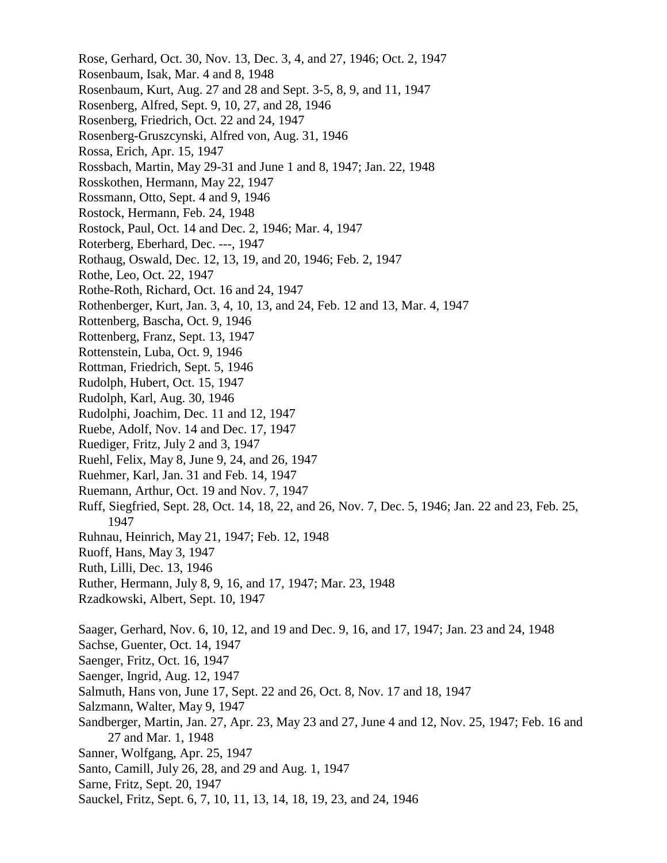Rose, Gerhard, Oct. 30, Nov. 13, Dec. 3, 4, and 27, 1946; Oct. 2, 1947 Rosenbaum, Isak, Mar. 4 and 8, 1948 Rosenbaum, Kurt, Aug. 27 and 28 and Sept. 3-5, 8, 9, and 11, 1947 Rosenberg, Alfred, Sept. 9, 10, 27, and 28, 1946 Rosenberg, Friedrich, Oct. 22 and 24, 1947 Rosenberg-Gruszcynski, Alfred von, Aug. 31, 1946 Rossa, Erich, Apr. 15, 1947 Rossbach, Martin, May 29-31 and June 1 and 8, 1947; Jan. 22, 1948 Rosskothen, Hermann, May 22, 1947 Rossmann, Otto, Sept. 4 and 9, 1946 Rostock, Hermann, Feb. 24, 1948 Rostock, Paul, Oct. 14 and Dec. 2, 1946; Mar. 4, 1947 Roterberg, Eberhard, Dec. ---, 1947 Rothaug, Oswald, Dec. 12, 13, 19, and 20, 1946; Feb. 2, 1947 Rothe, Leo, Oct. 22, 1947 Rothe-Roth, Richard, Oct. 16 and 24, 1947 Rothenberger, Kurt, Jan. 3, 4, 10, 13, and 24, Feb. 12 and 13, Mar. 4, 1947 Rottenberg, Bascha, Oct. 9, 1946 Rottenberg, Franz, Sept. 13, 1947 Rottenstein, Luba, Oct. 9, 1946 Rottman, Friedrich, Sept. 5, 1946 Rudolph, Hubert, Oct. 15, 1947 Rudolph, Karl, Aug. 30, 1946 Rudolphi, Joachim, Dec. 11 and 12, 1947 Ruebe, Adolf, Nov. 14 and Dec. 17, 1947 Ruediger, Fritz, July 2 and 3, 1947 Ruehl, Felix, May 8, June 9, 24, and 26, 1947 Ruehmer, Karl, Jan. 31 and Feb. 14, 1947 Ruemann, Arthur, Oct. 19 and Nov. 7, 1947 Ruff, Siegfried, Sept. 28, Oct. 14, 18, 22, and 26, Nov. 7, Dec. 5, 1946; Jan. 22 and 23, Feb. 25, 1947 Ruhnau, Heinrich, May 21, 1947; Feb. 12, 1948 Ruoff, Hans, May 3, 1947 Ruth, Lilli, Dec. 13, 1946 Ruther, Hermann, July 8, 9, 16, and 17, 1947; Mar. 23, 1948 Rzadkowski, Albert, Sept. 10, 1947 Saager, Gerhard, Nov. 6, 10, 12, and 19 and Dec. 9, 16, and 17, 1947; Jan. 23 and 24, 1948 Sachse, Guenter, Oct. 14, 1947 Saenger, Fritz, Oct. 16, 1947 Saenger, Ingrid, Aug. 12, 1947 Salmuth, Hans von, June 17, Sept. 22 and 26, Oct. 8, Nov. 17 and 18, 1947 Salzmann, Walter, May 9, 1947 Sandberger, Martin, Jan. 27, Apr. 23, May 23 and 27, June 4 and 12, Nov. 25, 1947; Feb. 16 and 27 and Mar. 1, 1948 Sanner, Wolfgang, Apr. 25, 1947 Santo, Camill, July 26, 28, and 29 and Aug. 1, 1947 Sarne, Fritz, Sept. 20, 1947 Sauckel, Fritz, Sept. 6, 7, 10, 11, 13, 14, 18, 19, 23, and 24, 1946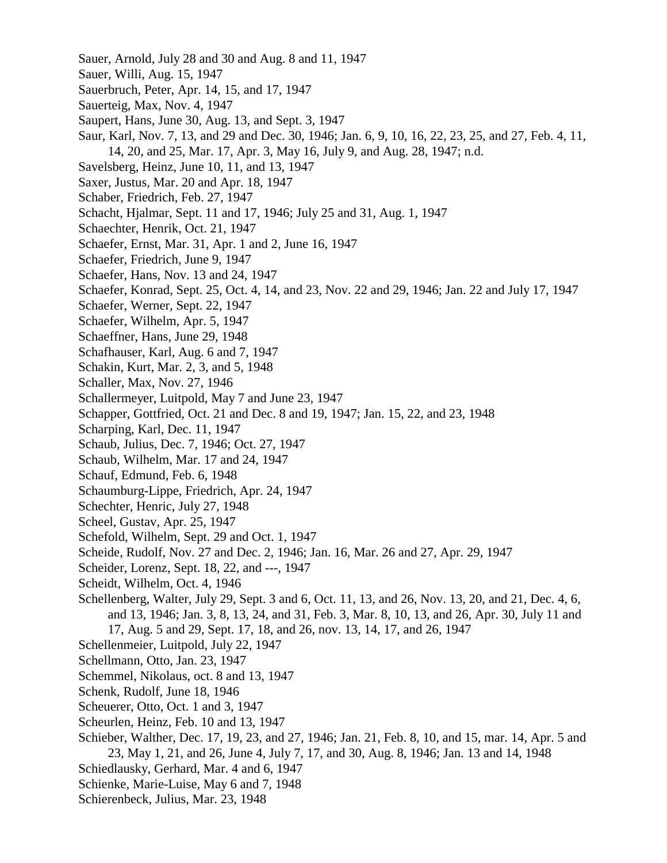- Sauer, Arnold, July 28 and 30 and Aug. 8 and 11, 1947
- Sauer, Willi, Aug. 15, 1947
- Sauerbruch, Peter, Apr. 14, 15, and 17, 1947
- Sauerteig, Max, Nov. 4, 1947
- Saupert, Hans, June 30, Aug. 13, and Sept. 3, 1947
- Saur, Karl, Nov. 7, 13, and 29 and Dec. 30, 1946; Jan. 6, 9, 10, 16, 22, 23, 25, and 27, Feb. 4, 11, 14, 20, and 25, Mar. 17, Apr. 3, May 16, July 9, and Aug. 28, 1947; n.d.
- Savelsberg, Heinz, June 10, 11, and 13, 1947
- Saxer, Justus, Mar. 20 and Apr. 18, 1947
- Schaber, Friedrich, Feb. 27, 1947
- Schacht, Hjalmar, Sept. 11 and 17, 1946; July 25 and 31, Aug. 1, 1947
- Schaechter, Henrik, Oct. 21, 1947
- Schaefer, Ernst, Mar. 31, Apr. 1 and 2, June 16, 1947
- Schaefer, Friedrich, June 9, 1947
- Schaefer, Hans, Nov. 13 and 24, 1947
- Schaefer, Konrad, Sept. 25, Oct. 4, 14, and 23, Nov. 22 and 29, 1946; Jan. 22 and July 17, 1947
- Schaefer, Werner, Sept. 22, 1947
- Schaefer, Wilhelm, Apr. 5, 1947
- Schaeffner, Hans, June 29, 1948
- Schafhauser, Karl, Aug. 6 and 7, 1947
- Schakin, Kurt, Mar. 2, 3, and 5, 1948
- Schaller, Max, Nov. 27, 1946
- Schallermeyer, Luitpold, May 7 and June 23, 1947
- Schapper, Gottfried, Oct. 21 and Dec. 8 and 19, 1947; Jan. 15, 22, and 23, 1948
- Scharping, Karl, Dec. 11, 1947
- Schaub, Julius, Dec. 7, 1946; Oct. 27, 1947
- Schaub, Wilhelm, Mar. 17 and 24, 1947
- Schauf, Edmund, Feb. 6, 1948
- Schaumburg-Lippe, Friedrich, Apr. 24, 1947
- Schechter, Henric, July 27, 1948
- Scheel, Gustav, Apr. 25, 1947
- Schefold, Wilhelm, Sept. 29 and Oct. 1, 1947
- Scheide, Rudolf, Nov. 27 and Dec. 2, 1946; Jan. 16, Mar. 26 and 27, Apr. 29, 1947
- Scheider, Lorenz, Sept. 18, 22, and ---, 1947
- Scheidt, Wilhelm, Oct. 4, 1946
- Schellenberg, Walter, July 29, Sept. 3 and 6, Oct. 11, 13, and 26, Nov. 13, 20, and 21, Dec. 4, 6, and 13, 1946; Jan. 3, 8, 13, 24, and 31, Feb. 3, Mar. 8, 10, 13, and 26, Apr. 30, July 11 and 17, Aug. 5 and 29, Sept. 17, 18, and 26, nov. 13, 14, 17, and 26, 1947
- Schellenmeier, Luitpold, July 22, 1947
- Schellmann, Otto, Jan. 23, 1947
- Schemmel, Nikolaus, oct. 8 and 13, 1947
- Schenk, Rudolf, June 18, 1946
- Scheuerer, Otto, Oct. 1 and 3, 1947
- Scheurlen, Heinz, Feb. 10 and 13, 1947
- Schieber, Walther, Dec. 17, 19, 23, and 27, 1946; Jan. 21, Feb. 8, 10, and 15, mar. 14, Apr. 5 and 23, May 1, 21, and 26, June 4, July 7, 17, and 30, Aug. 8, 1946; Jan. 13 and 14, 1948
- Schiedlausky, Gerhard, Mar. 4 and 6, 1947
- Schienke, Marie-Luise, May 6 and 7, 1948
- Schierenbeck, Julius, Mar. 23, 1948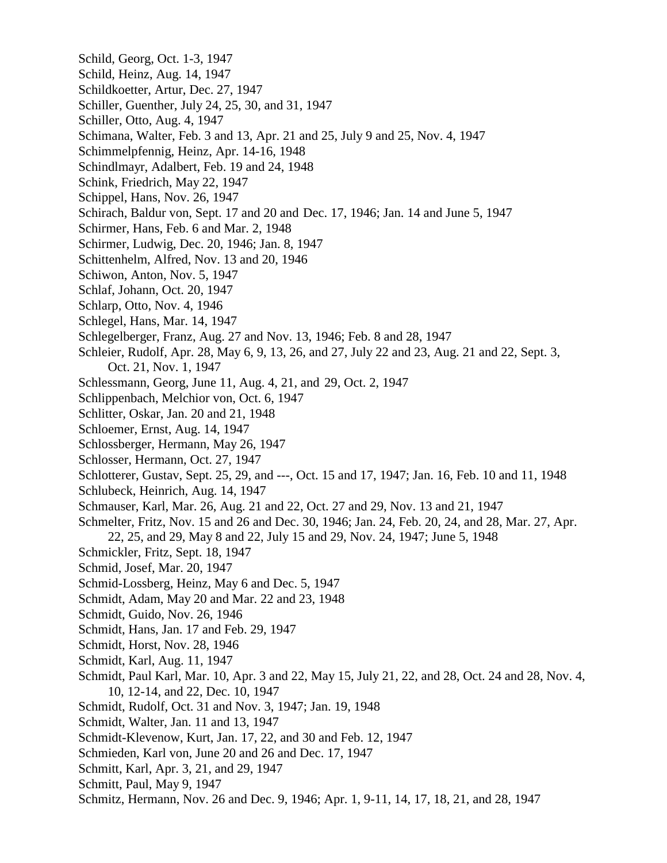Schild, Georg, Oct. 1-3, 1947 Schild, Heinz, Aug. 14, 1947 Schildkoetter, Artur, Dec. 27, 1947 Schiller, Guenther, July 24, 25, 30, and 31, 1947 Schiller, Otto, Aug. 4, 1947 Schimana, Walter, Feb. 3 and 13, Apr. 21 and 25, July 9 and 25, Nov. 4, 1947 Schimmelpfennig, Heinz, Apr. 14-16, 1948 Schindlmayr, Adalbert, Feb. 19 and 24, 1948 Schink, Friedrich, May 22, 1947 Schippel, Hans, Nov. 26, 1947 Schirach, Baldur von, Sept. 17 and 20 and Dec. 17, 1946; Jan. 14 and June 5, 1947 Schirmer, Hans, Feb. 6 and Mar. 2, 1948 Schirmer, Ludwig, Dec. 20, 1946; Jan. 8, 1947 Schittenhelm, Alfred, Nov. 13 and 20, 1946 Schiwon, Anton, Nov. 5, 1947 Schlaf, Johann, Oct. 20, 1947 Schlarp, Otto, Nov. 4, 1946 Schlegel, Hans, Mar. 14, 1947 Schlegelberger, Franz, Aug. 27 and Nov. 13, 1946; Feb. 8 and 28, 1947 Schleier, Rudolf, Apr. 28, May 6, 9, 13, 26, and 27, July 22 and 23, Aug. 21 and 22, Sept. 3, Oct. 21, Nov. 1, 1947 Schlessmann, Georg, June 11, Aug. 4, 21, and 29, Oct. 2, 1947 Schlippenbach, Melchior von, Oct. 6, 1947 Schlitter, Oskar, Jan. 20 and 21, 1948 Schloemer, Ernst, Aug. 14, 1947 Schlossberger, Hermann, May 26, 1947 Schlosser, Hermann, Oct. 27, 1947 Schlotterer, Gustav, Sept. 25, 29, and ---, Oct. 15 and 17, 1947; Jan. 16, Feb. 10 and 11, 1948 Schlubeck, Heinrich, Aug. 14, 1947 Schmauser, Karl, Mar. 26, Aug. 21 and 22, Oct. 27 and 29, Nov. 13 and 21, 1947 Schmelter, Fritz, Nov. 15 and 26 and Dec. 30, 1946; Jan. 24, Feb. 20, 24, and 28, Mar. 27, Apr. 22, 25, and 29, May 8 and 22, July 15 and 29, Nov. 24, 1947; June 5, 1948 Schmickler, Fritz, Sept. 18, 1947 Schmid, Josef, Mar. 20, 1947 Schmid-Lossberg, Heinz, May 6 and Dec. 5, 1947 Schmidt, Adam, May 20 and Mar. 22 and 23, 1948 Schmidt, Guido, Nov. 26, 1946 Schmidt, Hans, Jan. 17 and Feb. 29, 1947 Schmidt, Horst, Nov. 28, 1946 Schmidt, Karl, Aug. 11, 1947 Schmidt, Paul Karl, Mar. 10, Apr. 3 and 22, May 15, July 21, 22, and 28, Oct. 24 and 28, Nov. 4, 10, 12-14, and 22, Dec. 10, 1947 Schmidt, Rudolf, Oct. 31 and Nov. 3, 1947; Jan. 19, 1948 Schmidt, Walter, Jan. 11 and 13, 1947 Schmidt-Klevenow, Kurt, Jan. 17, 22, and 30 and Feb. 12, 1947 Schmieden, Karl von, June 20 and 26 and Dec. 17, 1947 Schmitt, Karl, Apr. 3, 21, and 29, 1947 Schmitt, Paul, May 9, 1947 Schmitz, Hermann, Nov. 26 and Dec. 9, 1946; Apr. 1, 9-11, 14, 17, 18, 21, and 28, 1947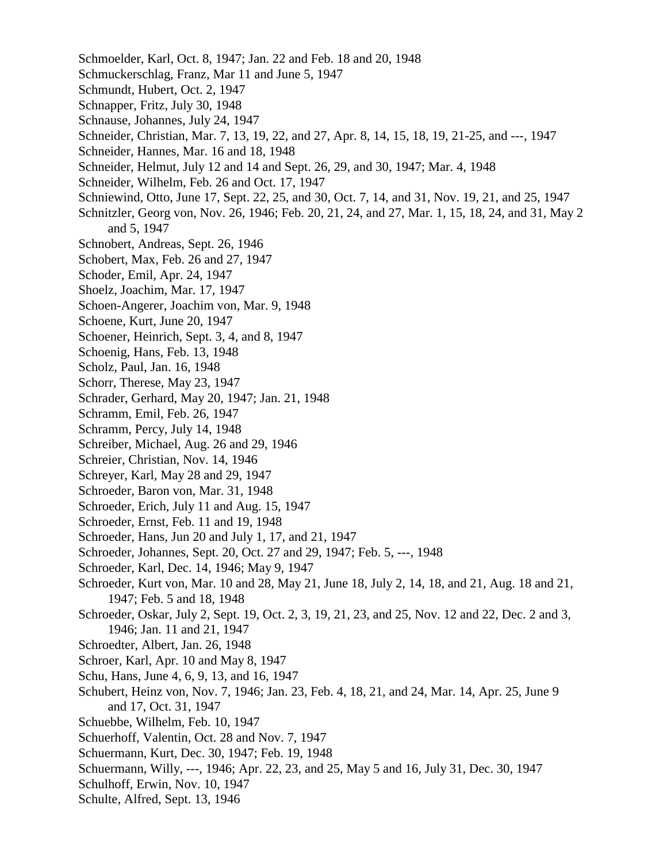Schmoelder, Karl, Oct. 8, 1947; Jan. 22 and Feb. 18 and 20, 1948 Schmuckerschlag, Franz, Mar 11 and June 5, 1947 Schmundt, Hubert, Oct. 2, 1947 Schnapper, Fritz, July 30, 1948 Schnause, Johannes, July 24, 1947 Schneider, Christian, Mar. 7, 13, 19, 22, and 27, Apr. 8, 14, 15, 18, 19, 21-25, and ---, 1947 Schneider, Hannes, Mar. 16 and 18, 1948 Schneider, Helmut, July 12 and 14 and Sept. 26, 29, and 30, 1947; Mar. 4, 1948 Schneider, Wilhelm, Feb. 26 and Oct. 17, 1947 Schniewind, Otto, June 17, Sept. 22, 25, and 30, Oct. 7, 14, and 31, Nov. 19, 21, and 25, 1947 Schnitzler, Georg von, Nov. 26, 1946; Feb. 20, 21, 24, and 27, Mar. 1, 15, 18, 24, and 31, May 2 and 5, 1947 Schnobert, Andreas, Sept. 26, 1946 Schobert, Max, Feb. 26 and 27, 1947 Schoder, Emil, Apr. 24, 1947 Shoelz, Joachim, Mar. 17, 1947 Schoen-Angerer, Joachim von, Mar. 9, 1948 Schoene, Kurt, June 20, 1947 Schoener, Heinrich, Sept. 3, 4, and 8, 1947 Schoenig, Hans, Feb. 13, 1948 Scholz, Paul, Jan. 16, 1948 Schorr, Therese, May 23, 1947 Schrader, Gerhard, May 20, 1947; Jan. 21, 1948 Schramm, Emil, Feb. 26, 1947 Schramm, Percy, July 14, 1948 Schreiber, Michael, Aug. 26 and 29, 1946 Schreier, Christian, Nov. 14, 1946 Schreyer, Karl, May 28 and 29, 1947 Schroeder, Baron von, Mar. 31, 1948 Schroeder, Erich, July 11 and Aug. 15, 1947 Schroeder, Ernst, Feb. 11 and 19, 1948 Schroeder, Hans, Jun 20 and July 1, 17, and 21, 1947 Schroeder, Johannes, Sept. 20, Oct. 27 and 29, 1947; Feb. 5, ---, 1948 Schroeder, Karl, Dec. 14, 1946; May 9, 1947 Schroeder, Kurt von, Mar. 10 and 28, May 21, June 18, July 2, 14, 18, and 21, Aug. 18 and 21, 1947; Feb. 5 and 18, 1948 Schroeder, Oskar, July 2, Sept. 19, Oct. 2, 3, 19, 21, 23, and 25, Nov. 12 and 22, Dec. 2 and 3, 1946; Jan. 11 and 21, 1947 Schroedter, Albert, Jan. 26, 1948 Schroer, Karl, Apr. 10 and May 8, 1947 Schu, Hans, June 4, 6, 9, 13, and 16, 1947 Schubert, Heinz von, Nov. 7, 1946; Jan. 23, Feb. 4, 18, 21, and 24, Mar. 14, Apr. 25, June 9 and 17, Oct. 31, 1947 Schuebbe, Wilhelm, Feb. 10, 1947 Schuerhoff, Valentin, Oct. 28 and Nov. 7, 1947 Schuermann, Kurt, Dec. 30, 1947; Feb. 19, 1948 Schuermann, Willy, ---, 1946; Apr. 22, 23, and 25, May 5 and 16, July 31, Dec. 30, 1947 Schulhoff, Erwin, Nov. 10, 1947 Schulte, Alfred, Sept. 13, 1946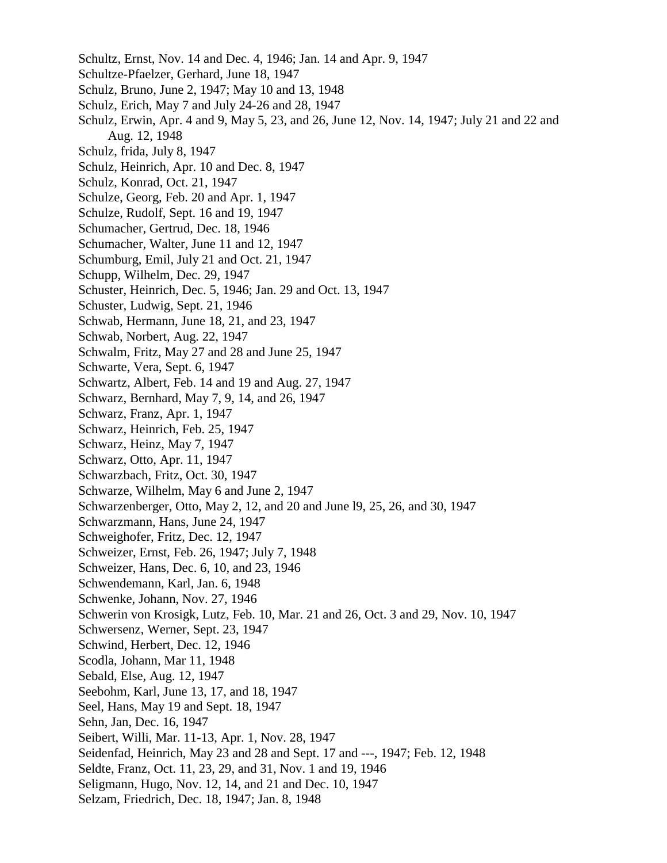- Schultz, Ernst, Nov. 14 and Dec. 4, 1946; Jan. 14 and Apr. 9, 1947
- Schultze-Pfaelzer, Gerhard, June 18, 1947
- Schulz, Bruno, June 2, 1947; May 10 and 13, 1948
- Schulz, Erich, May 7 and July 24-26 and 28, 1947
- Schulz, Erwin, Apr. 4 and 9, May 5, 23, and 26, June 12, Nov. 14, 1947; July 21 and 22 and Aug. 12, 1948
- Schulz, frida, July 8, 1947
- Schulz, Heinrich, Apr. 10 and Dec. 8, 1947
- Schulz, Konrad, Oct. 21, 1947
- Schulze, Georg, Feb. 20 and Apr. 1, 1947
- Schulze, Rudolf, Sept. 16 and 19, 1947
- Schumacher, Gertrud, Dec. 18, 1946
- Schumacher, Walter, June 11 and 12, 1947
- Schumburg, Emil, July 21 and Oct. 21, 1947
- Schupp, Wilhelm, Dec. 29, 1947
- Schuster, Heinrich, Dec. 5, 1946; Jan. 29 and Oct. 13, 1947
- Schuster, Ludwig, Sept. 21, 1946
- Schwab, Hermann, June 18, 21, and 23, 1947
- Schwab, Norbert, Aug. 22, 1947
- Schwalm, Fritz, May 27 and 28 and June 25, 1947
- Schwarte, Vera, Sept. 6, 1947
- Schwartz, Albert, Feb. 14 and 19 and Aug. 27, 1947
- Schwarz, Bernhard, May 7, 9, 14, and 26, 1947
- Schwarz, Franz, Apr. 1, 1947
- Schwarz, Heinrich, Feb. 25, 1947
- Schwarz, Heinz, May 7, 1947
- Schwarz, Otto, Apr. 11, 1947
- Schwarzbach, Fritz, Oct. 30, 1947
- Schwarze, Wilhelm, May 6 and June 2, 1947
- Schwarzenberger, Otto, May 2, 12, and 20 and June l9, 25, 26, and 30, 1947
- Schwarzmann, Hans, June 24, 1947
- Schweighofer, Fritz, Dec. 12, 1947
- Schweizer, Ernst, Feb. 26, 1947; July 7, 1948
- Schweizer, Hans, Dec. 6, 10, and 23, 1946
- Schwendemann, Karl, Jan. 6, 1948
- Schwenke, Johann, Nov. 27, 1946
- Schwerin von Krosigk, Lutz, Feb. 10, Mar. 21 and 26, Oct. 3 and 29, Nov. 10, 1947
- Schwersenz, Werner, Sept. 23, 1947
- Schwind, Herbert, Dec. 12, 1946
- Scodla, Johann, Mar 11, 1948
- Sebald, Else, Aug. 12, 1947
- Seebohm, Karl, June 13, 17, and 18, 1947
- Seel, Hans, May 19 and Sept. 18, 1947
- Sehn, Jan, Dec. 16, 1947
- Seibert, Willi, Mar. 11-13, Apr. 1, Nov. 28, 1947
- Seidenfad, Heinrich, May 23 and 28 and Sept. 17 and ---, 1947; Feb. 12, 1948
- Seldte, Franz, Oct. 11, 23, 29, and 31, Nov. 1 and 19, 1946
- Seligmann, Hugo, Nov. 12, 14, and 21 and Dec. 10, 1947
- Selzam, Friedrich, Dec. 18, 1947; Jan. 8, 1948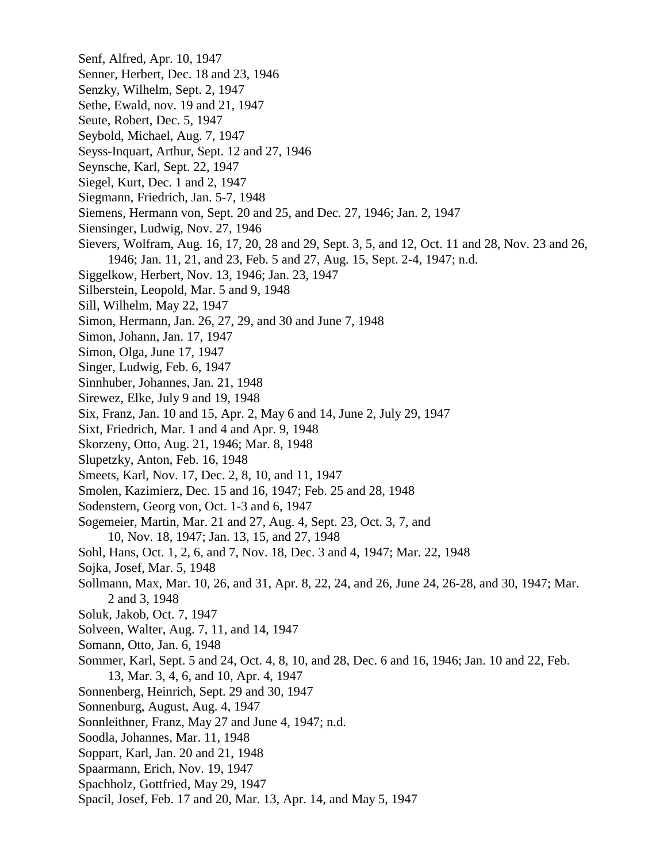- Senf, Alfred, Apr. 10, 1947
- Senner, Herbert, Dec. 18 and 23, 1946
- Senzky, Wilhelm, Sept. 2, 1947
- Sethe, Ewald, nov. 19 and 21, 1947
- Seute, Robert, Dec. 5, 1947
- Seybold, Michael, Aug. 7, 1947
- Seyss-Inquart, Arthur, Sept. 12 and 27, 1946
- Seynsche, Karl, Sept. 22, 1947
- Siegel, Kurt, Dec. 1 and 2, 1947
- Siegmann, Friedrich, Jan. 5-7, 1948
- Siemens, Hermann von, Sept. 20 and 25, and Dec. 27, 1946; Jan. 2, 1947
- Siensinger, Ludwig, Nov. 27, 1946
- Sievers, Wolfram, Aug. 16, 17, 20, 28 and 29, Sept. 3, 5, and 12, Oct. 11 and 28, Nov. 23 and 26, 1946; Jan. 11, 21, and 23, Feb. 5 and 27, Aug. 15, Sept. 2-4, 1947; n.d.
- Siggelkow, Herbert, Nov. 13, 1946; Jan. 23, 1947
- Silberstein, Leopold, Mar. 5 and 9, 1948
- Sill, Wilhelm, May 22, 1947
- Simon, Hermann, Jan. 26, 27, 29, and 30 and June 7, 1948
- Simon, Johann, Jan. 17, 1947
- Simon, Olga, June 17, 1947
- Singer, Ludwig, Feb. 6, 1947
- Sinnhuber, Johannes, Jan. 21, 1948
- Sirewez, Elke, July 9 and 19, 1948
- Six, Franz, Jan. 10 and 15, Apr. 2, May 6 and 14, June 2, July 29, 1947
- Sixt, Friedrich, Mar. 1 and 4 and Apr. 9, 1948
- Skorzeny, Otto, Aug. 21, 1946; Mar. 8, 1948
- Slupetzky, Anton, Feb. 16, 1948
- Smeets, Karl, Nov. 17, Dec. 2, 8, 10, and 11, 1947
- Smolen, Kazimierz, Dec. 15 and 16, 1947; Feb. 25 and 28, 1948
- Sodenstern, Georg von, Oct. 1-3 and 6, 1947
- Sogemeier, Martin, Mar. 21 and 27, Aug. 4, Sept. 23, Oct. 3, 7, and 10, Nov. 18, 1947; Jan. 13, 15, and 27, 1948
- Sohl, Hans, Oct. 1, 2, 6, and 7, Nov. 18, Dec. 3 and 4, 1947; Mar. 22, 1948
- Sojka, Josef, Mar. 5, 1948
- Sollmann, Max, Mar. 10, 26, and 31, Apr. 8, 22, 24, and 26, June 24, 26-28, and 30, 1947; Mar. 2 and 3, 1948
- Soluk, Jakob, Oct. 7, 1947
- Solveen, Walter, Aug. 7, 11, and 14, 1947
- Somann, Otto, Jan. 6, 1948
- Sommer, Karl, Sept. 5 and 24, Oct. 4, 8, 10, and 28, Dec. 6 and 16, 1946; Jan. 10 and 22, Feb. 13, Mar. 3, 4, 6, and 10, Apr. 4, 1947
- Sonnenberg, Heinrich, Sept. 29 and 30, 1947
- Sonnenburg, August, Aug. 4, 1947
- Sonnleithner, Franz, May 27 and June 4, 1947; n.d.
- Soodla, Johannes, Mar. 11, 1948
- Soppart, Karl, Jan. 20 and 21, 1948
- Spaarmann, Erich, Nov. 19, 1947
- Spachholz, Gottfried, May 29, 1947
- Spacil, Josef, Feb. 17 and 20, Mar. 13, Apr. 14, and May 5, 1947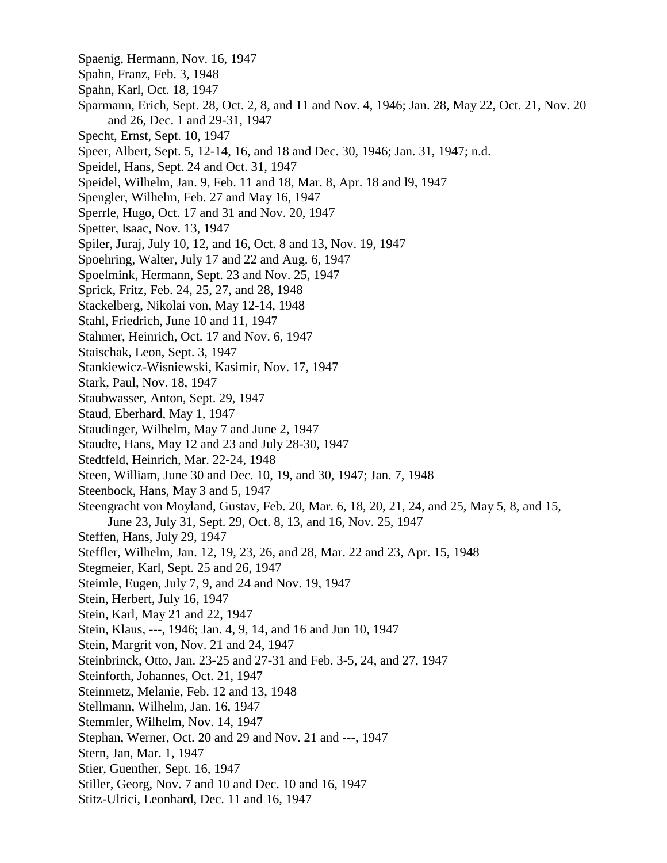- Spaenig, Hermann, Nov. 16, 1947
- Spahn, Franz, Feb. 3, 1948
- Spahn, Karl, Oct. 18, 1947
- Sparmann, Erich, Sept. 28, Oct. 2, 8, and 11 and Nov. 4, 1946; Jan. 28, May 22, Oct. 21, Nov. 20 and 26, Dec. 1 and 29-31, 1947
- Specht, Ernst, Sept. 10, 1947
- Speer, Albert, Sept. 5, 12-14, 16, and 18 and Dec. 30, 1946; Jan. 31, 1947; n.d.
- Speidel, Hans, Sept. 24 and Oct. 31, 1947
- Speidel, Wilhelm, Jan. 9, Feb. 11 and 18, Mar. 8, Apr. 18 and l9, 1947
- Spengler, Wilhelm, Feb. 27 and May 16, 1947
- Sperrle, Hugo, Oct. 17 and 31 and Nov. 20, 1947
- Spetter, Isaac, Nov. 13, 1947
- Spiler, Juraj, July 10, 12, and 16, Oct. 8 and 13, Nov. 19, 1947
- Spoehring, Walter, July 17 and 22 and Aug. 6, 1947
- Spoelmink, Hermann, Sept. 23 and Nov. 25, 1947
- Sprick, Fritz, Feb. 24, 25, 27, and 28, 1948
- Stackelberg, Nikolai von, May 12-14, 1948
- Stahl, Friedrich, June 10 and 11, 1947
- Stahmer, Heinrich, Oct. 17 and Nov. 6, 1947
- Staischak, Leon, Sept. 3, 1947
- Stankiewicz-Wisniewski, Kasimir, Nov. 17, 1947
- Stark, Paul, Nov. 18, 1947
- Staubwasser, Anton, Sept. 29, 1947
- Staud, Eberhard, May 1, 1947
- Staudinger, Wilhelm, May 7 and June 2, 1947
- Staudte, Hans, May 12 and 23 and July 28-30, 1947
- Stedtfeld, Heinrich, Mar. 22-24, 1948
- Steen, William, June 30 and Dec. 10, 19, and 30, 1947; Jan. 7, 1948
- Steenbock, Hans, May 3 and 5, 1947
- Steengracht von Moyland, Gustav, Feb. 20, Mar. 6, 18, 20, 21, 24, and 25, May 5, 8, and 15, June 23, July 31, Sept. 29, Oct. 8, 13, and 16, Nov. 25, 1947
- Steffen, Hans, July 29, 1947
- Steffler, Wilhelm, Jan. 12, 19, 23, 26, and 28, Mar. 22 and 23, Apr. 15, 1948
- Stegmeier, Karl, Sept. 25 and 26, 1947
- Steimle, Eugen, July 7, 9, and 24 and Nov. 19, 1947
- Stein, Herbert, July 16, 1947
- Stein, Karl, May 21 and 22, 1947
- Stein, Klaus, ---, 1946; Jan. 4, 9, 14, and 16 and Jun 10, 1947
- Stein, Margrit von, Nov. 21 and 24, 1947
- Steinbrinck, Otto, Jan. 23-25 and 27-31 and Feb. 3-5, 24, and 27, 1947
- Steinforth, Johannes, Oct. 21, 1947
- Steinmetz, Melanie, Feb. 12 and 13, 1948
- Stellmann, Wilhelm, Jan. 16, 1947
- Stemmler, Wilhelm, Nov. 14, 1947
- Stephan, Werner, Oct. 20 and 29 and Nov. 21 and ---, 1947
- Stern, Jan, Mar. 1, 1947
- Stier, Guenther, Sept. 16, 1947
- Stiller, Georg, Nov. 7 and 10 and Dec. 10 and 16, 1947
- Stitz-Ulrici, Leonhard, Dec. 11 and 16, 1947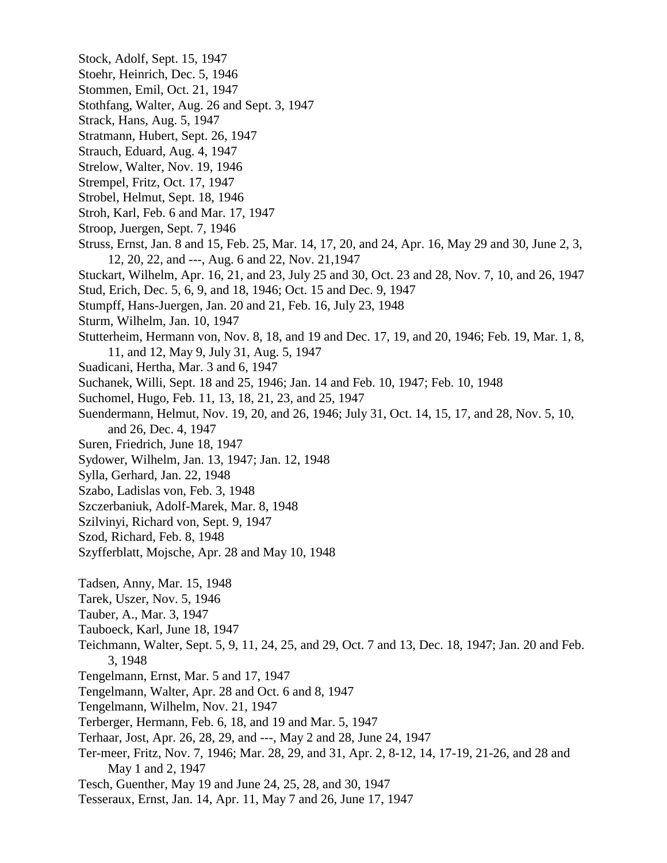- Stock, Adolf, Sept. 15, 1947
- Stoehr, Heinrich, Dec. 5, 1946
- Stommen, Emil, Oct. 21, 1947
- Stothfang, Walter, Aug. 26 and Sept. 3, 1947
- Strack, Hans, Aug. 5, 1947
- Stratmann, Hubert, Sept. 26, 1947
- Strauch, Eduard, Aug. 4, 1947
- Strelow, Walter, Nov. 19, 1946
- Strempel, Fritz, Oct. 17, 1947
- Strobel, Helmut, Sept. 18, 1946
- Stroh, Karl, Feb. 6 and Mar. 17, 1947
- Stroop, Juergen, Sept. 7, 1946
- Struss, Ernst, Jan. 8 and 15, Feb. 25, Mar. 14, 17, 20, and 24, Apr. 16, May 29 and 30, June 2, 3, 12, 20, 22, and ---, Aug. 6 and 22, Nov. 21,1947
- Stuckart, Wilhelm, Apr. 16, 21, and 23, July 25 and 30, Oct. 23 and 28, Nov. 7, 10, and 26, 1947
- Stud, Erich, Dec. 5, 6, 9, and 18, 1946; Oct. 15 and Dec. 9, 1947
- Stumpff, Hans-Juergen, Jan. 20 and 21, Feb. 16, July 23, 1948
- Sturm, Wilhelm, Jan. 10, 1947
- Stutterheim, Hermann von, Nov. 8, 18, and 19 and Dec. 17, 19, and 20, 1946; Feb. 19, Mar. 1, 8, 11, and 12, May 9, July 31, Aug. 5, 1947
- Suadicani, Hertha, Mar. 3 and 6, 1947
- Suchanek, Willi, Sept. 18 and 25, 1946; Jan. 14 and Feb. 10, 1947; Feb. 10, 1948
- Suchomel, Hugo, Feb. 11, 13, 18, 21, 23, and 25, 1947
- Suendermann, Helmut, Nov. 19, 20, and 26, 1946; July 31, Oct. 14, 15, 17, and 28, Nov. 5, 10, and 26, Dec. 4, 1947
- Suren, Friedrich, June 18, 1947
- Sydower, Wilhelm, Jan. 13, 1947; Jan. 12, 1948
- Sylla, Gerhard, Jan. 22, 1948
- Szabo, Ladislas von, Feb. 3, 1948
- Szczerbaniuk, Adolf-Marek, Mar. 8, 1948
- Szilvinyi, Richard von, Sept. 9, 1947
- Szod, Richard, Feb. 8, 1948
- Szyfferblatt, Mojsche, Apr. 28 and May 10, 1948
- Tadsen, Anny, Mar. 15, 1948
- Tarek, Uszer, Nov. 5, 1946
- Tauber, A., Mar. 3, 1947
- Tauboeck, Karl, June 18, 1947
- Teichmann, Walter, Sept. 5, 9, 11, 24, 25, and 29, Oct. 7 and 13, Dec. 18, 1947; Jan. 20 and Feb. 3, 1948
- Tengelmann, Ernst, Mar. 5 and 17, 1947
- Tengelmann, Walter, Apr. 28 and Oct. 6 and 8, 1947
- Tengelmann, Wilhelm, Nov. 21, 1947
- Terberger, Hermann, Feb. 6, 18, and 19 and Mar. 5, 1947
- Terhaar, Jost, Apr. 26, 28, 29, and ---, May 2 and 28, June 24, 1947
- Ter-meer, Fritz, Nov. 7, 1946; Mar. 28, 29, and 31, Apr. 2, 8-12, 14, 17-19, 21-26, and 28 and May 1 and 2, 1947
- Tesch, Guenther, May 19 and June 24, 25, 28, and 30, 1947
- Tesseraux, Ernst, Jan. 14, Apr. 11, May 7 and 26, June 17, 1947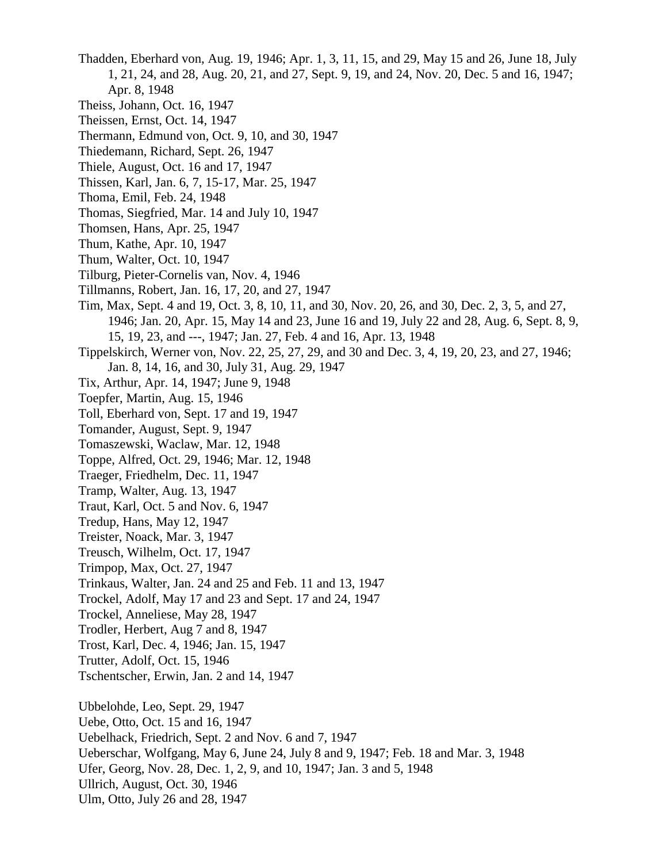- Thadden, Eberhard von, Aug. 19, 1946; Apr. 1, 3, 11, 15, and 29, May 15 and 26, June 18, July 1, 21, 24, and 28, Aug. 20, 21, and 27, Sept. 9, 19, and 24, Nov. 20, Dec. 5 and 16, 1947; Apr. 8, 1948
- Theiss, Johann, Oct. 16, 1947
- Theissen, Ernst, Oct. 14, 1947
- Thermann, Edmund von, Oct. 9, 10, and 30, 1947
- Thiedemann, Richard, Sept. 26, 1947
- Thiele, August, Oct. 16 and 17, 1947
- Thissen, Karl, Jan. 6, 7, 15-17, Mar. 25, 1947
- Thoma, Emil, Feb. 24, 1948
- Thomas, Siegfried, Mar. 14 and July 10, 1947
- Thomsen, Hans, Apr. 25, 1947
- Thum, Kathe, Apr. 10, 1947
- Thum, Walter, Oct. 10, 1947
- Tilburg, Pieter-Cornelis van, Nov. 4, 1946
- Tillmanns, Robert, Jan. 16, 17, 20, and 27, 1947
- Tim, Max, Sept. 4 and 19, Oct. 3, 8, 10, 11, and 30, Nov. 20, 26, and 30, Dec. 2, 3, 5, and 27, 1946; Jan. 20, Apr. 15, May 14 and 23, June 16 and 19, July 22 and 28, Aug. 6, Sept. 8, 9, 15, 19, 23, and ---, 1947; Jan. 27, Feb. 4 and 16, Apr. 13, 1948
- Tippelskirch, Werner von, Nov. 22, 25, 27, 29, and 30 and Dec. 3, 4, 19, 20, 23, and 27, 1946; Jan. 8, 14, 16, and 30, July 31, Aug. 29, 1947
- Tix, Arthur, Apr. 14, 1947; June 9, 1948
- Toepfer, Martin, Aug. 15, 1946
- Toll, Eberhard von, Sept. 17 and 19, 1947
- Tomander, August, Sept. 9, 1947
- Tomaszewski, Waclaw, Mar. 12, 1948
- Toppe, Alfred, Oct. 29, 1946; Mar. 12, 1948
- Traeger, Friedhelm, Dec. 11, 1947
- Tramp, Walter, Aug. 13, 1947
- Traut, Karl, Oct. 5 and Nov. 6, 1947
- Tredup, Hans, May 12, 1947
- Treister, Noack, Mar. 3, 1947
- Treusch, Wilhelm, Oct. 17, 1947
- Trimpop, Max, Oct. 27, 1947
- Trinkaus, Walter, Jan. 24 and 25 and Feb. 11 and 13, 1947
- Trockel, Adolf, May 17 and 23 and Sept. 17 and 24, 1947
- Trockel, Anneliese, May 28, 1947
- Trodler, Herbert, Aug 7 and 8, 1947
- Trost, Karl, Dec. 4, 1946; Jan. 15, 1947
- Trutter, Adolf, Oct. 15, 1946
- Tschentscher, Erwin, Jan. 2 and 14, 1947

Ubbelohde, Leo, Sept. 29, 1947

Uebe, Otto, Oct. 15 and 16, 1947

- Uebelhack, Friedrich, Sept. 2 and Nov. 6 and 7, 1947
- Ueberschar, Wolfgang, May 6, June 24, July 8 and 9, 1947; Feb. 18 and Mar. 3, 1948
- Ufer, Georg, Nov. 28, Dec. 1, 2, 9, and 10, 1947; Jan. 3 and 5, 1948
- Ullrich, August, Oct. 30, 1946
- Ulm, Otto, July 26 and 28, 1947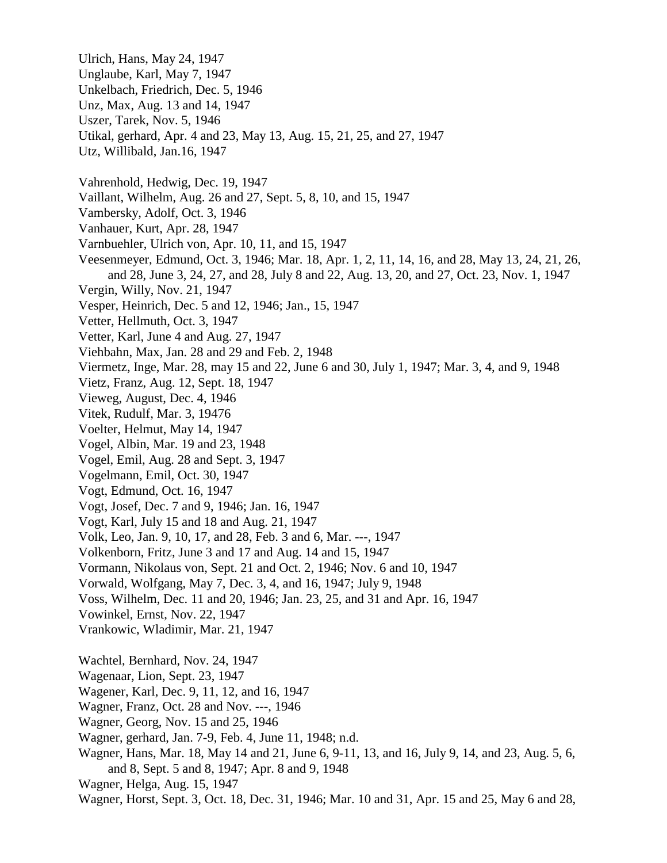- Ulrich, Hans, May 24, 1947
- Unglaube, Karl, May 7, 1947
- Unkelbach, Friedrich, Dec. 5, 1946
- Unz, Max, Aug. 13 and 14, 1947
- Uszer, Tarek, Nov. 5, 1946
- Utikal, gerhard, Apr. 4 and 23, May 13, Aug. 15, 21, 25, and 27, 1947
- Utz, Willibald, Jan.16, 1947
- Vahrenhold, Hedwig, Dec. 19, 1947
- Vaillant, Wilhelm, Aug. 26 and 27, Sept. 5, 8, 10, and 15, 1947
- Vambersky, Adolf, Oct. 3, 1946
- Vanhauer, Kurt, Apr. 28, 1947
- Varnbuehler, Ulrich von, Apr. 10, 11, and 15, 1947
- Veesenmeyer, Edmund, Oct. 3, 1946; Mar. 18, Apr. 1, 2, 11, 14, 16, and 28, May 13, 24, 21, 26, and 28, June 3, 24, 27, and 28, July 8 and 22, Aug. 13, 20, and 27, Oct. 23, Nov. 1, 1947
- Vergin, Willy, Nov. 21, 1947
- Vesper, Heinrich, Dec. 5 and 12, 1946; Jan., 15, 1947
- Vetter, Hellmuth, Oct. 3, 1947
- Vetter, Karl, June 4 and Aug. 27, 1947
- Viehbahn, Max, Jan. 28 and 29 and Feb. 2, 1948
- Viermetz, Inge, Mar. 28, may 15 and 22, June 6 and 30, July 1, 1947; Mar. 3, 4, and 9, 1948
- Vietz, Franz, Aug. 12, Sept. 18, 1947
- Vieweg, August, Dec. 4, 1946
- Vitek, Rudulf, Mar. 3, 19476
- Voelter, Helmut, May 14, 1947
- Vogel, Albin, Mar. 19 and 23, 1948
- Vogel, Emil, Aug. 28 and Sept. 3, 1947
- Vogelmann, Emil, Oct. 30, 1947
- Vogt, Edmund, Oct. 16, 1947
- Vogt, Josef, Dec. 7 and 9, 1946; Jan. 16, 1947
- Vogt, Karl, July 15 and 18 and Aug. 21, 1947
- Volk, Leo, Jan. 9, 10, 17, and 28, Feb. 3 and 6, Mar. ---, 1947
- Volkenborn, Fritz, June 3 and 17 and Aug. 14 and 15, 1947
- Vormann, Nikolaus von, Sept. 21 and Oct. 2, 1946; Nov. 6 and 10, 1947
- Vorwald, Wolfgang, May 7, Dec. 3, 4, and 16, 1947; July 9, 1948
- Voss, Wilhelm, Dec. 11 and 20, 1946; Jan. 23, 25, and 31 and Apr. 16, 1947
- Vowinkel, Ernst, Nov. 22, 1947
- Vrankowic, Wladimir, Mar. 21, 1947
- Wachtel, Bernhard, Nov. 24, 1947
- Wagenaar, Lion, Sept. 23, 1947
- Wagener, Karl, Dec. 9, 11, 12, and 16, 1947
- Wagner, Franz, Oct. 28 and Nov. ---, 1946
- Wagner, Georg, Nov. 15 and 25, 1946
- Wagner, gerhard, Jan. 7-9, Feb. 4, June 11, 1948; n.d.
- Wagner, Hans, Mar. 18, May 14 and 21, June 6, 9-11, 13, and 16, July 9, 14, and 23, Aug. 5, 6, and 8, Sept. 5 and 8, 1947; Apr. 8 and 9, 1948
- Wagner, Helga, Aug. 15, 1947
- Wagner, Horst, Sept. 3, Oct. 18, Dec. 31, 1946; Mar. 10 and 31, Apr. 15 and 25, May 6 and 28,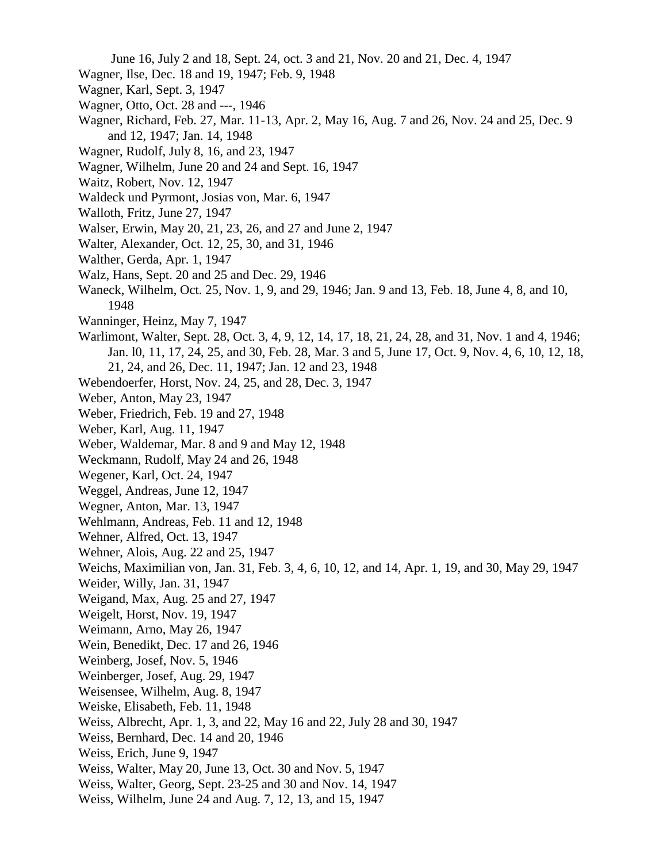June 16, July 2 and 18, Sept. 24, oct. 3 and 21, Nov. 20 and 21, Dec. 4, 1947

- Wagner, Ilse, Dec. 18 and 19, 1947; Feb. 9, 1948
- Wagner, Karl, Sept. 3, 1947
- Wagner, Otto, Oct. 28 and ---, 1946
- Wagner, Richard, Feb. 27, Mar. 11-13, Apr. 2, May 16, Aug. 7 and 26, Nov. 24 and 25, Dec. 9 and 12, 1947; Jan. 14, 1948
- Wagner, Rudolf, July 8, 16, and 23, 1947
- Wagner, Wilhelm, June 20 and 24 and Sept. 16, 1947
- Waitz, Robert, Nov. 12, 1947
- Waldeck und Pyrmont, Josias von, Mar. 6, 1947
- Walloth, Fritz, June 27, 1947
- Walser, Erwin, May 20, 21, 23, 26, and 27 and June 2, 1947
- Walter, Alexander, Oct. 12, 25, 30, and 31, 1946
- Walther, Gerda, Apr. 1, 1947
- Walz, Hans, Sept. 20 and 25 and Dec. 29, 1946
- Waneck, Wilhelm, Oct. 25, Nov. 1, 9, and 29, 1946; Jan. 9 and 13, Feb. 18, June 4, 8, and 10, 1948
- Wanninger, Heinz, May 7, 1947
- Warlimont, Walter, Sept. 28, Oct. 3, 4, 9, 12, 14, 17, 18, 21, 24, 28, and 31, Nov. 1 and 4, 1946; Jan. l0, 11, 17, 24, 25, and 30, Feb. 28, Mar. 3 and 5, June 17, Oct. 9, Nov. 4, 6, 10, 12, 18, 21, 24, and 26, Dec. 11, 1947; Jan. 12 and 23, 1948
- Webendoerfer, Horst, Nov. 24, 25, and 28, Dec. 3, 1947
- Weber, Anton, May 23, 1947
- Weber, Friedrich, Feb. 19 and 27, 1948
- Weber, Karl, Aug. 11, 1947
- Weber, Waldemar, Mar. 8 and 9 and May 12, 1948
- Weckmann, Rudolf, May 24 and 26, 1948
- Wegener, Karl, Oct. 24, 1947
- Weggel, Andreas, June 12, 1947
- Wegner, Anton, Mar. 13, 1947
- Wehlmann, Andreas, Feb. 11 and 12, 1948
- Wehner, Alfred, Oct. 13, 1947
- Wehner, Alois, Aug. 22 and 25, 1947
- Weichs, Maximilian von, Jan. 31, Feb. 3, 4, 6, 10, 12, and 14, Apr. 1, 19, and 30, May 29, 1947
- Weider, Willy, Jan. 31, 1947
- Weigand, Max, Aug. 25 and 27, 1947
- Weigelt, Horst, Nov. 19, 1947
- Weimann, Arno, May 26, 1947
- Wein, Benedikt, Dec. 17 and 26, 1946
- Weinberg, Josef, Nov. 5, 1946
- Weinberger, Josef, Aug. 29, 1947
- Weisensee, Wilhelm, Aug. 8, 1947
- Weiske, Elisabeth, Feb. 11, 1948
- Weiss, Albrecht, Apr. 1, 3, and 22, May 16 and 22, July 28 and 30, 1947
- Weiss, Bernhard, Dec. 14 and 20, 1946
- Weiss, Erich, June 9, 1947
- Weiss, Walter, May 20, June 13, Oct. 30 and Nov. 5, 1947
- Weiss, Walter, Georg, Sept. 23-25 and 30 and Nov. 14, 1947
- Weiss, Wilhelm, June 24 and Aug. 7, 12, 13, and 15, 1947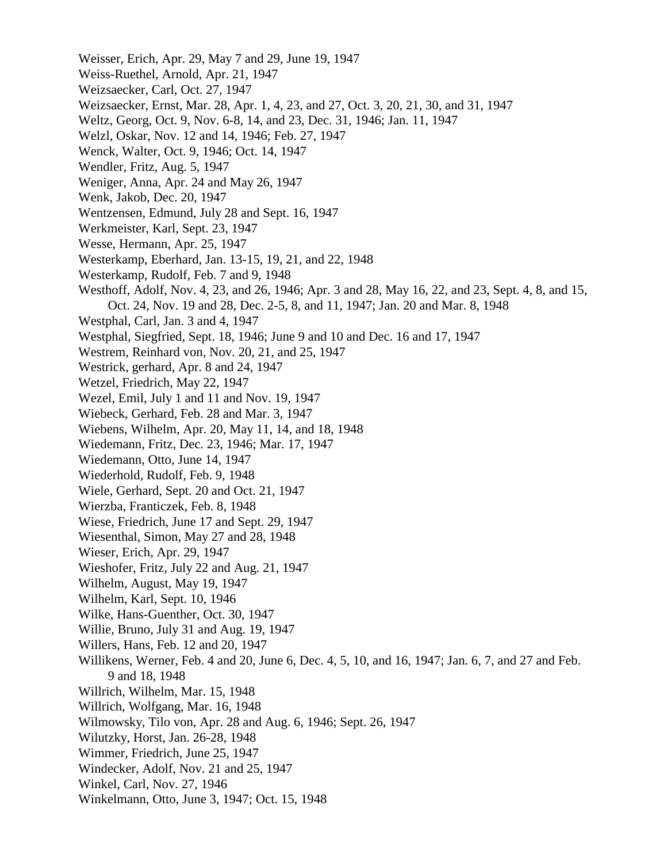- Weisser, Erich, Apr. 29, May 7 and 29, June 19, 1947 Weiss-Ruethel, Arnold, Apr. 21, 1947 Weizsaecker, Carl, Oct. 27, 1947 Weizsaecker, Ernst, Mar. 28, Apr. 1, 4, 23, and 27, Oct. 3, 20, 21, 30, and 31, 1947 Weltz, Georg, Oct. 9, Nov. 6-8, 14, and 23, Dec. 31, 1946; Jan. 11, 1947 Welzl, Oskar, Nov. 12 and 14, 1946; Feb. 27, 1947 Wenck, Walter, Oct. 9, 1946; Oct. 14, 1947 Wendler, Fritz, Aug. 5, 1947 Weniger, Anna, Apr. 24 and May 26, 1947 Wenk, Jakob, Dec. 20, 1947 Wentzensen, Edmund, July 28 and Sept. 16, 1947 Werkmeister, Karl, Sept. 23, 1947 Wesse, Hermann, Apr. 25, 1947 Westerkamp, Eberhard, Jan. 13-15, 19, 21, and 22, 1948 Westerkamp, Rudolf, Feb. 7 and 9, 1948 Westhoff, Adolf, Nov. 4, 23, and 26, 1946; Apr. 3 and 28, May 16, 22, and 23, Sept. 4, 8, and 15, Oct. 24, Nov. 19 and 28, Dec. 2-5, 8, and 11, 1947; Jan. 20 and Mar. 8, 1948 Westphal, Carl, Jan. 3 and 4, 1947 Westphal, Siegfried, Sept. 18, 1946; June 9 and 10 and Dec. 16 and 17, 1947 Westrem, Reinhard von, Nov. 20, 21, and 25, 1947 Westrick, gerhard, Apr. 8 and 24, 1947 Wetzel, Friedrich, May 22, 1947 Wezel, Emil, July 1 and 11 and Nov. 19, 1947 Wiebeck, Gerhard, Feb. 28 and Mar. 3, 1947 Wiebens, Wilhelm, Apr. 20, May 11, 14, and 18, 1948 Wiedemann, Fritz, Dec. 23, 1946; Mar. 17, 1947 Wiedemann, Otto, June 14, 1947 Wiederhold, Rudolf, Feb. 9, 1948 Wiele, Gerhard, Sept. 20 and Oct. 21, 1947 Wierzba, Franticzek, Feb. 8, 1948 Wiese, Friedrich, June 17 and Sept. 29, 1947 Wiesenthal, Simon, May 27 and 28, 1948 Wieser, Erich, Apr. 29, 1947 Wieshofer, Fritz, July 22 and Aug. 21, 1947 Wilhelm, August, May 19, 1947 Wilhelm, Karl, Sept. 10, 1946 Wilke, Hans-Guenther, Oct. 30, 1947 Willie, Bruno, July 31 and Aug. 19, 1947 Willers, Hans, Feb. 12 and 20, 1947 Willikens, Werner, Feb. 4 and 20, June 6, Dec. 4, 5, 10, and 16, 1947; Jan. 6, 7, and 27 and Feb. 9 and 18, 1948 Willrich, Wilhelm, Mar. 15, 1948 Willrich, Wolfgang, Mar. 16, 1948 Wilmowsky, Tilo von, Apr. 28 and Aug. 6, 1946; Sept. 26, 1947 Wilutzky, Horst, Jan. 26-28, 1948 Wimmer, Friedrich, June 25, 1947 Windecker, Adolf, Nov. 21 and 25, 1947 Winkel, Carl, Nov. 27, 1946
- Winkelmann, Otto, June 3, 1947; Oct. 15, 1948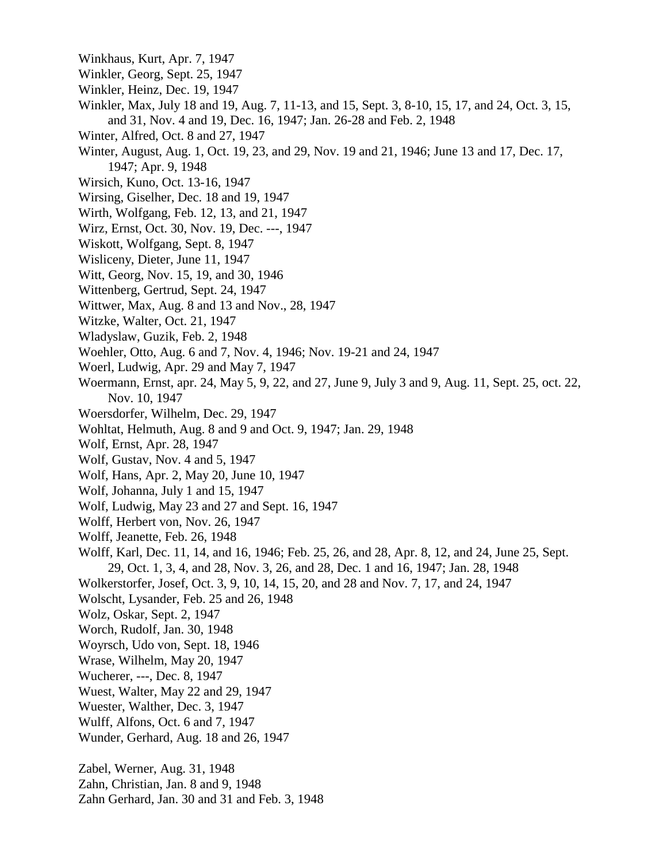- Winkhaus, Kurt, Apr. 7, 1947
- Winkler, Georg, Sept. 25, 1947
- Winkler, Heinz, Dec. 19, 1947
- Winkler, Max, July 18 and 19, Aug. 7, 11-13, and 15, Sept. 3, 8-10, 15, 17, and 24, Oct. 3, 15, and 31, Nov. 4 and 19, Dec. 16, 1947; Jan. 26-28 and Feb. 2, 1948
- Winter, Alfred, Oct. 8 and 27, 1947
- Winter, August, Aug. 1, Oct. 19, 23, and 29, Nov. 19 and 21, 1946; June 13 and 17, Dec. 17, 1947; Apr. 9, 1948
- Wirsich, Kuno, Oct. 13-16, 1947
- Wirsing, Giselher, Dec. 18 and 19, 1947
- Wirth, Wolfgang, Feb. 12, 13, and 21, 1947
- Wirz, Ernst, Oct. 30, Nov. 19, Dec. ---, 1947
- Wiskott, Wolfgang, Sept. 8, 1947
- Wisliceny, Dieter, June 11, 1947
- Witt, Georg, Nov. 15, 19, and 30, 1946
- Wittenberg, Gertrud, Sept. 24, 1947
- Wittwer, Max, Aug. 8 and 13 and Nov., 28, 1947
- Witzke, Walter, Oct. 21, 1947
- Wladyslaw, Guzik, Feb. 2, 1948
- Woehler, Otto, Aug. 6 and 7, Nov. 4, 1946; Nov. 19-21 and 24, 1947
- Woerl, Ludwig, Apr. 29 and May 7, 1947
- Woermann, Ernst, apr. 24, May 5, 9, 22, and 27, June 9, July 3 and 9, Aug. 11, Sept. 25, oct. 22, Nov. 10, 1947
- Woersdorfer, Wilhelm, Dec. 29, 1947
- Wohltat, Helmuth, Aug. 8 and 9 and Oct. 9, 1947; Jan. 29, 1948
- Wolf, Ernst, Apr. 28, 1947
- Wolf, Gustav, Nov. 4 and 5, 1947
- Wolf, Hans, Apr. 2, May 20, June 10, 1947
- Wolf, Johanna, July 1 and 15, 1947
- Wolf, Ludwig, May 23 and 27 and Sept. 16, 1947
- Wolff, Herbert von, Nov. 26, 1947
- Wolff, Jeanette, Feb. 26, 1948
- Wolff, Karl, Dec. 11, 14, and 16, 1946; Feb. 25, 26, and 28, Apr. 8, 12, and 24, June 25, Sept. 29, Oct. 1, 3, 4, and 28, Nov. 3, 26, and 28, Dec. 1 and 16, 1947; Jan. 28, 1948
- Wolkerstorfer, Josef, Oct. 3, 9, 10, 14, 15, 20, and 28 and Nov. 7, 17, and 24, 1947
- Wolscht, Lysander, Feb. 25 and 26, 1948
- Wolz, Oskar, Sept. 2, 1947
- Worch, Rudolf, Jan. 30, 1948
- Woyrsch, Udo von, Sept. 18, 1946
- Wrase, Wilhelm, May 20, 1947
- Wucherer, ---, Dec. 8, 1947
- Wuest, Walter, May 22 and 29, 1947
- Wuester, Walther, Dec. 3, 1947
- Wulff, Alfons, Oct. 6 and 7, 1947
- Wunder, Gerhard, Aug. 18 and 26, 1947

Zabel, Werner, Aug. 31, 1948

- Zahn, Christian, Jan. 8 and 9, 1948
- Zahn Gerhard, Jan. 30 and 31 and Feb. 3, 1948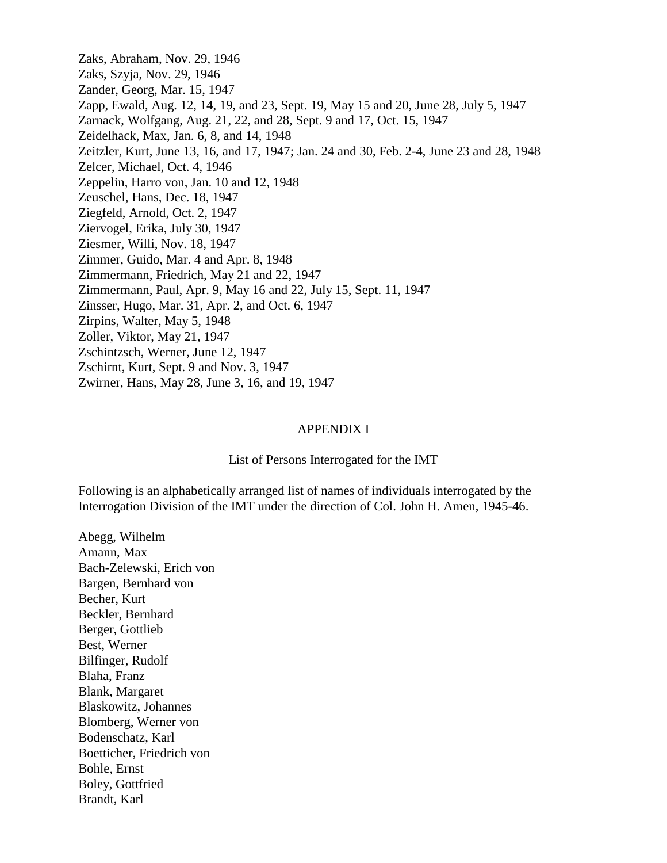Zaks, Abraham, Nov. 29, 1946 Zaks, Szyja, Nov. 29, 1946 Zander, Georg, Mar. 15, 1947 Zapp, Ewald, Aug. 12, 14, 19, and 23, Sept. 19, May 15 and 20, June 28, July 5, 1947 Zarnack, Wolfgang, Aug. 21, 22, and 28, Sept. 9 and 17, Oct. 15, 1947 Zeidelhack, Max, Jan. 6, 8, and 14, 1948 Zeitzler, Kurt, June 13, 16, and 17, 1947; Jan. 24 and 30, Feb. 2-4, June 23 and 28, 1948 Zelcer, Michael, Oct. 4, 1946 Zeppelin, Harro von, Jan. 10 and 12, 1948 Zeuschel, Hans, Dec. 18, 1947 Ziegfeld, Arnold, Oct. 2, 1947 Ziervogel, Erika, July 30, 1947 Ziesmer, Willi, Nov. 18, 1947 Zimmer, Guido, Mar. 4 and Apr. 8, 1948 Zimmermann, Friedrich, May 21 and 22, 1947 Zimmermann, Paul, Apr. 9, May 16 and 22, July 15, Sept. 11, 1947 Zinsser, Hugo, Mar. 31, Apr. 2, and Oct. 6, 1947 Zirpins, Walter, May 5, 1948 Zoller, Viktor, May 21, 1947 Zschintzsch, Werner, June 12, 1947 Zschirnt, Kurt, Sept. 9 and Nov. 3, 1947 Zwirner, Hans, May 28, June 3, 16, and 19, 1947

## APPENDIX I

## List of Persons Interrogated for the IMT

Following is an alphabetically arranged list of names of individuals interrogated by the Interrogation Division of the IMT under the direction of Col. John H. Amen, 1945-46.

Abegg, Wilhelm Amann, Max Bach-Zelewski, Erich von Bargen, Bernhard von Becher, Kurt Beckler, Bernhard Berger, Gottlieb Best, Werner Bilfinger, Rudolf Blaha, Franz Blank, Margaret Blaskowitz, Johannes Blomberg, Werner von Bodenschatz, Karl Boetticher, Friedrich von Bohle, Ernst Boley, Gottfried Brandt, Karl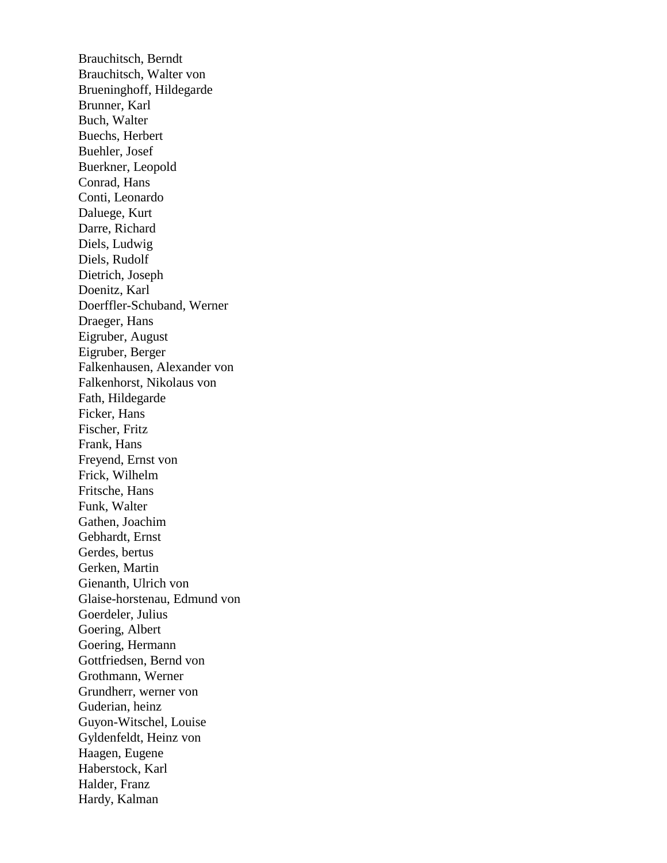Brauchitsch, Berndt Brauchitsch, Walter von Brueninghoff, Hildegarde Brunner, Karl Buch, Walter Buechs, Herbert Buehler, Josef Buerkner, Leopold Conrad, Hans Conti, Leonardo Daluege, Kurt Darre, Richard Diels, Ludwig Diels, Rudolf Dietrich, Joseph Doenitz, Karl Doerffler-Schuband, Werner Draeger, Hans Eigruber, August Eigruber, Berger Falkenhausen, Alexander von Falkenhorst, Nikolaus von Fath, Hildegarde Ficker, Hans Fischer, Fritz Frank, Hans Freyend, Ernst von Frick, Wilhelm Fritsche, Hans Funk, Walter Gathen, Joachim Gebhardt, Ernst Gerdes, bertus Gerken, Martin Gienanth, Ulrich von Glaise-horstenau, Edmund von Goerdeler, Julius Goering, Albert Goering, Hermann Gottfriedsen, Bernd von Grothmann, Werner Grundherr, werner von Guderian, heinz Guyon-Witschel, Louise Gyldenfeldt, Heinz von Haagen, Eugene Haberstock, Karl Halder, Franz Hardy, Kalman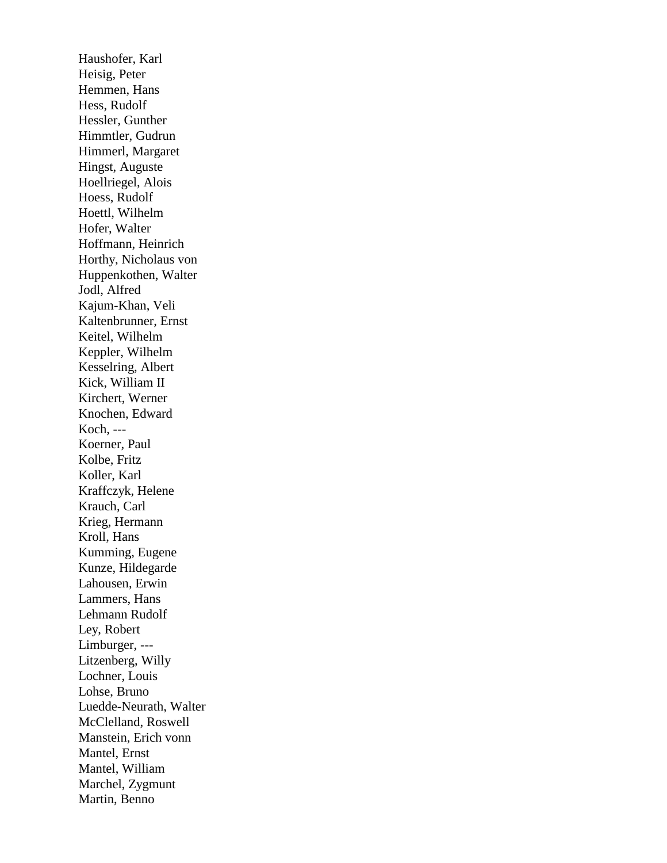Haushofer, Karl Heisig, Peter Hemmen, Hans Hess, Rudolf Hessler, Gunther Himmtler, Gudrun Himmerl, Margaret Hingst, Auguste Hoellriegel, Alois Hoess, Rudolf Hoettl, Wilhelm Hofer, Walter Hoffmann, Heinrich Horthy, Nicholaus von Huppenkothen, Walter Jodl, Alfred Kajum-Khan, Veli Kaltenbrunner, Ernst Keitel, Wilhelm Keppler, Wilhelm Kesselring, Albert Kick, William II Kirchert, Werner Knochen, Edward Koch, --- Koerner, Paul Kolbe, Fritz Koller, Karl Kraffczyk, Helene Krauch, Carl Krieg, Hermann Kroll, Hans Kumming, Eugene Kunze, Hildegarde Lahousen, Erwin Lammers, Hans Lehmann Rudolf Ley, Robert Limburger, --- Litzenberg, Willy Lochner, Louis Lohse, Bruno Luedde-Neurath, Walter McClelland, Roswell Manstein, Erich vonn Mantel, Ernst Mantel, William Marchel, Zygmunt Martin, Benno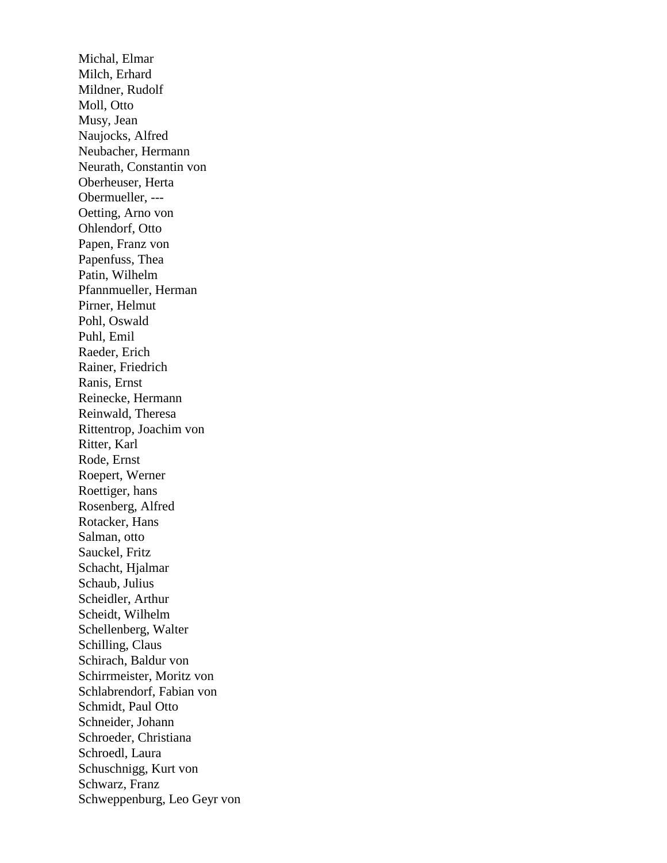Michal, Elmar Milch, Erhard Mildner, Rudolf Moll, Otto Musy, Jean Naujocks, Alfred Neubacher, Hermann Neurath, Constantin von Oberheuser, Herta Obermueller, --- Oetting, Arno von Ohlendorf, Otto Papen, Franz von Papenfuss, Thea Patin, Wilhelm Pfannmueller, Herman Pirner, Helmut Pohl, Oswald Puhl, Emil Raeder, Erich Rainer, Friedrich Ranis, Ernst Reinecke, Hermann Reinwald, Theresa Rittentrop, Joachim von Ritter, Karl Rode, Ernst Roepert, Werner Roettiger, hans Rosenberg, Alfred Rotacker, Hans Salman, otto Sauckel, Fritz Schacht, Hjalmar Schaub, Julius Scheidler, Arthur Scheidt, Wilhelm Schellenberg, Walter Schilling, Claus Schirach, Baldur von Schirrmeister, Moritz von Schlabrendorf, Fabian von Schmidt, Paul Otto Schneider, Johann Schroeder, Christiana Schroedl, Laura Schuschnigg, Kurt von Schwarz, Franz Schweppenburg, Leo Geyr von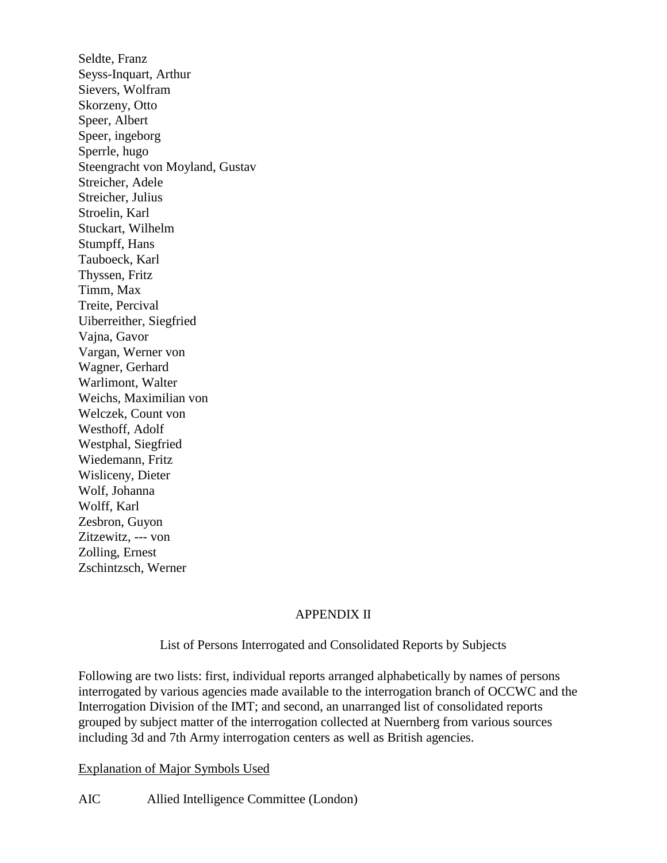Seldte, Franz Seyss-Inquart, Arthur Sievers, Wolfram Skorzeny, Otto Speer, Albert Speer, ingeborg Sperrle, hugo Steengracht von Moyland, Gustav Streicher, Adele Streicher, Julius Stroelin, Karl Stuckart, Wilhelm Stumpff, Hans Tauboeck, Karl Thyssen, Fritz Timm, Max Treite, Percival Uiberreither, Siegfried Vajna, Gavor Vargan, Werner von Wagner, Gerhard Warlimont, Walter Weichs, Maximilian von Welczek, Count von Westhoff, Adolf Westphal, Siegfried Wiedemann, Fritz Wisliceny, Dieter Wolf, Johanna Wolff, Karl Zesbron, Guyon Zitzewitz, --- von Zolling, Ernest

## APPENDIX II

List of Persons Interrogated and Consolidated Reports by Subjects

Following are two lists: first, individual reports arranged alphabetically by names of persons interrogated by various agencies made available to the interrogation branch of OCCWC and the Interrogation Division of the IMT; and second, an unarranged list of consolidated reports grouped by subject matter of the interrogation collected at Nuernberg from various sources including 3d and 7th Army interrogation centers as well as British agencies.

Explanation of Major Symbols Used

Zschintzsch, Werner

AIC Allied Intelligence Committee (London)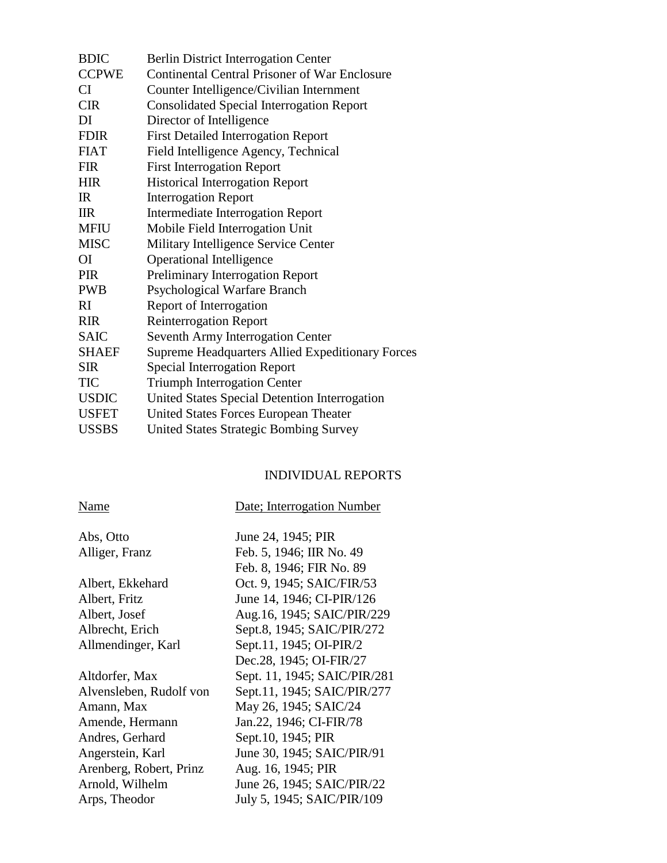| <b>BDIC</b>  | <b>Berlin District Interrogation Center</b>             |
|--------------|---------------------------------------------------------|
| <b>CCPWE</b> | Continental Central Prisoner of War Enclosure           |
| CI.          | Counter Intelligence/Civilian Internment                |
| <b>CIR</b>   | <b>Consolidated Special Interrogation Report</b>        |
| DI           | Director of Intelligence                                |
| <b>FDIR</b>  | <b>First Detailed Interrogation Report</b>              |
| <b>FIAT</b>  | Field Intelligence Agency, Technical                    |
| <b>FIR</b>   | <b>First Interrogation Report</b>                       |
| <b>HIR</b>   | <b>Historical Interrogation Report</b>                  |
| IR           | <b>Interrogation Report</b>                             |
| $_{\rm IIR}$ | <b>Intermediate Interrogation Report</b>                |
| <b>MFIU</b>  | Mobile Field Interrogation Unit                         |
| <b>MISC</b>  | Military Intelligence Service Center                    |
| <b>OI</b>    | <b>Operational Intelligence</b>                         |
| <b>PIR</b>   | <b>Preliminary Interrogation Report</b>                 |
| <b>PWB</b>   | Psychological Warfare Branch                            |
| RI           | Report of Interrogation                                 |
| <b>RIR</b>   | <b>Reinterrogation Report</b>                           |
| <b>SAIC</b>  | Seventh Army Interrogation Center                       |
| <b>SHAEF</b> | <b>Supreme Headquarters Allied Expeditionary Forces</b> |
| <b>SIR</b>   | <b>Special Interrogation Report</b>                     |
| <b>TIC</b>   | <b>Triumph Interrogation Center</b>                     |
| <b>USDIC</b> | United States Special Detention Interrogation           |
| <b>USFET</b> | United States Forces European Theater                   |
| <b>USSBS</b> | United States Strategic Bombing Survey                  |

## INDIVIDUAL REPORTS

| Name                    | Date; Interrogation Number   |
|-------------------------|------------------------------|
| Abs, Otto               | June 24, 1945; PIR           |
| Alliger, Franz          | Feb. 5, 1946; IIR No. 49     |
|                         | Feb. 8, 1946; FIR No. 89     |
| Albert, Ekkehard        | Oct. 9, 1945; SAIC/FIR/53    |
| Albert, Fritz           | June 14, 1946; CI-PIR/126    |
| Albert, Josef           | Aug.16, 1945; SAIC/PIR/229   |
| Albrecht, Erich         | Sept.8, 1945; SAIC/PIR/272   |
| Allmendinger, Karl      | Sept.11, 1945; OI-PIR/2      |
|                         | Dec.28, 1945; OI-FIR/27      |
| Altdorfer, Max          | Sept. 11, 1945; SAIC/PIR/281 |
| Alvensleben, Rudolf von | Sept.11, 1945; SAIC/PIR/277  |
| Amann, Max              | May 26, 1945; SAIC/24        |
| Amende, Hermann         | Jan.22, 1946; CI-FIR/78      |
| Andres, Gerhard         | Sept.10, 1945; PIR           |
| Angerstein, Karl        | June 30, 1945; SAIC/PIR/91   |
| Arenberg, Robert, Prinz | Aug. 16, 1945; PIR           |
| Arnold, Wilhelm         | June 26, 1945; SAIC/PIR/22   |
| Arps, Theodor           | July 5, 1945; SAIC/PIR/109   |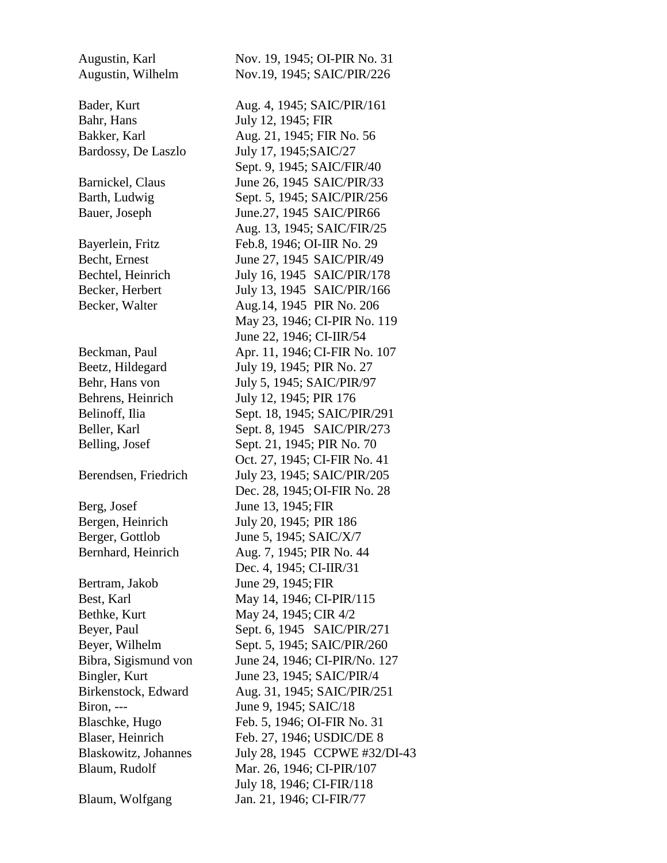Bahr, Hans July 12, 1945; FIR Bardossy, De Laszlo July 17, 1945; SAIC/27 Behrens, Heinrich July 12, 1945; PIR 176 Berg, Josef June 13, 1945; FIR Bergen, Heinrich July 20, 1945; PIR 186 Berger, Gottlob June 5, 1945; SAIC/X/7 Bertram, Jakob June 29, 1945; FIR Bethke, Kurt May 24, 1945; CIR 4/2 Biron, --- June 9, 1945; SAIC/18

Blaum, Wolfgang Jan. 21, 1946; CI-FIR/77

Augustin, Karl Nov. 19, 1945; OI-PIR No. 31 Augustin, Wilhelm Nov.19, 1945; SAIC/PIR/226 Bader, Kurt Aug. 4, 1945; SAIC/PIR/161 Bakker, Karl **Aug. 21, 1945**; FIR No. 56 Sept. 9, 1945; SAIC/FIR/40 Barnickel, Claus June 26, 1945 SAIC/PIR/33 Barth, Ludwig Sept. 5, 1945; SAIC/PIR/256 Bauer, Joseph June.27, 1945 SAIC/PIR66 Aug. 13, 1945; SAIC/FIR/25 Bayerlein, Fritz Feb.8, 1946; OI-IIR No. 29 Becht, Ernest June 27, 1945 SAIC/PIR/49 Bechtel, Heinrich July 16, 1945 SAIC/PIR/178 Becker, Herbert July 13, 1945 SAIC/PIR/166 Becker, Walter **Aug.14**, 1945 PIR No. 206 May 23, 1946; CI-PIR No. 119 June 22, 1946; CI-IIR/54 Beckman, Paul **Apr. 11, 1946; CI-FIR No. 107** Beetz, Hildegard July 19, 1945; PIR No. 27 Behr, Hans von July 5, 1945; SAIC/PIR/97 Belinoff, Ilia Sept. 18, 1945; SAIC/PIR/291 Beller, Karl Sept. 8, 1945 SAIC/PIR/273 Belling, Josef Sept. 21, 1945; PIR No. 70 Oct. 27, 1945; CI-FIR No. 41 Berendsen, Friedrich July 23, 1945; SAIC/PIR/205 Dec. 28, 1945; OI-FIR No. 28 Bernhard, Heinrich Aug. 7, 1945; PIR No. 44 Dec. 4, 1945; CI-IIR/31 Best, Karl May 14, 1946; CI-PIR/115 Beyer, Paul Sept. 6, 1945 SAIC/PIR/271 Beyer, Wilhelm Sept. 5, 1945; SAIC/PIR/260 Bibra, Sigismund von June 24, 1946; CI-PIR/No. 127 Bingler, Kurt June 23, 1945; SAIC/PIR/4 Birkenstock, Edward Aug. 31, 1945; SAIC/PIR/251 Blaschke, Hugo Feb. 5, 1946; OI-FIR No. 31 Blaser, Heinrich Feb. 27, 1946; USDIC/DE 8 Blaskowitz, Johannes July 28, 1945 CCPWE #32/DI-43 Blaum, Rudolf Mar. 26, 1946; CI-PIR/107 July 18, 1946; CI-FIR/118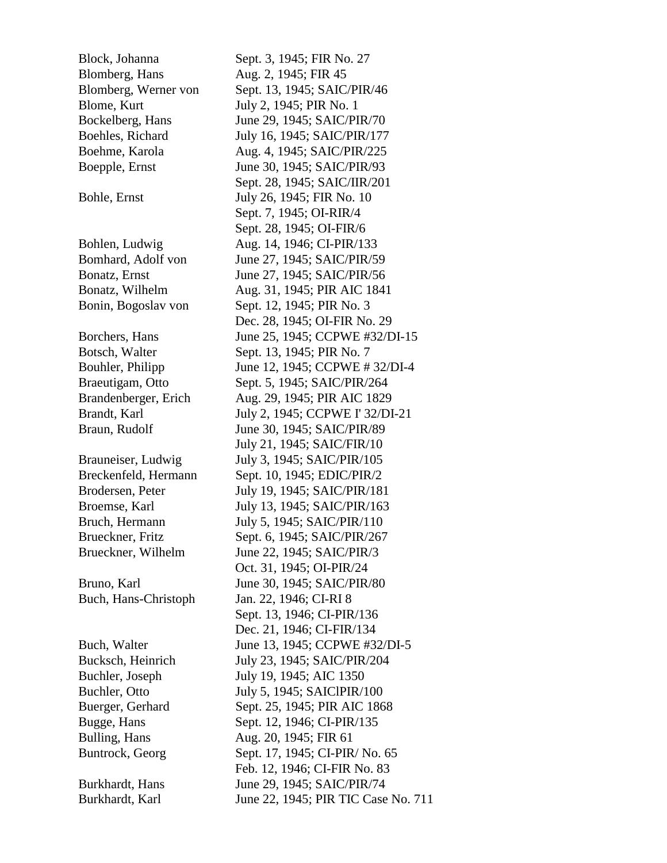Block, Johanna Sept. 3, 1945; FIR No. 27 Blomberg, Hans Aug. 2, 1945; FIR 45 Blomberg, Werner von Sept. 13, 1945; SAIC/PIR/46 Blome, Kurt July 2, 1945; PIR No. 1 Bockelberg, Hans June 29, 1945; SAIC/PIR/70 Boehles, Richard July 16, 1945; SAIC/PIR/177 Boehme, Karola Aug. 4, 1945; SAIC/PIR/225 Boepple, Ernst June 30, 1945; SAIC/PIR/93 Bohle, Ernst July 26, 1945; FIR No. 10 Bohlen, Ludwig Aug. 14, 1946; CI-PIR/133 Bomhard, Adolf von June 27, 1945; SAIC/PIR/59 Bonatz, Ernst June 27, 1945; SAIC/PIR/56 Bonatz, Wilhelm Aug. 31, 1945; PIR AIC 1841 Bonin, Bogoslav von Sept. 12, 1945; PIR No. 3 Botsch, Walter Sept. 13, 1945; PIR No. 7 Braeutigam, Otto Sept. 5, 1945; SAIC/PIR/264 Brandenberger, Erich Aug. 29, 1945; PIR AIC 1829 Braun, Rudolf June 30, 1945; SAIC/PIR/89 Brauneiser, Ludwig July 3, 1945; SAIC/PIR/105 Breckenfeld, Hermann Sept. 10, 1945; EDIC/PIR/2 Brodersen, Peter July 19, 1945; SAIC/PIR/181 Broemse, Karl July 13, 1945; SAIC/PIR/163 Bruch, Hermann July 5, 1945; SAIC/PIR/110 Brueckner, Fritz Sept. 6, 1945; SAIC/PIR/267 Brueckner, Wilhelm June 22, 1945; SAIC/PIR/3 Bruno, Karl June 30, 1945; SAIC/PIR/80 Buch, Hans-Christoph Jan. 22, 1946; CI-RI 8 Bucksch, Heinrich July 23, 1945; SAIC/PIR/204 Buchler, Joseph July 19, 1945; AIC 1350 Buchler, Otto July 5, 1945; SAICIPIR/100 Buerger, Gerhard Sept. 25, 1945; PIR AIC 1868 Bugge, Hans Sept. 12, 1946; CI-PIR/135 Bulling, Hans Aug. 20, 1945; FIR 61 Buntrock, Georg Sept. 17, 1945; CI-PIR/ No. 65 Burkhardt, Hans June 29, 1945; SAIC/PIR/74 Burkhardt, Karl June 22, 1945; PIR TIC Case No. 711

 Sept. 28, 1945; SAIC/IIR/201 Sept. 7, 1945; OI-RIR/4 Sept. 28, 1945; OI-FIR/6 Dec. 28, 1945; OI-FIR No. 29 Borchers, Hans June 25, 1945; CCPWE #32/DI-15 Bouhler, Philipp June 12, 1945; CCPWE # 32/DI-4 Brandt, Karl July 2, 1945; CCPWE I' 32/DI-21 July 21, 1945; SAIC/FIR/10 Oct. 31, 1945; OI-PIR/24 Sept. 13, 1946; CI-PIR/136 Dec. 21, 1946; CI-FIR/134 Buch, Walter June 13, 1945; CCPWE #32/DI-5 Feb. 12, 1946; CI-FIR No. 83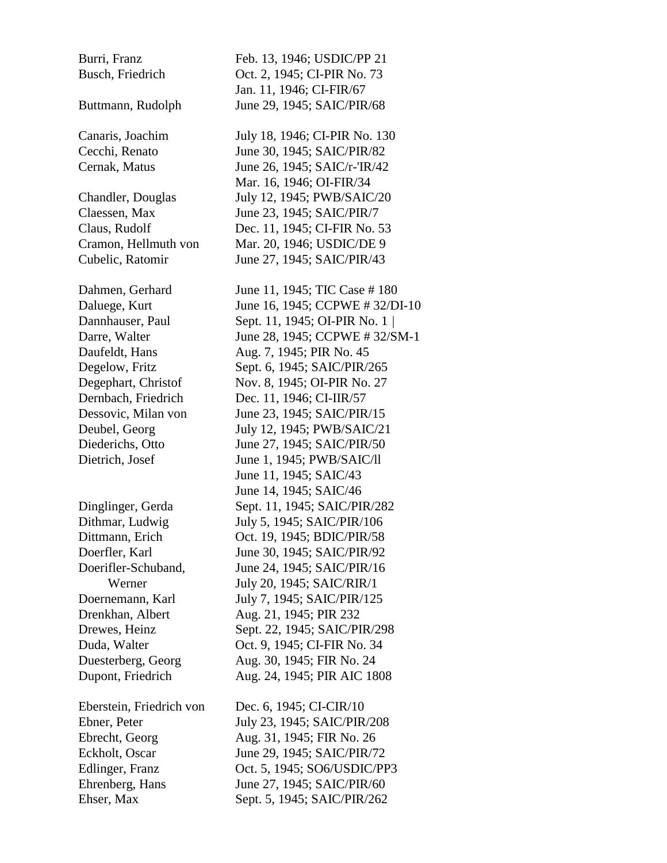Burri, Franz Feb. 13, 1946; USDIC/PP 21 Busch, Friedrich Oct. 2, 1945; CI-PIR No. 73 Jan. 11, 1946; CI-FIR/67 Buttmann, Rudolph June 29, 1945; SAIC/PIR/68 Canaris, Joachim July 18, 1946; CI-PIR No. 130 Cecchi, Renato June 30, 1945; SAIC/PIR/82 Cernak, Matus June 26, 1945; SAIC/r-'IR/42 Mar. 16, 1946; OI-FIR/34 Chandler, Douglas July 12, 1945; PWB/SAIC/20 Claessen, Max June 23, 1945; SAIC/PIR/7 Claus, Rudolf Dec. 11, 1945; CI-FIR No. 53 Cramon, Hellmuth von Mar. 20, 1946; USDIC/DE 9 Cubelic, Ratomir June 27, 1945; SAIC/PIR/43 Dahmen, Gerhard June 11, 1945; TIC Case # 180 Daluege, Kurt June 16, 1945; CCPWE # 32/DI-10 Dannhauser, Paul Sept. 11, 1945; OI-PIR No. 1 | Darre, Walter June 28, 1945; CCPWE # 32/SM-1 Daufeldt, Hans **Aug. 7, 1945**; PIR No. 45 Degelow, Fritz Sept. 6, 1945; SAIC/PIR/265 Degephart, Christof Nov. 8, 1945; OI-PIR No. 27 Dernbach, Friedrich Dec. 11, 1946; CI-IIR/57 Dessovic, Milan von June 23, 1945; SAIC/PIR/15 Deubel, Georg July 12, 1945; PWB/SAIC/21 Diederichs, Otto June 27, 1945; SAIC/PIR/50 Dietrich, Josef June 1, 1945; PWB/SAIC/ll June 11, 1945; SAIC/43 June 14, 1945; SAIC/46 Dinglinger, Gerda Sept. 11, 1945; SAIC/PIR/282 Dithmar, Ludwig July 5, 1945; SAIC/PIR/106 Dittmann, Erich Oct. 19, 1945; BDIC/PIR/58 Doerfler, Karl June 30, 1945; SAIC/PIR/92 Doerifler-Schuband, June 24, 1945; SAIC/PIR/16 Werner July 20, 1945; SAIC/RIR/1 Doernemann, Karl July 7, 1945; SAIC/PIR/125 Drenkhan, Albert Aug. 21, 1945; PIR 232 Drewes, Heinz Sept. 22, 1945; SAIC/PIR/298 Duda, Walter **Oct.** 9, 1945; CI-FIR No. 34 Duesterberg, Georg Aug. 30, 1945; FIR No. 24 Dupont, Friedrich Aug. 24, 1945; PIR AIC 1808 Eberstein, Friedrich von Dec. 6, 1945; CI-CIR/10 Ebner, Peter July 23, 1945; SAIC/PIR/208

Ebrecht, Georg Aug. 31, 1945; FIR No. 26 Eckholt, Oscar June 29, 1945; SAIC/PIR/72 Edlinger, Franz Oct. 5, 1945; SO6/USDIC/PP3 Ehrenberg, Hans June 27, 1945; SAIC/PIR/60 Ehser, Max Sept. 5, 1945; SAIC/PIR/262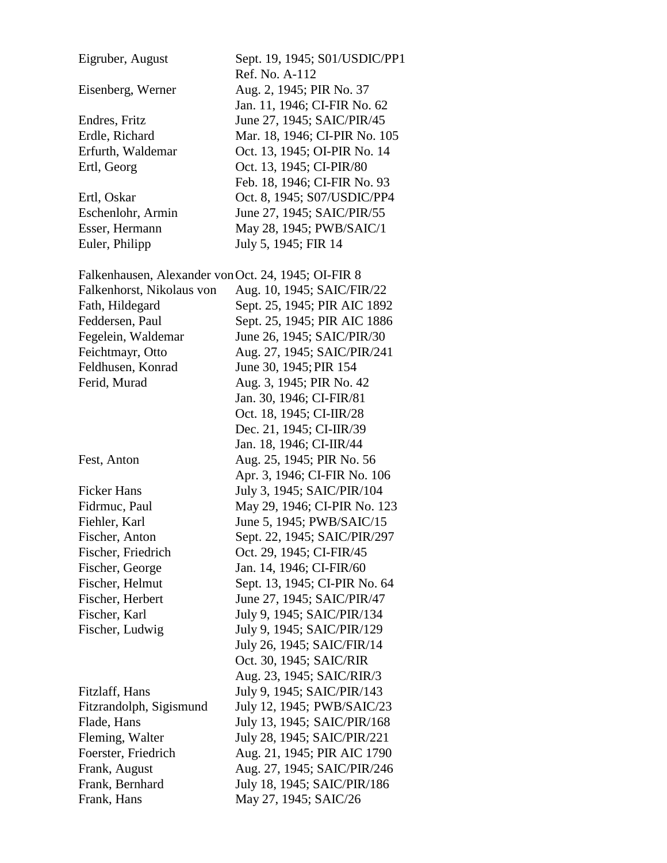| Eigruber, August                                    | Sept. 19, 1945; S01/USDIC/PP1 |
|-----------------------------------------------------|-------------------------------|
|                                                     | Ref. No. A-112                |
| Eisenberg, Werner                                   | Aug. 2, 1945; PIR No. 37      |
|                                                     | Jan. 11, 1946; CI-FIR No. 62  |
| Endres, Fritz                                       | June 27, 1945; SAIC/PIR/45    |
| Erdle, Richard                                      | Mar. 18, 1946; CI-PIR No. 105 |
| Erfurth, Waldemar                                   | Oct. 13, 1945; OI-PIR No. 14  |
| Ertl, Georg                                         | Oct. 13, 1945; CI-PIR/80      |
|                                                     | Feb. 18, 1946; CI-FIR No. 93  |
| Ertl, Oskar                                         | Oct. 8, 1945; S07/USDIC/PP4   |
| Eschenlohr, Armin                                   | June 27, 1945; SAIC/PIR/55    |
| Esser, Hermann                                      | May 28, 1945; PWB/SAIC/1      |
| Euler, Philipp                                      | July 5, 1945; FIR 14          |
|                                                     |                               |
| Falkenhausen, Alexander von Oct. 24, 1945; OI-FIR 8 |                               |
| Falkenhorst, Nikolaus von                           | Aug. 10, 1945; SAIC/FIR/22    |
| Fath, Hildegard                                     | Sept. 25, 1945; PIR AIC 1892  |
| Feddersen, Paul                                     | Sept. 25, 1945; PIR AIC 1886  |
| Fegelein, Waldemar                                  | June 26, 1945; SAIC/PIR/30    |
|                                                     |                               |
| Feichtmayr, Otto                                    | Aug. 27, 1945; SAIC/PIR/241   |
| Feldhusen, Konrad                                   | June 30, 1945; PIR 154        |
| Ferid, Murad                                        | Aug. 3, 1945; PIR No. 42      |
|                                                     | Jan. 30, 1946; CI-FIR/81      |
|                                                     | Oct. 18, 1945; CI-IIR/28      |
|                                                     | Dec. 21, 1945; CI-IIR/39      |
|                                                     | Jan. 18, 1946; CI-IIR/44      |
| Fest, Anton                                         | Aug. 25, 1945; PIR No. 56     |
|                                                     | Apr. 3, 1946; CI-FIR No. 106  |
| <b>Ficker Hans</b>                                  | July 3, 1945; SAIC/PIR/104    |
| Fidrmuc, Paul                                       | May 29, 1946; CI-PIR No. 123  |
| Fiehler, Karl                                       | June 5, 1945; PWB/SAIC/15     |
| Fischer, Anton                                      | Sept. 22, 1945; SAIC/PIR/297  |
| Fischer, Friedrich                                  | Oct. 29, 1945; CI-FIR/45      |
| Fischer, George                                     | Jan. 14, 1946; CI-FIR/60      |
| Fischer, Helmut                                     | Sept. 13, 1945; CI-PIR No. 64 |
| Fischer, Herbert                                    | June 27, 1945; SAIC/PIR/47    |
| Fischer, Karl                                       | July 9, 1945; SAIC/PIR/134    |
| Fischer, Ludwig                                     | July 9, 1945; SAIC/PIR/129    |
|                                                     | July 26, 1945; SAIC/FIR/14    |
|                                                     | Oct. 30, 1945; SAIC/RIR       |
|                                                     | Aug. 23, 1945; SAIC/RIR/3     |
| Fitzlaff, Hans                                      | July 9, 1945; SAIC/PIR/143    |
| Fitzrandolph, Sigismund                             | July 12, 1945; PWB/SAIC/23    |
| Flade, Hans                                         | July 13, 1945; SAIC/PIR/168   |
|                                                     |                               |
| Fleming, Walter                                     | July 28, 1945; SAIC/PIR/221   |
| Foerster, Friedrich                                 | Aug. 21, 1945; PIR AIC 1790   |
| Frank, August                                       | Aug. 27, 1945; SAIC/PIR/246   |
| Frank, Bernhard                                     | July 18, 1945; SAIC/PIR/186   |
| Frank, Hans                                         | May 27, 1945; SAIC/26         |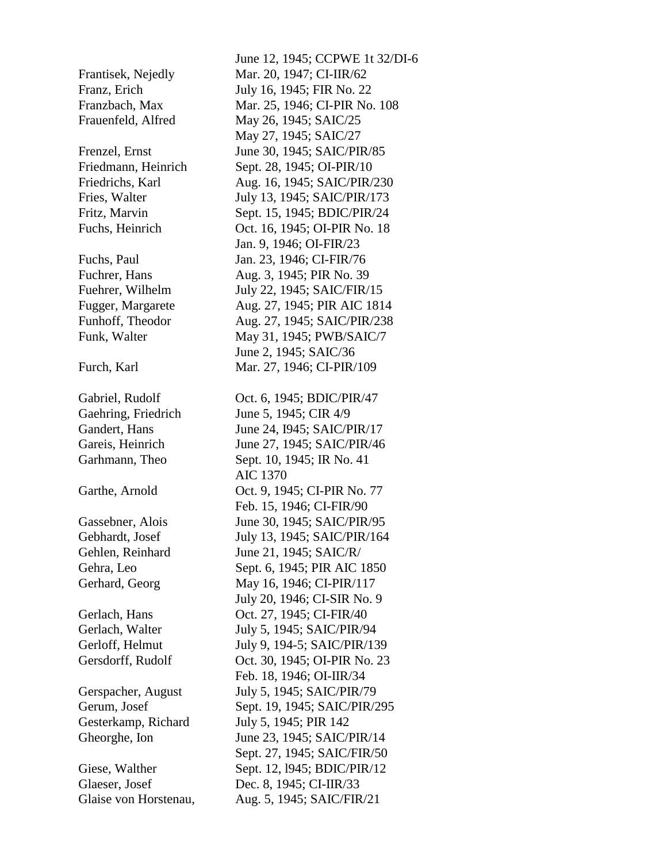June 12, 1945; CCPWE 1t 32/DI-6 Frantisek, Nejedly Mar. 20, 1947; CI-IIR/62 Franz, Erich July 16, 1945; FIR No. 22 Franzbach, Max Mar. 25, 1946; CI-PIR No. 108 Frauenfeld, Alfred May 26, 1945; SAIC/25 May 27, 1945; SAIC/27 Frenzel, Ernst June 30, 1945; SAIC/PIR/85 Friedmann, Heinrich Sept. 28, 1945; OI-PIR/10 Friedrichs, Karl Aug. 16, 1945; SAIC/PIR/230 Fries, Walter July 13, 1945; SAIC/PIR/173 Fritz, Marvin Sept. 15, 1945; BDIC/PIR/24 Fuchs, Heinrich Oct. 16, 1945; OI-PIR No. 18 Jan. 9, 1946; OI-FIR/23 Fuchs, Paul Jan. 23, 1946; CI-FIR/76 Fuchrer, Hans **Aug.** 3, 1945; PIR No. 39 Fuehrer, Wilhelm July 22, 1945; SAIC/FIR/15 Fugger, Margarete Aug. 27, 1945; PIR AIC 1814 Funhoff, Theodor Aug. 27, 1945; SAIC/PIR/238 Funk, Walter May 31, 1945; PWB/SAIC/7 June 2, 1945; SAIC/36 Furch, Karl Mar. 27, 1946; CI-PIR/109 Gabriel, Rudolf Oct. 6, 1945; BDIC/PIR/47 Gaehring, Friedrich June 5, 1945; CIR 4/9 Gandert, Hans June 24, 1945; SAIC/PIR/17 Gareis, Heinrich June 27, 1945; SAIC/PIR/46 Garhmann, Theo Sept. 10, 1945; IR No. 41 AIC 1370 Garthe, Arnold **Oct. 9, 1945; CI-PIR No. 77**  Feb. 15, 1946; CI-FIR/90 Gassebner, Alois June 30, 1945; SAIC/PIR/95 Gebhardt, Josef July 13, 1945; SAIC/PIR/164 Gehlen, Reinhard June 21, 1945; SAIC/R/ Gehra, Leo Sept. 6, 1945; PIR AIC 1850 Gerhard, Georg May 16, 1946; CI-PIR/117 July 20, 1946; CI-SIR No. 9 Gerlach, Hans **Oct.** 27, 1945; CI-FIR/40 Gerlach, Walter July 5, 1945; SAIC/PIR/94 Gerloff, Helmut July 9, 194-5; SAIC/PIR/139 Gersdorff, Rudolf Oct. 30, 1945; OI-PIR No. 23 Feb. 18, 1946; OI-IIR/34 Gerspacher, August July 5, 1945; SAIC/PIR/79 Gerum, Josef Sept. 19, 1945; SAIC/PIR/295 Gesterkamp, Richard July 5, 1945; PIR 142 Gheorghe, Ion June 23, 1945; SAIC/PIR/14 Sept. 27, 1945; SAIC/FIR/50 Giese, Walther Sept. 12, 1945; BDIC/PIR/12 Glaeser, Josef Dec. 8, 1945; CI-IIR/33 Glaise von Horstenau, Aug. 5, 1945; SAIC/FIR/21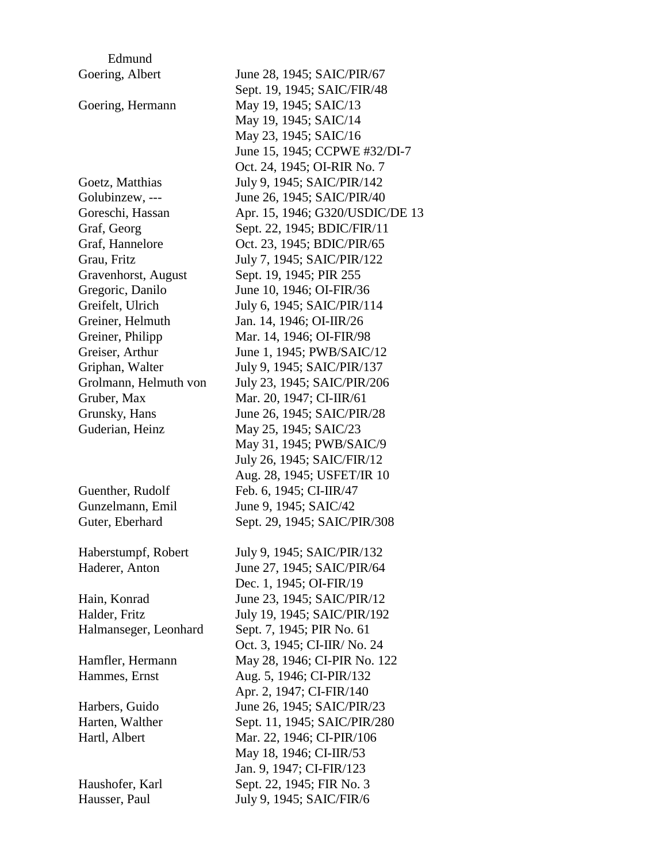| Edmund                |                                 |
|-----------------------|---------------------------------|
| Goering, Albert       | June 28, 1945; SAIC/PIR/67      |
|                       | Sept. 19, 1945; SAIC/FIR/48     |
| Goering, Hermann      | May 19, 1945; SAIC/13           |
|                       | May 19, 1945; SAIC/14           |
|                       | May 23, 1945; SAIC/16           |
|                       | June 15, 1945; CCPWE #32/DI-7   |
|                       | Oct. 24, 1945; OI-RIR No. 7     |
| Goetz, Matthias       | July 9, 1945; SAIC/PIR/142      |
| Golubinzew, ---       | June 26, 1945; SAIC/PIR/40      |
| Goreschi, Hassan      | Apr. 15, 1946; G320/USDIC/DE 13 |
| Graf, Georg           | Sept. 22, 1945; BDIC/FIR/11     |
| Graf, Hannelore       | Oct. 23, 1945; BDIC/PIR/65      |
| Grau, Fritz           | July 7, 1945; SAIC/PIR/122      |
| Gravenhorst, August   | Sept. 19, 1945; PIR 255         |
| Gregoric, Danilo      | June 10, 1946; OI-FIR/36        |
| Greifelt, Ulrich      | July 6, 1945; SAIC/PIR/114      |
| Greiner, Helmuth      | Jan. 14, 1946; OI-IIR/26        |
| Greiner, Philipp      | Mar. 14, 1946; OI-FIR/98        |
| Greiser, Arthur       | June 1, 1945; PWB/SAIC/12       |
| Griphan, Walter       | July 9, 1945; SAIC/PIR/137      |
| Grolmann, Helmuth von | July 23, 1945; SAIC/PIR/206     |
| Gruber, Max           | Mar. 20, 1947; CI-IIR/61        |
| Grunsky, Hans         | June 26, 1945; SAIC/PIR/28      |
| Guderian, Heinz       | May 25, 1945; SAIC/23           |
|                       | May 31, 1945; PWB/SAIC/9        |
|                       | July 26, 1945; SAIC/FIR/12      |
|                       | Aug. 28, 1945; USFET/IR 10      |
| Guenther, Rudolf      | Feb. 6, 1945; CI-IIR/47         |
| Gunzelmann, Emil      | June 9, 1945; SAIC/42           |
| Guter, Eberhard       | Sept. 29, 1945; SAIC/PIR/308    |
|                       |                                 |
| Haberstumpf, Robert   | July 9, 1945; SAIC/PIR/132      |
| Haderer, Anton        | June 27, 1945; SAIC/PIR/64      |
|                       | Dec. 1, 1945; OI-FIR/19         |
| Hain, Konrad          | June 23, 1945; SAIC/PIR/12      |
| Halder, Fritz         | July 19, 1945; SAIC/PIR/192     |
| Halmanseger, Leonhard | Sept. 7, 1945; PIR No. 61       |
|                       | Oct. 3, 1945; CI-IIR/ No. 24    |
| Hamfler, Hermann      | May 28, 1946; CI-PIR No. 122    |
| Hammes, Ernst         | Aug. 5, 1946; CI-PIR/132        |
|                       | Apr. 2, 1947; CI-FIR/140        |
| Harbers, Guido        | June 26, 1945; SAIC/PIR/23      |
| Harten, Walther       | Sept. 11, 1945; SAIC/PIR/280    |
| Hartl, Albert         | Mar. 22, 1946; CI-PIR/106       |
|                       | May 18, 1946; CI-IIR/53         |
|                       | Jan. 9, 1947; CI-FIR/123        |
| Haushofer, Karl       | Sept. 22, 1945; FIR No. 3       |
| Hausser, Paul         | July 9, 1945; SAIC/FIR/6        |
|                       |                                 |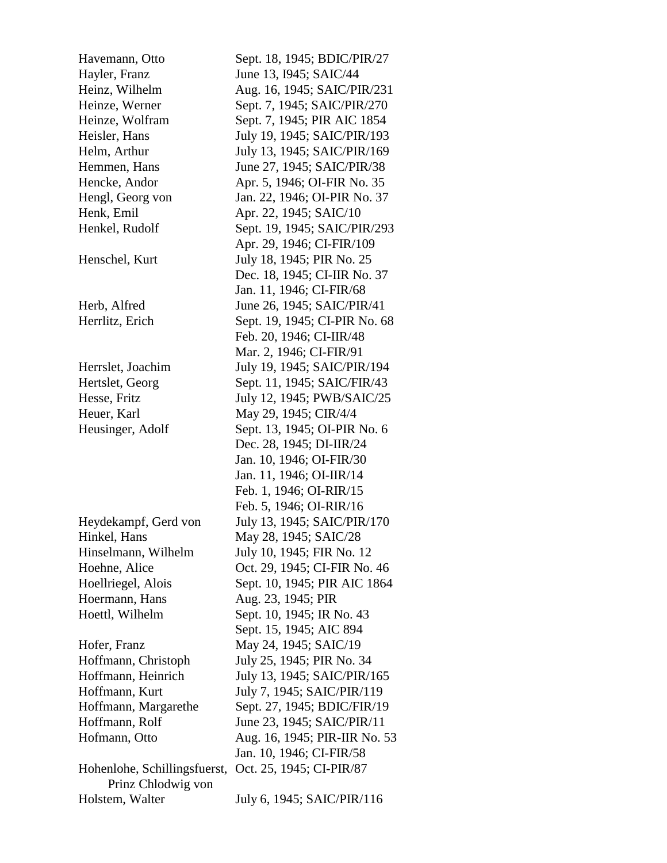Havemann, Otto Sept. 18, 1945; BDIC/PIR/27 Hayler, Franz June 13, 1945; SAIC/44 Heinz, Wilhelm Aug. 16, 1945; SAIC/PIR/231 Heinze, Werner Sept. 7, 1945; SAIC/PIR/270 Heinze, Wolfram Sept. 7, 1945; PIR AIC 1854 Heisler, Hans July 19, 1945; SAIC/PIR/193 Helm, Arthur July 13, 1945; SAIC/PIR/169 Hemmen, Hans June 27, 1945; SAIC/PIR/38 Hencke, Andor Apr. 5, 1946; OI-FIR No. 35 Hengl, Georg von Jan. 22, 1946; OI-PIR No. 37 Henk, Emil **Apr. 22, 1945**; SAIC/10 Henkel, Rudolf Sept. 19, 1945; SAIC/PIR/293 Apr. 29, 1946; CI-FIR/109 Henschel, Kurt July 18, 1945; PIR No. 25 Dec. 18, 1945; CI-IIR No. 37 Jan. 11, 1946; CI-FIR/68 Herb, Alfred June 26, 1945; SAIC/PIR/41 Herrlitz, Erich Sept. 19, 1945; CI-PIR No. 68 Feb. 20, 1946; CI-IIR/48 Mar. 2, 1946; CI-FIR/91 Herrslet, Joachim July 19, 1945; SAIC/PIR/194 Hertslet, Georg Sept. 11, 1945; SAIC/FIR/43 Hesse, Fritz July 12, 1945; PWB/SAIC/25 Heuer, Karl May 29, 1945; CIR/4/4 Heusinger, Adolf Sept. 13, 1945; OI-PIR No. 6 Dec. 28, 1945; DI-IIR/24 Jan. 10, 1946; OI-FIR/30 Jan. 11, 1946; OI-IIR/14 Feb. 1, 1946; OI-RIR/15 Feb. 5, 1946; OI-RIR/16 Heydekampf, Gerd von July 13, 1945; SAIC/PIR/170 Hinkel, Hans May 28, 1945; SAIC/28 Hinselmann, Wilhelm July 10, 1945; FIR No. 12 Hoehne, Alice Oct. 29, 1945; CI-FIR No. 46 Hoellriegel, Alois Sept. 10, 1945; PIR AIC 1864 Hoermann, Hans Aug. 23, 1945; PIR Hoettl, Wilhelm Sept. 10, 1945; IR No. 43 Sept. 15, 1945; AIC 894 Hofer, Franz May 24, 1945; SAIC/19 Hoffmann, Christoph July 25, 1945; PIR No. 34 Hoffmann, Heinrich July 13, 1945; SAIC/PIR/165 Hoffmann, Kurt July 7, 1945; SAIC/PIR/119 Hoffmann, Margarethe Sept. 27, 1945; BDIC/FIR/19 Hoffmann, Rolf June 23, 1945; SAIC/PIR/11 Hofmann, Otto Aug. 16, 1945; PIR-IIR No. 53 Jan. 10, 1946; CI-FIR/58 Hohenlohe, Schillingsfuerst, Oct. 25, 1945; CI-PIR/87 Prinz Chlodwig von Holstem, Walter July 6, 1945; SAIC/PIR/116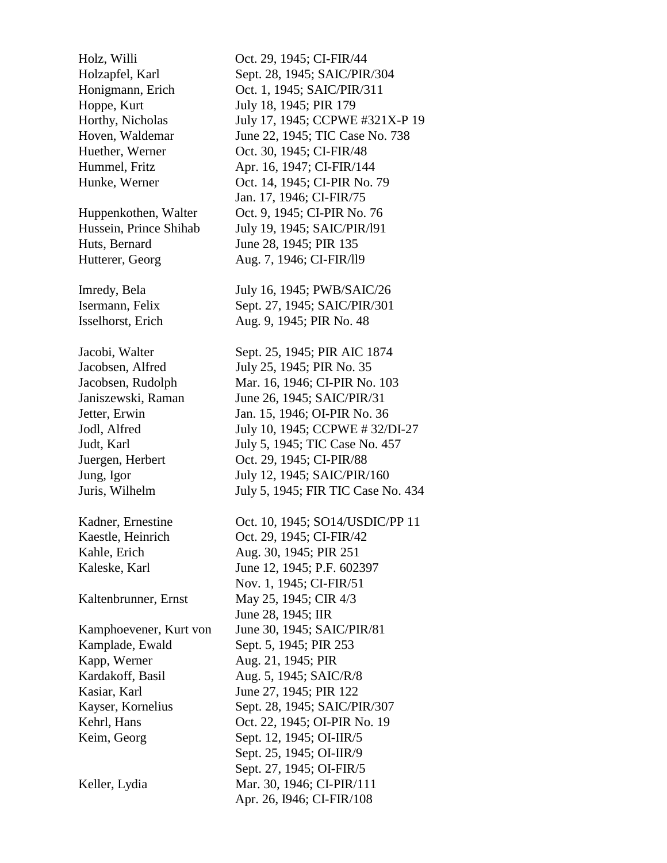Kapp, Werner Aug. 21, 1945; PIR

Holz, Willi Oct. 29, 1945; CI-FIR/44 Holzapfel, Karl Sept. 28, 1945; SAIC/PIR/304 Honigmann, Erich Oct. 1, 1945; SAIC/PIR/311 Hoppe, Kurt July 18, 1945; PIR 179 Horthy, Nicholas July 17, 1945; CCPWE #321X-P 19 Hoven, Waldemar June 22, 1945; TIC Case No. 738 Huether, Werner Oct. 30, 1945; CI-FIR/48 Hummel, Fritz **Apr. 16, 1947; CI-FIR/144** Hunke, Werner **Oct. 14, 1945; CI-PIR No. 79**  Jan. 17, 1946; CI-FIR/75 Huppenkothen, Walter Oct. 9, 1945; CI-PIR No. 76 Hussein, Prince Shihab July 19, 1945; SAIC/PIR/191 Huts, Bernard June 28, 1945; PIR 135 Hutterer, Georg Aug. 7, 1946; CI-FIR/19 Imredy, Bela July 16, 1945; PWB/SAIC/26 Isermann, Felix Sept. 27, 1945; SAIC/PIR/301 Isselhorst, Erich Aug. 9, 1945; PIR No. 48 Jacobi, Walter Sept. 25, 1945; PIR AIC 1874 Jacobsen, Alfred July 25, 1945; PIR No. 35 Jacobsen, Rudolph Mar. 16, 1946; CI-PIR No. 103 Janiszewski, Raman June 26, 1945; SAIC/PIR/31 Jetter, Erwin Jan. 15, 1946; OI-PIR No. 36 Jodl, Alfred July 10, 1945; CCPWE # 32/DI-27 Judt, Karl July 5, 1945; TIC Case No. 457 Juergen, Herbert Oct. 29, 1945; CI-PIR/88 Jung, Igor July 12, 1945; SAIC/PIR/160 Juris, Wilhelm July 5, 1945; FIR TIC Case No. 434 Kadner, Ernestine Oct. 10, 1945; SO14/USDIC/PP 11 Kaestle, Heinrich Oct. 29, 1945; CI-FIR/42 Kahle, Erich **Aug.** 30, 1945; PIR 251 Kaleske, Karl June 12, 1945; P.F. 602397 Nov. 1, 1945; CI-FIR/51 Kaltenbrunner, Ernst May 25, 1945; CIR 4/3 June 28, 1945; IIR Kamphoevener, Kurt von June 30, 1945; SAIC/PIR/81 Kamplade, Ewald Sept. 5, 1945; PIR 253 Kardakoff, Basil Aug. 5, 1945; SAIC/R/8 Kasiar, Karl June 27, 1945; PIR 122 Kayser, Kornelius Sept. 28, 1945; SAIC/PIR/307 Kehrl, Hans **Oct.** 22, 1945; OI-PIR No. 19 Keim, Georg Sept. 12, 1945; OI-IIR/5 Sept. 25, 1945; OI-IIR/9 Sept. 27, 1945; OI-FIR/5 Keller, Lydia Mar. 30, 1946; CI-PIR/111 Apr. 26, I946; CI-FIR/108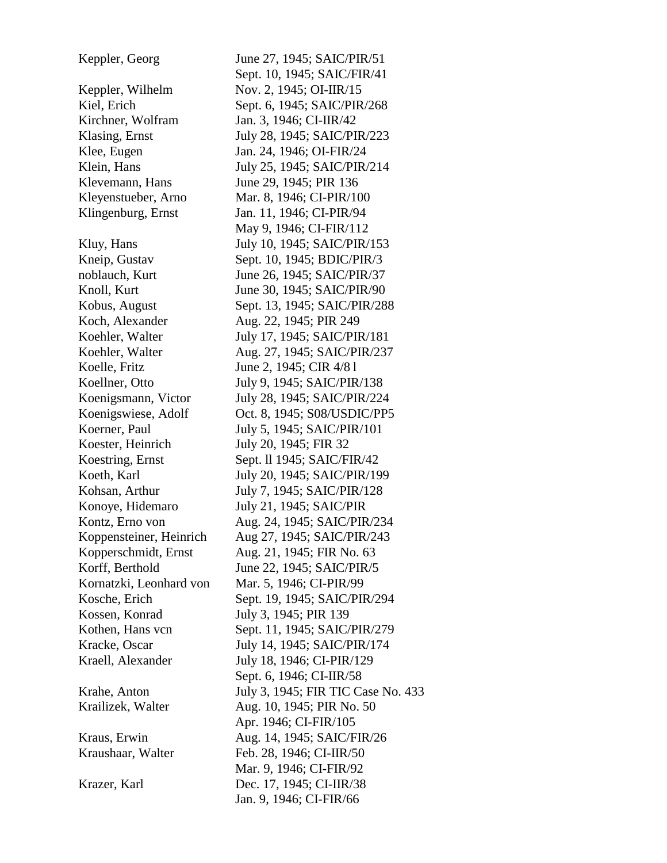Keppler, Wilhelm Nov. 2, 1945; OI-IIR/15 Kirchner, Wolfram Jan. 3, 1946; CI-IIR/42 Klevemann, Hans June 29, 1945; PIR 136 Koch, Alexander **Aug. 22, 1945**; PIR 249 Koelle, Fritz June 2, 1945; CIR 4/8 l Koester, Heinrich July 20, 1945; FIR 32 Kossen, Konrad July 3, 1945; PIR 139

Keppler, Georg June 27, 1945; SAIC/PIR/51 Sept. 10, 1945; SAIC/FIR/41 Kiel, Erich Sept. 6, 1945; SAIC/PIR/268 Klasing, Ernst July 28, 1945; SAIC/PIR/223 Klee, Eugen Jan. 24, 1946; OI-FIR/24 Klein, Hans July 25, 1945; SAIC/PIR/214 Kleyenstueber, Arno Mar. 8, 1946; CI-PIR/100 Klingenburg, Ernst Jan. 11, 1946; CI-PIR/94 May 9, 1946; CI-FIR/112 Kluy, Hans July 10, 1945; SAIC/PIR/153 Kneip, Gustav Sept. 10, 1945; BDIC/PIR/3 noblauch, Kurt June 26, 1945; SAIC/PIR/37 Knoll, Kurt June 30, 1945; SAIC/PIR/90 Kobus, August Sept. 13, 1945; SAIC/PIR/288 Koehler, Walter July 17, 1945; SAIC/PIR/181 Koehler, Walter Aug. 27, 1945; SAIC/PIR/237 Koellner, Otto July 9, 1945; SAIC/PIR/138 Koenigsmann, Victor July 28, 1945; SAIC/PIR/224 Koenigswiese, Adolf Oct. 8, 1945; S08/USDIC/PP5 Koerner, Paul July 5, 1945; SAIC/PIR/101 Koestring, Ernst Sept. 11 1945; SAIC/FIR/42 Koeth, Karl July 20, 1945; SAIC/PIR/199 Kohsan, Arthur July 7, 1945; SAIC/PIR/128 Konoye, Hidemaro July 21, 1945; SAIC/PIR Kontz, Erno von Aug. 24, 1945; SAIC/PIR/234 Koppensteiner, Heinrich Aug 27, 1945; SAIC/PIR/243 Kopperschmidt, Ernst Aug. 21, 1945; FIR No. 63 Korff, Berthold June 22, 1945; SAIC/PIR/5 Kornatzki, Leonhard von Mar. 5, 1946; CI-PIR/99 Kosche, Erich Sept. 19, 1945; SAIC/PIR/294 Kothen, Hans vcn<br>
Sept. 11, 1945; SAIC/PIR/279 Kracke, Oscar July 14, 1945; SAIC/PIR/174 Kraell, Alexander July 18, 1946; CI-PIR/129 Sept. 6, 1946; CI-IIR/58 Krahe, Anton July 3, 1945; FIR TIC Case No. 433 Krailizek, Walter Aug. 10, 1945; PIR No. 50 Apr. 1946; CI-FIR/105 Kraus, Erwin Aug. 14, 1945; SAIC/FIR/26 Kraushaar, Walter Feb. 28, 1946; CI-IIR/50 Mar. 9, 1946; CI-FIR/92 Krazer, Karl Dec. 17, 1945; CI-IIR/38 Jan. 9, 1946; CI-FIR/66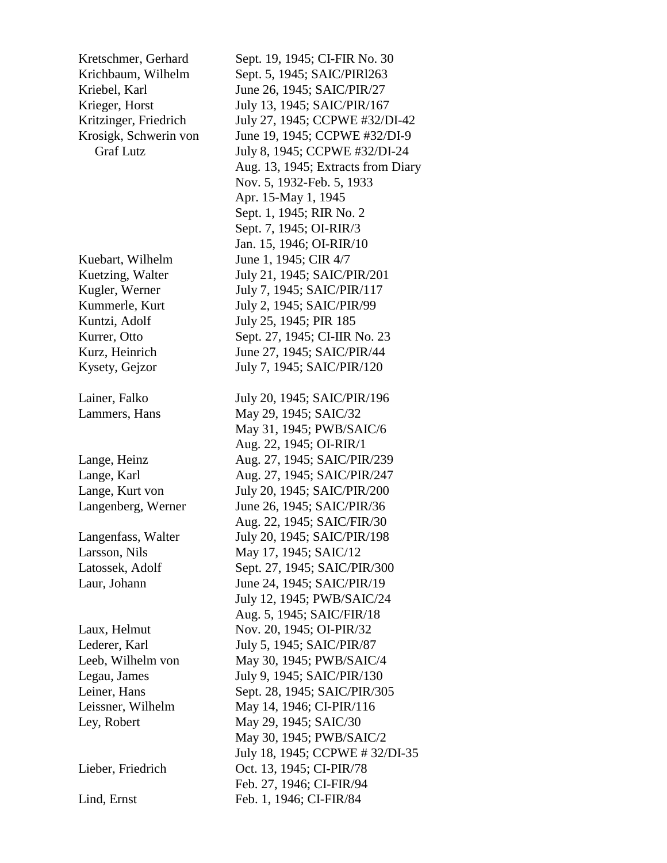Kuebart, Wilhelm June 1, 1945; CIR 4/7

Kretschmer, Gerhard Sept. 19, 1945; CI-FIR No. 30 Krichbaum, Wilhelm Sept. 5, 1945; SAIC/PIRl263 Kriebel, Karl June 26, 1945; SAIC/PIR/27 Krieger, Horst July 13, 1945; SAIC/PIR/167 Kritzinger, Friedrich July 27, 1945; CCPWE #32/DI-42 Krosigk, Schwerin von June 19, 1945; CCPWE #32/DI-9 Graf Lutz **July 8, 1945; CCPWE #32/DI-24**  Aug. 13, 1945; Extracts from Diary Nov. 5, 1932-Feb. 5, 1933 Apr. 15-May 1, 1945 Sept. 1, 1945; RIR No. 2 Sept. 7, 1945; OI-RIR/3 Jan. 15, 1946; OI-RIR/10 Kuetzing, Walter July 21, 1945; SAIC/PIR/201 Kugler, Werner July 7, 1945; SAIC/PIR/117 Kummerle, Kurt July 2, 1945; SAIC/PIR/99 Kuntzi, Adolf July 25, 1945; PIR 185 Kurrer, Otto Sept. 27, 1945; CI-IIR No. 23 Kurz, Heinrich June 27, 1945; SAIC/PIR/44 Kysety, Gejzor July 7, 1945; SAIC/PIR/120 Lainer, Falko July 20, 1945; SAIC/PIR/196 Lammers, Hans May 29, 1945; SAIC/32 May 31, 1945; PWB/SAIC/6 Aug. 22, 1945; OI-RIR/1 Lange, Heinz Aug. 27, 1945; SAIC/PIR/239 Lange, Karl **Aug. 27, 1945; SAIC/PIR/247** Lange, Kurt von July 20, 1945; SAIC/PIR/200 Langenberg, Werner June 26, 1945; SAIC/PIR/36 Aug. 22, 1945; SAIC/FIR/30 Langenfass, Walter July 20, 1945; SAIC/PIR/198 Larsson, Nils May 17, 1945; SAIC/12 Latossek, Adolf Sept. 27, 1945; SAIC/PIR/300 Laur, Johann June 24, 1945; SAIC/PIR/19 July 12, 1945; PWB/SAIC/24 Aug. 5, 1945; SAIC/FIR/18 Laux, Helmut Nov. 20, 1945; OI-PIR/32 Lederer, Karl July 5, 1945; SAIC/PIR/87 Leeb, Wilhelm von May 30, 1945; PWB/SAIC/4 Legau, James July 9, 1945; SAIC/PIR/130 Leiner, Hans Sept. 28, 1945; SAIC/PIR/305 Leissner, Wilhelm May 14, 1946; CI-PIR/116 Ley, Robert May 29, 1945; SAIC/30 May 30, 1945; PWB/SAIC/2 July 18, 1945; CCPWE # 32/DI-35 Lieber, Friedrich Oct. 13, 1945; CI-PIR/78 Feb. 27, 1946; CI-FIR/94 Lind, Ernst Feb. 1, 1946; CI-FIR/84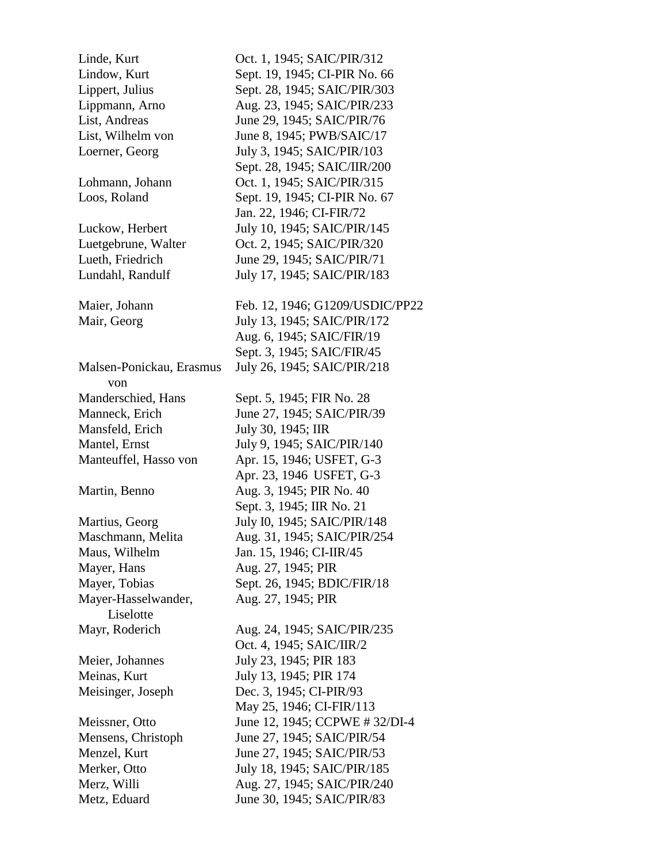| Linde, Kurt              | Oct. 1, 1945; SAIC/PIR/312      |
|--------------------------|---------------------------------|
| Lindow, Kurt             | Sept. 19, 1945; CI-PIR No. 66   |
| Lippert, Julius          | Sept. 28, 1945; SAIC/PIR/303    |
| Lippmann, Arno           | Aug. 23, 1945; SAIC/PIR/233     |
| List, Andreas            | June 29, 1945; SAIC/PIR/76      |
| List, Wilhelm von        | June 8, 1945; PWB/SAIC/17       |
| Loerner, Georg           | July 3, 1945; SAIC/PIR/103      |
|                          | Sept. 28, 1945; SAIC/IIR/200    |
| Lohmann, Johann          | Oct. 1, 1945; SAIC/PIR/315      |
|                          |                                 |
| Loos, Roland             | Sept. 19, 1945; CI-PIR No. 67   |
|                          | Jan. 22, 1946; CI-FIR/72        |
| Luckow, Herbert          | July 10, 1945; SAIC/PIR/145     |
| Luetgebrune, Walter      | Oct. 2, 1945; SAIC/PIR/320      |
| Lueth, Friedrich         | June 29, 1945; SAIC/PIR/71      |
| Lundahl, Randulf         | July 17, 1945; SAIC/PIR/183     |
|                          |                                 |
| Maier, Johann            | Feb. 12, 1946; G1209/USDIC/PP22 |
| Mair, Georg              | July 13, 1945; SAIC/PIR/172     |
|                          | Aug. 6, 1945; SAIC/FIR/19       |
|                          | Sept. 3, 1945; SAIC/FIR/45      |
| Malsen-Ponickau, Erasmus | July 26, 1945; SAIC/PIR/218     |
| von                      |                                 |
| Manderschied, Hans       | Sept. 5, 1945; FIR No. 28       |
| Manneck, Erich           | June 27, 1945; SAIC/PIR/39      |
| Mansfeld, Erich          | July 30, 1945; IIR              |
| Mantel, Ernst            | July 9, 1945; SAIC/PIR/140      |
| Manteuffel, Hasso von    | Apr. 15, 1946; USFET, G-3       |
|                          | Apr. 23, 1946 USFET, G-3        |
| Martin, Benno            | Aug. 3, 1945; PIR No. 40        |
|                          | Sept. 3, 1945; IIR No. 21       |
| Martius, Georg           | July I0, 1945; SAIC/PIR/148     |
| Maschmann, Melita        | Aug. 31, 1945; SAIC/PIR/254     |
| Maus, Wilhelm            | Jan. 15, 1946; CI-IIR/45        |
| Mayer, Hans              | Aug. 27, 1945; PIR              |
| Mayer, Tobias            | Sept. 26, 1945; BDIC/FIR/18     |
| Mayer-Hasselwander,      | Aug. 27, 1945; PIR              |
| Liselotte                |                                 |
| Mayr, Roderich           | Aug. 24, 1945; SAIC/PIR/235     |
|                          | Oct. 4, 1945; SAIC/IIR/2        |
| Meier, Johannes          | July 23, 1945; PIR 183          |
| Meinas, Kurt             | July 13, 1945; PIR 174          |
| Meisinger, Joseph        | Dec. 3, 1945; CI-PIR/93         |
|                          | May 25, 1946; CI-FIR/113        |
| Meissner, Otto           | June 12, 1945; CCPWE #32/DI-4   |
| Mensens, Christoph       | June 27, 1945; SAIC/PIR/54      |
| Menzel, Kurt             | June 27, 1945; SAIC/PIR/53      |
|                          |                                 |
| Merker, Otto             | July 18, 1945; SAIC/PIR/185     |
| Merz, Willi              | Aug. 27, 1945; SAIC/PIR/240     |
| Metz, Eduard             | June 30, 1945; SAIC/PIR/83      |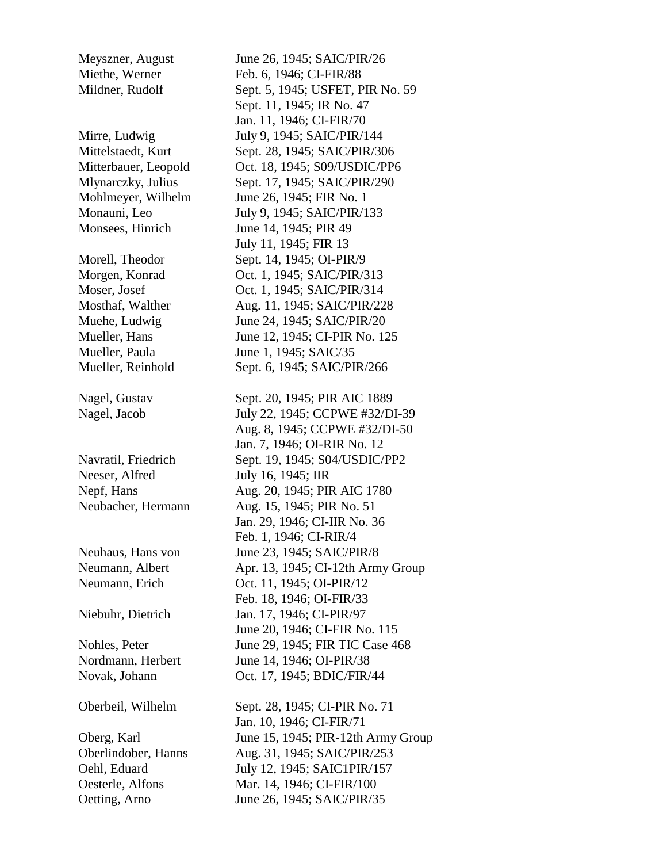- Monsees, Hinrich June 14, 1945; PIR 49
- 

Neeser, Alfred July 16, 1945; IIR

Oetting, Arno June 26, 1945; SAIC/PIR/35

Meyszner, August June 26, 1945; SAIC/PIR/26 Miethe, Werner Feb. 6, 1946; CI-FIR/88 Mildner, Rudolf Sept. 5, 1945; USFET, PIR No. 59 Sept. 11, 1945; IR No. 47 Jan. 11, 1946; CI-FIR/70 Mirre, Ludwig July 9, 1945; SAIC/PIR/144 Mittelstaedt, Kurt Sept. 28, 1945; SAIC/PIR/306 Mitterbauer, Leopold Oct. 18, 1945; S09/USDIC/PP6 Mlynarczky, Julius Sept. 17, 1945; SAIC/PIR/290 Mohlmeyer, Wilhelm June 26, 1945; FIR No. 1 Monauni, Leo July 9, 1945; SAIC/PIR/133 July 11, 1945; FIR 13 Morell, Theodor Sept. 14, 1945; OI-PIR/9 Morgen, Konrad Oct. 1, 1945; SAIC/PIR/313 Moser, Josef 0ct. 1, 1945; SAIC/PIR/314 Mosthaf, Walther Aug. 11, 1945; SAIC/PIR/228 Muehe, Ludwig June 24, 1945; SAIC/PIR/20 Mueller, Hans June 12, 1945; CI-PIR No. 125 Mueller, Paula June 1, 1945; SAIC/35 Mueller, Reinhold Sept. 6, 1945; SAIC/PIR/266 Nagel, Gustav Sept. 20, 1945; PIR AIC 1889 Nagel, Jacob July 22, 1945; CCPWE #32/DI-39 Aug. 8, 1945; CCPWE #32/DI-50 Jan. 7, 1946; OI-RIR No. 12 Navratil, Friedrich Sept. 19, 1945; S04/USDIC/PP2 Nepf, Hans Aug. 20, 1945; PIR AIC 1780 Neubacher, Hermann Aug. 15, 1945; PIR No. 51 Jan. 29, 1946; CI-IIR No. 36 Feb. 1, 1946; CI-RIR/4 Neuhaus, Hans von June 23, 1945; SAIC/PIR/8 Neumann, Albert Apr. 13, 1945; CI-12th Army Group Neumann, Erich Oct. 11, 1945; OI-PIR/12 Feb. 18, 1946; OI-FIR/33 Niebuhr, Dietrich Jan. 17, 1946; CI-PIR/97 June 20, 1946; CI-FIR No. 115 Nohles, Peter June 29, 1945; FIR TIC Case 468 Nordmann, Herbert June 14, 1946; OI-PIR/38 Novak, Johann Oct. 17, 1945; BDIC/FIR/44 Oberbeil, Wilhelm Sept. 28, 1945; CI-PIR No. 71 Jan. 10, 1946; CI-FIR/71 Oberg, Karl June 15, 1945; PIR-12th Army Group

Oberlindober, Hanns Aug. 31, 1945; SAIC/PIR/253 Oehl, Eduard July 12, 1945; SAIC1PIR/157 Oesterle, Alfons Mar. 14, 1946; CI-FIR/100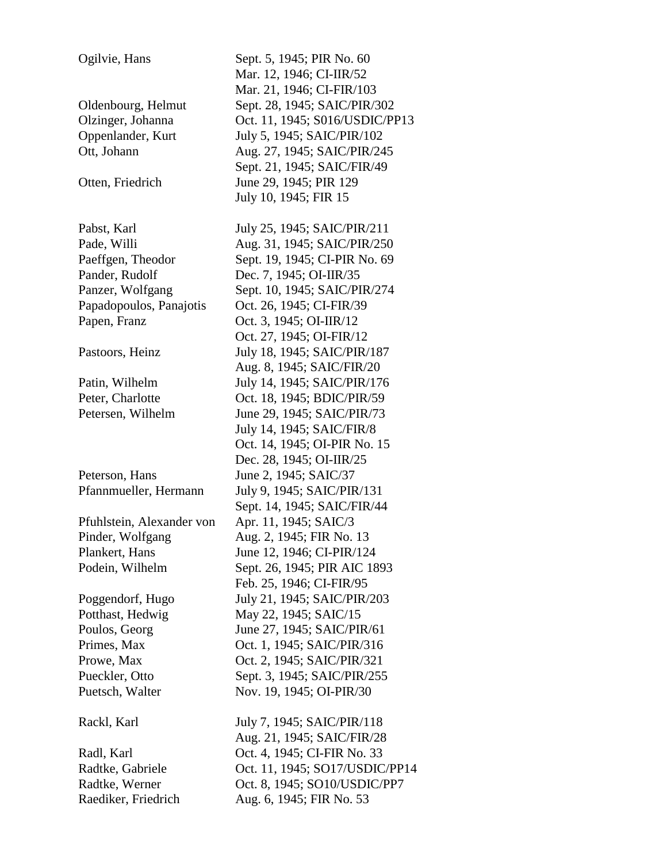Ogilvie, Hans Sept. 5, 1945; PIR No. 60 Mar. 12, 1946; CI-IIR/52 Mar. 21, 1946; CI-FIR/103 Oldenbourg, Helmut Sept. 28, 1945; SAIC/PIR/302 Olzinger, Johanna Oct. 11, 1945; S016/USDIC/PP13 Oppenlander, Kurt July 5, 1945; SAIC/PIR/102 Ott, Johann Aug. 27, 1945; SAIC/PIR/245 Sept. 21, 1945; SAIC/FIR/49 Otten, Friedrich June 29, 1945; PIR 129 July 10, 1945; FIR 15 Pabst, Karl July 25, 1945; SAIC/PIR/211 Pade, Willi Aug. 31, 1945; SAIC/PIR/250 Paeffgen, Theodor Sept. 19, 1945; CI-PIR No. 69 Pander, Rudolf Dec. 7, 1945; OI-IIR/35 Panzer, Wolfgang Sept. 10, 1945; SAIC/PIR/274 Papadopoulos, Panajotis Oct. 26, 1945; CI-FIR/39 Papen, Franz Oct. 3, 1945; OI-IIR/12 Oct. 27, 1945; OI-FIR/12 Pastoors, Heinz July 18, 1945; SAIC/PIR/187 Aug. 8, 1945; SAIC/FIR/20 Patin, Wilhelm July 14, 1945; SAIC/PIR/176 Peter, Charlotte **Oct. 18, 1945**; BDIC/PIR/59 Petersen, Wilhelm June 29, 1945; SAIC/PIR/73 July 14, 1945; SAIC/FIR/8 Oct. 14, 1945; OI-PIR No. 15 Dec. 28, 1945; OI-IIR/25 Peterson, Hans June 2, 1945; SAIC/37 Pfannmueller, Hermann July 9, 1945; SAIC/PIR/131 Sept. 14, 1945; SAIC/FIR/44 Pfuhlstein, Alexander von Apr. 11, 1945; SAIC/3 Pinder, Wolfgang Aug. 2, 1945; FIR No. 13 Plankert, Hans June 12, 1946; CI-PIR/124 Podein, Wilhelm Sept. 26, 1945; PIR AIC 1893 Feb. 25, 1946; CI-FIR/95 Poggendorf, Hugo July 21, 1945; SAIC/PIR/203 Potthast, Hedwig May 22, 1945; SAIC/15 Poulos, Georg June 27, 1945; SAIC/PIR/61 Primes, Max **Oct. 1, 1945; SAIC/PIR/316** Prowe, Max 0ct. 2, 1945; SAIC/PIR/321 Pueckler, Otto Sept. 3, 1945; SAIC/PIR/255 Puetsch, Walter Nov. 19, 1945; OI-PIR/30 Rackl, Karl July 7, 1945; SAIC/PIR/118 Aug. 21, 1945; SAIC/FIR/28 Radl, Karl **Oct.** 4, 1945; CI-FIR No. 33 Radtke, Gabriele Oct. 11, 1945; SO17/USDIC/PP14 Radtke, Werner Oct. 8, 1945; SO10/USDIC/PP7 Raediker, Friedrich Aug. 6, 1945; FIR No. 53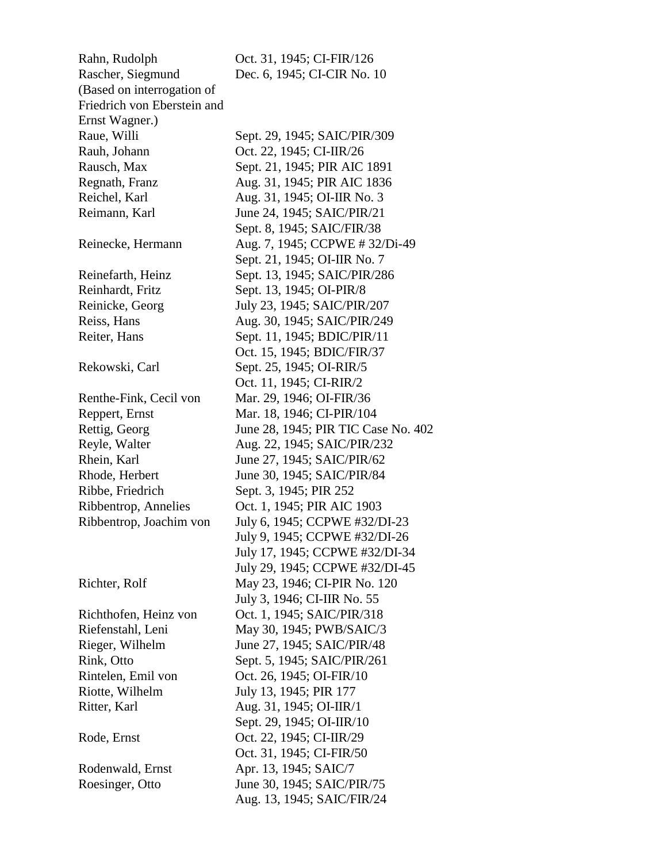Rahn, Rudolph Oct. 31, 1945; CI-FIR/126 Rascher, Siegmund Dec. 6, 1945; CI-CIR No. 10 (Based on interrogation of Friedrich von Eberstein and Ernst Wagner.) Raue, Willi Sept. 29, 1945; SAIC/PIR/309 Rauh, Johann Oct. 22, 1945; CI-IIR/26 Rausch, Max Sept. 21, 1945; PIR AIC 1891 Regnath, Franz **Aug.** 31, 1945; PIR AIC 1836 Reichel, Karl **Aug.** 31, 1945; OI-IIR No. 3 Reimann, Karl June 24, 1945; SAIC/PIR/21 Reinecke, Hermann Aug. 7, 1945; CCPWE # 32/Di-49 Reinefarth, Heinz Sept. 13, 1945; SAIC/PIR/286 Reinhardt, Fritz Sept. 13, 1945; OI-PIR/8 Reinicke, Georg July 23, 1945; SAIC/PIR/207 Reiss, Hans **Aug.** 30, 1945; SAIC/PIR/249 Reiter, Hans Sept. 11, 1945; BDIC/PIR/11 Rekowski, Carl Sept. 25, 1945; OI-RIR/5 Renthe-Fink, Cecil von Mar. 29, 1946; OI-FIR/36 Reppert, Ernst Mar. 18, 1946; CI-PIR/104 Rettig, Georg June 28, 1945; PIR TIC Case No. 402 Reyle, Walter **Aug. 22, 1945; SAIC/PIR/232** Rhein, Karl June 27, 1945; SAIC/PIR/62 Rhode, Herbert June 30, 1945; SAIC/PIR/84 Ribbe, Friedrich Sept. 3, 1945; PIR 252 Ribbentrop, Annelies Oct. 1, 1945; PIR AIC 1903 Ribbentrop, Joachim von July 6, 1945; CCPWE #32/DI-23 Richter, Rolf May 23, 1946; CI-PIR No. 120 Richthofen, Heinz von Oct. 1, 1945; SAIC/PIR/318 Riefenstahl, Leni May 30, 1945; PWB/SAIC/3 Rieger, Wilhelm June 27, 1945; SAIC/PIR/48 Rink, Otto Sept. 5, 1945; SAIC/PIR/261 Rintelen, Emil von Oct. 26, 1945; OI-FIR/10 Riotte, Wilhelm July 13, 1945; PIR 177 Ritter, Karl **Aug.** 31, 1945; OI-IIR/1 Rode, Ernst **Oct.** 22, 1945; CI-IIR/29 Rodenwald, Ernst Apr. 13, 1945; SAIC/7 Roesinger, Otto June 30, 1945; SAIC/PIR/75

 Sept. 8, 1945; SAIC/FIR/38 Sept. 21, 1945; OI-IIR No. 7 Oct. 15, 1945; BDIC/FIR/37 Oct. 11, 1945; CI-RIR/2 July 9, 1945; CCPWE #32/DI-26 July 17, 1945; CCPWE #32/DI-34 July 29, 1945; CCPWE #32/DI-45 July 3, 1946; CI-IIR No. 55 Sept. 29, 1945; OI-IIR/10 Oct. 31, 1945; CI-FIR/50 Aug. 13, 1945; SAIC/FIR/24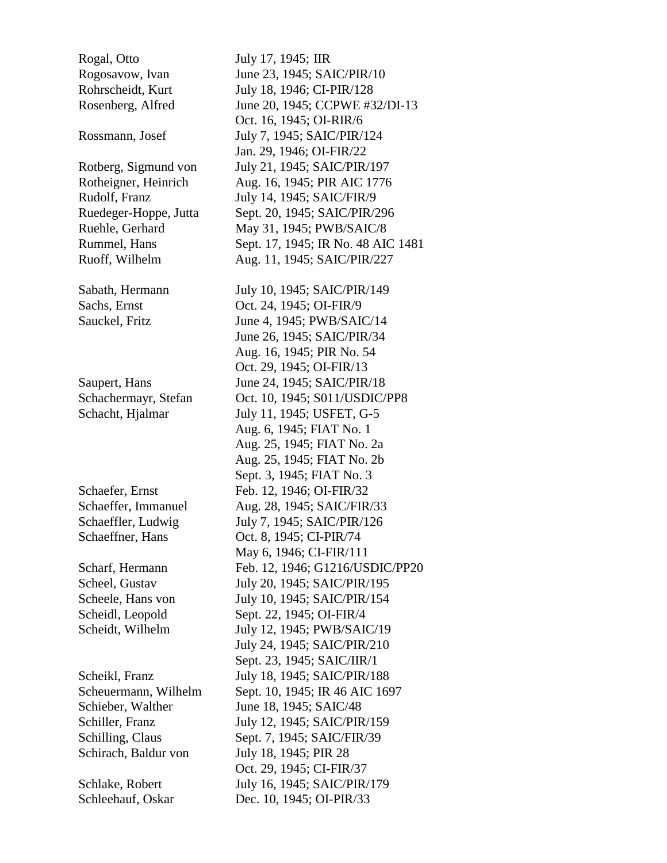Rogal, Otto July 17, 1945; IIR

Schirach, Baldur von July 18, 1945; PIR 28

Rogosavow, Ivan June 23, 1945; SAIC/PIR/10 Rohrscheidt, Kurt July 18, 1946; CI-PIR/128 Rosenberg, Alfred June 20, 1945; CCPWE #32/DI-13 Oct. 16, 1945; OI-RIR/6 Rossmann, Josef July 7, 1945; SAIC/PIR/124 Jan. 29, 1946; OI-FIR/22 Rotberg, Sigmund von July 21, 1945; SAIC/PIR/197 Rotheigner, Heinrich Aug. 16, 1945; PIR AIC 1776 Rudolf, Franz July 14, 1945; SAIC/FIR/9 Ruedeger-Hoppe, Jutta Sept. 20, 1945; SAIC/PIR/296 Ruehle, Gerhard May 31, 1945; PWB/SAIC/8 Rummel, Hans Sept. 17, 1945; IR No. 48 AIC 1481 Ruoff, Wilhelm Aug. 11, 1945; SAIC/PIR/227 Sabath, Hermann July 10, 1945; SAIC/PIR/149 Sachs, Ernst **Oct. 24, 1945**; OI-FIR/9 Sauckel, Fritz June 4, 1945; PWB/SAIC/14 June 26, 1945; SAIC/PIR/34 Aug. 16, 1945; PIR No. 54 Oct. 29, 1945; OI-FIR/13 Saupert, Hans June 24, 1945; SAIC/PIR/18 Schachermayr, Stefan Oct. 10, 1945; S011/USDIC/PP8 Schacht, Hjalmar July 11, 1945; USFET, G-5 Aug. 6, 1945; FIAT No. 1 Aug. 25, 1945; FIAT No. 2a Aug. 25, 1945; FIAT No. 2b Sept. 3, 1945; FIAT No. 3 Schaefer, Ernst Feb. 12, 1946; OI-FIR/32 Schaeffer, Immanuel Aug. 28, 1945; SAIC/FIR/33 Schaeffler, Ludwig July 7, 1945; SAIC/PIR/126 Schaeffner, Hans Oct. 8, 1945; CI-PIR/74 May 6, 1946; CI-FIR/111 Scharf, Hermann Feb. 12, 1946; G1216/USDIC/PP20 Scheel, Gustav July 20, 1945; SAIC/PIR/195 Scheele, Hans von July 10, 1945; SAIC/PIR/154 Scheidl, Leopold Sept. 22, 1945; OI-FIR/4 Scheidt, Wilhelm July 12, 1945; PWB/SAIC/19 July 24, 1945; SAIC/PIR/210 Sept. 23, 1945; SAIC/IIR/1 Scheikl, Franz July 18, 1945; SAIC/PIR/188 Scheuermann, Wilhelm Sept. 10, 1945; IR 46 AIC 1697 Schieber, Walther June 18, 1945; SAIC/48 Schiller, Franz July 12, 1945; SAIC/PIR/159 Schilling, Claus Sept. 7, 1945; SAIC/FIR/39 Oct. 29, 1945; CI-FIR/37 Schlake, Robert July 16, 1945; SAIC/PIR/179 Schleehauf, Oskar Dec. 10, 1945; OI-PIR/33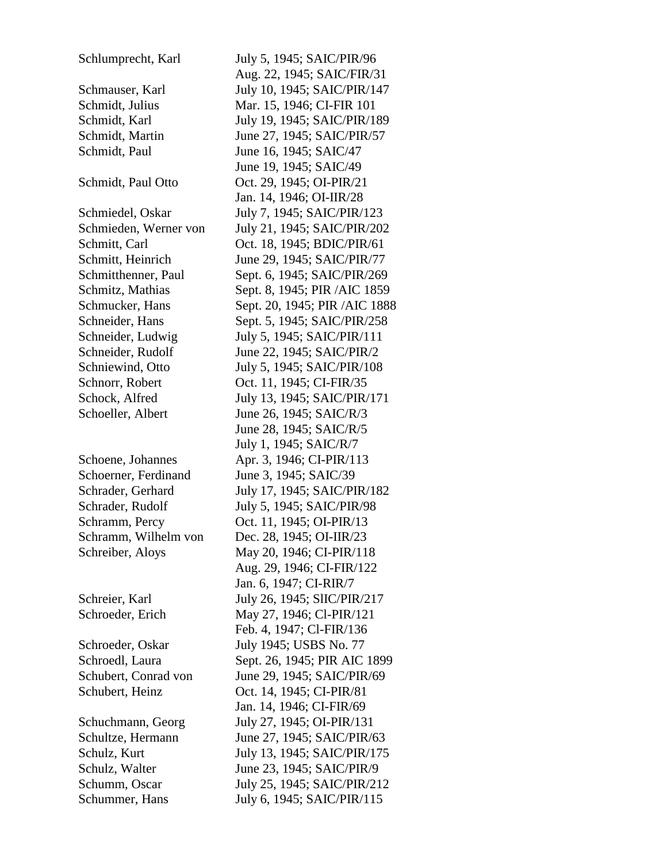Schlumprecht, Karl July 5, 1945; SAIC/PIR/96 Schmauser, Karl July 10, 1945; SAIC/PIR/147 Schmidt, Julius Mar. 15, 1946; CI-FIR 101 Schmidt, Karl July 19, 1945; SAIC/PIR/189 Schmidt, Martin June 27, 1945; SAIC/PIR/57 Schmidt, Paul June 16, 1945; SAIC/47 Schmidt, Paul Otto Oct. 29, 1945; OI-PIR/21 Schmiedel, Oskar July 7, 1945; SAIC/PIR/123 Schmieden, Werner von July 21, 1945; SAIC/PIR/202 Schmitt, Carl **Oct. 18, 1945**; BDIC/PIR/61 Schmitt, Heinrich June 29, 1945; SAIC/PIR/77 Schmitthenner, Paul Sept. 6, 1945; SAIC/PIR/269 Schmitz, Mathias Sept. 8, 1945; PIR /AIC 1859 Schmucker, Hans Sept. 20, 1945; PIR /AIC 1888 Schneider, Hans Sept. 5, 1945; SAIC/PIR/258 Schneider, Ludwig July 5, 1945; SAIC/PIR/111 Schneider, Rudolf June 22, 1945; SAIC/PIR/2 Schniewind, Otto July 5, 1945; SAIC/PIR/108 Schnorr, Robert **Oct. 11, 1945**; CI-FIR/35 Schock, Alfred July 13, 1945; SAIC/PIR/171 Schoeller, Albert June 26, 1945; SAIC/R/3 Schoene, Johannes Apr. 3, 1946; CI-PIR/113 Schoerner, Ferdinand June 3, 1945; SAIC/39 Schrader, Gerhard July 17, 1945; SAIC/PIR/182 Schrader, Rudolf July 5, 1945; SAIC/PIR/98 Schramm, Percy **Oct. 11, 1945**; OI-PIR/13 Schramm, Wilhelm von Dec. 28, 1945; OI-IIR/23 Schreiber, Aloys May 20, 1946; CI-PIR/118 Schreier, Karl July 26, 1945; SlIC/PIR/217 Schroeder, Erich May 27, 1946; Cl-PIR/121 Schroeder, Oskar July 1945; USBS No. 77 Schroedl, Laura Sept. 26, 1945; PIR AIC 1899 Schubert, Conrad von June 29, 1945; SAIC/PIR/69 Schubert, Heinz Oct. 14, 1945; CI-PIR/81 Schuchmann, Georg July 27, 1945; OI-PIR/131 Schultze, Hermann June 27, 1945; SAIC/PIR/63 Schulz, Kurt July 13, 1945; SAIC/PIR/175 Schulz, Walter June 23, 1945; SAIC/PIR/9 Schumm, Oscar July 25, 1945; SAIC/PIR/212 Schummer, Hans July 6, 1945; SAIC/PIR/115

 Aug. 22, 1945; SAIC/FIR/31 June 19, 1945; SAIC/49 Jan. 14, 1946; OI-IIR/28 June 28, 1945; SAIC/R/5 July 1, 1945; SAIC/R/7 Aug. 29, 1946; CI-FIR/122 Jan. 6, 1947; CI-RIR/7 Feb. 4, 1947; Cl-FIR/136 Jan. 14, 1946; CI-FIR/69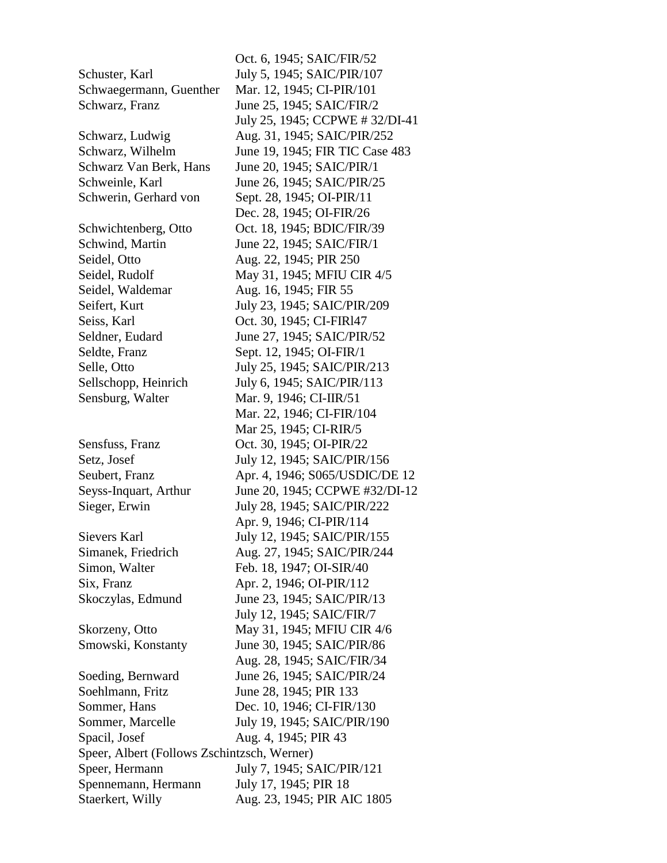Oct. 6, 1945; SAIC/FIR/52 Schuster, Karl July 5, 1945; SAIC/PIR/107 Schwaegermann, Guenther Mar. 12, 1945; CI-PIR/101 Schwarz, Franz June 25, 1945; SAIC/FIR/2 July 25, 1945; CCPWE # 32/DI-41 Schwarz, Ludwig Aug. 31, 1945; SAIC/PIR/252 Schwarz, Wilhelm June 19, 1945; FIR TIC Case 483 Schwarz Van Berk, Hans June 20, 1945; SAIC/PIR/1 Schweinle, Karl June 26, 1945; SAIC/PIR/25 Schwerin, Gerhard von Sept. 28, 1945; OI-PIR/11 Dec. 28, 1945; OI-FIR/26 Schwichtenberg, Otto Oct. 18, 1945; BDIC/FIR/39 Schwind, Martin June 22, 1945; SAIC/FIR/1 Seidel, Otto **Aug. 22, 1945**; PIR 250 Seidel, Rudolf May 31, 1945; MFIU CIR 4/5 Seidel, Waldemar Aug. 16, 1945; FIR 55 Seifert, Kurt July 23, 1945; SAIC/PIR/209 Seiss, Karl **Oct.** 30, 1945; CI-FIR147 Seldner, Eudard June 27, 1945; SAIC/PIR/52 Seldte, Franz Sept. 12, 1945; OI-FIR/1 Selle, Otto **July 25**, 1945; SAIC/PIR/213 Sellschopp, Heinrich July 6, 1945; SAIC/PIR/113 Sensburg, Walter Mar. 9, 1946; CI-IIR/51 Mar. 22, 1946; CI-FIR/104 Mar 25, 1945; CI-RIR/5 Sensfuss, Franz Oct. 30, 1945; OI-PIR/22 Setz, Josef July 12, 1945; SAIC/PIR/156 Seubert, Franz **Apr. 4, 1946; S065/USDIC/DE 12** Seyss-Inquart, Arthur June 20, 1945; CCPWE #32/DI-12 Sieger, Erwin July 28, 1945; SAIC/PIR/222 Apr. 9, 1946; CI-PIR/114 Sievers Karl July 12, 1945; SAIC/PIR/155 Simanek, Friedrich Aug. 27, 1945; SAIC/PIR/244 Simon, Walter Feb. 18, 1947; OI-SIR/40 Six, Franz **Apr. 2, 1946**; OI-PIR/112 Skoczylas, Edmund June 23, 1945; SAIC/PIR/13 July 12, 1945; SAIC/FIR/7 Skorzeny, Otto May 31, 1945; MFIU CIR 4/6 Smowski, Konstanty June 30, 1945; SAIC/PIR/86 Aug. 28, 1945; SAIC/FIR/34 Soeding, Bernward June 26, 1945; SAIC/PIR/24 Soehlmann, Fritz June 28, 1945; PIR 133 Sommer, Hans Dec. 10, 1946; CI-FIR/130 Sommer, Marcelle July 19, 1945; SAIC/PIR/190 Spacil, Josef Aug. 4, 1945; PIR 43 Speer, Albert (Follows Zschintzsch, Werner) Speer, Hermann July 7, 1945; SAIC/PIR/121 Spennemann, Hermann July 17, 1945; PIR 18 Staerkert, Willy **Aug. 23, 1945; PIR AIC 1805**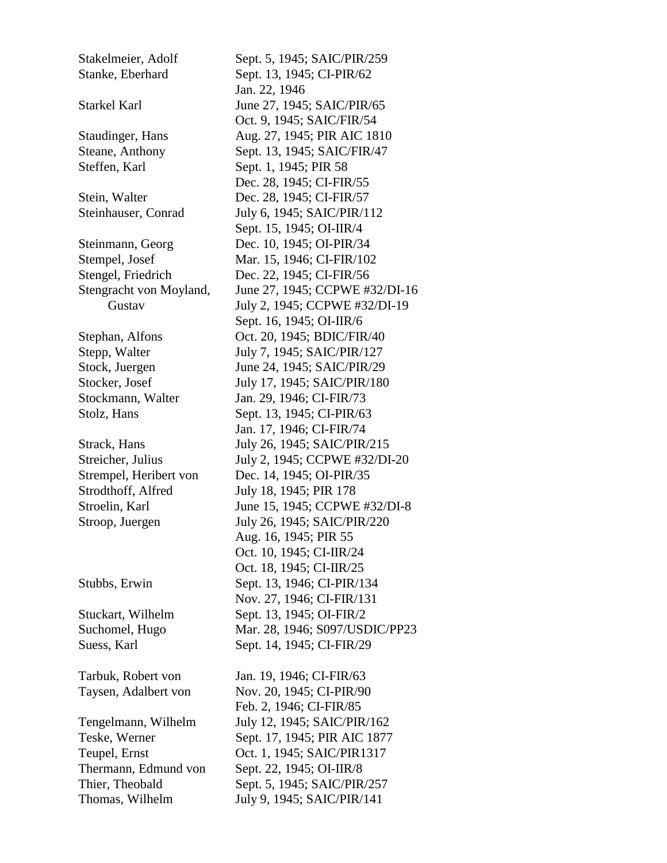Stakelmeier, Adolf Sept. 5, 1945; SAIC/PIR/259 Stanke, Eberhard Sept. 13, 1945; CI-PIR/62 Starkel Karl June 27, 1945; SAIC/PIR/65 Steane, Anthony Sept. 13, 1945; SAIC/FIR/47 Steffen, Karl Sept. 1, 1945; PIR 58 Stein, Walter Dec. 28, 1945; CI-FIR/57 Steinhauser, Conrad July 6, 1945; SAIC/PIR/112 Steinmann, Georg Dec. 10, 1945; OI-PIR/34 Stempel, Josef Mar. 15, 1946; CI-FIR/102 Stengel, Friedrich Dec. 22, 1945; CI-FIR/56 Stephan, Alfons Oct. 20, 1945; BDIC/FIR/40 Stepp, Walter July 7, 1945; SAIC/PIR/127 Stock, Juergen June 24, 1945; SAIC/PIR/29 Stocker, Josef July 17, 1945; SAIC/PIR/180 Stockmann, Walter Jan. 29, 1946; CI-FIR/73 Stolz, Hans Sept. 13, 1945; CI-PIR/63 Strack, Hans July 26, 1945; SAIC/PIR/215 Strempel, Heribert von Dec. 14, 1945; OI-PIR/35 Strodthoff, Alfred July 18, 1945; PIR 178 Stroop, Juergen July 26, 1945; SAIC/PIR/220 Stubbs, Erwin Sept. 13, 1946; CI-PIR/134 Stuckart, Wilhelm Sept. 13, 1945; OI-FIR/2 Suess, Karl Sept. 14, 1945; CI-FIR/29 Tarbuk, Robert von Jan. 19, 1946; CI-FIR/63 Taysen, Adalbert von Nov. 20, 1945; CI-PIR/90 Tengelmann, Wilhelm July 12, 1945; SAIC/PIR/162 Teupel, Ernst **Oct.** 1, 1945; SAIC/PIR1317 Thermann, Edmund von Sept. 22, 1945; OI-IIR/8 Thier, Theobald Sept. 5, 1945; SAIC/PIR/257 Thomas, Wilhelm July 9, 1945; SAIC/PIR/141

 Jan. 22, 1946 Oct. 9, 1945; SAIC/FIR/54 Staudinger, Hans Aug. 27, 1945; PIR AIC 1810 Dec. 28, 1945; CI-FIR/55 Sept. 15, 1945; OI-IIR/4 Stengracht von Moyland, June 27, 1945; CCPWE #32/DI-16 Gustav July 2, 1945; CCPWE #32/DI-19 Sept. 16, 1945; OI-IIR/6 Jan. 17, 1946; CI-FIR/74 Streicher, Julius July 2, 1945; CCPWE #32/DI-20 Stroelin, Karl June 15, 1945; CCPWE #32/DI-8 Aug. 16, 1945; PIR 55 Oct. 10, 1945; CI-IIR/24 Oct. 18, 1945; CI-IIR/25 Nov. 27, 1946; CI-FIR/131 Suchomel, Hugo Mar. 28, 1946; S097/USDIC/PP23 Feb. 2, 1946; CI-FIR/85 Teske, Werner Sept. 17, 1945; PIR AIC 1877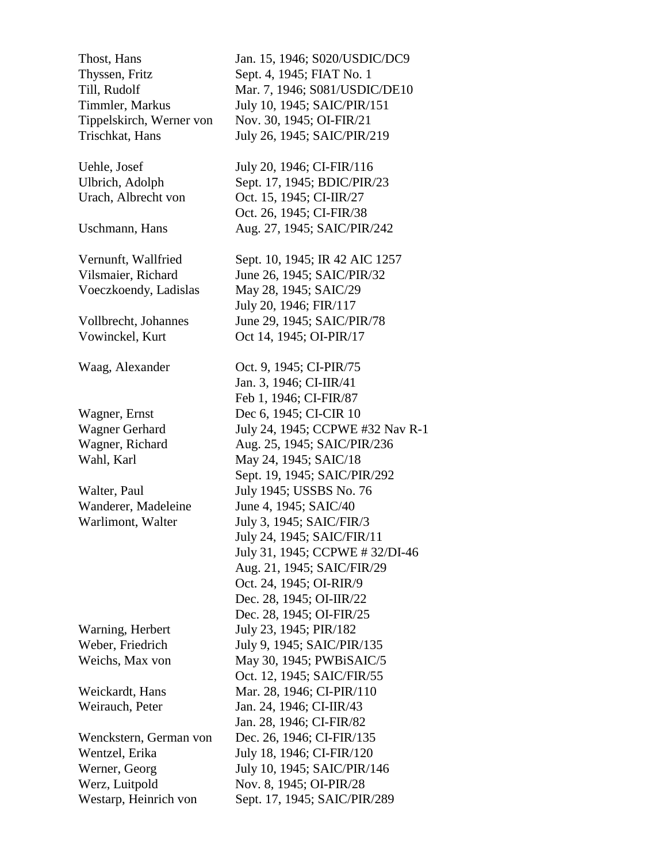Westarp, Heinrich von Sept. 17, 1945; SAIC/PIR/289

Thost, Hans Jan. 15, 1946; S020/USDIC/DC9 Thyssen, Fritz Sept. 4, 1945; FIAT No. 1 Till, Rudolf Mar. 7, 1946; S081/USDIC/DE10 Timmler, Markus July 10, 1945; SAIC/PIR/151 Tippelskirch, Werner von Nov. 30, 1945; OI-FIR/21 Trischkat, Hans July 26, 1945; SAIC/PIR/219 Uehle, Josef July 20, 1946; CI-FIR/116 Ulbrich, Adolph Sept. 17, 1945; BDIC/PIR/23 Urach, Albrecht von Oct. 15, 1945; CI-IIR/27 Oct. 26, 1945; CI-FIR/38 Uschmann, Hans Aug. 27, 1945; SAIC/PIR/242 Vernunft, Wallfried Sept. 10, 1945; IR 42 AIC 1257 Vilsmaier, Richard June 26, 1945; SAIC/PIR/32 Voeczkoendy, Ladislas May 28, 1945; SAIC/29 July 20, 1946; FIR/117 Vollbrecht, Johannes June 29, 1945; SAIC/PIR/78 Vowinckel, Kurt Oct 14, 1945; OI-PIR/17 Waag, Alexander Oct. 9, 1945; CI-PIR/75 Jan. 3, 1946; CI-IIR/41 Feb 1, 1946; CI-FIR/87 Wagner, Ernst Dec 6, 1945; CI-CIR 10 Wagner Gerhard July 24, 1945; CCPWE #32 Nav R-1 Wagner, Richard Aug. 25, 1945; SAIC/PIR/236 Wahl, Karl May 24, 1945; SAIC/18 Sept. 19, 1945; SAIC/PIR/292 Walter, Paul July 1945; USSBS No. 76 Wanderer, Madeleine June 4, 1945; SAIC/40 Warlimont, Walter July 3, 1945; SAIC/FIR/3 July 24, 1945; SAIC/FIR/11 July 31, 1945; CCPWE # 32/DI-46 Aug. 21, 1945; SAIC/FIR/29 Oct. 24, 1945; OI-RIR/9 Dec. 28, 1945; OI-IIR/22 Dec. 28, 1945; OI-FIR/25 Warning, Herbert July 23, 1945; PIR/182 Weber, Friedrich July 9, 1945; SAIC/PIR/135 Weichs, Max von May 30, 1945; PWBiSAIC/5 Oct. 12, 1945; SAIC/FIR/55 Weickardt, Hans Mar. 28, 1946; CI-PIR/110 Weirauch, Peter Jan. 24, 1946; CI-IIR/43 Jan. 28, 1946; CI-FIR/82 Wenckstern, German von Dec. 26, 1946; CI-FIR/135 Wentzel, Erika July 18, 1946; CI-FIR/120 Werner, Georg July 10, 1945; SAIC/PIR/146 Werz, Luitpold Nov. 8, 1945; OI-PIR/28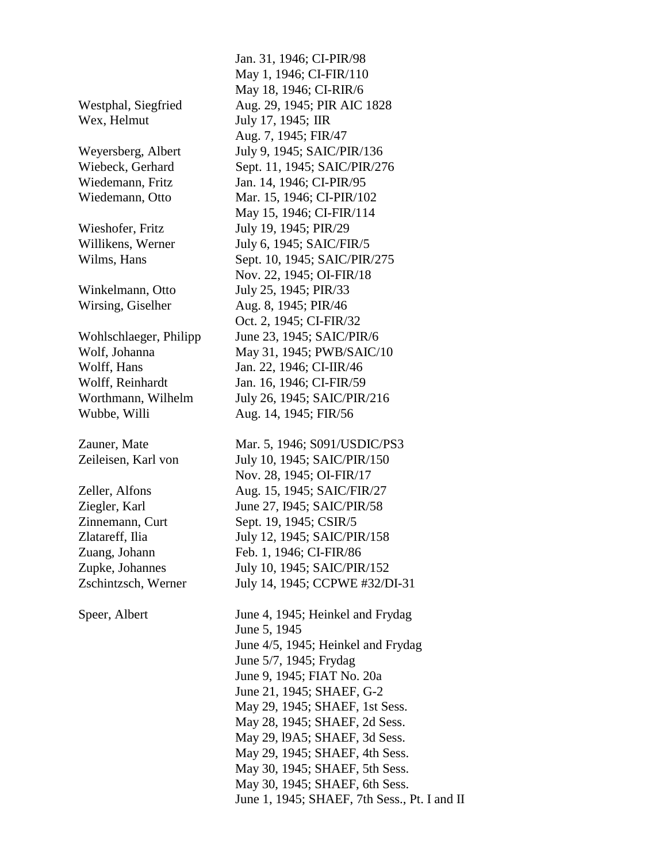Wex, Helmut July 17, 1945; IIR

Wubbe, Willi Aug. 14, 1945; FIR/56

 Jan. 31, 1946; CI-PIR/98 May 1, 1946; CI-FIR/110 May 18, 1946; CI-RIR/6 Westphal, Siegfried Aug. 29, 1945; PIR AIC 1828 Aug. 7, 1945; FIR/47 Weyersberg, Albert July 9, 1945; SAIC/PIR/136 Wiebeck, Gerhard Sept. 11, 1945; SAIC/PIR/276 Wiedemann, Fritz Jan. 14, 1946; CI-PIR/95 Wiedemann, Otto Mar. 15, 1946; CI-PIR/102 May 15, 1946; CI-FIR/114 Wieshofer, Fritz July 19, 1945; PIR/29 Willikens, Werner July 6, 1945; SAIC/FIR/5 Wilms, Hans Sept. 10, 1945; SAIC/PIR/275 Nov. 22, 1945; OI-FIR/18 Winkelmann, Otto July 25, 1945; PIR/33 Wirsing, Giselher Aug. 8, 1945; PIR/46 Oct. 2, 1945; CI-FIR/32 Wohlschlaeger, Philipp June 23, 1945; SAIC/PIR/6 Wolf, Johanna May 31, 1945; PWB/SAIC/10 Wolff, Hans Jan. 22, 1946; CI-IIR/46 Wolff, Reinhardt Jan. 16, 1946; CI-FIR/59 Worthmann, Wilhelm July 26, 1945; SAIC/PIR/216

Zauner, Mate Mar. 5, 1946; S091/USDIC/PS3 Zeileisen, Karl von July 10, 1945; SAIC/PIR/150 Nov. 28, 1945; OI-FIR/17 Zeller, Alfons Aug. 15, 1945; SAIC/FIR/27 Ziegler, Karl June 27, 1945; SAIC/PIR/58 Zinnemann, Curt Sept. 19, 1945; CSIR/5 Zlatareff, Ilia July 12, 1945; SAIC/PIR/158 Zuang, Johann Feb. 1, 1946; CI-FIR/86 Zupke, Johannes July 10, 1945; SAIC/PIR/152 Zschintzsch, Werner July 14, 1945; CCPWE #32/DI-31

Speer, Albert June 4, 1945; Heinkel and Frydag June 5, 1945 June 4/5, 1945; Heinkel and Frydag June 5/7, 1945; Frydag June 9, 1945; FIAT No. 20a June 21, 1945; SHAEF, G-2 May 29, 1945; SHAEF, 1st Sess. May 28, 1945; SHAEF, 2d Sess. May 29, l9A5; SHAEF, 3d Sess. May 29, 1945; SHAEF, 4th Sess. May 30, 1945; SHAEF, 5th Sess. May 30, 1945; SHAEF, 6th Sess. June 1, 1945; SHAEF, 7th Sess., Pt. I and II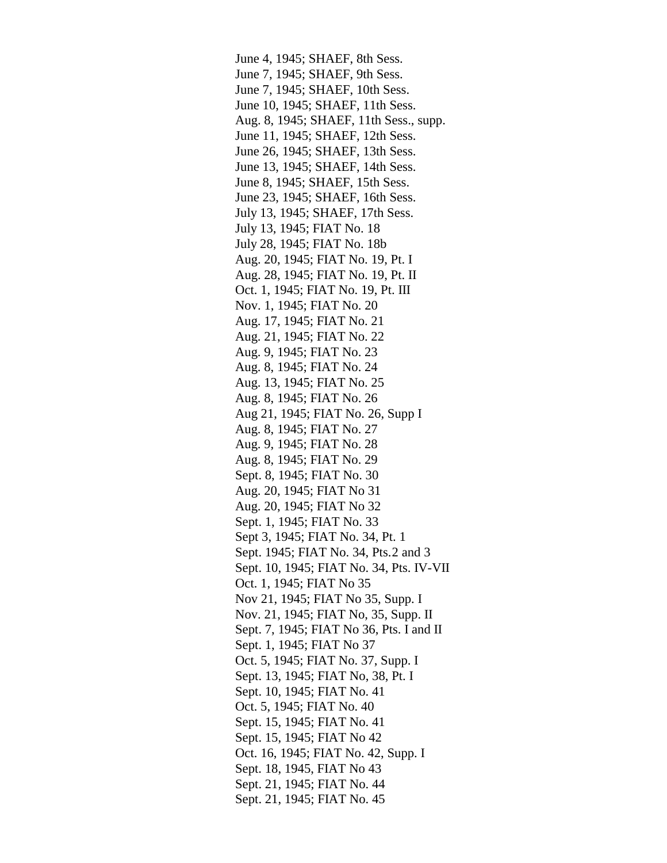June 4, 1945; SHAEF, 8th Sess. June 7, 1945; SHAEF, 9th Sess. June 7, 1945; SHAEF, 10th Sess. June 10, 1945; SHAEF, 11th Sess. Aug. 8, 1945; SHAEF, 11th Sess., supp. June 11, 1945; SHAEF, 12th Sess. June 26, 1945; SHAEF, 13th Sess. June 13, 1945; SHAEF, 14th Sess. June 8, 1945; SHAEF, 15th Sess. June 23, 1945; SHAEF, 16th Sess. July 13, 1945; SHAEF, 17th Sess. July 13, 1945; FIAT No. 18 July 28, 1945; FIAT No. 18b Aug. 20, 1945; FIAT No. 19, Pt. I Aug. 28, 1945; FIAT No. 19, Pt. II Oct. 1, 1945; FIAT No. 19, Pt. III Nov. 1, 1945; FIAT No. 20 Aug. 17, 1945; FIAT No. 21 Aug. 21, 1945; FIAT No. 22 Aug. 9, 1945; FIAT No. 23 Aug. 8, 1945; FIAT No. 24 Aug. 13, 1945; FIAT No. 25 Aug. 8, 1945; FIAT No. 26 Aug 21, 1945; FIAT No. 26, Supp I Aug. 8, 1945; FIAT No. 27 Aug. 9, 1945; FIAT No. 28 Aug. 8, 1945; FIAT No. 29 Sept. 8, 1945; FIAT No. 30 Aug. 20, 1945; FIAT No 31 Aug. 20, 1945; FIAT No 32 Sept. 1, 1945; FIAT No. 33 Sept 3, 1945; FIAT No. 34, Pt. 1 Sept. 1945; FIAT No. 34, Pts. 2 and 3 Sept. 10, 1945; FIAT No. 34, Pts. IV-VII Oct. 1, 1945; FIAT No 35 Nov 21, 1945; FIAT No 35, Supp. I Nov. 21, 1945; FIAT No, 35, Supp. II Sept. 7, 1945; FIAT No 36, Pts. I and II Sept. 1, 1945; FIAT No 37 Oct. 5, 1945; FIAT No. 37, Supp. I Sept. 13, 1945; FIAT No, 38, Pt. I Sept. 10, 1945; FIAT No. 41 Oct. 5, 1945; FIAT No. 40 Sept. 15, 1945; FIAT No. 41 Sept. 15, 1945; FIAT No 42 Oct. 16, 1945; FIAT No. 42, Supp. I Sept. 18, 1945, FIAT No 43 Sept. 21, 1945; FIAT No. 44 Sept. 21, 1945; FIAT No. 45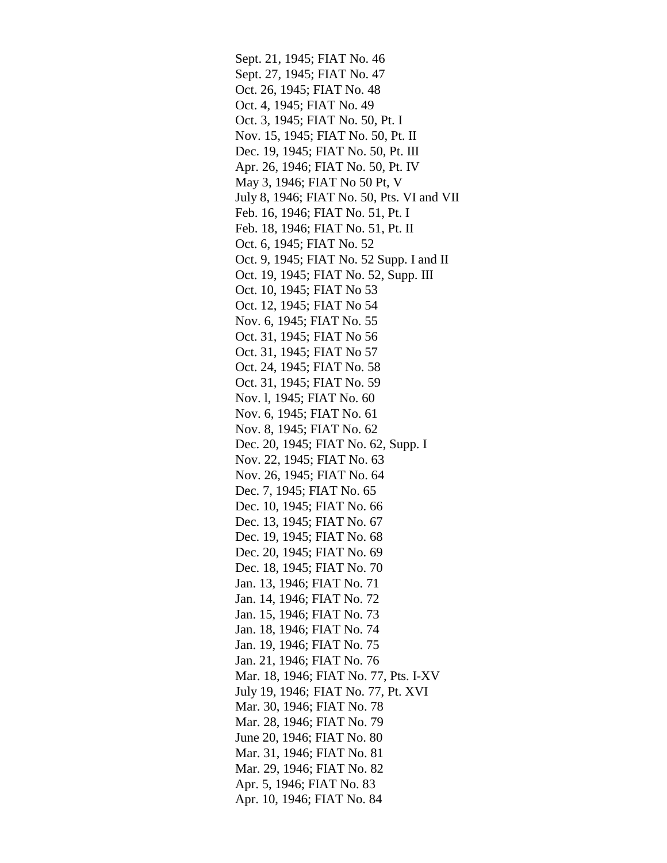Sept. 21, 1945; FIAT No. 46 Sept. 27, 1945; FIAT No. 47 Oct. 26, 1945; FIAT No. 48 Oct. 4, 1945; FIAT No. 49 Oct. 3, 1945; FIAT No. 50, Pt. I Nov. 15, 1945; FIAT No. 50, Pt. II Dec. 19, 1945; FIAT No. 50, Pt. III Apr. 26, 1946; FIAT No. 50, Pt. IV May 3, 1946; FIAT No 50 Pt, V July 8, 1946; FIAT No. 50, Pts. VI and VII Feb. 16, 1946; FIAT No. 51, Pt. I Feb. 18, 1946; FIAT No. 51, Pt. II Oct. 6, 1945; FIAT No. 52 Oct. 9, 1945; FIAT No. 52 Supp. I and II Oct. 19, 1945; FIAT No. 52, Supp. III Oct. 10, 1945; FIAT No 53 Oct. 12, 1945; FIAT No 54 Nov. 6, 1945; FIAT No. 55 Oct. 31, 1945; FIAT No 56 Oct. 31, 1945; FIAT No 57 Oct. 24, 1945; FIAT No. 58 Oct. 31, 1945; FIAT No. 59 Nov. l, 1945; FIAT No. 60 Nov. 6, 1945; FIAT No. 61 Nov. 8, 1945; FIAT No. 62 Dec. 20, 1945; FIAT No. 62, Supp. I Nov. 22, 1945; FIAT No. 63 Nov. 26, 1945; FIAT No. 64 Dec. 7, 1945; FIAT No. 65 Dec. 10, 1945; FIAT No. 66 Dec. 13, 1945; FIAT No. 67 Dec. 19, 1945; FIAT No. 68 Dec. 20, 1945; FIAT No. 69 Dec. 18, 1945; FIAT No. 70 Jan. 13, 1946; FIAT No. 71 Jan. 14, 1946; FIAT No. 72 Jan. 15, 1946; FIAT No. 73 Jan. 18, 1946; FIAT No. 74 Jan. 19, 1946; FIAT No. 75 Jan. 21, 1946; FIAT No. 76 Mar. 18, 1946; FIAT No. 77, Pts. I-XV July 19, 1946; FIAT No. 77, Pt. XVI Mar. 30, 1946; FIAT No. 78 Mar. 28, 1946; FIAT No. 79 June 20, 1946; FIAT No. 80 Mar. 31, 1946; FIAT No. 81 Mar. 29, 1946; FIAT No. 82 Apr. 5, 1946; FIAT No. 83 Apr. 10, 1946; FIAT No. 84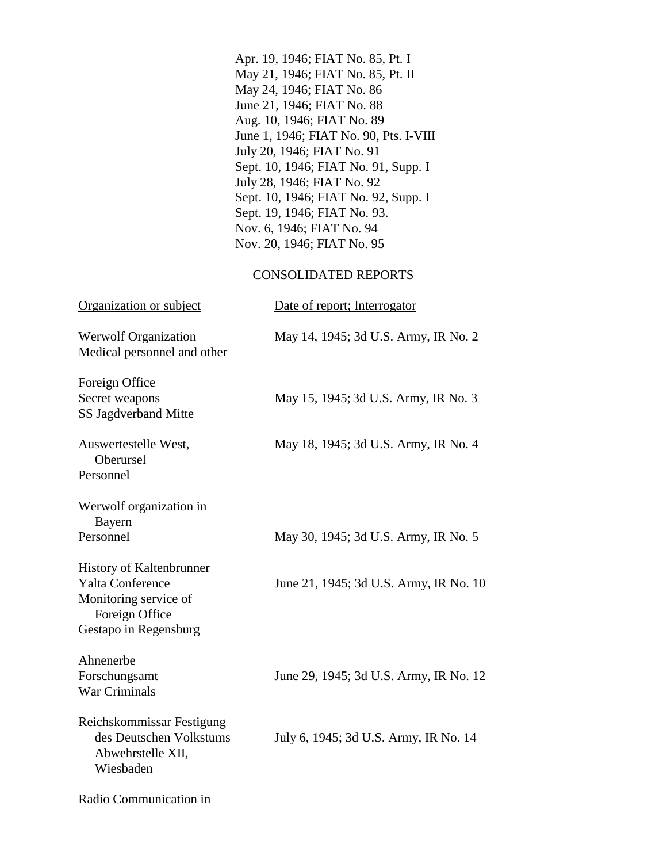|                                                                                                                  | Apr. 19, 1946; FIAT No. 85, Pt. I<br>May 21, 1946; FIAT No. 85, Pt. II<br>May 24, 1946; FIAT No. 86<br>June 21, 1946; FIAT No. 88<br>Aug. 10, 1946; FIAT No. 89<br>June 1, 1946; FIAT No. 90, Pts. I-VIII<br>July 20, 1946; FIAT No. 91<br>Sept. 10, 1946; FIAT No. 91, Supp. I<br>July 28, 1946; FIAT No. 92<br>Sept. 10, 1946; FIAT No. 92, Supp. I<br>Sept. 19, 1946; FIAT No. 93.<br>Nov. 6, 1946; FIAT No. 94<br>Nov. 20, 1946; FIAT No. 95 |
|------------------------------------------------------------------------------------------------------------------|--------------------------------------------------------------------------------------------------------------------------------------------------------------------------------------------------------------------------------------------------------------------------------------------------------------------------------------------------------------------------------------------------------------------------------------------------|
|                                                                                                                  | <b>CONSOLIDATED REPORTS</b>                                                                                                                                                                                                                                                                                                                                                                                                                      |
| Organization or subject                                                                                          | Date of report; Interrogator                                                                                                                                                                                                                                                                                                                                                                                                                     |
| Werwolf Organization<br>Medical personnel and other                                                              | May 14, 1945; 3d U.S. Army, IR No. 2                                                                                                                                                                                                                                                                                                                                                                                                             |
| Foreign Office<br>Secret weapons<br>SS Jagdverband Mitte                                                         | May 15, 1945; 3d U.S. Army, IR No. 3                                                                                                                                                                                                                                                                                                                                                                                                             |
| Auswertestelle West,<br>Oberursel<br>Personnel                                                                   | May 18, 1945; 3d U.S. Army, IR No. 4                                                                                                                                                                                                                                                                                                                                                                                                             |
| Werwolf organization in                                                                                          |                                                                                                                                                                                                                                                                                                                                                                                                                                                  |
| Bayern<br>Personnel                                                                                              | May 30, 1945; 3d U.S. Army, IR No. 5                                                                                                                                                                                                                                                                                                                                                                                                             |
| History of Kaltenbrunner<br>Yalta Conference<br>Monitoring service of<br>Foreign Office<br>Gestapo in Regensburg | June 21, 1945; 3d U.S. Army, IR No. 10                                                                                                                                                                                                                                                                                                                                                                                                           |
| Ahnenerbe<br>Forschungsamt<br>War Criminals                                                                      | June 29, 1945; 3d U.S. Army, IR No. 12                                                                                                                                                                                                                                                                                                                                                                                                           |
| Reichskommissar Festigung<br>des Deutschen Volkstums<br>Abwehrstelle XII,<br>Wiesbaden                           | July 6, 1945; 3d U.S. Army, IR No. 14                                                                                                                                                                                                                                                                                                                                                                                                            |
| Radio Communication in                                                                                           |                                                                                                                                                                                                                                                                                                                                                                                                                                                  |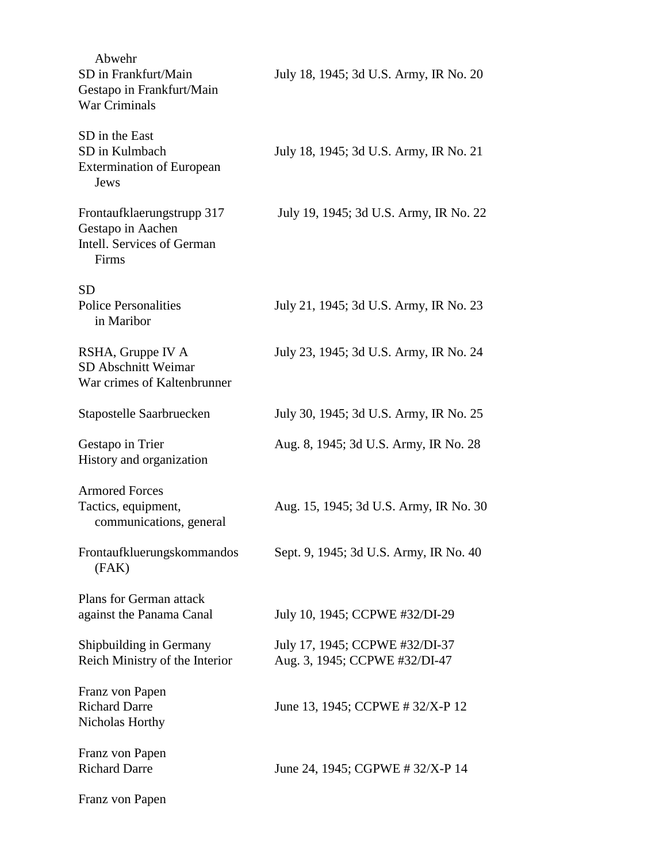| Abwehr<br>SD in Frankfurt/Main<br>Gestapo in Frankfurt/Main<br><b>War Criminals</b>    | July 18, 1945; 3d U.S. Army, IR No. 20                          |
|----------------------------------------------------------------------------------------|-----------------------------------------------------------------|
| SD in the East<br>SD in Kulmbach<br><b>Extermination of European</b><br>Jews           | July 18, 1945; 3d U.S. Army, IR No. 21                          |
| Frontaufklaerungstrupp 317<br>Gestapo in Aachen<br>Intell. Services of German<br>Firms | July 19, 1945; 3d U.S. Army, IR No. 22                          |
| <b>SD</b><br><b>Police Personalities</b><br>in Maribor                                 | July 21, 1945; 3d U.S. Army, IR No. 23                          |
| RSHA, Gruppe IV A<br>SD Abschnitt Weimar<br>War crimes of Kaltenbrunner                | July 23, 1945; 3d U.S. Army, IR No. 24                          |
| Stapostelle Saarbruecken                                                               | July 30, 1945; 3d U.S. Army, IR No. 25                          |
| Gestapo in Trier<br>History and organization                                           | Aug. 8, 1945; 3d U.S. Army, IR No. 28                           |
| <b>Armored Forces</b><br>Tactics, equipment,<br>communications, general                | Aug. 15, 1945; 3d U.S. Army, IR No. 30                          |
| Frontaufkluerungskommandos<br>(FAK)                                                    | Sept. 9, 1945; 3d U.S. Army, IR No. 40                          |
| Plans for German attack<br>against the Panama Canal                                    | July 10, 1945; CCPWE #32/DI-29                                  |
| Shipbuilding in Germany<br>Reich Ministry of the Interior                              | July 17, 1945; CCPWE #32/DI-37<br>Aug. 3, 1945; CCPWE #32/DI-47 |
| Franz von Papen<br><b>Richard Darre</b><br>Nicholas Horthy                             | June 13, 1945; CCPWE # 32/X-P 12                                |
| Franz von Papen<br><b>Richard Darre</b>                                                | June 24, 1945; CGPWE # 32/X-P 14                                |
| Franz von Papen                                                                        |                                                                 |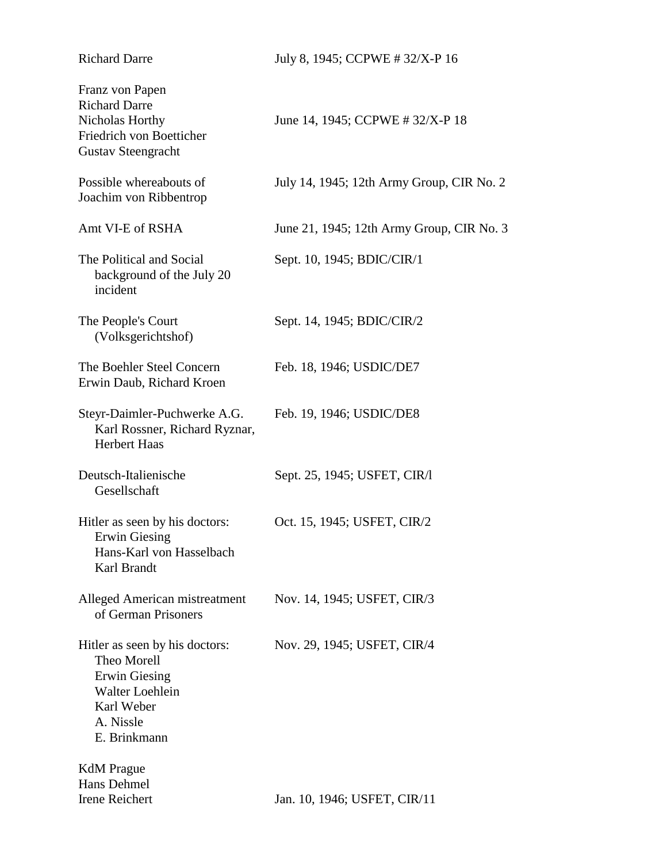| <b>Richard Darre</b>                                                                                                                | July 8, 1945; CCPWE #32/X-P 16            |
|-------------------------------------------------------------------------------------------------------------------------------------|-------------------------------------------|
| Franz von Papen<br><b>Richard Darre</b><br>Nicholas Horthy<br>Friedrich von Boetticher<br><b>Gustav Steengracht</b>                 | June 14, 1945; CCPWE # 32/X-P 18          |
| Possible whereabouts of<br>Joachim von Ribbentrop                                                                                   | July 14, 1945; 12th Army Group, CIR No. 2 |
| Amt VI-E of RSHA                                                                                                                    | June 21, 1945; 12th Army Group, CIR No. 3 |
| The Political and Social<br>background of the July 20<br>incident                                                                   | Sept. 10, 1945; BDIC/CIR/1                |
| The People's Court<br>(Volksgerichtshof)                                                                                            | Sept. 14, 1945; BDIC/CIR/2                |
| The Boehler Steel Concern<br>Erwin Daub, Richard Kroen                                                                              | Feb. 18, 1946; USDIC/DE7                  |
| Steyr-Daimler-Puchwerke A.G.<br>Karl Rossner, Richard Ryznar,<br><b>Herbert Haas</b>                                                | Feb. 19, 1946; USDIC/DE8                  |
| Deutsch-Italienische<br>Gesellschaft                                                                                                | Sept. 25, 1945; USFET, CIR/I              |
| Hitler as seen by his doctors:<br>Erwin Giesing<br>Hans-Karl von Hasselbach<br>Karl Brandt                                          | Oct. 15, 1945; USFET, CIR/2               |
| Alleged American mistreatment<br>of German Prisoners                                                                                | Nov. 14, 1945; USFET, CIR/3               |
| Hitler as seen by his doctors:<br>Theo Morell<br><b>Erwin Giesing</b><br>Walter Loehlein<br>Karl Weber<br>A. Nissle<br>E. Brinkmann | Nov. 29, 1945; USFET, CIR/4               |
| <b>KdM</b> Prague<br>Hans Dehmel<br>Irene Reichert                                                                                  | Jan. 10, 1946; USFET, CIR/11              |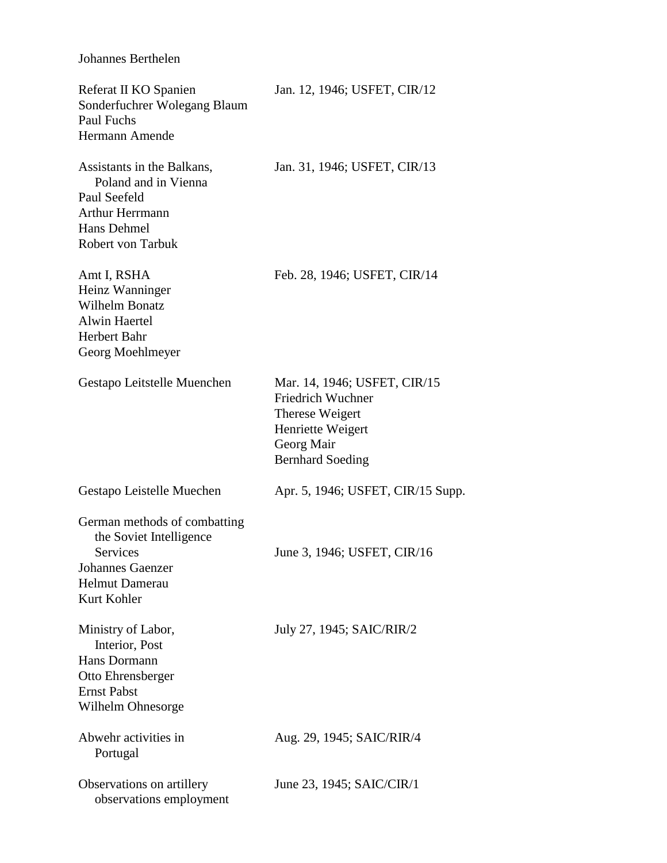## Johannes Berthelen

| Referat II KO Spanien<br>Sonderfuchrer Wolegang Blaum<br>Paul Fuchs<br>Hermann Amende                                            | Jan. 12, 1946; USFET, CIR/12                                                                                                       |
|----------------------------------------------------------------------------------------------------------------------------------|------------------------------------------------------------------------------------------------------------------------------------|
| Assistants in the Balkans,<br>Poland and in Vienna<br>Paul Seefeld<br><b>Arthur Herrmann</b><br>Hans Dehmel<br>Robert von Tarbuk | Jan. 31, 1946; USFET, CIR/13                                                                                                       |
| Amt I, RSHA<br>Heinz Wanninger<br>Wilhelm Bonatz<br><b>Alwin Haertel</b><br><b>Herbert Bahr</b><br>Georg Moehlmeyer              | Feb. 28, 1946; USFET, CIR/14                                                                                                       |
| Gestapo Leitstelle Muenchen                                                                                                      | Mar. 14, 1946; USFET, CIR/15<br>Friedrich Wuchner<br>Therese Weigert<br>Henriette Weigert<br>Georg Mair<br><b>Bernhard Soeding</b> |
| Gestapo Leistelle Muechen                                                                                                        | Apr. 5, 1946; USFET, CIR/15 Supp.                                                                                                  |
| German methods of combatting<br>the Soviet Intelligence<br>Services<br>Johannes Gaenzer<br><b>Helmut Damerau</b><br>Kurt Kohler  | June 3, 1946; USFET, CIR/16                                                                                                        |
| Ministry of Labor,<br>Interior, Post<br>Hans Dormann<br>Otto Ehrensberger<br><b>Ernst Pabst</b><br>Wilhelm Ohnesorge             | July 27, 1945; SAIC/RIR/2                                                                                                          |
| Abwehr activities in<br>Portugal                                                                                                 | Aug. 29, 1945; SAIC/RIR/4                                                                                                          |
| Observations on artillery<br>observations employment                                                                             | June 23, 1945; SAIC/CIR/1                                                                                                          |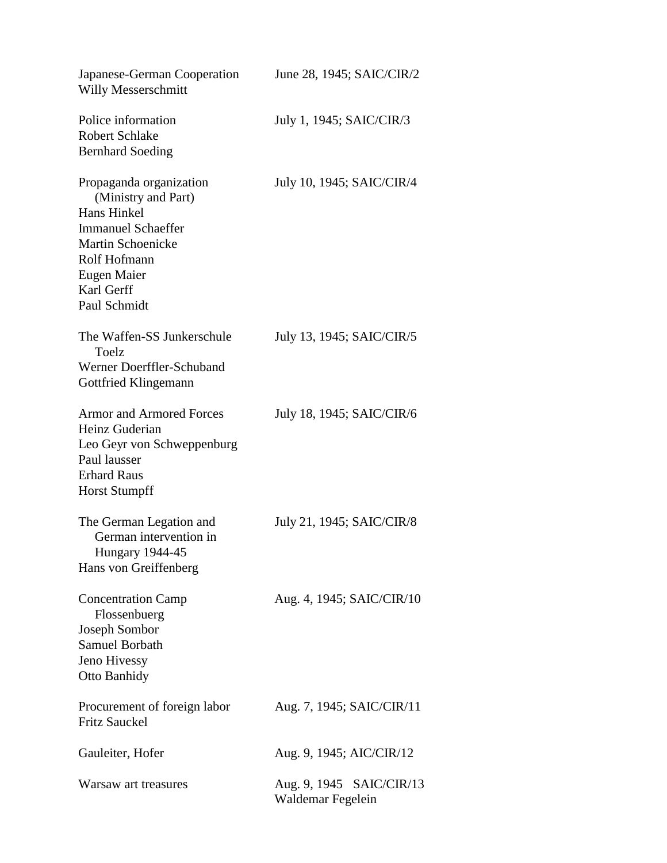| Japanese-German Cooperation<br>Willy Messerschmitt                                                                                                                                  | June 28, 1945; SAIC/CIR/2                     |
|-------------------------------------------------------------------------------------------------------------------------------------------------------------------------------------|-----------------------------------------------|
| Police information<br><b>Robert Schlake</b><br><b>Bernhard Soeding</b>                                                                                                              | July 1, 1945; SAIC/CIR/3                      |
| Propaganda organization<br>(Ministry and Part)<br>Hans Hinkel<br><b>Immanuel Schaeffer</b><br><b>Martin Schoenicke</b><br>Rolf Hofmann<br>Eugen Maier<br>Karl Gerff<br>Paul Schmidt | July 10, 1945; SAIC/CIR/4                     |
| The Waffen-SS Junkerschule<br>Toelz<br>Werner Doerffler-Schuband<br>Gottfried Klingemann                                                                                            | July 13, 1945; SAIC/CIR/5                     |
| <b>Armor and Armored Forces</b><br>Heinz Guderian<br>Leo Geyr von Schweppenburg<br>Paul lausser<br><b>Erhard Raus</b><br><b>Horst Stumpff</b>                                       | July 18, 1945; SAIC/CIR/6                     |
| The German Legation and<br>German intervention in<br><b>Hungary 1944-45</b><br>Hans von Greiffenberg                                                                                | July 21, 1945; SAIC/CIR/8                     |
| <b>Concentration Camp</b><br>Flossenbuerg<br>Joseph Sombor<br><b>Samuel Borbath</b><br>Jeno Hivessy<br><b>Otto Banhidy</b>                                                          | Aug. 4, 1945; SAIC/CIR/10                     |
| Procurement of foreign labor<br><b>Fritz Sauckel</b>                                                                                                                                | Aug. 7, 1945; SAIC/CIR/11                     |
| Gauleiter, Hofer                                                                                                                                                                    | Aug. 9, 1945; AIC/CIR/12                      |
| Warsaw art treasures                                                                                                                                                                | Aug. 9, 1945 SAIC/CIR/13<br>Waldemar Fegelein |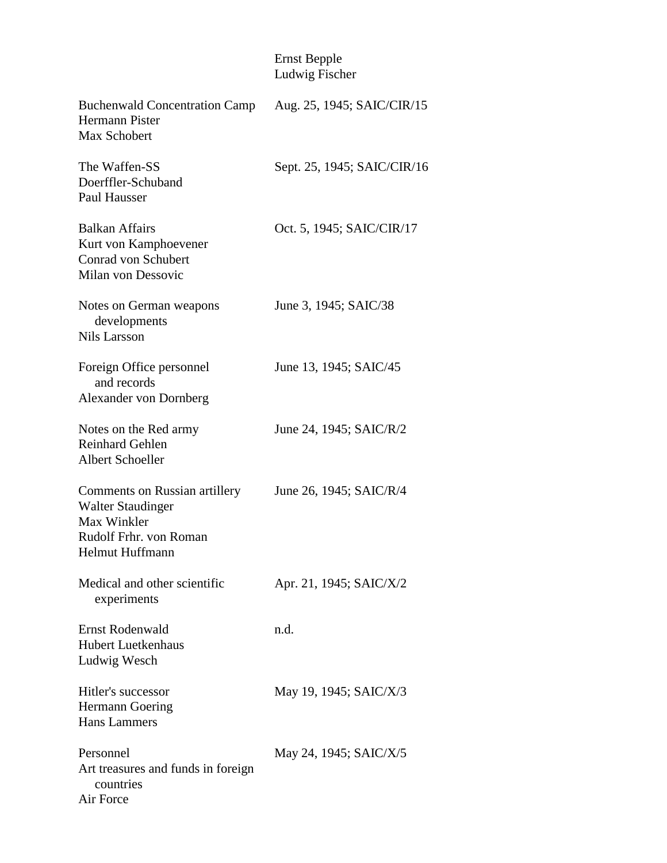## Ernst Bepple Ludwig Fischer

| Buchenwald Concentration Camp Aug. 25, 1945; SAIC/CIR/15<br>Hermann Pister<br>Max Schobert                                          |                             |
|-------------------------------------------------------------------------------------------------------------------------------------|-----------------------------|
| The Waffen-SS<br>Doerffler-Schuband<br>Paul Hausser                                                                                 | Sept. 25, 1945; SAIC/CIR/16 |
| <b>Balkan Affairs</b><br>Kurt von Kamphoevener<br>Conrad von Schubert<br>Milan von Dessovic                                         | Oct. 5, 1945; SAIC/CIR/17   |
| Notes on German weapons<br>developments<br><b>Nils Larsson</b>                                                                      | June 3, 1945; SAIC/38       |
| Foreign Office personnel<br>and records<br>Alexander von Dornberg                                                                   | June 13, 1945; SAIC/45      |
| Notes on the Red army<br><b>Reinhard Gehlen</b><br>Albert Schoeller                                                                 | June 24, 1945; SAIC/R/2     |
| <b>Comments on Russian artillery</b><br><b>Walter Staudinger</b><br>Max Winkler<br>Rudolf Frhr. von Roman<br><b>Helmut Huffmann</b> | June 26, 1945; SAIC/R/4     |
| Medical and other scientific<br>experiments                                                                                         | Apr. 21, 1945; SAIC/X/2     |
| <b>Ernst Rodenwald</b><br><b>Hubert Luetkenhaus</b><br>Ludwig Wesch                                                                 | n.d.                        |
| Hitler's successor<br>Hermann Goering<br><b>Hans Lammers</b>                                                                        | May 19, 1945; SAIC/X/3      |
| Personnel<br>Art treasures and funds in foreign<br>countries<br>Air Force                                                           | May 24, 1945; SAIC/X/5      |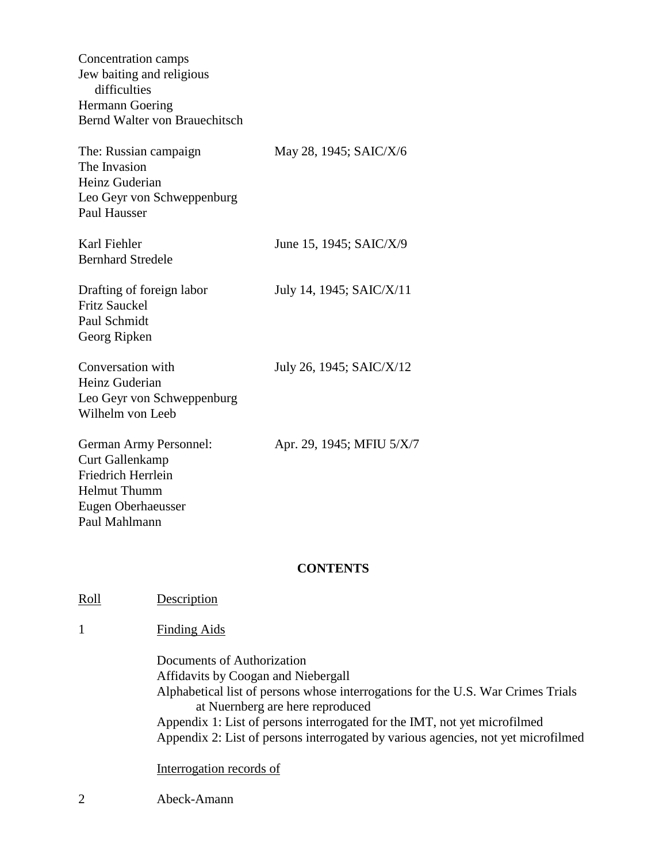| Concentration camps<br>Jew baiting and religious<br>difficulties<br><b>Hermann Goering</b><br>Bernd Walter von Brauechitsch                 |                           |
|---------------------------------------------------------------------------------------------------------------------------------------------|---------------------------|
| The: Russian campaign<br>The Invasion<br>Heinz Guderian<br>Leo Geyr von Schweppenburg<br><b>Paul Hausser</b>                                | May 28, 1945; SAIC/X/6    |
| Karl Fiehler<br><b>Bernhard Stredele</b>                                                                                                    | June 15, 1945; SAIC/X/9   |
| Drafting of foreign labor<br><b>Fritz Sauckel</b><br>Paul Schmidt<br>Georg Ripken                                                           | July 14, 1945; SAIC/X/11  |
| Conversation with<br>Heinz Guderian<br>Leo Geyr von Schweppenburg<br>Wilhelm von Leeb                                                       | July 26, 1945; SAIC/X/12  |
| German Army Personnel:<br><b>Curt Gallenkamp</b><br><b>Friedrich Herrlein</b><br><b>Helmut Thumm</b><br>Eugen Oberhaeusser<br>Paul Mahlmann | Apr. 29, 1945; MFIU 5/X/7 |
|                                                                                                                                             | <b>CONTENTS</b>           |
|                                                                                                                                             |                           |

Roll Description

## 1 Finding Aids

 Documents of Authorization Affidavits by Coogan and Niebergall Alphabetical list of persons whose interrogations for the U.S. War Crimes Trials at Nuernberg are here reproduced Appendix 1: List of persons interrogated for the IMT, not yet microfilmed Appendix 2: List of persons interrogated by various agencies, not yet microfilmed

Interrogation records of

2 Abeck-Amann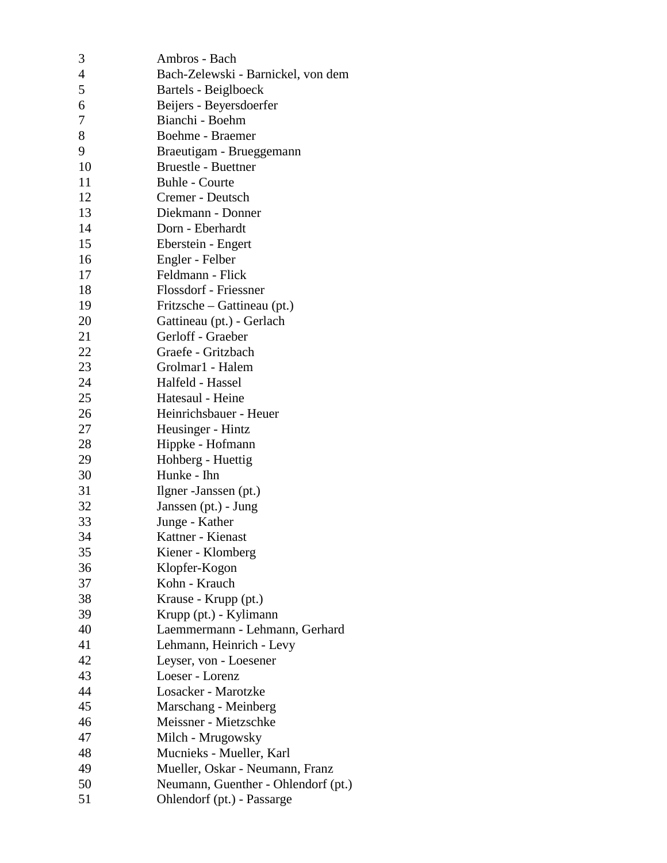| 3              | Ambros - Bach                       |
|----------------|-------------------------------------|
| $\overline{4}$ | Bach-Zelewski - Barnickel, von dem  |
| 5              | Bartels - Beiglboeck                |
| 6              | Beijers - Beyersdoerfer             |
| 7              | Bianchi - Boehm                     |
| 8              | Boehme - Braemer                    |
| 9              | Braeutigam - Brueggemann            |
| 10             | <b>Bruestle - Buettner</b>          |
| 11             | <b>Buhle - Courte</b>               |
| 12             | Cremer - Deutsch                    |
| 13             | Diekmann - Donner                   |
| 14             | Dorn - Eberhardt                    |
| 15             | Eberstein - Engert                  |
| 16             | Engler - Felber                     |
| 17             | Feldmann - Flick                    |
| 18             | Flossdorf - Friessner               |
| 19             | Fritzsche – Gattineau (pt.)         |
| 20             | Gattineau (pt.) - Gerlach           |
| 21             | Gerloff - Graeber                   |
| 22             | Graefe - Gritzbach                  |
| 23             | Grolmar1 - Halem                    |
| 24             | Halfeld - Hassel                    |
| 25             | Hatesaul - Heine                    |
| 26             | Heinrichsbauer - Heuer              |
| 27             | Heusinger - Hintz                   |
| 28             | Hippke - Hofmann                    |
| 29             | Hohberg - Huettig                   |
| 30             | Hunke - Ihn                         |
| 31             | Ilgner - Janssen (pt.)              |
| 32             | Janssen (pt.) - Jung                |
| 33             | Junge - Kather                      |
| 34             | Kattner - Kienast                   |
| 35             | Kiener - Klomberg                   |
| 36             | Klopfer-Kogon                       |
| 37             | Kohn - Krauch                       |
| 38             | Krause - Krupp (pt.)                |
| 39             | Krupp (pt.) - Kylimann              |
| 40             | Laemmermann - Lehmann, Gerhard      |
| 41             | Lehmann, Heinrich - Levy            |
| 42             | Leyser, von - Loesener              |
| 43             | Loeser - Lorenz                     |
| 44             | Losacker - Marotzke                 |
| 45             | Marschang - Meinberg                |
| 46             | Meissner - Mietzschke               |
| 47             | Milch - Mrugowsky                   |
| 48             | Mucnieks - Mueller, Karl            |
| 49             | Mueller, Oskar - Neumann, Franz     |
| 50             | Neumann, Guenther - Ohlendorf (pt.) |
| 51             | Ohlendorf (pt.) - Passarge          |
|                |                                     |